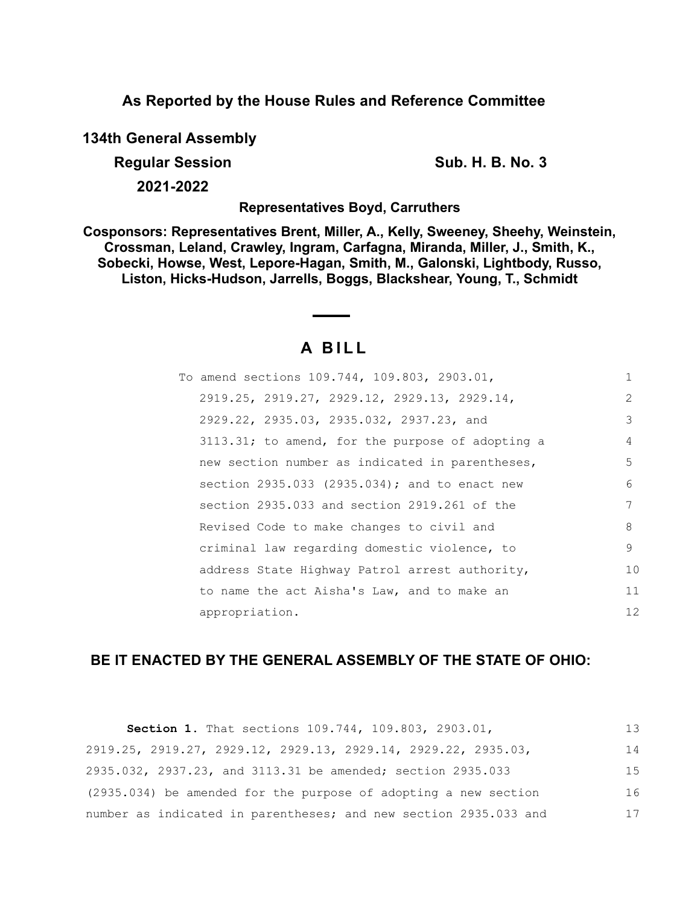**As Reported by the House Rules and Reference Committee**

**134th General Assembly**

**Regular Session Sub. H. B. No. 3**

**2021-2022**

**Representatives Boyd, Carruthers**

**Cosponsors: Representatives Brent, Miller, A., Kelly, Sweeney, Sheehy, Weinstein, Crossman, Leland, Crawley, Ingram, Carfagna, Miranda, Miller, J., Smith, K., Sobecki, Howse, West, Lepore-Hagan, Smith, M., Galonski, Lightbody, Russo, Liston, Hicks-Hudson, Jarrells, Boggs, Blackshear, Young, T., Schmidt**

# **A B I L L**

| To amend sections 109.744, 109.803, 2903.01,        |               |
|-----------------------------------------------------|---------------|
| 2919.25, 2919.27, 2929.12, 2929.13, 2929.14,        | $\mathcal{L}$ |
| 2929.22, 2935.03, 2935.032, 2937.23, and            | 3             |
| $3113.31$ ; to amend, for the purpose of adopting a | 4             |
| new section number as indicated in parentheses,     | 5             |
| section 2935.033 (2935.034); and to enact new       | 6             |
| section 2935.033 and section 2919.261 of the        | 7             |
| Revised Code to make changes to civil and           | 8             |
| criminal law regarding domestic violence, to        | 9             |
| address State Highway Patrol arrest authority,      | 10            |
| to name the act Aisha's Law, and to make an         | 11            |
| appropriation.                                      | 12            |

## **BE IT ENACTED BY THE GENERAL ASSEMBLY OF THE STATE OF OHIO:**

| Section 1. That sections 109.744, 109.803, 2903.01,              | 13  |
|------------------------------------------------------------------|-----|
| 2919.25, 2919.27, 2929.12, 2929.13, 2929.14, 2929.22, 2935.03,   | 14  |
| 2935.032, 2937.23, and 3113.31 be amended; section 2935.033      | 1.5 |
| (2935.034) be amended for the purpose of adopting a new section  | 16  |
| number as indicated in parentheses; and new section 2935.033 and | 17  |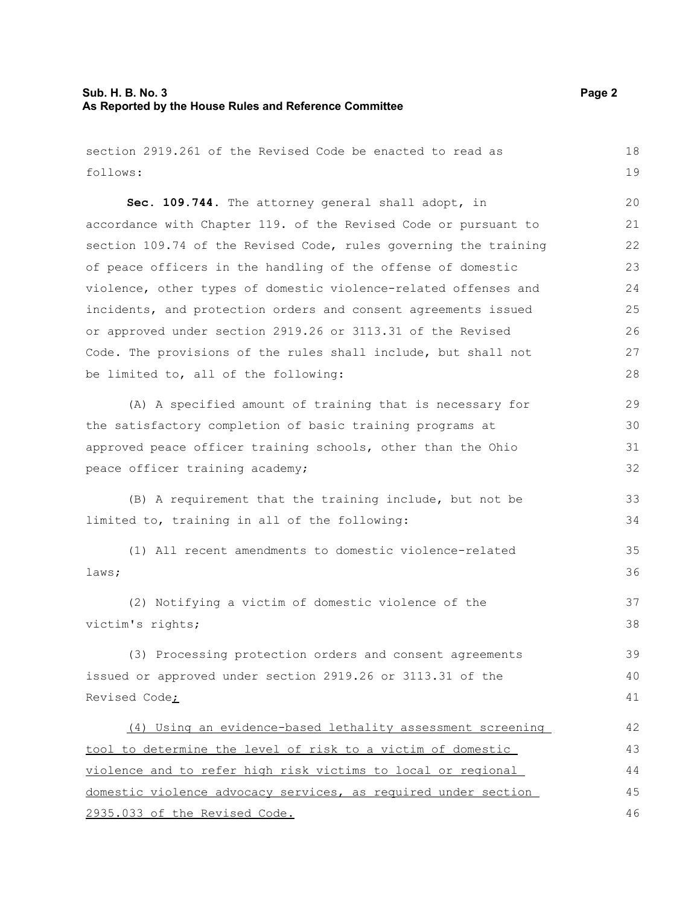### **Sub. H. B. No. 3 Page 2 As Reported by the House Rules and Reference Committee**

section 2919.261 of the Revised Code be enacted to read as follows:

**Sec. 109.744.** The attorney general shall adopt, in accordance with Chapter 119. of the Revised Code or pursuant to section 109.74 of the Revised Code, rules governing the training of peace officers in the handling of the offense of domestic violence, other types of domestic violence-related offenses and incidents, and protection orders and consent agreements issued or approved under section 2919.26 or 3113.31 of the Revised Code. The provisions of the rules shall include, but shall not be limited to, all of the following:

(A) A specified amount of training that is necessary for the satisfactory completion of basic training programs at approved peace officer training schools, other than the Ohio peace officer training academy;

(B) A requirement that the training include, but not be limited to, training in all of the following:

(1) All recent amendments to domestic violence-related laws;

(2) Notifying a victim of domestic violence of the victim's rights; 37 38

(3) Processing protection orders and consent agreements issued or approved under section 2919.26 or 3113.31 of the Revised Code; 39 40 41

(4) Using an evidence-based lethality assessment screening tool to determine the level of risk to a victim of domestic violence and to refer high risk victims to local or regional domestic violence advocacy services, as required under section 2935.033 of the Revised Code. 42 43 44 45 46

18 19

33 34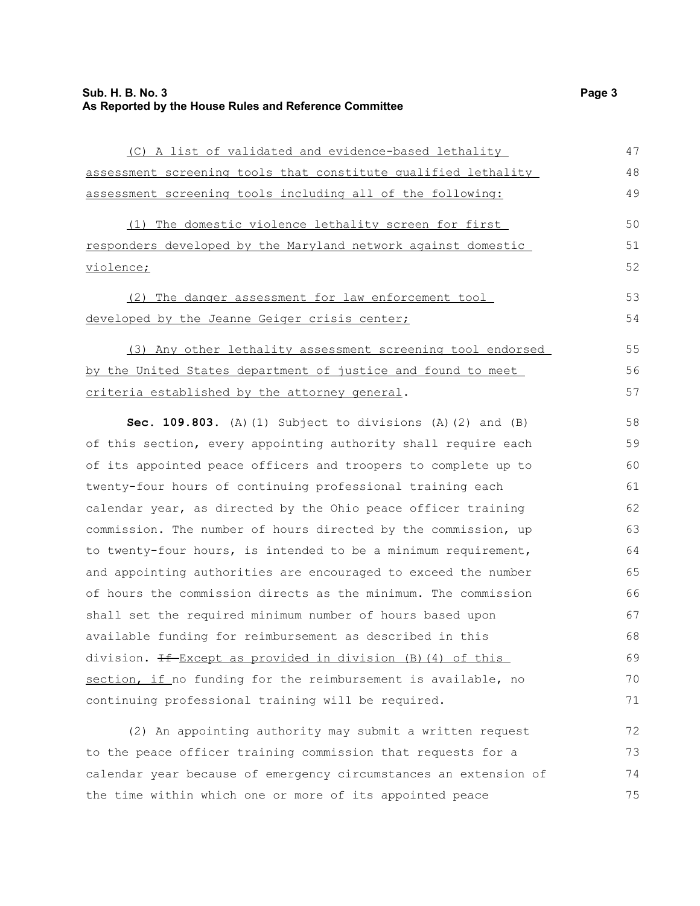| (C) A list of validated and evidence-based lethality                  | 47 |
|-----------------------------------------------------------------------|----|
| assessment screening tools that constitute qualified lethality        | 48 |
| assessment screening tools including all of the following:            | 49 |
| (1) The domestic violence lethality screen for first                  | 50 |
| responders developed by the Maryland network against domestic         | 51 |
| <u>violence;</u>                                                      | 52 |
| (2) The danger assessment for law enforcement tool                    | 53 |
| developed by the Jeanne Geiger crisis center;                         | 54 |
| (3) Any other lethality assessment screening tool endorsed            | 55 |
| <u>by the United States department of justice and found to meet </u>  | 56 |
| criteria established by the attorney general.                         | 57 |
| <b>Sec. 109.803.</b> (A) (1) Subject to divisions (A) (2) and (B)     | 58 |
| of this section, every appointing authority shall require each        | 59 |
| of its appointed peace officers and troopers to complete up to        | 60 |
| twenty-four hours of continuing professional training each            | 61 |
| calendar year, as directed by the Ohio peace officer training         | 62 |
| commission. The number of hours directed by the commission, up        | 63 |
| to twenty-four hours, is intended to be a minimum requirement,        | 64 |
| and appointing authorities are encouraged to exceed the number        | 65 |
| of hours the commission directs as the minimum. The commission        | 66 |
|                                                                       |    |
| shall set the required minimum number of hours based upon             | 67 |
| available funding for reimbursement as described in this              | 68 |
| division. <del>If Except</del> as provided in division (B)(4) of this | 69 |
| section, if no funding for the reimbursement is available, no         | 70 |
| continuing professional training will be required.                    | 71 |

(2) An appointing authority may submit a written request to the peace officer training commission that requests for a calendar year because of emergency circumstances an extension of the time within which one or more of its appointed peace 72 73 74 75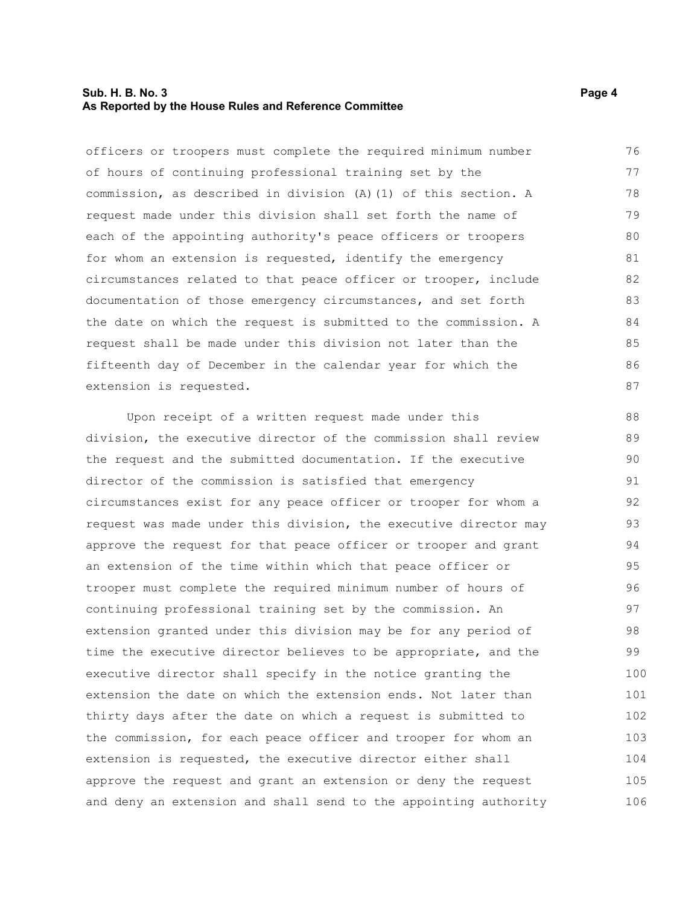#### **Sub. H. B. No. 3 Page 4 As Reported by the House Rules and Reference Committee**

officers or troopers must complete the required minimum number of hours of continuing professional training set by the commission, as described in division (A)(1) of this section. A request made under this division shall set forth the name of each of the appointing authority's peace officers or troopers for whom an extension is requested, identify the emergency circumstances related to that peace officer or trooper, include documentation of those emergency circumstances, and set forth the date on which the request is submitted to the commission. A request shall be made under this division not later than the fifteenth day of December in the calendar year for which the extension is requested. 76 77 78 79 80 81 82 83 84 85 86 87

Upon receipt of a written request made under this division, the executive director of the commission shall review the request and the submitted documentation. If the executive director of the commission is satisfied that emergency circumstances exist for any peace officer or trooper for whom a request was made under this division, the executive director may approve the request for that peace officer or trooper and grant an extension of the time within which that peace officer or trooper must complete the required minimum number of hours of continuing professional training set by the commission. An extension granted under this division may be for any period of time the executive director believes to be appropriate, and the executive director shall specify in the notice granting the extension the date on which the extension ends. Not later than thirty days after the date on which a request is submitted to the commission, for each peace officer and trooper for whom an extension is requested, the executive director either shall approve the request and grant an extension or deny the request and deny an extension and shall send to the appointing authority 88 89 90 91 92 93 94 95 96 97 98 99 100 101 102 103 104 105 106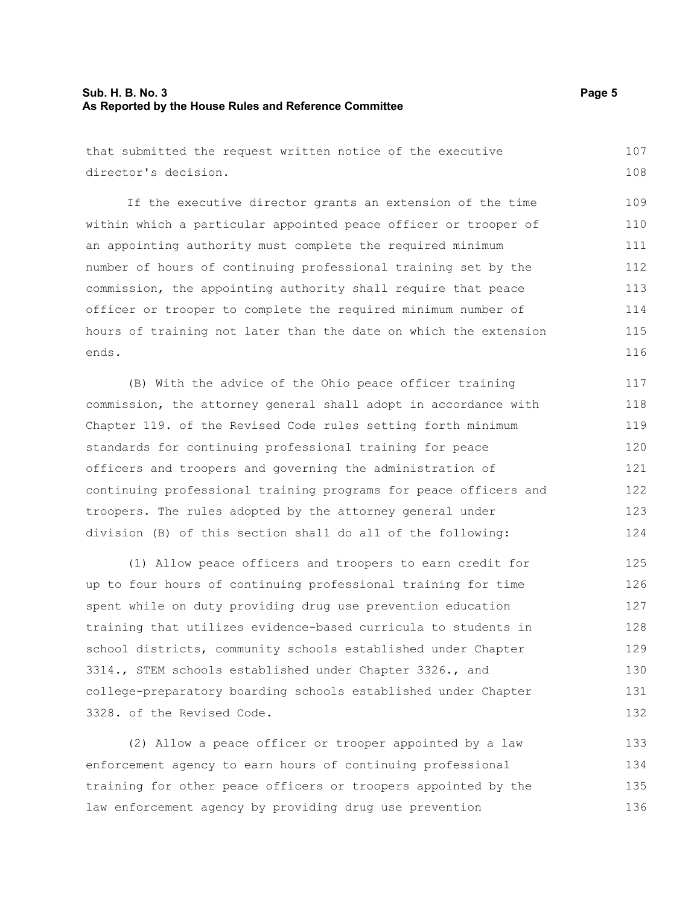### **Sub. H. B. No. 3** Page 5 **As Reported by the House Rules and Reference Committee**

that submitted the request written notice of the executive director's decision. 107 108

If the executive director grants an extension of the time within which a particular appointed peace officer or trooper of an appointing authority must complete the required minimum number of hours of continuing professional training set by the commission, the appointing authority shall require that peace officer or trooper to complete the required minimum number of hours of training not later than the date on which the extension ends. 109 110 111 112 113 114 115 116

(B) With the advice of the Ohio peace officer training commission, the attorney general shall adopt in accordance with Chapter 119. of the Revised Code rules setting forth minimum standards for continuing professional training for peace officers and troopers and governing the administration of continuing professional training programs for peace officers and troopers. The rules adopted by the attorney general under division (B) of this section shall do all of the following: 117 118 119 120 121 122 123 124

(1) Allow peace officers and troopers to earn credit for up to four hours of continuing professional training for time spent while on duty providing drug use prevention education training that utilizes evidence-based curricula to students in school districts, community schools established under Chapter 3314., STEM schools established under Chapter 3326., and college-preparatory boarding schools established under Chapter 3328. of the Revised Code. 125 126 127 128 129 130 131 132

(2) Allow a peace officer or trooper appointed by a law enforcement agency to earn hours of continuing professional training for other peace officers or troopers appointed by the law enforcement agency by providing drug use prevention 133 134 135 136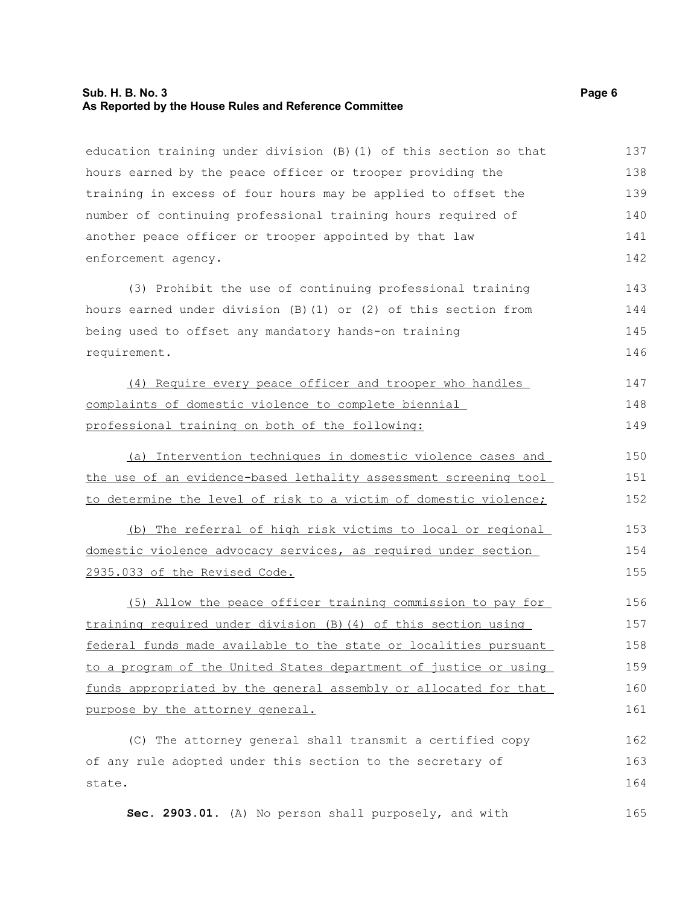#### **Sub. H. B. No. 3 Page 6 As Reported by the House Rules and Reference Committee**

education training under division (B)(1) of this section so that hours earned by the peace officer or trooper providing the training in excess of four hours may be applied to offset the number of continuing professional training hours required of another peace officer or trooper appointed by that law enforcement agency. (3) Prohibit the use of continuing professional training hours earned under division (B)(1) or (2) of this section from being used to offset any mandatory hands-on training requirement. (4) Require every peace officer and trooper who handles complaints of domestic violence to complete biennial professional training on both of the following: (a) Intervention techniques in domestic violence cases and the use of an evidence-based lethality assessment screening tool to determine the level of risk to a victim of domestic violence; (b) The referral of high risk victims to local or regional domestic violence advocacy services, as required under section 2935.033 of the Revised Code. (5) Allow the peace officer training commission to pay for training required under division (B)(4) of this section using federal funds made available to the state or localities pursuant to a program of the United States department of justice or using funds appropriated by the general assembly or allocated for that purpose by the attorney general. (C) The attorney general shall transmit a certified copy of any rule adopted under this section to the secretary of state. **Sec. 2903.01.** (A) No person shall purposely, and with 137 138 139 140 141 142 143 144 145 146 147 148 149 150 151 152 153 154 155 156 157 158 159 160 161 162 163 164 165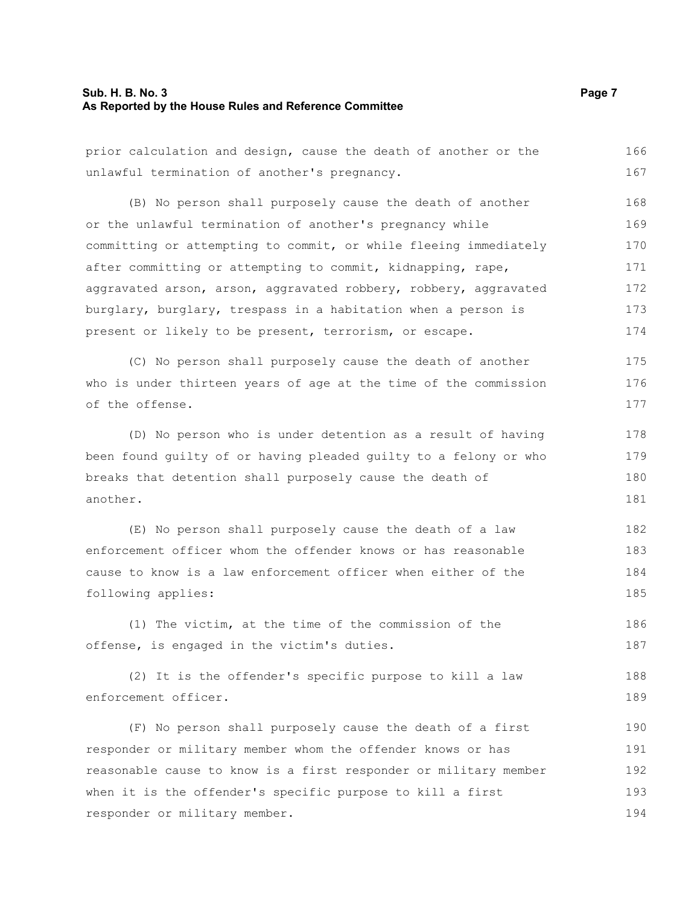#### **Sub. H. B. No. 3 Page 7 As Reported by the House Rules and Reference Committee**

prior calculation and design, cause the death of another or the unlawful termination of another's pregnancy. (B) No person shall purposely cause the death of another or the unlawful termination of another's pregnancy while committing or attempting to commit, or while fleeing immediately after committing or attempting to commit, kidnapping, rape, aggravated arson, arson, aggravated robbery, robbery, aggravated burglary, burglary, trespass in a habitation when a person is present or likely to be present, terrorism, or escape. (C) No person shall purposely cause the death of another who is under thirteen years of age at the time of the commission of the offense. (D) No person who is under detention as a result of having been found guilty of or having pleaded guilty to a felony or who breaks that detention shall purposely cause the death of another. (E) No person shall purposely cause the death of a law enforcement officer whom the offender knows or has reasonable cause to know is a law enforcement officer when either of the following applies: (1) The victim, at the time of the commission of the 166 167 168 169 170 171 172 173 174 175 176 177 178 179 180 181 182 183 184 185 186

offense, is engaged in the victim's duties. 187

(2) It is the offender's specific purpose to kill a law enforcement officer. 188 189

(F) No person shall purposely cause the death of a first responder or military member whom the offender knows or has reasonable cause to know is a first responder or military member when it is the offender's specific purpose to kill a first responder or military member. 190 191 192 193 194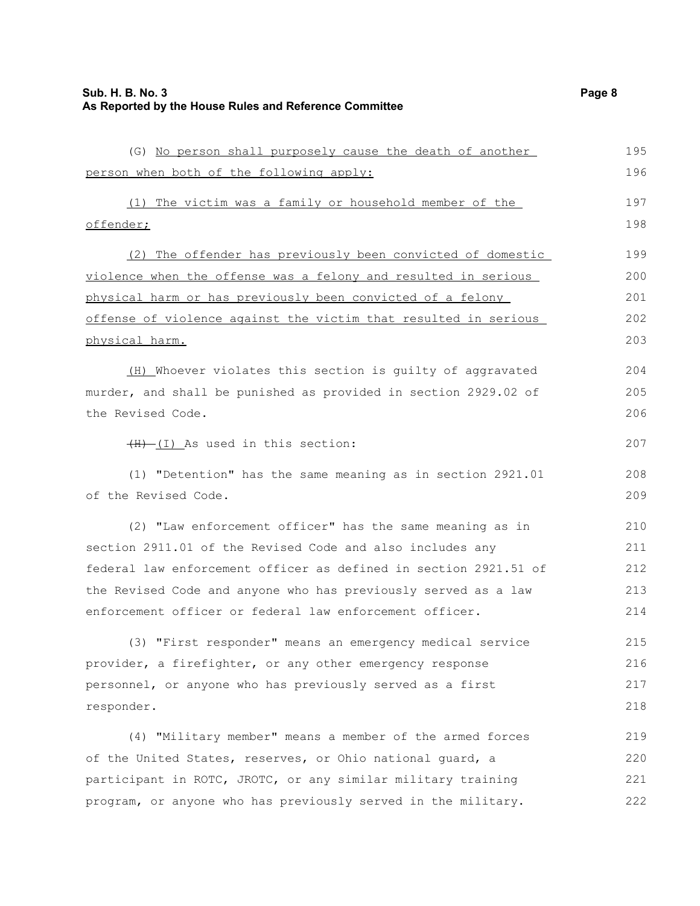(G) No person shall purposely cause the death of another person when both of the following apply: (1) The victim was a family or household member of the offender; (2) The offender has previously been convicted of domestic violence when the offense was a felony and resulted in serious physical harm or has previously been convicted of a felony offense of violence against the victim that resulted in serious physical harm. (H) Whoever violates this section is guilty of aggravated murder, and shall be punished as provided in section 2929.02 of the Revised Code.  $(H)$  (I) As used in this section: (1) "Detention" has the same meaning as in section 2921.01 of the Revised Code. (2) "Law enforcement officer" has the same meaning as in section 2911.01 of the Revised Code and also includes any federal law enforcement officer as defined in section 2921.51 of the Revised Code and anyone who has previously served as a law enforcement officer or federal law enforcement officer. (3) "First responder" means an emergency medical service provider, a firefighter, or any other emergency response personnel, or anyone who has previously served as a first responder. 195 196 197 198 199 200 201 202 203 204 205 206 207 208 209 210 211 212 213 214 215 216 217 218

(4) "Military member" means a member of the armed forces of the United States, reserves, or Ohio national guard, a participant in ROTC, JROTC, or any similar military training program, or anyone who has previously served in the military. 219 220 221 222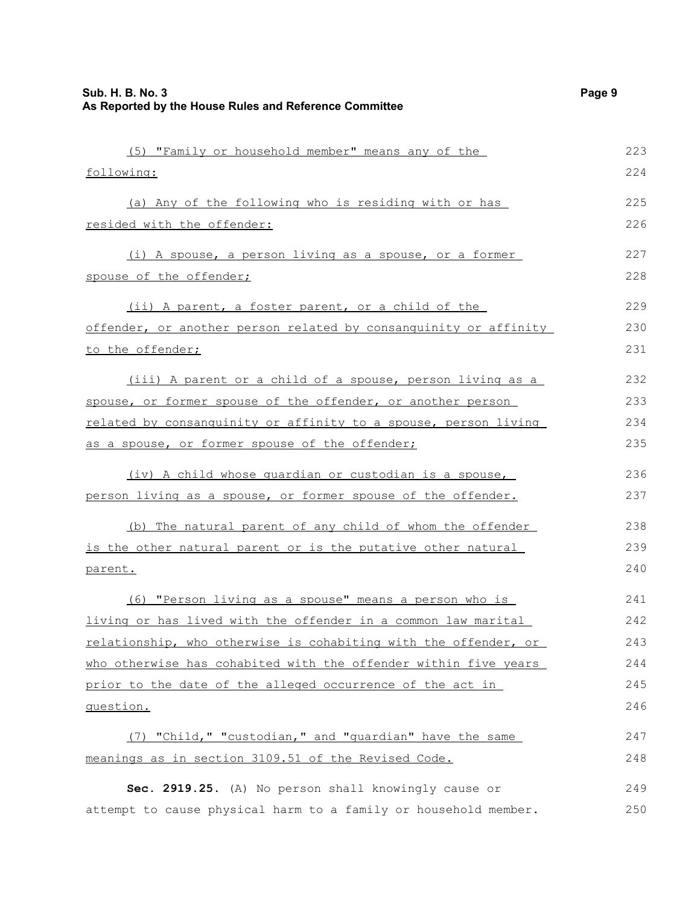| (5) "Family or household member" means any of the                | 223 |
|------------------------------------------------------------------|-----|
| following:                                                       | 224 |
| (a) Any of the following who is residing with or has             | 225 |
| resided with the offender:                                       | 226 |
| (i) A spouse, a person living as a spouse, or a former           | 227 |
| spouse of the offender;                                          | 228 |
| (ii) A parent, a foster parent, or a child of the                | 229 |
| offender, or another person related by consanguinity or affinity | 230 |
| to the offender;                                                 | 231 |
| (iii) A parent or a child of a spouse, person living as a        | 232 |
| spouse, or former spouse of the offender, or another person      | 233 |
| related by consanguinity or affinity to a spouse, person living  | 234 |
| as a spouse, or former spouse of the offender;                   | 235 |
| (iv) A child whose quardian or custodian is a spouse,            | 236 |
| person living as a spouse, or former spouse of the offender.     | 237 |
| (b) The natural parent of any child of whom the offender         | 238 |
| is the other natural parent or is the putative other natural     | 239 |
| parent.                                                          | 240 |
| (6) "Person living as a spouse" means a person who is            | 241 |
| living or has lived with the offender in a common law marital    | 242 |
| relationship, who otherwise is cohabiting with the offender, or  | 243 |
| who otherwise has cohabited with the offender within five years  | 244 |
| prior to the date of the alleged occurrence of the act in        | 245 |
| question.                                                        | 246 |
| (7) "Child," "custodian," and "quardian" have the same           | 247 |
| meanings as in section 3109.51 of the Revised Code.              | 248 |
| Sec. 2919.25. (A) No person shall knowingly cause or             | 249 |
| attempt to cause physical harm to a family or household member.  | 250 |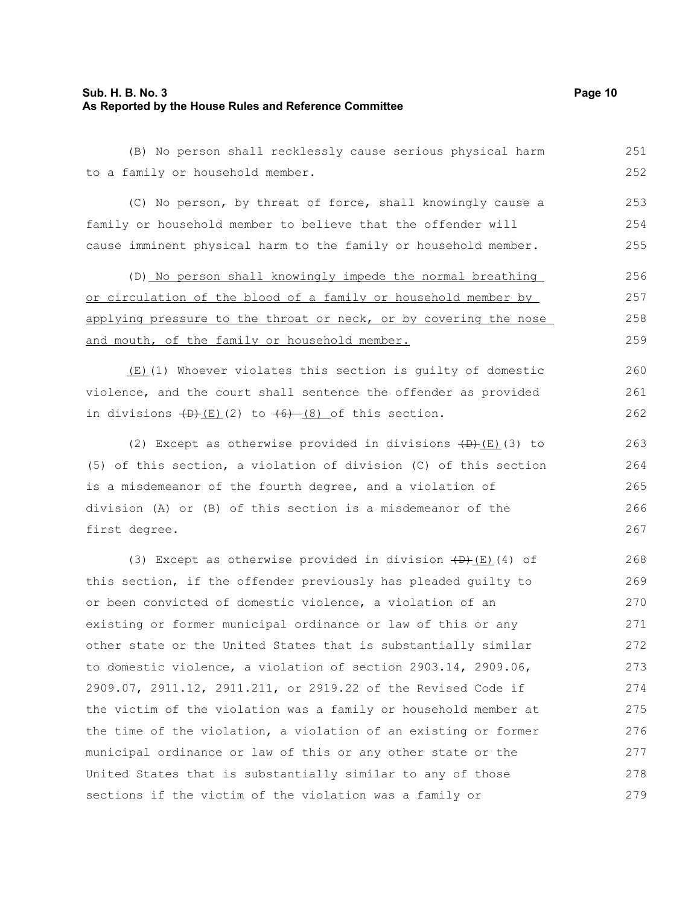#### **Sub. H. B. No. 3 Page 10 As Reported by the House Rules and Reference Committee**

251

to a family or household member. (C) No person, by threat of force, shall knowingly cause a family or household member to believe that the offender will cause imminent physical harm to the family or household member. (D) No person shall knowingly impede the normal breathing or circulation of the blood of a family or household member by applying pressure to the throat or neck, or by covering the nose and mouth, of the family or household member. (E)(1) Whoever violates this section is guilty of domestic violence, and the court shall sentence the offender as provided in divisions  $(D)$  (E)(2) to  $(6)$  (8) of this section. (2) Except as otherwise provided in divisions  $\overline{(B)(E)}$ (3) to (5) of this section, a violation of division (C) of this section is a misdemeanor of the fourth degree, and a violation of division (A) or (B) of this section is a misdemeanor of the first degree. (3) Except as otherwise provided in division  $(D)$  (E)(4) of this section, if the offender previously has pleaded guilty to or been convicted of domestic violence, a violation of an existing or former municipal ordinance or law of this or any other state or the United States that is substantially similar to domestic violence, a violation of section 2903.14, 2909.06, 2909.07, 2911.12, 2911.211, or 2919.22 of the Revised Code if the victim of the violation was a family or household member at the time of the violation, a violation of an existing or former municipal ordinance or law of this or any other state or the United States that is substantially similar to any of those sections if the victim of the violation was a family or 252 253 254 255 256 257 258 259 260 261 262 263 264 265 266 267 268 269 270 271 272 273 274 275 276 277 278 279

(B) No person shall recklessly cause serious physical harm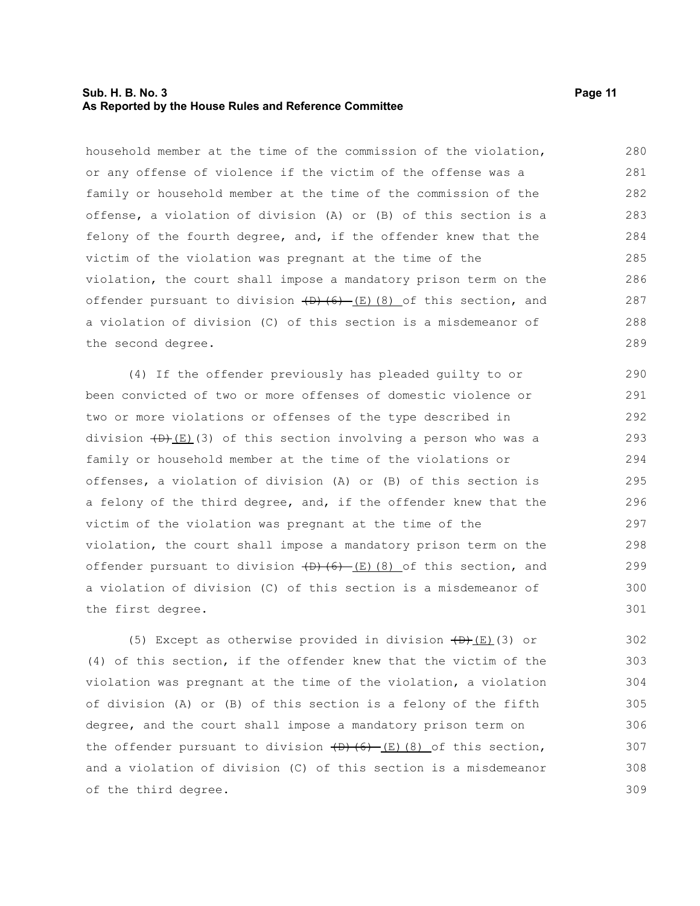#### **Sub. H. B. No. 3 Page 11 As Reported by the House Rules and Reference Committee**

household member at the time of the commission of the violation, or any offense of violence if the victim of the offense was a family or household member at the time of the commission of the offense, a violation of division (A) or (B) of this section is a felony of the fourth degree, and, if the offender knew that the victim of the violation was pregnant at the time of the violation, the court shall impose a mandatory prison term on the offender pursuant to division  $\left(\frac{D}{C}\right)\left(\frac{E}{C}\right)$  (8) of this section, and a violation of division (C) of this section is a misdemeanor of the second degree. 280 281 282 283 284 285 286 287 288 289

(4) If the offender previously has pleaded guilty to or been convicted of two or more offenses of domestic violence or two or more violations or offenses of the type described in division  $(D+(E)$ (3) of this section involving a person who was a family or household member at the time of the violations or offenses, a violation of division (A) or (B) of this section is a felony of the third degree, and, if the offender knew that the victim of the violation was pregnant at the time of the violation, the court shall impose a mandatory prison term on the offender pursuant to division  $\left(\frac{D}{C}\right)\left(\frac{E}{C}\right)$  of this section, and a violation of division (C) of this section is a misdemeanor of the first degree. 290 291 292 293 294 295 296 297 298 299 300 301

(5) Except as otherwise provided in division  $(D)$  (E)(3) or (4) of this section, if the offender knew that the victim of the violation was pregnant at the time of the violation, a violation of division (A) or (B) of this section is a felony of the fifth degree, and the court shall impose a mandatory prison term on the offender pursuant to division  $(D)$   $(6)$   $(E)$   $(8)$  of this section, and a violation of division (C) of this section is a misdemeanor of the third degree. 302 303 304 305 306 307 308 309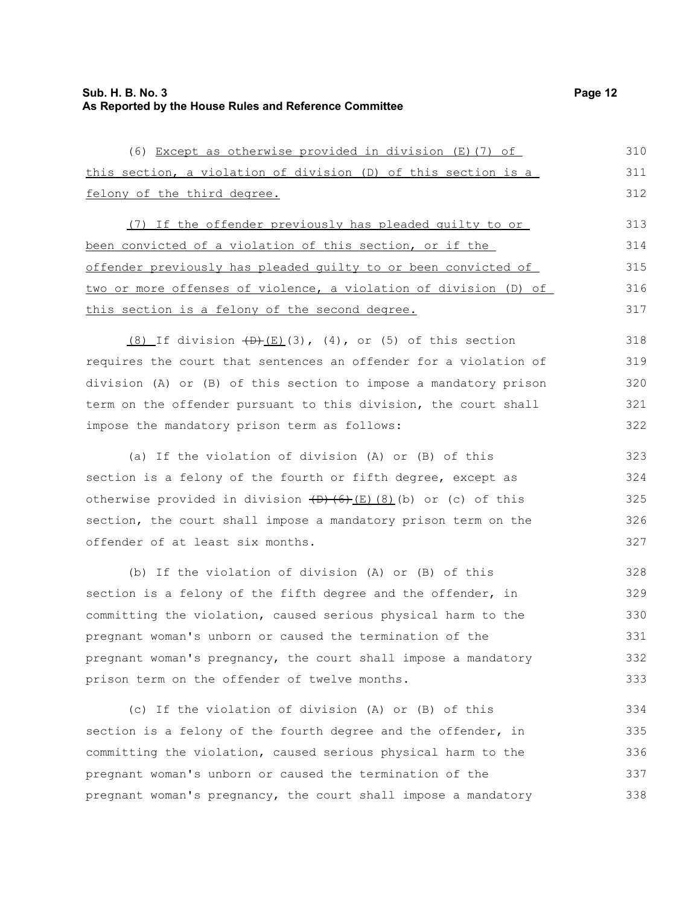| (6) Except as otherwise provided in division $(E)$ (7) of              | 310 |
|------------------------------------------------------------------------|-----|
| this section, a violation of division (D) of this section is a         | 311 |
| felony of the third degree.                                            | 312 |
| (7) If the offender previously has pleaded quilty to or                | 313 |
| been convicted of a violation of this section, or if the               | 314 |
| offender previously has pleaded quilty to or been convicted of         | 315 |
| two or more offenses of violence, a violation of division (D) of       | 316 |
| this section is a felony of the second degree.                         | 317 |
| $(8)$ If division $(D)$ $(E)$ $(3)$ , $(4)$ , or $(5)$ of this section | 318 |
| requires the court that sentences an offender for a violation of       | 319 |
| division (A) or (B) of this section to impose a mandatory prison       | 320 |
| term on the offender pursuant to this division, the court shall        | 321 |
| impose the mandatory prison term as follows:                           | 322 |
| (a) If the violation of division (A) or (B) of this                    | 323 |
| section is a felony of the fourth or fifth degree, except as           | 324 |
| otherwise provided in division $(D) (6) (E) (8) (b)$ or (c) of this    | 325 |
| section, the court shall impose a mandatory prison term on the         | 326 |
| offender of at least six months.                                       | 327 |
| (b) If the violation of division (A) or (B) of this                    | 328 |
| section is a felony of the fifth degree and the offender, in           | 329 |
| committing the violation, caused serious physical harm to the          | 330 |
| pregnant woman's unborn or caused the termination of the               | 331 |
| pregnant woman's pregnancy, the court shall impose a mandatory         | 332 |
| prison term on the offender of twelve months.                          | 333 |
| (c) If the violation of division (A) or (B) of this                    | 334 |
| section is a felony of the fourth degree and the offender, in          | 335 |
| committing the violation, caused serious physical harm to the          | 336 |
| pregnant woman's unborn or caused the termination of the               | 337 |
| pregnant woman's pregnancy, the court shall impose a mandatory         | 338 |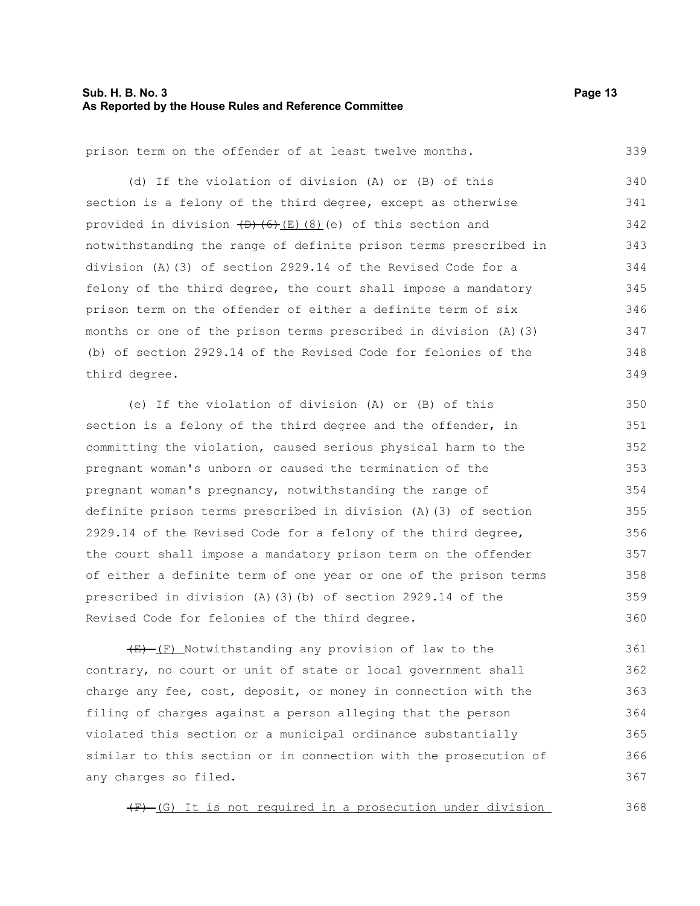#### **Sub. H. B. No. 3 Page 13 As Reported by the House Rules and Reference Committee**

339

prison term on the offender of at least twelve months.

(d) If the violation of division (A) or (B) of this section is a felony of the third degree, except as otherwise provided in division  $(D)$   $(6)$   $(E)$   $(8)$  (e) of this section and notwithstanding the range of definite prison terms prescribed in division (A)(3) of section 2929.14 of the Revised Code for a felony of the third degree, the court shall impose a mandatory prison term on the offender of either a definite term of six months or one of the prison terms prescribed in division (A)(3) (b) of section 2929.14 of the Revised Code for felonies of the third degree. 340 341 342 343 344 345 346 347 348 349

(e) If the violation of division (A) or (B) of this section is a felony of the third degree and the offender, in committing the violation, caused serious physical harm to the pregnant woman's unborn or caused the termination of the pregnant woman's pregnancy, notwithstanding the range of definite prison terms prescribed in division (A)(3) of section 2929.14 of the Revised Code for a felony of the third degree, the court shall impose a mandatory prison term on the offender of either a definite term of one year or one of the prison terms prescribed in division (A)(3)(b) of section 2929.14 of the Revised Code for felonies of the third degree. 350 351 352 353 354 355 356 357 358 359 360

 $(E)$  (F) Notwithstanding any provision of law to the contrary, no court or unit of state or local government shall charge any fee, cost, deposit, or money in connection with the filing of charges against a person alleging that the person violated this section or a municipal ordinance substantially similar to this section or in connection with the prosecution of any charges so filed. 361 362 363 364 365 366 367

 $(F)$  (G) It is not required in a prosecution under division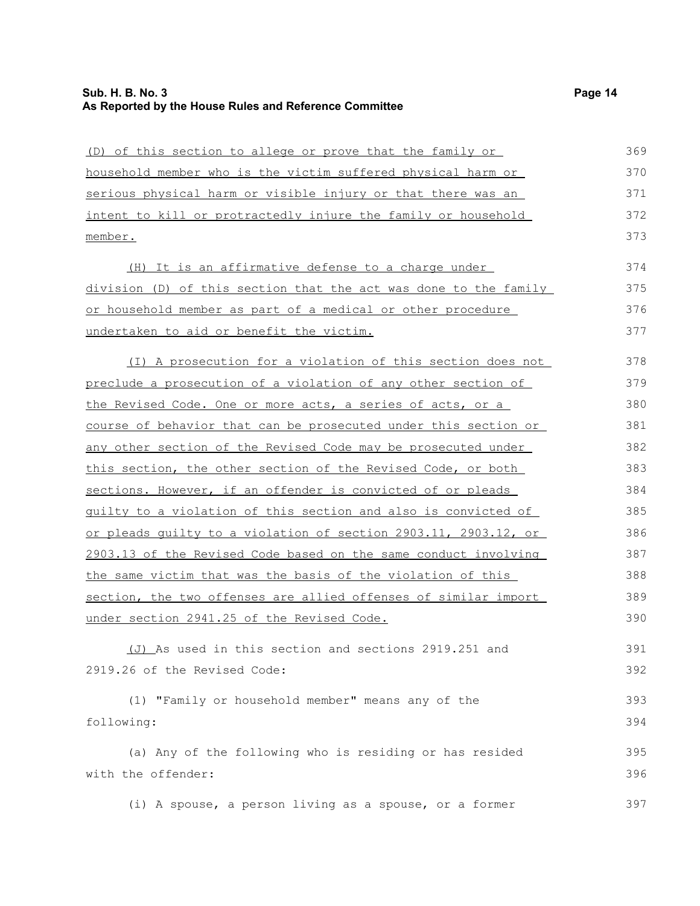| (D) of this section to allege or prove that the family or              | 369 |
|------------------------------------------------------------------------|-----|
| household member who is the victim suffered physical harm or           | 370 |
| serious physical harm or visible injury or that there was an           | 371 |
| intent to kill or protractedly injure the family or household          | 372 |
| member.                                                                | 373 |
| (H) It is an affirmative defense to a charge under                     | 374 |
| division (D) of this section that the act was done to the family       | 375 |
| or household member as part of a medical or other procedure            | 376 |
| undertaken to aid or benefit the victim.                               | 377 |
| (I) A prosecution for a violation of this section does not             | 378 |
| preclude a prosecution of a violation of any other section of          | 379 |
| the Revised Code. One or more acts, a series of acts, or a             | 380 |
| <u>course of behavior that can be prosecuted under this section or</u> | 381 |
| <u>any other section of the Revised Code may be prosecuted under</u>   | 382 |
| this section, the other section of the Revised Code, or both           | 383 |
| sections. However, if an offender is convicted of or pleads            | 384 |
| guilty to a violation of this section and also is convicted of         | 385 |
| or pleads quilty to a violation of section 2903.11, 2903.12, or        | 386 |
| 2903.13 of the Revised Code based on the same conduct involving        | 387 |
| the same victim that was the basis of the violation of this            | 388 |
| section, the two offenses are allied offenses of similar import        | 389 |
| under section 2941.25 of the Revised Code.                             | 390 |
| (J) As used in this section and sections 2919.251 and                  | 391 |
| 2919.26 of the Revised Code:                                           | 392 |
| (1) "Family or household member" means any of the                      | 393 |
| following:                                                             | 394 |
| (a) Any of the following who is residing or has resided                | 395 |
| with the offender:                                                     | 396 |

(i) A spouse, a person living as a spouse, or a former 397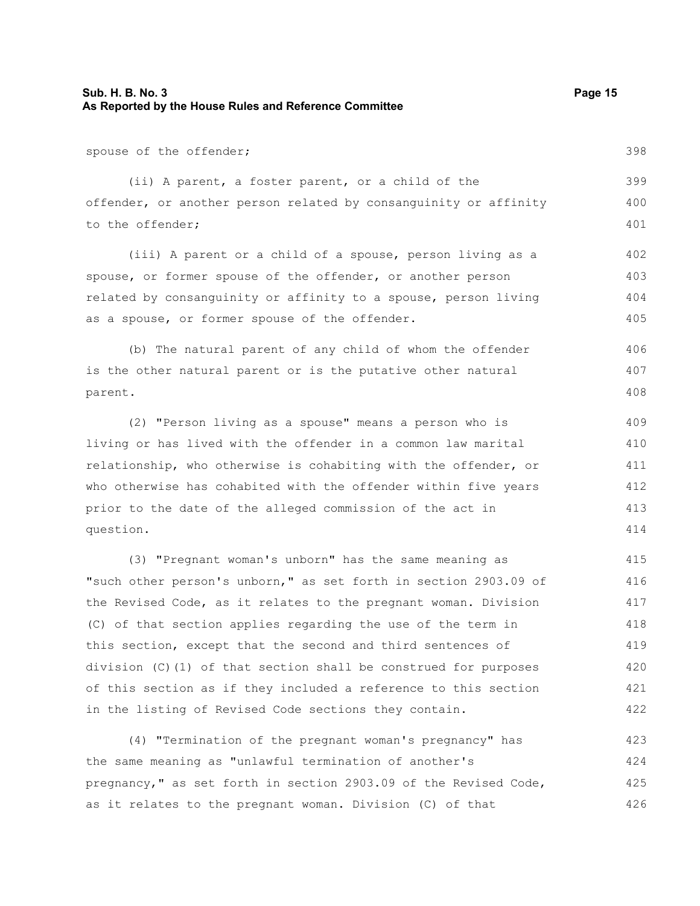spouse of the offender; (ii) A parent, a foster parent, or a child of the offender, or another person related by consanguinity or affinity to the offender; (iii) A parent or a child of a spouse, person living as a spouse, or former spouse of the offender, or another person related by consanguinity or affinity to a spouse, person living as a spouse, or former spouse of the offender. (b) The natural parent of any child of whom the offender is the other natural parent or is the putative other natural parent. (2) "Person living as a spouse" means a person who is living or has lived with the offender in a common law marital relationship, who otherwise is cohabiting with the offender, or who otherwise has cohabited with the offender within five years prior to the date of the alleged commission of the act in question. 398 399 400 401 402 403 404 405 406 407 408 409 410 411 412 413 414

(3) "Pregnant woman's unborn" has the same meaning as "such other person's unborn," as set forth in section 2903.09 of the Revised Code, as it relates to the pregnant woman. Division (C) of that section applies regarding the use of the term in this section, except that the second and third sentences of division (C)(1) of that section shall be construed for purposes of this section as if they included a reference to this section in the listing of Revised Code sections they contain. 415 416 417 418 419 420 421 422

(4) "Termination of the pregnant woman's pregnancy" has the same meaning as "unlawful termination of another's pregnancy," as set forth in section 2903.09 of the Revised Code, as it relates to the pregnant woman. Division (C) of that 423 424 425 426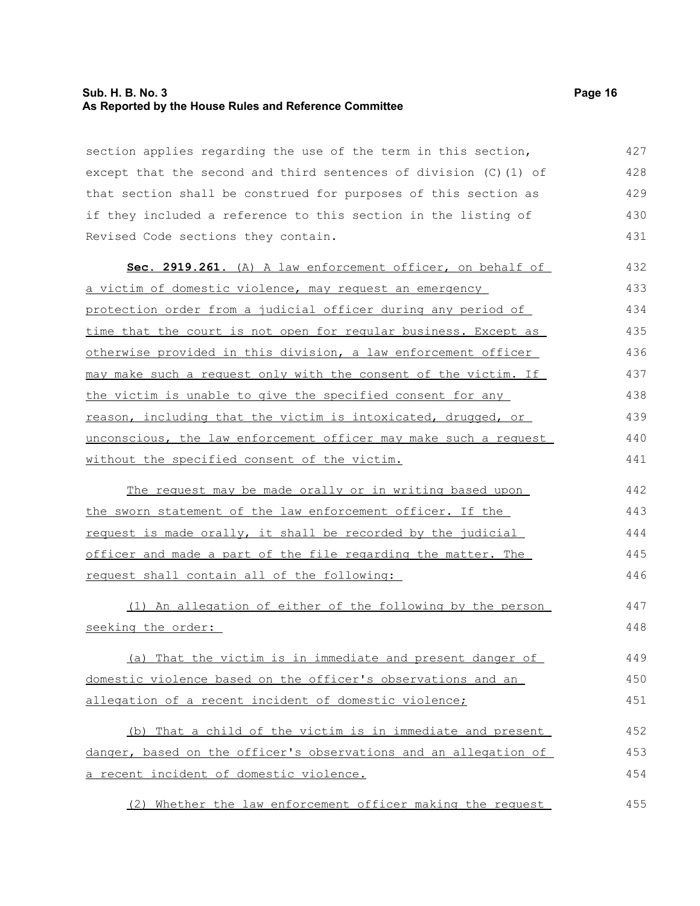#### **Sub. H. B. No. 3 Page 16 As Reported by the House Rules and Reference Committee**

section applies regarding the use of the term in this section, except that the second and third sentences of division (C)(1) of that section shall be construed for purposes of this section as if they included a reference to this section in the listing of Revised Code sections they contain. 427 428 429 430 431

| Sec. 2919.261. (A) A law enforcement officer, on behalf of       | 432 |
|------------------------------------------------------------------|-----|
| a victim of domestic violence, may request an emergency          | 433 |
| protection order from a judicial officer during any period of    | 434 |
| time that the court is not open for regular business. Except as  | 435 |
| otherwise provided in this division, a law enforcement officer   | 436 |
| may make such a request only with the consent of the victim. If  | 437 |
| the victim is unable to give the specified consent for any       | 438 |
| reason, including that the victim is intoxicated, drugged, or    | 439 |
| unconscious, the law enforcement officer may make such a request | 440 |
| without the specified consent of the victim.                     | 441 |

The request may be made orally or in writing based upon the sworn statement of the law enforcement officer. If the request is made orally, it shall be recorded by the judicial officer and made a part of the file regarding the matter. The request shall contain all of the following: 442 443 444 445 446

(1) An allegation of either of the following by the person seeking the order: 447 448

(a) That the victim is in immediate and present danger of domestic violence based on the officer's observations and an allegation of a recent incident of domestic violence; 449 450 451

(b) That a child of the victim is in immediate and present danger, based on the officer's observations and an allegation of a recent incident of domestic violence. 452 453 454

(2) Whether the law enforcement officer making the request 455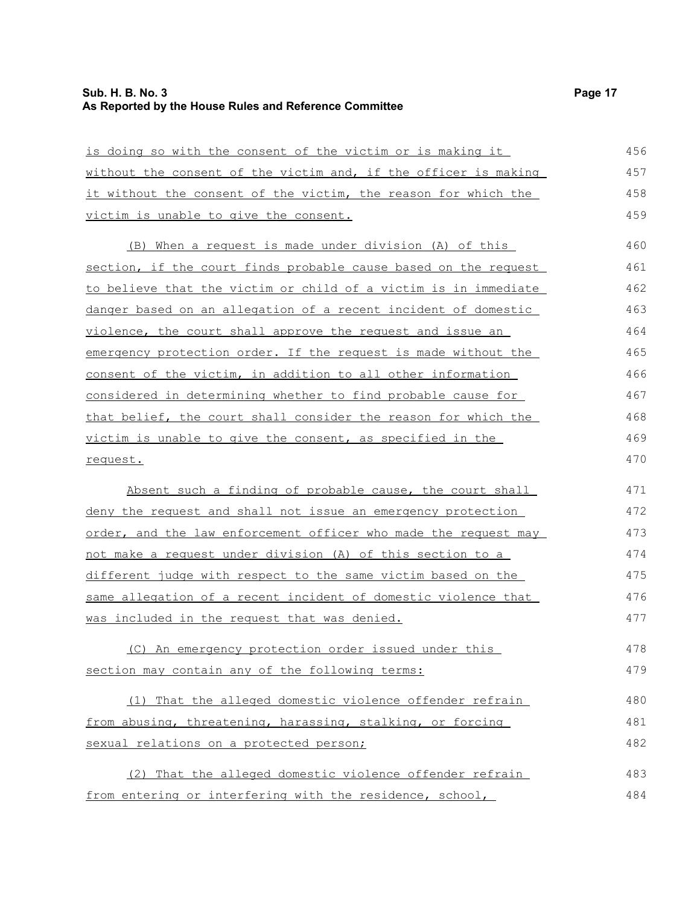## **Sub. H. B. No. 3 Page 17 As Reported by the House Rules and Reference Committee**

| is doing so with the consent of the victim or is making it             | 456 |
|------------------------------------------------------------------------|-----|
| without the consent of the victim and, if the officer is making        | 457 |
| it without the consent of the victim, the reason for which the         | 458 |
| victim is unable to give the consent.                                  | 459 |
| (B) When a request is made under division (A) of this                  | 460 |
| section, if the court finds probable cause based on the request        | 461 |
| to believe that the victim or child of a victim is in immediate        | 462 |
| <u>danger based on an allegation of a recent incident of domestic </u> | 463 |
| <u>violence, the court shall approve the request and issue an</u>      | 464 |
| emergency protection order. If the request is made without the         | 465 |
| consent of the victim, in addition to all other information            | 466 |
| considered in determining whether to find probable cause for           | 467 |
| that belief, the court shall consider the reason for which the         | 468 |
| victim is unable to give the consent, as specified in the              | 469 |
| request.                                                               | 470 |
| Absent such a finding of probable cause, the court shall               | 471 |
| deny the request and shall not issue an emergency protection           | 472 |
| order, and the law enforcement officer who made the request may        | 473 |
| not make a request under division (A) of this section to a             | 474 |
| different judge with respect to the same victim based on the           | 475 |
| same allegation of a recent incident of domestic violence that         | 476 |
| was included in the request that was denied.                           | 477 |
| (C) An emergency protection order issued under this                    | 478 |
| section may contain any of the following terms:                        | 479 |
| (1) That the alleged domestic violence offender refrain                | 480 |
| from abusing, threatening, harassing, stalking, or forcing             | 481 |
| sexual relations on a protected person;                                | 482 |
| (2) That the alleged domestic violence offender refrain                | 483 |
| from entering or interfering with the residence, school,               | 484 |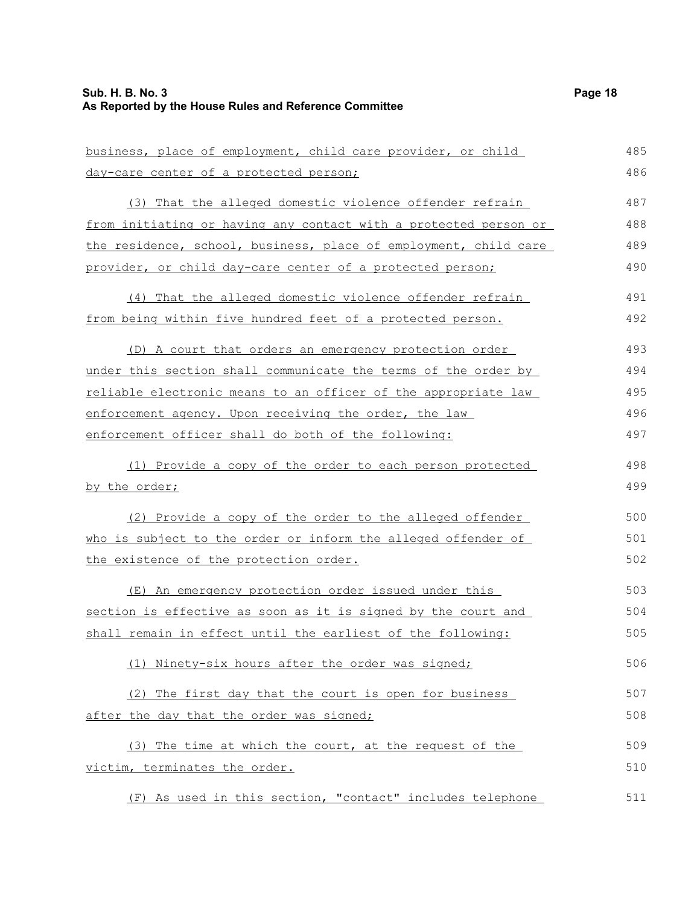| business, place of employment, child care provider, or child     |     |  |  |  |  |  |  |
|------------------------------------------------------------------|-----|--|--|--|--|--|--|
| day-care center of a protected person;                           | 486 |  |  |  |  |  |  |
| (3) That the alleged domestic violence offender refrain          | 487 |  |  |  |  |  |  |
| from initiating or having any contact with a protected person or | 488 |  |  |  |  |  |  |
| the residence, school, business, place of employment, child care |     |  |  |  |  |  |  |
| provider, or child day-care center of a protected person;        | 490 |  |  |  |  |  |  |
| (4) That the alleged domestic violence offender refrain          | 491 |  |  |  |  |  |  |
| from being within five hundred feet of a protected person.       | 492 |  |  |  |  |  |  |
| (D) A court that orders an emergency protection order            | 493 |  |  |  |  |  |  |
| under this section shall communicate the terms of the order by   | 494 |  |  |  |  |  |  |
| reliable electronic means to an officer of the appropriate law   | 495 |  |  |  |  |  |  |
| enforcement agency. Upon receiving the order, the law            | 496 |  |  |  |  |  |  |
| enforcement officer shall do both of the following:              | 497 |  |  |  |  |  |  |
| (1) Provide a copy of the order to each person protected         | 498 |  |  |  |  |  |  |
| by the order;                                                    | 499 |  |  |  |  |  |  |
| (2) Provide a copy of the order to the alleged offender          | 500 |  |  |  |  |  |  |
| who is subject to the order or inform the alleged offender of    |     |  |  |  |  |  |  |
| the existence of the protection order.                           | 502 |  |  |  |  |  |  |
| (E) An emergency protection order issued under this              | 503 |  |  |  |  |  |  |
| section is effective as soon as it is signed by the court and    | 504 |  |  |  |  |  |  |
| shall remain in effect until the earliest of the following:      | 505 |  |  |  |  |  |  |
| (1) Ninety-six hours after the order was signed;                 | 506 |  |  |  |  |  |  |
| (2) The first day that the court is open for business            | 507 |  |  |  |  |  |  |
| after the day that the order was signed;                         | 508 |  |  |  |  |  |  |
| (3) The time at which the court, at the request of the           | 509 |  |  |  |  |  |  |
| victim, terminates the order.                                    | 510 |  |  |  |  |  |  |
| (F) As used in this section, "contact" includes telephone        | 511 |  |  |  |  |  |  |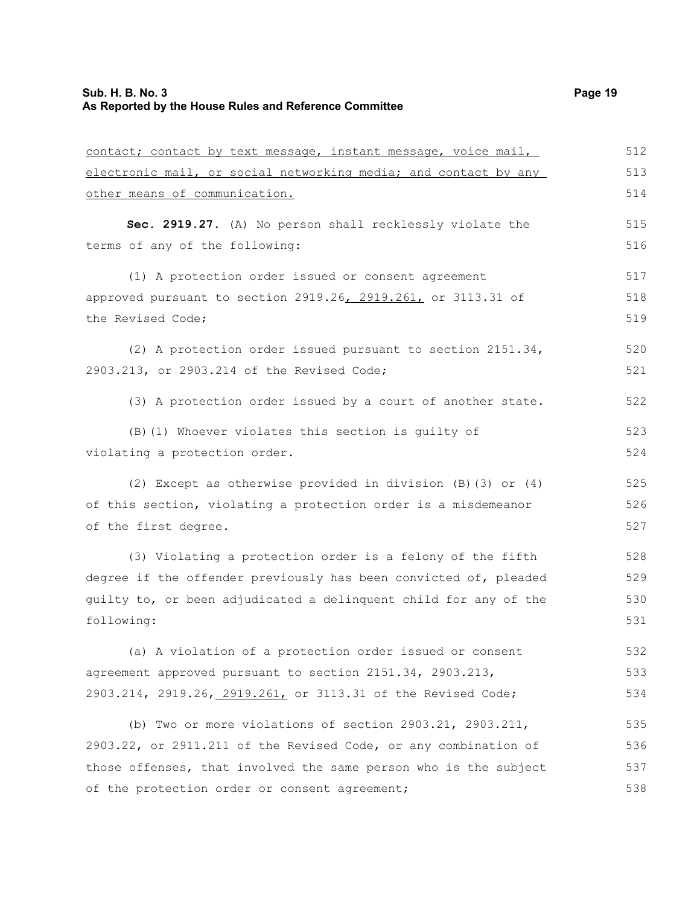| contact; contact by text message, instant message, voice mail,   | 512 |  |  |  |  |
|------------------------------------------------------------------|-----|--|--|--|--|
| electronic mail, or social networking media; and contact by any  | 513 |  |  |  |  |
| other means of communication.                                    | 514 |  |  |  |  |
| Sec. 2919.27. (A) No person shall recklessly violate the         | 515 |  |  |  |  |
| terms of any of the following:                                   | 516 |  |  |  |  |
| (1) A protection order issued or consent agreement               | 517 |  |  |  |  |
| approved pursuant to section 2919.26, 2919.261, or 3113.31 of    |     |  |  |  |  |
| the Revised Code;                                                | 519 |  |  |  |  |
| (2) A protection order issued pursuant to section $2151.34$ ,    | 520 |  |  |  |  |
| 2903.213, or 2903.214 of the Revised Code;                       | 521 |  |  |  |  |
| (3) A protection order issued by a court of another state.       | 522 |  |  |  |  |
| (B) (1) Whoever violates this section is quilty of               | 523 |  |  |  |  |
| violating a protection order.                                    | 524 |  |  |  |  |
| (2) Except as otherwise provided in division (B) (3) or (4)      | 525 |  |  |  |  |
| of this section, violating a protection order is a misdemeanor   | 526 |  |  |  |  |
| of the first degree.                                             | 527 |  |  |  |  |
| (3) Violating a protection order is a felony of the fifth        | 528 |  |  |  |  |
| degree if the offender previously has been convicted of, pleaded | 529 |  |  |  |  |
| guilty to, or been adjudicated a delinquent child for any of the | 530 |  |  |  |  |
| following:                                                       | 531 |  |  |  |  |
| (a) A violation of a protection order issued or consent          | 532 |  |  |  |  |
| agreement approved pursuant to section 2151.34, 2903.213,        | 533 |  |  |  |  |
| 2903.214, 2919.26, 2919.261, or 3113.31 of the Revised Code;     | 534 |  |  |  |  |
| (b) Two or more violations of section $2903.21$ , $2903.211$ ,   | 535 |  |  |  |  |
| 2903.22, or 2911.211 of the Revised Code, or any combination of  | 536 |  |  |  |  |
| those offenses, that involved the same person who is the subject | 537 |  |  |  |  |
| of the protection order or consent agreement;                    | 538 |  |  |  |  |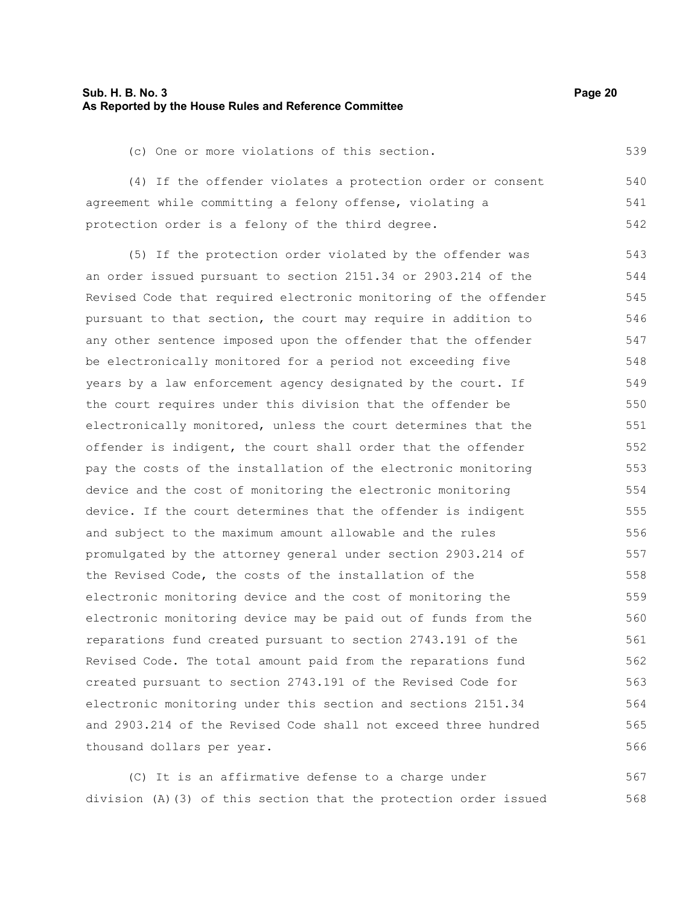#### **Sub. H. B. No. 3 Page 20 As Reported by the House Rules and Reference Committee**

539

(c) One or more violations of this section.

(4) If the offender violates a protection order or consent agreement while committing a felony offense, violating a protection order is a felony of the third degree. 540 541 542

(5) If the protection order violated by the offender was an order issued pursuant to section 2151.34 or 2903.214 of the Revised Code that required electronic monitoring of the offender pursuant to that section, the court may require in addition to any other sentence imposed upon the offender that the offender be electronically monitored for a period not exceeding five years by a law enforcement agency designated by the court. If the court requires under this division that the offender be electronically monitored, unless the court determines that the offender is indigent, the court shall order that the offender pay the costs of the installation of the electronic monitoring device and the cost of monitoring the electronic monitoring device. If the court determines that the offender is indigent and subject to the maximum amount allowable and the rules promulgated by the attorney general under section 2903.214 of the Revised Code, the costs of the installation of the electronic monitoring device and the cost of monitoring the electronic monitoring device may be paid out of funds from the reparations fund created pursuant to section 2743.191 of the Revised Code. The total amount paid from the reparations fund created pursuant to section 2743.191 of the Revised Code for electronic monitoring under this section and sections 2151.34 and 2903.214 of the Revised Code shall not exceed three hundred thousand dollars per year. 543 544 545 546 547 548 549 550 551 552 553 554 555 556 557 558 559 560 561 562 563 564 565 566

(C) It is an affirmative defense to a charge under division (A)(3) of this section that the protection order issued 567 568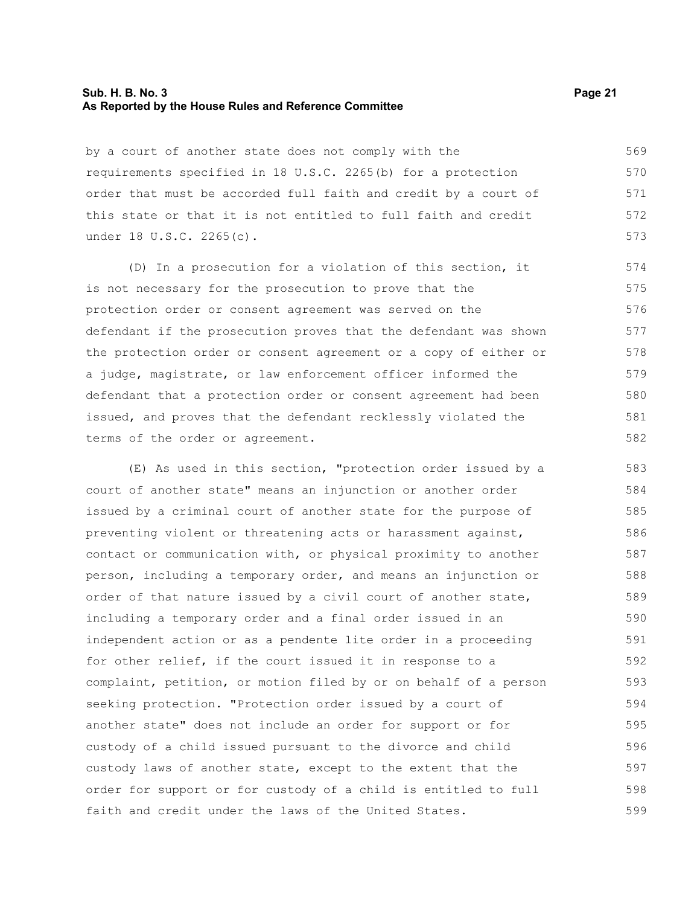#### **Sub. H. B. No. 3 Page 21 As Reported by the House Rules and Reference Committee**

by a court of another state does not comply with the requirements specified in 18 U.S.C. 2265(b) for a protection order that must be accorded full faith and credit by a court of this state or that it is not entitled to full faith and credit under 18 U.S.C. 2265(c). 569 570 571 572 573

(D) In a prosecution for a violation of this section, it is not necessary for the prosecution to prove that the protection order or consent agreement was served on the defendant if the prosecution proves that the defendant was shown the protection order or consent agreement or a copy of either or a judge, magistrate, or law enforcement officer informed the defendant that a protection order or consent agreement had been issued, and proves that the defendant recklessly violated the terms of the order or agreement.

(E) As used in this section, "protection order issued by a court of another state" means an injunction or another order issued by a criminal court of another state for the purpose of preventing violent or threatening acts or harassment against, contact or communication with, or physical proximity to another person, including a temporary order, and means an injunction or order of that nature issued by a civil court of another state, including a temporary order and a final order issued in an independent action or as a pendente lite order in a proceeding for other relief, if the court issued it in response to a complaint, petition, or motion filed by or on behalf of a person seeking protection. "Protection order issued by a court of another state" does not include an order for support or for custody of a child issued pursuant to the divorce and child custody laws of another state, except to the extent that the order for support or for custody of a child is entitled to full faith and credit under the laws of the United States. 583 584 585 586 587 588 589 590 591 592 593 594 595 596 597 598 599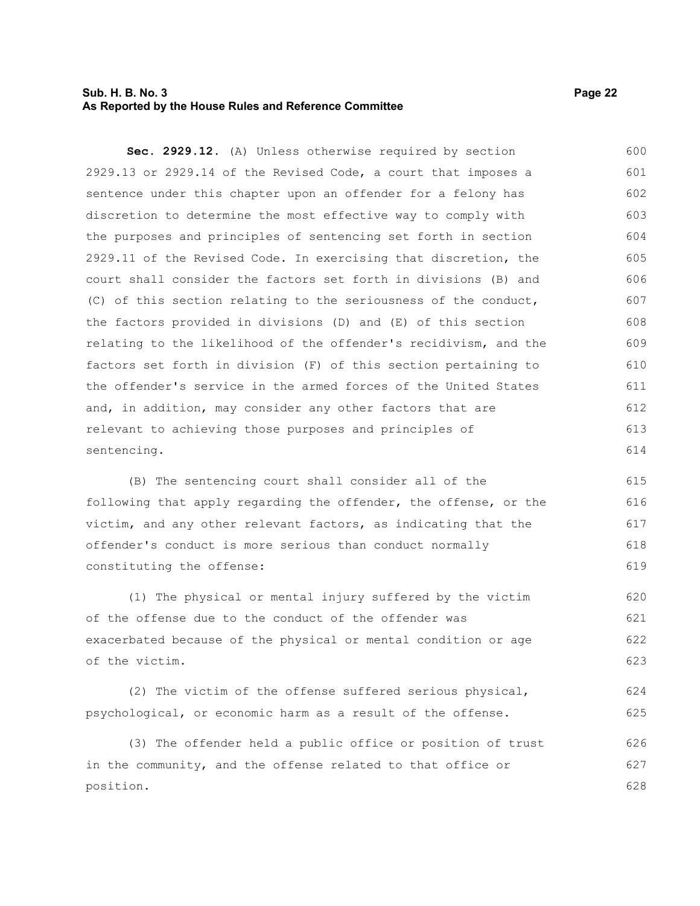### **Sub. H. B. No. 3 Page 22 As Reported by the House Rules and Reference Committee**

Sec. 2929.12. (A) Unless otherwise required by section 2929.13 or 2929.14 of the Revised Code, a court that imposes a sentence under this chapter upon an offender for a felony has discretion to determine the most effective way to comply with the purposes and principles of sentencing set forth in section 2929.11 of the Revised Code. In exercising that discretion, the court shall consider the factors set forth in divisions (B) and (C) of this section relating to the seriousness of the conduct, the factors provided in divisions (D) and (E) of this section relating to the likelihood of the offender's recidivism, and the factors set forth in division (F) of this section pertaining to the offender's service in the armed forces of the United States and, in addition, may consider any other factors that are relevant to achieving those purposes and principles of sentencing. 600 601 602 603 604 605 606 607 608 609 610 611 612 613 614

(B) The sentencing court shall consider all of the following that apply regarding the offender, the offense, or the victim, and any other relevant factors, as indicating that the offender's conduct is more serious than conduct normally constituting the offense: 615 616 617 618 619

(1) The physical or mental injury suffered by the victim of the offense due to the conduct of the offender was exacerbated because of the physical or mental condition or age of the victim. 620 621 622 623

(2) The victim of the offense suffered serious physical, psychological, or economic harm as a result of the offense. 624 625

(3) The offender held a public office or position of trust in the community, and the offense related to that office or position. 626 627 628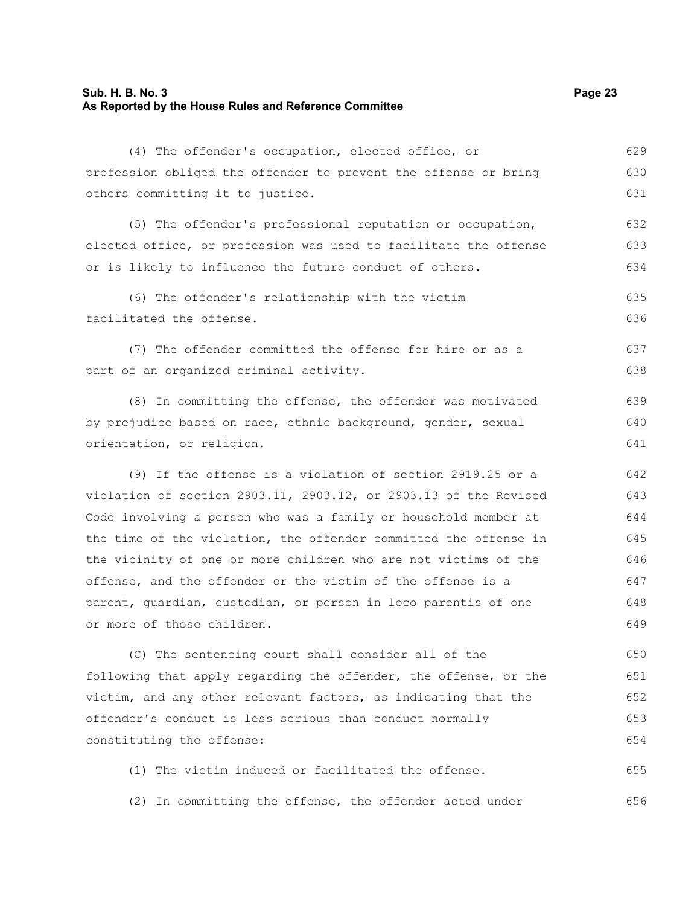## **Sub. H. B. No. 3 Page 23 As Reported by the House Rules and Reference Committee**

(4) The offender's occupation, elected office, or

| profession obliged the offender to prevent the offense or bring  | 630 |  |  |  |  |  |
|------------------------------------------------------------------|-----|--|--|--|--|--|
| others committing it to justice.                                 | 631 |  |  |  |  |  |
| (5) The offender's professional reputation or occupation,        | 632 |  |  |  |  |  |
| elected office, or profession was used to facilitate the offense | 633 |  |  |  |  |  |
| or is likely to influence the future conduct of others.          | 634 |  |  |  |  |  |
| (6) The offender's relationship with the victim                  | 635 |  |  |  |  |  |
| facilitated the offense.                                         | 636 |  |  |  |  |  |
|                                                                  |     |  |  |  |  |  |
| (7) The offender committed the offense for hire or as a          | 637 |  |  |  |  |  |
| part of an organized criminal activity.                          | 638 |  |  |  |  |  |
| (8) In committing the offense, the offender was motivated        | 639 |  |  |  |  |  |
| by prejudice based on race, ethnic background, gender, sexual    | 640 |  |  |  |  |  |
| orientation, or religion.                                        | 641 |  |  |  |  |  |
| (9) If the offense is a violation of section 2919.25 or a        | 642 |  |  |  |  |  |
| violation of section 2903.11, 2903.12, or 2903.13 of the Revised | 643 |  |  |  |  |  |
| Code involving a person who was a family or household member at  | 644 |  |  |  |  |  |
| the time of the violation, the offender committed the offense in | 645 |  |  |  |  |  |
| the vicinity of one or more children who are not victims of the  | 646 |  |  |  |  |  |
| offense, and the offender or the victim of the offense is a      |     |  |  |  |  |  |
| parent, guardian, custodian, or person in loco parentis of one   | 648 |  |  |  |  |  |
| or more of those children.                                       | 649 |  |  |  |  |  |
| (C) The sentencing court shall consider all of the               | 650 |  |  |  |  |  |
| following that apply regarding the offender, the offense, or the | 651 |  |  |  |  |  |
| victim, and any other relevant factors, as indicating that the   | 652 |  |  |  |  |  |
| offender's conduct is less serious than conduct normally         | 653 |  |  |  |  |  |
| constituting the offense:                                        | 654 |  |  |  |  |  |
| (1) The victim induced or facilitated the offense.               | 655 |  |  |  |  |  |
| (2) In committing the offense, the offender acted under          | 656 |  |  |  |  |  |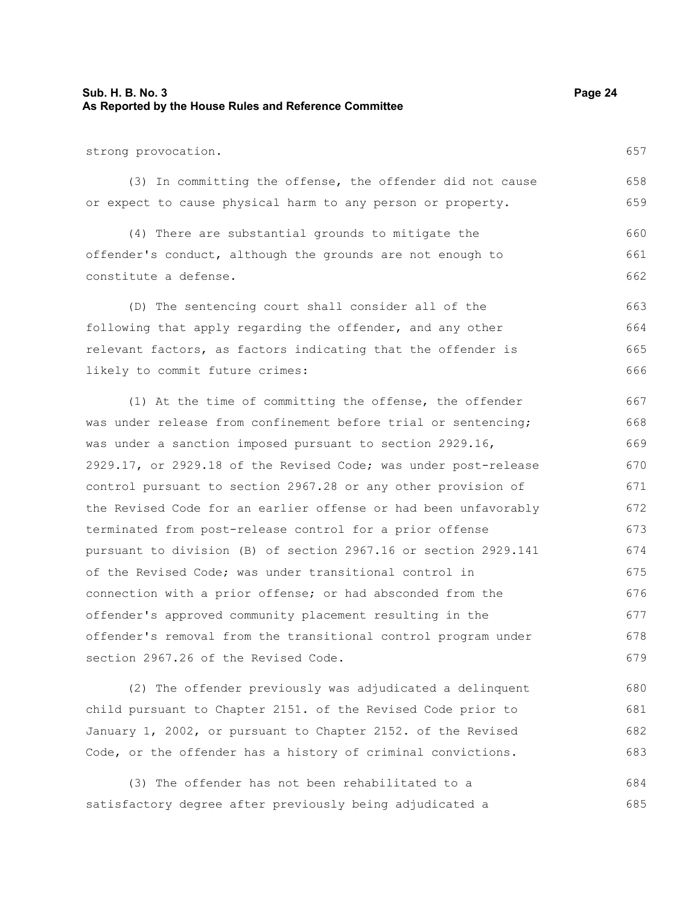#### **Sub. H. B. No. 3 Page 24 As Reported by the House Rules and Reference Committee**

#### strong provocation.

657

658 659

|  |  |  |  |  | (3) In committing the offense, the offender did not cause   |  |
|--|--|--|--|--|-------------------------------------------------------------|--|
|  |  |  |  |  | or expect to cause physical harm to any person or property. |  |

(4) There are substantial grounds to mitigate the offender's conduct, although the grounds are not enough to constitute a defense. 660 661 662

(D) The sentencing court shall consider all of the following that apply regarding the offender, and any other relevant factors, as factors indicating that the offender is likely to commit future crimes: 663 664 665 666

(1) At the time of committing the offense, the offender was under release from confinement before trial or sentencing; was under a sanction imposed pursuant to section 2929.16, 2929.17, or 2929.18 of the Revised Code; was under post-release control pursuant to section 2967.28 or any other provision of the Revised Code for an earlier offense or had been unfavorably terminated from post-release control for a prior offense pursuant to division (B) of section 2967.16 or section 2929.141 of the Revised Code; was under transitional control in connection with a prior offense; or had absconded from the offender's approved community placement resulting in the offender's removal from the transitional control program under section 2967.26 of the Revised Code. 667 668 669 670 671 672 673 674 675 676 677 678 679

(2) The offender previously was adjudicated a delinquent child pursuant to Chapter 2151. of the Revised Code prior to January 1, 2002, or pursuant to Chapter 2152. of the Revised Code, or the offender has a history of criminal convictions. 680 681 682 683

(3) The offender has not been rehabilitated to a satisfactory degree after previously being adjudicated a 684 685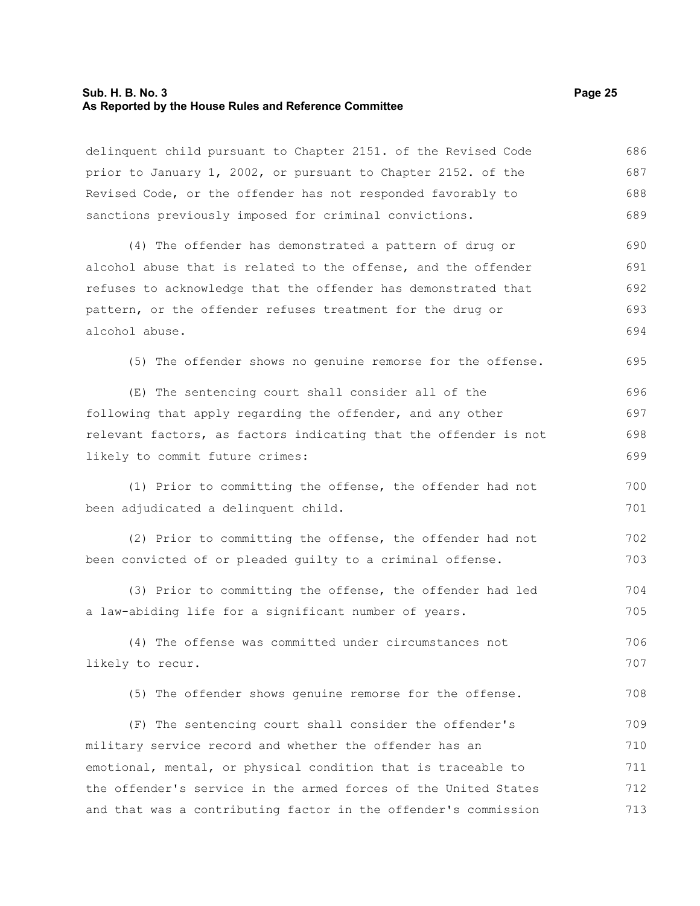#### **Sub. H. B. No. 3 Page 25 As Reported by the House Rules and Reference Committee**

delinquent child pursuant to Chapter 2151. of the Revised Code prior to January 1, 2002, or pursuant to Chapter 2152. of the Revised Code, or the offender has not responded favorably to sanctions previously imposed for criminal convictions. 686 687 688 689

(4) The offender has demonstrated a pattern of drug or alcohol abuse that is related to the offense, and the offender refuses to acknowledge that the offender has demonstrated that pattern, or the offender refuses treatment for the drug or alcohol abuse. 690 691 692 693 694

(5) The offender shows no genuine remorse for the offense. 695

(E) The sentencing court shall consider all of the following that apply regarding the offender, and any other relevant factors, as factors indicating that the offender is not likely to commit future crimes: 696 697 698 699

(1) Prior to committing the offense, the offender had not been adjudicated a delinquent child.

(2) Prior to committing the offense, the offender had not been convicted of or pleaded guilty to a criminal offense. 702 703

(3) Prior to committing the offense, the offender had led a law-abiding life for a significant number of years. 704 705

(4) The offense was committed under circumstances not likely to recur. 706 707

(5) The offender shows genuine remorse for the offense. 708

(F) The sentencing court shall consider the offender's military service record and whether the offender has an emotional, mental, or physical condition that is traceable to the offender's service in the armed forces of the United States and that was a contributing factor in the offender's commission 709 710 711 712 713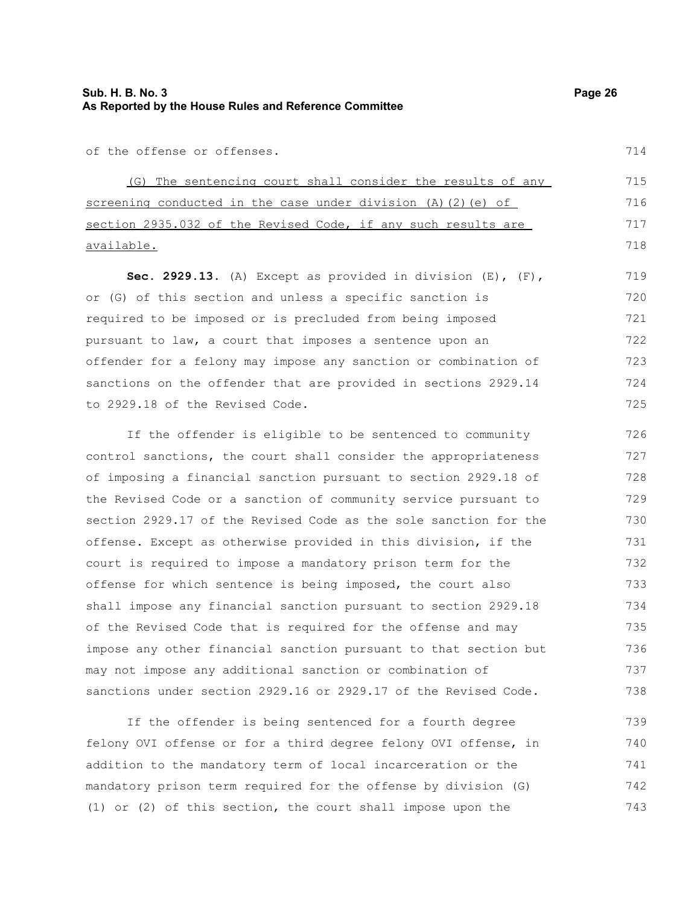of the offense or offenses.

(G) The sentencing court shall consider the results of any screening conducted in the case under division (A)(2)(e) of section 2935.032 of the Revised Code, if any such results are available. 715 716 717 718

**Sec. 2929.13.** (A) Except as provided in division (E), (F), or (G) of this section and unless a specific sanction is required to be imposed or is precluded from being imposed pursuant to law, a court that imposes a sentence upon an offender for a felony may impose any sanction or combination of sanctions on the offender that are provided in sections 2929.14 to 2929.18 of the Revised Code. 719 720 721 722 723 724 725

If the offender is eligible to be sentenced to community control sanctions, the court shall consider the appropriateness of imposing a financial sanction pursuant to section 2929.18 of the Revised Code or a sanction of community service pursuant to section 2929.17 of the Revised Code as the sole sanction for the offense. Except as otherwise provided in this division, if the court is required to impose a mandatory prison term for the offense for which sentence is being imposed, the court also shall impose any financial sanction pursuant to section 2929.18 of the Revised Code that is required for the offense and may impose any other financial sanction pursuant to that section but may not impose any additional sanction or combination of sanctions under section 2929.16 or 2929.17 of the Revised Code. 726 727 728 729 730 731 732 733 734 735 736 737 738

If the offender is being sentenced for a fourth degree felony OVI offense or for a third degree felony OVI offense, in addition to the mandatory term of local incarceration or the mandatory prison term required for the offense by division (G) (1) or (2) of this section, the court shall impose upon the 739 740 741 742 743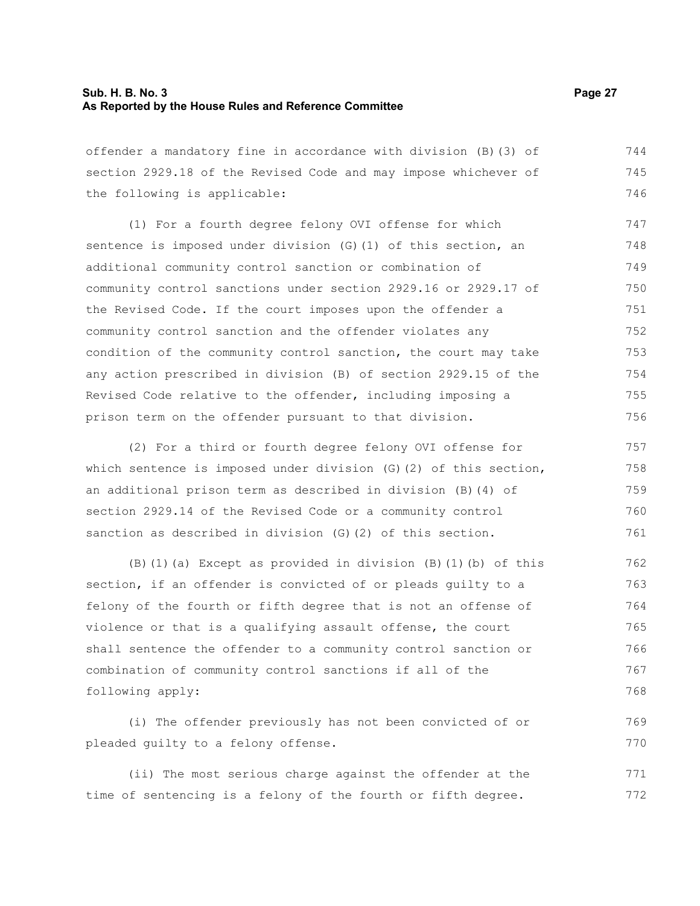#### **Sub. H. B. No. 3 Page 27 As Reported by the House Rules and Reference Committee**

offender a mandatory fine in accordance with division (B)(3) of section 2929.18 of the Revised Code and may impose whichever of the following is applicable: 744 745 746

(1) For a fourth degree felony OVI offense for which sentence is imposed under division (G)(1) of this section, an additional community control sanction or combination of community control sanctions under section 2929.16 or 2929.17 of the Revised Code. If the court imposes upon the offender a community control sanction and the offender violates any condition of the community control sanction, the court may take any action prescribed in division (B) of section 2929.15 of the Revised Code relative to the offender, including imposing a prison term on the offender pursuant to that division. 747 748 749 750 751 752 753 754 755 756

(2) For a third or fourth degree felony OVI offense for which sentence is imposed under division (G)(2) of this section, an additional prison term as described in division (B)(4) of section 2929.14 of the Revised Code or a community control sanction as described in division (G)(2) of this section. 757 758 759 760 761

(B)(1)(a) Except as provided in division (B)(1)(b) of this section, if an offender is convicted of or pleads guilty to a felony of the fourth or fifth degree that is not an offense of violence or that is a qualifying assault offense, the court shall sentence the offender to a community control sanction or combination of community control sanctions if all of the following apply: 762 763 764 765 766 767 768

(i) The offender previously has not been convicted of or pleaded guilty to a felony offense.

(ii) The most serious charge against the offender at the time of sentencing is a felony of the fourth or fifth degree. 771 772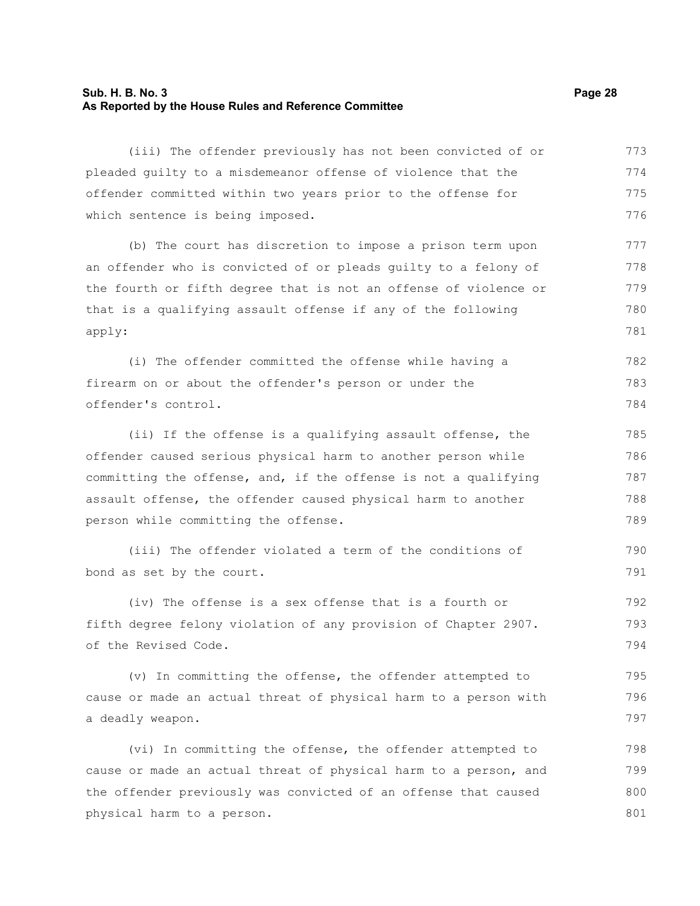#### **Sub. H. B. No. 3 Page 28 As Reported by the House Rules and Reference Committee**

(iii) The offender previously has not been convicted of or pleaded guilty to a misdemeanor offense of violence that the offender committed within two years prior to the offense for which sentence is being imposed. 773 774 775 776

(b) The court has discretion to impose a prison term upon an offender who is convicted of or pleads guilty to a felony of the fourth or fifth degree that is not an offense of violence or that is a qualifying assault offense if any of the following apply: 777 778 779 780 781

(i) The offender committed the offense while having a firearm on or about the offender's person or under the offender's control. 782 783 784

(ii) If the offense is a qualifying assault offense, the offender caused serious physical harm to another person while committing the offense, and, if the offense is not a qualifying assault offense, the offender caused physical harm to another person while committing the offense. 785 786 787 788 789

(iii) The offender violated a term of the conditions of bond as set by the court. 790 791

(iv) The offense is a sex offense that is a fourth or fifth degree felony violation of any provision of Chapter 2907. of the Revised Code. 792 793 794

(v) In committing the offense, the offender attempted to cause or made an actual threat of physical harm to a person with a deadly weapon. 795 796 797

(vi) In committing the offense, the offender attempted to cause or made an actual threat of physical harm to a person, and the offender previously was convicted of an offense that caused physical harm to a person. 798 799 800 801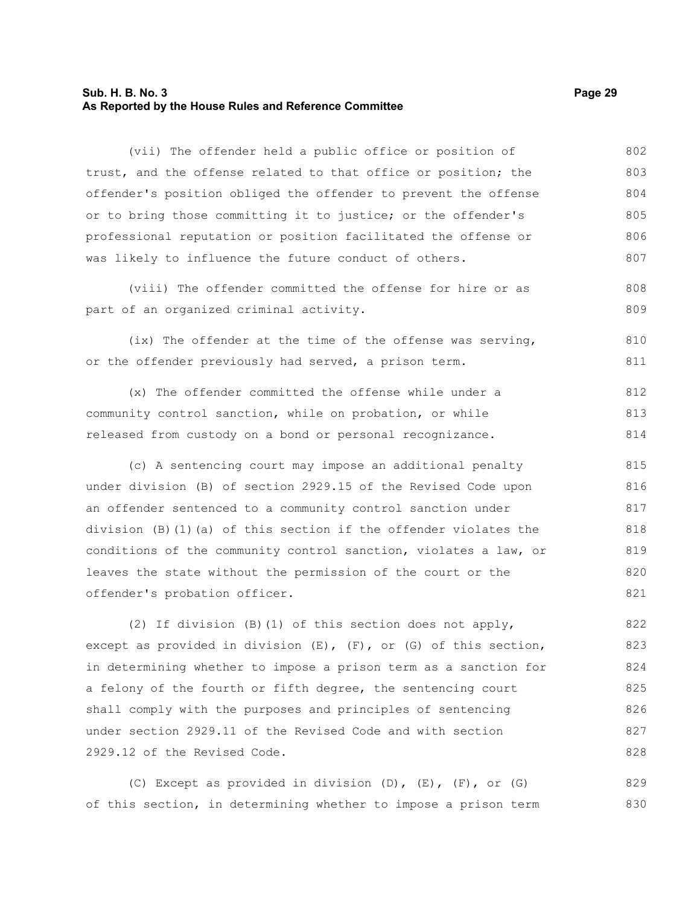#### **Sub. H. B. No. 3 Page 29 As Reported by the House Rules and Reference Committee**

(vii) The offender held a public office or position of trust, and the offense related to that office or position; the offender's position obliged the offender to prevent the offense or to bring those committing it to justice; or the offender's professional reputation or position facilitated the offense or was likely to influence the future conduct of others. 802 803 804 805 806 807

(viii) The offender committed the offense for hire or as part of an organized criminal activity. 808 809

(ix) The offender at the time of the offense was serving, or the offender previously had served, a prison term. 810 811

(x) The offender committed the offense while under a community control sanction, while on probation, or while released from custody on a bond or personal recognizance. 812 813 814

(c) A sentencing court may impose an additional penalty under division (B) of section 2929.15 of the Revised Code upon an offender sentenced to a community control sanction under division (B)(1)(a) of this section if the offender violates the conditions of the community control sanction, violates a law, or leaves the state without the permission of the court or the offender's probation officer. 815 816 817 818 819 820 821

(2) If division (B)(1) of this section does not apply, except as provided in division  $(E)$ ,  $(F)$ , or  $(G)$  of this section, in determining whether to impose a prison term as a sanction for a felony of the fourth or fifth degree, the sentencing court shall comply with the purposes and principles of sentencing under section 2929.11 of the Revised Code and with section 2929.12 of the Revised Code. 822 823 824 825 826 827 828

(C) Except as provided in division (D), (E), (F), or (G) of this section, in determining whether to impose a prison term 829 830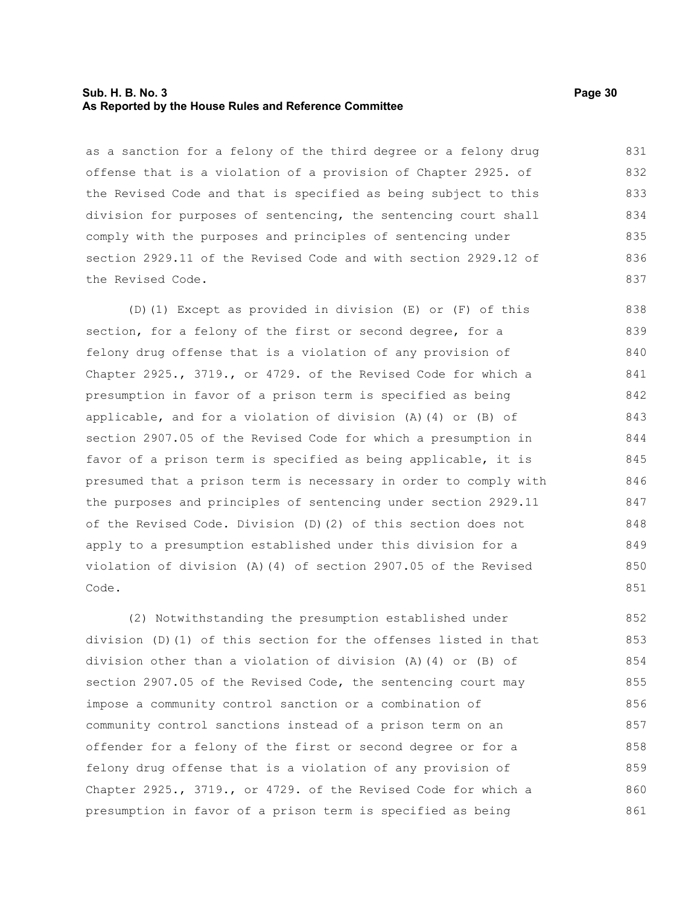#### **Sub. H. B. No. 3 Page 30 As Reported by the House Rules and Reference Committee**

as a sanction for a felony of the third degree or a felony drug offense that is a violation of a provision of Chapter 2925. of the Revised Code and that is specified as being subject to this division for purposes of sentencing, the sentencing court shall comply with the purposes and principles of sentencing under section 2929.11 of the Revised Code and with section 2929.12 of the Revised Code. 831 832 833 834 835 836 837

(D)(1) Except as provided in division (E) or (F) of this section, for a felony of the first or second degree, for a felony drug offense that is a violation of any provision of Chapter 2925., 3719., or 4729. of the Revised Code for which a presumption in favor of a prison term is specified as being applicable, and for a violation of division (A)(4) or (B) of section 2907.05 of the Revised Code for which a presumption in favor of a prison term is specified as being applicable, it is presumed that a prison term is necessary in order to comply with the purposes and principles of sentencing under section 2929.11 of the Revised Code. Division (D)(2) of this section does not apply to a presumption established under this division for a violation of division (A)(4) of section 2907.05 of the Revised Code. 838 839 840 841 842 843 844 845 846 847 848 849 850 851

(2) Notwithstanding the presumption established under division (D)(1) of this section for the offenses listed in that division other than a violation of division (A)(4) or (B) of section 2907.05 of the Revised Code, the sentencing court may impose a community control sanction or a combination of community control sanctions instead of a prison term on an offender for a felony of the first or second degree or for a felony drug offense that is a violation of any provision of Chapter 2925., 3719., or 4729. of the Revised Code for which a presumption in favor of a prison term is specified as being 852 853 854 855 856 857 858 859 860 861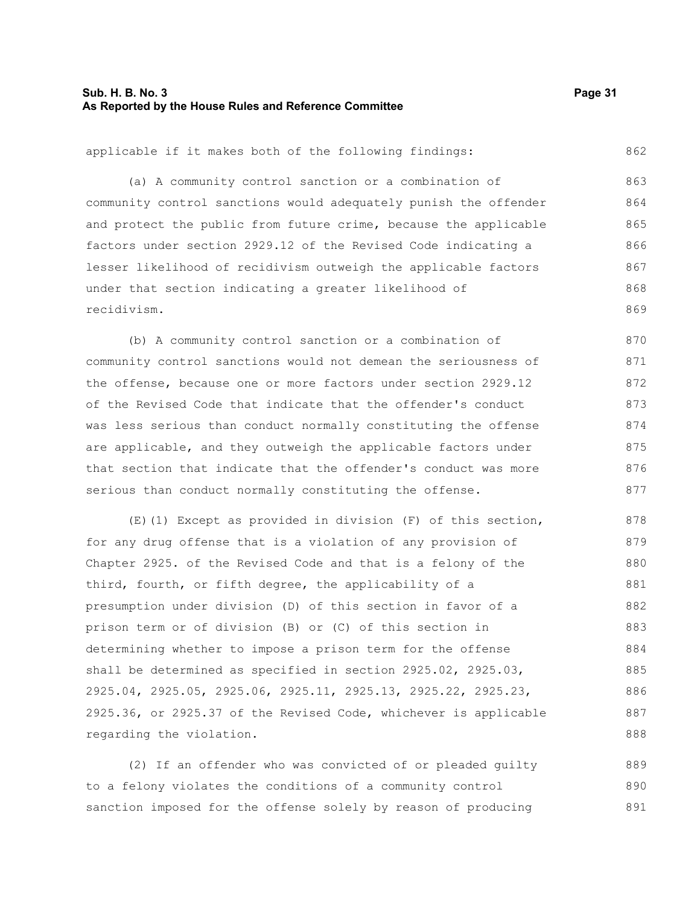862

applicable if it makes both of the following findings:

(a) A community control sanction or a combination of community control sanctions would adequately punish the offender and protect the public from future crime, because the applicable factors under section 2929.12 of the Revised Code indicating a lesser likelihood of recidivism outweigh the applicable factors under that section indicating a greater likelihood of recidivism. 863 864 865 866 867 868 869

(b) A community control sanction or a combination of community control sanctions would not demean the seriousness of the offense, because one or more factors under section 2929.12 of the Revised Code that indicate that the offender's conduct was less serious than conduct normally constituting the offense are applicable, and they outweigh the applicable factors under that section that indicate that the offender's conduct was more serious than conduct normally constituting the offense. 870 871 872 873 874 875 876 877

(E)(1) Except as provided in division (F) of this section, for any drug offense that is a violation of any provision of Chapter 2925. of the Revised Code and that is a felony of the third, fourth, or fifth degree, the applicability of a presumption under division (D) of this section in favor of a prison term or of division (B) or (C) of this section in determining whether to impose a prison term for the offense shall be determined as specified in section 2925.02, 2925.03, 2925.04, 2925.05, 2925.06, 2925.11, 2925.13, 2925.22, 2925.23, 2925.36, or 2925.37 of the Revised Code, whichever is applicable regarding the violation. 878 879 880 881 882 883 884 885 886 887 888

(2) If an offender who was convicted of or pleaded guilty to a felony violates the conditions of a community control sanction imposed for the offense solely by reason of producing 889 890 891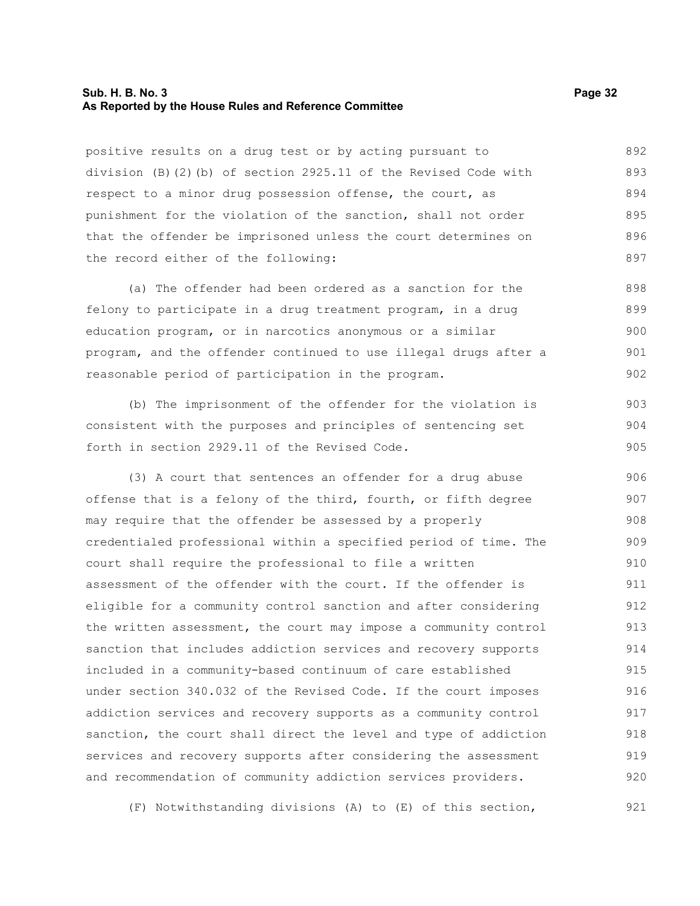#### **Sub. H. B. No. 3 Page 32 As Reported by the House Rules and Reference Committee**

positive results on a drug test or by acting pursuant to division (B)(2)(b) of section 2925.11 of the Revised Code with respect to a minor drug possession offense, the court, as punishment for the violation of the sanction, shall not order that the offender be imprisoned unless the court determines on the record either of the following: 892 893 894 895 896 897

(a) The offender had been ordered as a sanction for the felony to participate in a drug treatment program, in a drug education program, or in narcotics anonymous or a similar program, and the offender continued to use illegal drugs after a reasonable period of participation in the program. 898 899 900 901 902

(b) The imprisonment of the offender for the violation is consistent with the purposes and principles of sentencing set forth in section 2929.11 of the Revised Code. 903 904 905

(3) A court that sentences an offender for a drug abuse offense that is a felony of the third, fourth, or fifth degree may require that the offender be assessed by a properly credentialed professional within a specified period of time. The court shall require the professional to file a written assessment of the offender with the court. If the offender is eligible for a community control sanction and after considering the written assessment, the court may impose a community control sanction that includes addiction services and recovery supports included in a community-based continuum of care established under section 340.032 of the Revised Code. If the court imposes addiction services and recovery supports as a community control sanction, the court shall direct the level and type of addiction services and recovery supports after considering the assessment and recommendation of community addiction services providers. 906 907 908 909 910 911 912 913 914 915 916 917 918 919 920

(F) Notwithstanding divisions (A) to (E) of this section, 921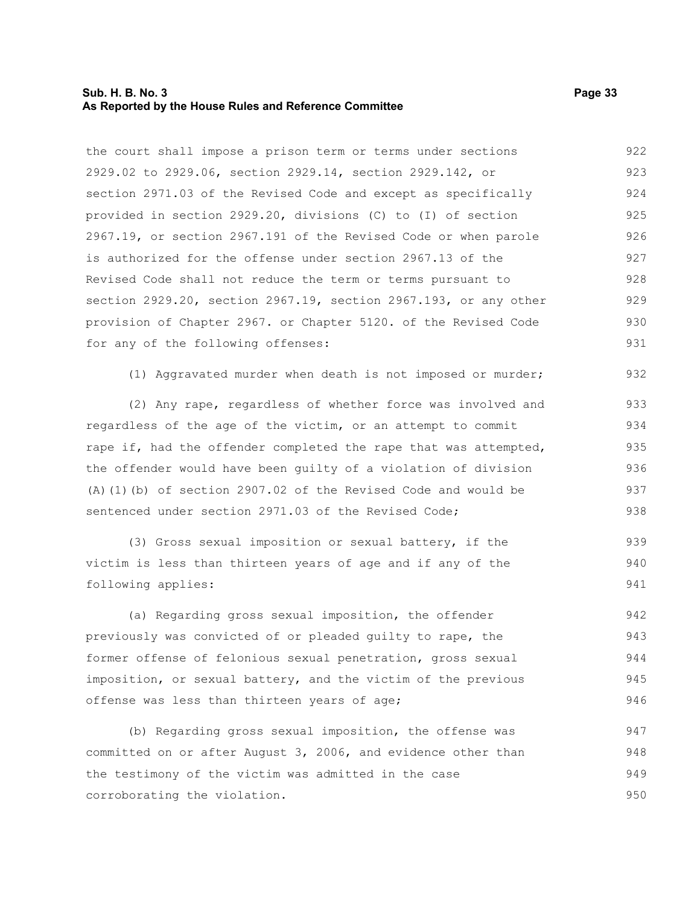#### **Sub. H. B. No. 3 Page 33 As Reported by the House Rules and Reference Committee**

the court shall impose a prison term or terms under sections 2929.02 to 2929.06, section 2929.14, section 2929.142, or section 2971.03 of the Revised Code and except as specifically provided in section 2929.20, divisions (C) to (I) of section 2967.19, or section 2967.191 of the Revised Code or when parole is authorized for the offense under section 2967.13 of the Revised Code shall not reduce the term or terms pursuant to section 2929.20, section 2967.19, section 2967.193, or any other provision of Chapter 2967. or Chapter 5120. of the Revised Code for any of the following offenses: 922 923 924 925 926 927 928 929 930 931

(1) Aggravated murder when death is not imposed or murder;

(2) Any rape, regardless of whether force was involved and regardless of the age of the victim, or an attempt to commit rape if, had the offender completed the rape that was attempted, the offender would have been guilty of a violation of division (A)(1)(b) of section 2907.02 of the Revised Code and would be sentenced under section 2971.03 of the Revised Code; 933 934 935 936 937 938

(3) Gross sexual imposition or sexual battery, if the victim is less than thirteen years of age and if any of the following applies: 939 940 941

(a) Regarding gross sexual imposition, the offender previously was convicted of or pleaded guilty to rape, the former offense of felonious sexual penetration, gross sexual imposition, or sexual battery, and the victim of the previous offense was less than thirteen years of age; 942 943 944 945 946

(b) Regarding gross sexual imposition, the offense was committed on or after August 3, 2006, and evidence other than the testimony of the victim was admitted in the case corroborating the violation. 947 948 949 950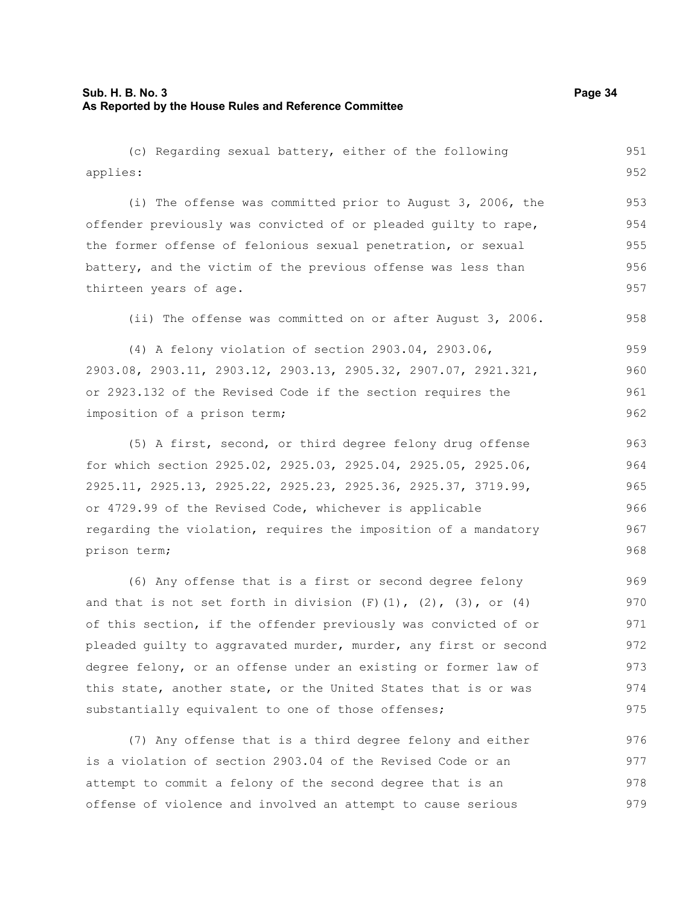(c) Regarding sexual battery, either of the following applies: (i) The offense was committed prior to August 3, 2006, the offender previously was convicted of or pleaded guilty to rape, the former offense of felonious sexual penetration, or sexual battery, and the victim of the previous offense was less than thirteen years of age. (ii) The offense was committed on or after August 3, 2006. (4) A felony violation of section 2903.04, 2903.06, 2903.08, 2903.11, 2903.12, 2903.13, 2905.32, 2907.07, 2921.321, or 2923.132 of the Revised Code if the section requires the imposition of a prison term; (5) A first, second, or third degree felony drug offense for which section 2925.02, 2925.03, 2925.04, 2925.05, 2925.06, 2925.11, 2925.13, 2925.22, 2925.23, 2925.36, 2925.37, 3719.99, or 4729.99 of the Revised Code, whichever is applicable regarding the violation, requires the imposition of a mandatory prison term; (6) Any offense that is a first or second degree felony and that is not set forth in division  $(F)$   $(1)$ ,  $(2)$ ,  $(3)$ , or  $(4)$ of this section, if the offender previously was convicted of or pleaded guilty to aggravated murder, murder, any first or second degree felony, or an offense under an existing or former law of 951 952 953 954 955 956 957 958 959 960 961 962 963 964 965 966 967 968 969 970 971 972 973

this state, another state, or the United States that is or was substantially equivalent to one of those offenses; 974 975

(7) Any offense that is a third degree felony and either is a violation of section 2903.04 of the Revised Code or an attempt to commit a felony of the second degree that is an offense of violence and involved an attempt to cause serious 976 977 978 979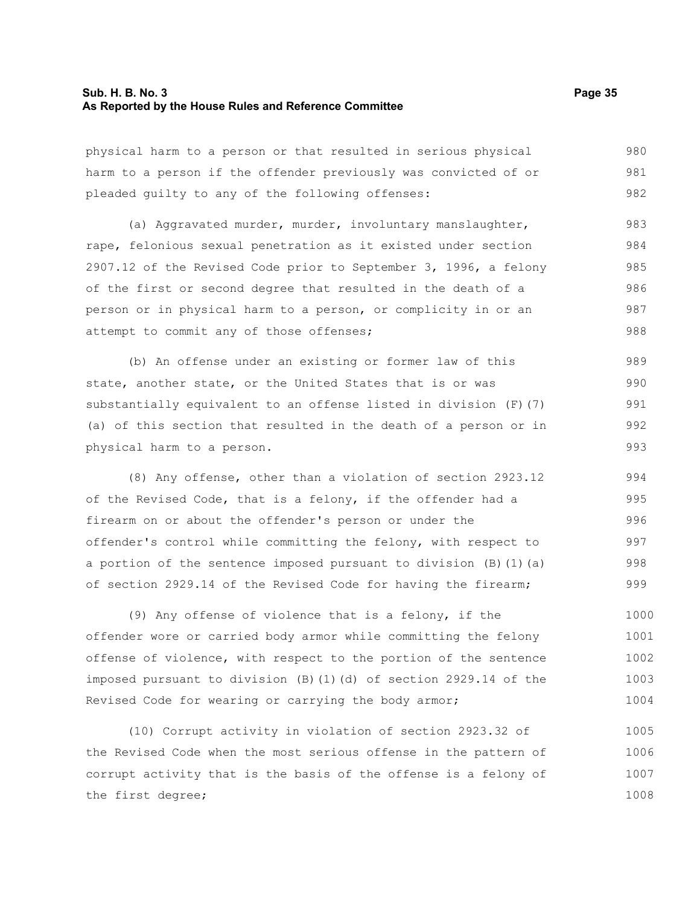#### **Sub. H. B. No. 3 Page 35 As Reported by the House Rules and Reference Committee**

physical harm to a person or that resulted in serious physical harm to a person if the offender previously was convicted of or pleaded guilty to any of the following offenses: 980 981 982

(a) Aggravated murder, murder, involuntary manslaughter, rape, felonious sexual penetration as it existed under section 2907.12 of the Revised Code prior to September 3, 1996, a felony of the first or second degree that resulted in the death of a person or in physical harm to a person, or complicity in or an attempt to commit any of those offenses; 983 984 985 986 987 988

(b) An offense under an existing or former law of this state, another state, or the United States that is or was substantially equivalent to an offense listed in division  $(F)$  (7) (a) of this section that resulted in the death of a person or in physical harm to a person. 989 990 991 992 993

(8) Any offense, other than a violation of section 2923.12 of the Revised Code, that is a felony, if the offender had a firearm on or about the offender's person or under the offender's control while committing the felony, with respect to a portion of the sentence imposed pursuant to division (B)(1)(a) of section 2929.14 of the Revised Code for having the firearm; 994 995 996 997 998 999

(9) Any offense of violence that is a felony, if the offender wore or carried body armor while committing the felony offense of violence, with respect to the portion of the sentence imposed pursuant to division (B)(1)(d) of section 2929.14 of the Revised Code for wearing or carrying the body armor; 1000 1001 1002 1003 1004

(10) Corrupt activity in violation of section 2923.32 of the Revised Code when the most serious offense in the pattern of corrupt activity that is the basis of the offense is a felony of the first degree; 1005 1006 1007 1008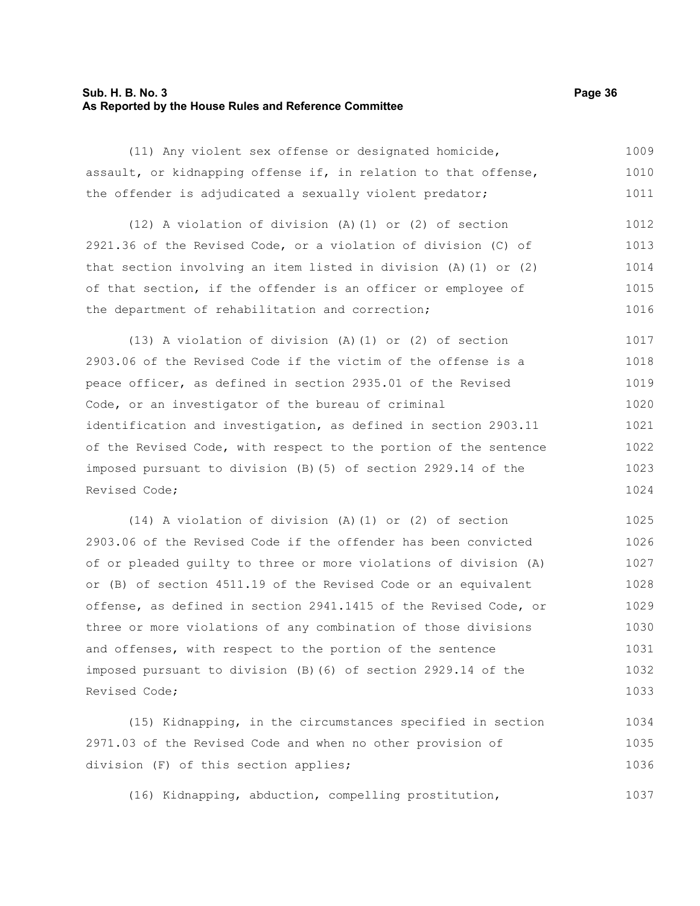#### **Sub. H. B. No. 3 Page 36 As Reported by the House Rules and Reference Committee**

(11) Any violent sex offense or designated homicide, assault, or kidnapping offense if, in relation to that offense, the offender is adjudicated a sexually violent predator; 1009 1010 1011

(12) A violation of division (A)(1) or (2) of section 2921.36 of the Revised Code, or a violation of division (C) of that section involving an item listed in division (A)(1) or (2) of that section, if the offender is an officer or employee of the department of rehabilitation and correction; 1012 1013 1014 1015 1016

(13) A violation of division (A)(1) or (2) of section 2903.06 of the Revised Code if the victim of the offense is a peace officer, as defined in section 2935.01 of the Revised Code, or an investigator of the bureau of criminal identification and investigation, as defined in section 2903.11 of the Revised Code, with respect to the portion of the sentence imposed pursuant to division (B)(5) of section 2929.14 of the Revised Code; 1017 1018 1019 1020 1021 1022 1023 1024

(14) A violation of division (A)(1) or (2) of section 2903.06 of the Revised Code if the offender has been convicted of or pleaded guilty to three or more violations of division (A) or (B) of section 4511.19 of the Revised Code or an equivalent offense, as defined in section 2941.1415 of the Revised Code, or three or more violations of any combination of those divisions and offenses, with respect to the portion of the sentence imposed pursuant to division (B)(6) of section 2929.14 of the Revised Code; 1025 1026 1027 1028 1029 1030 1031 1032 1033

(15) Kidnapping, in the circumstances specified in section 2971.03 of the Revised Code and when no other provision of division (F) of this section applies; 1034 1035 1036

(16) Kidnapping, abduction, compelling prostitution, 1037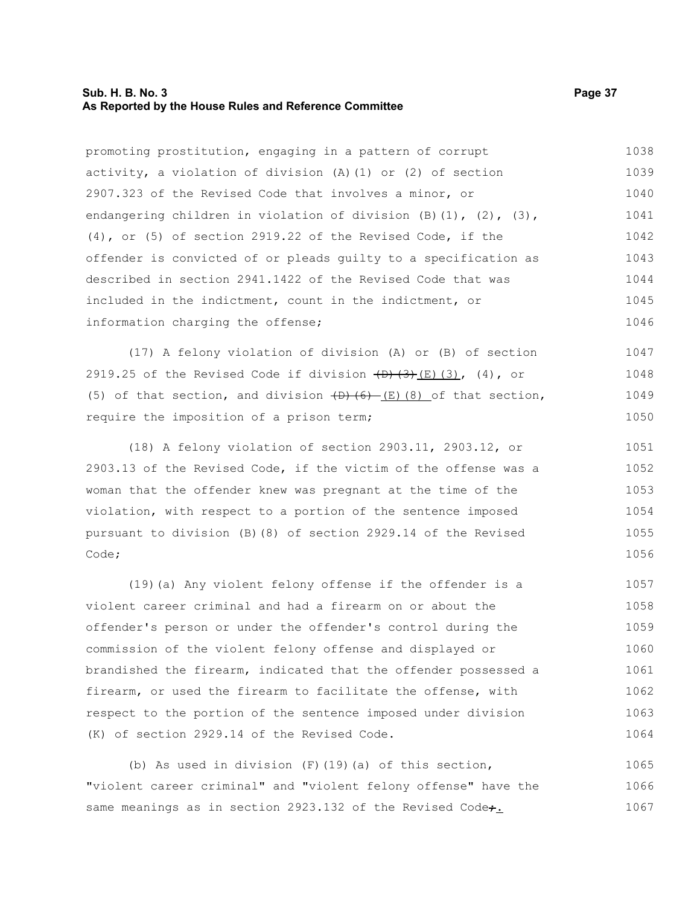## **Sub. H. B. No. 3 Page 37 As Reported by the House Rules and Reference Committee**

promoting prostitution, engaging in a pattern of corrupt activity, a violation of division (A)(1) or (2) of section 2907.323 of the Revised Code that involves a minor, or endangering children in violation of division  $(B)(1)$ ,  $(2)$ ,  $(3)$ , (4), or (5) of section 2919.22 of the Revised Code, if the offender is convicted of or pleads guilty to a specification as described in section 2941.1422 of the Revised Code that was included in the indictment, count in the indictment, or information charging the offense; (17) A felony violation of division (A) or (B) of section 2919.25 of the Revised Code if division  $(D)$   $(3)$ ,  $(4)$ , or (5) of that section, and division  $(D)$   $(6)$   $(E)$   $(8)$  of that section, require the imposition of a prison term; (18) A felony violation of section 2903.11, 2903.12, or 2903.13 of the Revised Code, if the victim of the offense was a woman that the offender knew was pregnant at the time of the violation, with respect to a portion of the sentence imposed pursuant to division (B)(8) of section 2929.14 of the Revised Code; (19)(a) Any violent felony offense if the offender is a violent career criminal and had a firearm on or about the offender's person or under the offender's control during the commission of the violent felony offense and displayed or brandished the firearm, indicated that the offender possessed a firearm, or used the firearm to facilitate the offense, with respect to the portion of the sentence imposed under division (K) of section 2929.14 of the Revised Code. (b) As used in division (F)(19)(a) of this section, 1038 1039 1040 1041 1042 1043 1044 1045 1046 1047 1048 1049 1050 1051 1052 1053 1054 1055 1056 1057 1058 1059 1060 1061 1062 1063 1064 1065

"violent career criminal" and "violent felony offense" have the same meanings as in section 2923.132 of the Revised Code+. 1066 1067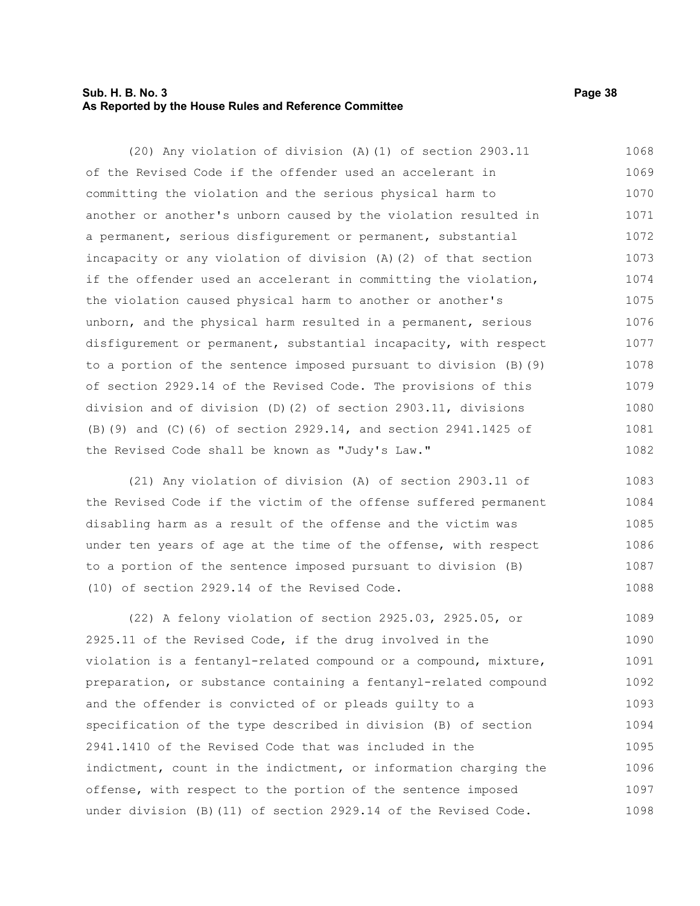# **Sub. H. B. No. 3 Page 38 As Reported by the House Rules and Reference Committee**

(20) Any violation of division (A)(1) of section 2903.11 of the Revised Code if the offender used an accelerant in committing the violation and the serious physical harm to another or another's unborn caused by the violation resulted in a permanent, serious disfigurement or permanent, substantial incapacity or any violation of division (A)(2) of that section if the offender used an accelerant in committing the violation, the violation caused physical harm to another or another's unborn, and the physical harm resulted in a permanent, serious disfigurement or permanent, substantial incapacity, with respect to a portion of the sentence imposed pursuant to division (B)(9) of section 2929.14 of the Revised Code. The provisions of this division and of division (D)(2) of section 2903.11, divisions (B)(9) and (C)(6) of section 2929.14, and section 2941.1425 of the Revised Code shall be known as "Judy's Law." 1068 1069 1070 1071 1072 1073 1074 1075 1076 1077 1078 1079 1080 1081 1082

(21) Any violation of division (A) of section 2903.11 of the Revised Code if the victim of the offense suffered permanent disabling harm as a result of the offense and the victim was under ten years of age at the time of the offense, with respect to a portion of the sentence imposed pursuant to division (B) (10) of section 2929.14 of the Revised Code. 1083 1084 1085 1086 1087 1088

(22) A felony violation of section 2925.03, 2925.05, or 2925.11 of the Revised Code, if the drug involved in the violation is a fentanyl-related compound or a compound, mixture, preparation, or substance containing a fentanyl-related compound and the offender is convicted of or pleads guilty to a specification of the type described in division (B) of section 2941.1410 of the Revised Code that was included in the indictment, count in the indictment, or information charging the offense, with respect to the portion of the sentence imposed under division (B)(11) of section 2929.14 of the Revised Code. 1089 1090 1091 1092 1093 1094 1095 1096 1097 1098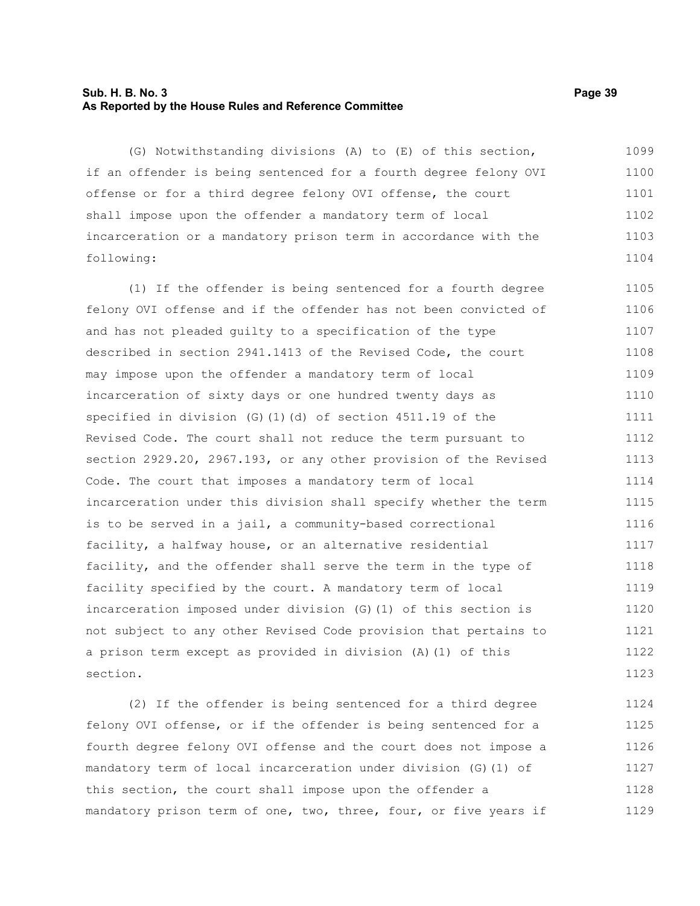## **Sub. H. B. No. 3 Page 39 As Reported by the House Rules and Reference Committee**

(G) Notwithstanding divisions (A) to (E) of this section, if an offender is being sentenced for a fourth degree felony OVI offense or for a third degree felony OVI offense, the court shall impose upon the offender a mandatory term of local incarceration or a mandatory prison term in accordance with the following: 1099 1100 1101 1102 1103 1104

(1) If the offender is being sentenced for a fourth degree felony OVI offense and if the offender has not been convicted of and has not pleaded guilty to a specification of the type described in section 2941.1413 of the Revised Code, the court may impose upon the offender a mandatory term of local incarceration of sixty days or one hundred twenty days as specified in division (G)(1)(d) of section 4511.19 of the Revised Code. The court shall not reduce the term pursuant to section 2929.20, 2967.193, or any other provision of the Revised Code. The court that imposes a mandatory term of local incarceration under this division shall specify whether the term is to be served in a jail, a community-based correctional facility, a halfway house, or an alternative residential facility, and the offender shall serve the term in the type of facility specified by the court. A mandatory term of local incarceration imposed under division (G)(1) of this section is not subject to any other Revised Code provision that pertains to a prison term except as provided in division (A)(1) of this section. 1105 1106 1107 1108 1109 1110 1111 1112 1113 1114 1115 1116 1117 1118 1119 1120 1121 1122 1123

(2) If the offender is being sentenced for a third degree felony OVI offense, or if the offender is being sentenced for a fourth degree felony OVI offense and the court does not impose a mandatory term of local incarceration under division (G)(1) of this section, the court shall impose upon the offender a mandatory prison term of one, two, three, four, or five years if 1124 1125 1126 1127 1128 1129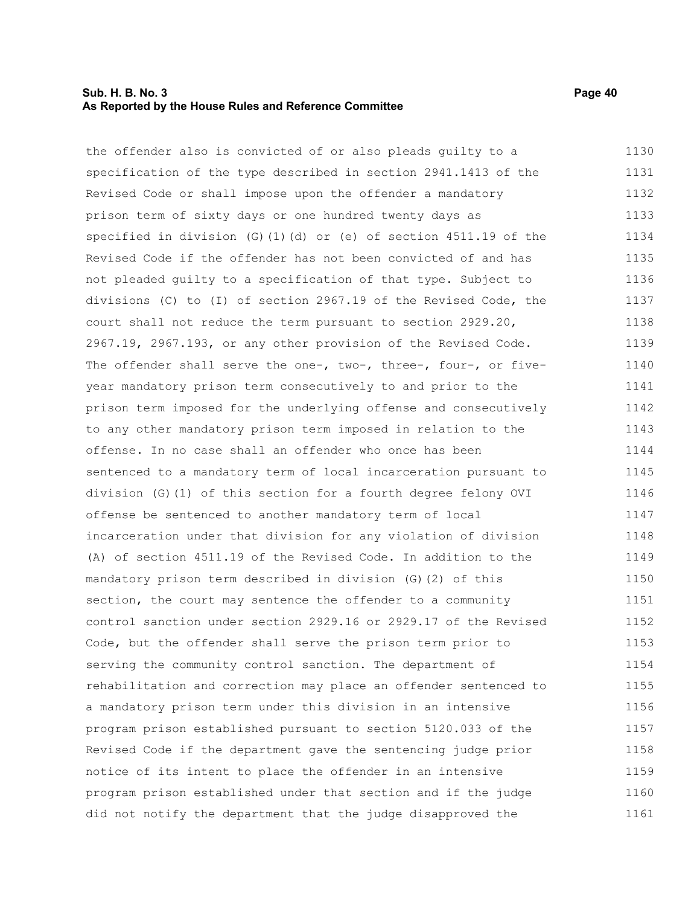## **Sub. H. B. No. 3 Page 40 As Reported by the House Rules and Reference Committee**

the offender also is convicted of or also pleads guilty to a specification of the type described in section 2941.1413 of the Revised Code or shall impose upon the offender a mandatory prison term of sixty days or one hundred twenty days as specified in division (G)(1)(d) or (e) of section  $4511.19$  of the Revised Code if the offender has not been convicted of and has not pleaded guilty to a specification of that type. Subject to divisions (C) to (I) of section 2967.19 of the Revised Code, the court shall not reduce the term pursuant to section 2929.20, 2967.19, 2967.193, or any other provision of the Revised Code. The offender shall serve the one-, two-, three-, four-, or fiveyear mandatory prison term consecutively to and prior to the prison term imposed for the underlying offense and consecutively to any other mandatory prison term imposed in relation to the offense. In no case shall an offender who once has been sentenced to a mandatory term of local incarceration pursuant to division (G)(1) of this section for a fourth degree felony OVI offense be sentenced to another mandatory term of local incarceration under that division for any violation of division (A) of section 4511.19 of the Revised Code. In addition to the mandatory prison term described in division (G)(2) of this section, the court may sentence the offender to a community control sanction under section 2929.16 or 2929.17 of the Revised Code, but the offender shall serve the prison term prior to serving the community control sanction. The department of rehabilitation and correction may place an offender sentenced to a mandatory prison term under this division in an intensive program prison established pursuant to section 5120.033 of the Revised Code if the department gave the sentencing judge prior notice of its intent to place the offender in an intensive program prison established under that section and if the judge did not notify the department that the judge disapproved the 1130 1131 1132 1133 1134 1135 1136 1137 1138 1139 1140 1141 1142 1143 1144 1145 1146 1147 1148 1149 1150 1151 1152 1153 1154 1155 1156 1157 1158 1159 1160 1161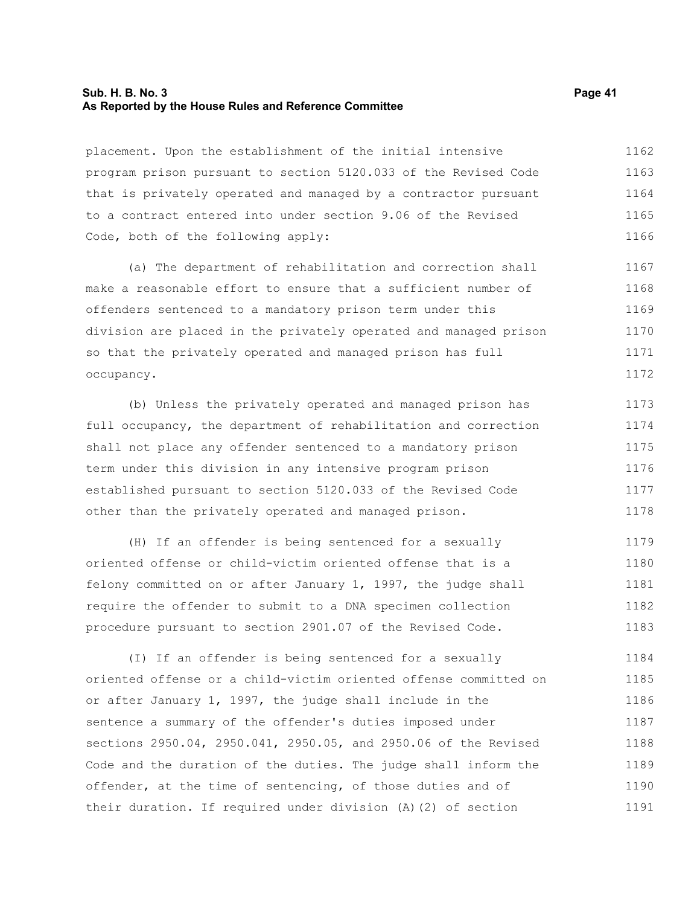## **Sub. H. B. No. 3 Page 41 As Reported by the House Rules and Reference Committee**

placement. Upon the establishment of the initial intensive program prison pursuant to section 5120.033 of the Revised Code that is privately operated and managed by a contractor pursuant to a contract entered into under section 9.06 of the Revised Code, both of the following apply: 1162 1163 1164 1165 1166

(a) The department of rehabilitation and correction shall make a reasonable effort to ensure that a sufficient number of offenders sentenced to a mandatory prison term under this division are placed in the privately operated and managed prison so that the privately operated and managed prison has full occupancy. 1167 1168 1169 1170 1171 1172

(b) Unless the privately operated and managed prison has full occupancy, the department of rehabilitation and correction shall not place any offender sentenced to a mandatory prison term under this division in any intensive program prison established pursuant to section 5120.033 of the Revised Code other than the privately operated and managed prison. 1173 1174 1175 1176 1177 1178

(H) If an offender is being sentenced for a sexually oriented offense or child-victim oriented offense that is a felony committed on or after January 1, 1997, the judge shall require the offender to submit to a DNA specimen collection procedure pursuant to section 2901.07 of the Revised Code. 1179 1180 1181 1182 1183

(I) If an offender is being sentenced for a sexually oriented offense or a child-victim oriented offense committed on or after January 1, 1997, the judge shall include in the sentence a summary of the offender's duties imposed under sections 2950.04, 2950.041, 2950.05, and 2950.06 of the Revised Code and the duration of the duties. The judge shall inform the offender, at the time of sentencing, of those duties and of their duration. If required under division (A)(2) of section 1184 1185 1186 1187 1188 1189 1190 1191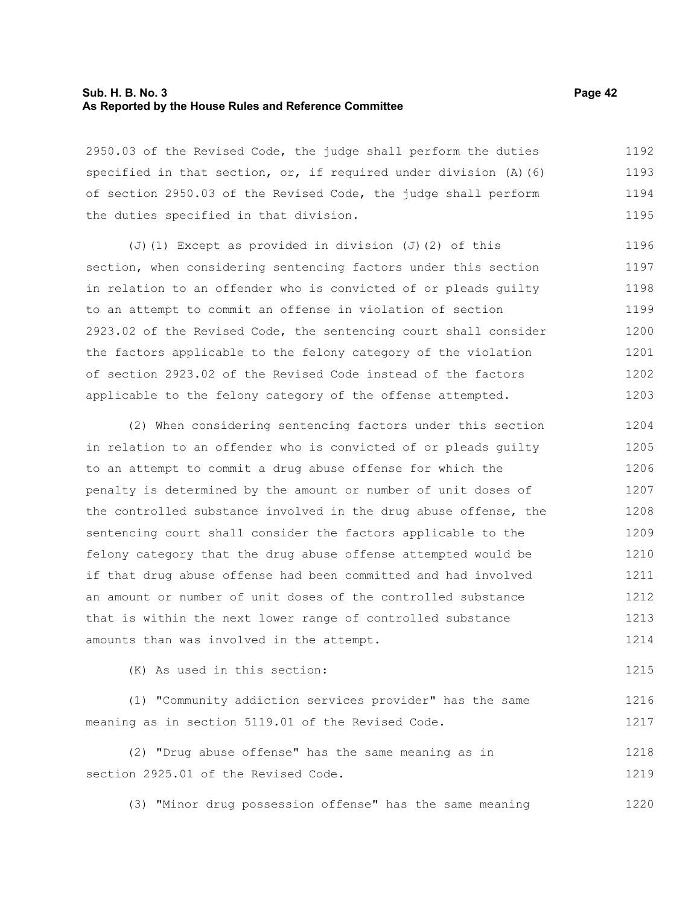## **Sub. H. B. No. 3 Page 42 As Reported by the House Rules and Reference Committee**

2950.03 of the Revised Code, the judge shall perform the duties specified in that section, or, if required under division  $(A)$  (6) of section 2950.03 of the Revised Code, the judge shall perform the duties specified in that division. 1192 1193 1194 1195

(J)(1) Except as provided in division (J)(2) of this section, when considering sentencing factors under this section in relation to an offender who is convicted of or pleads guilty to an attempt to commit an offense in violation of section 2923.02 of the Revised Code, the sentencing court shall consider the factors applicable to the felony category of the violation of section 2923.02 of the Revised Code instead of the factors applicable to the felony category of the offense attempted. 1196 1197 1198 1199 1200 1201 1202 1203

(2) When considering sentencing factors under this section in relation to an offender who is convicted of or pleads guilty to an attempt to commit a drug abuse offense for which the penalty is determined by the amount or number of unit doses of the controlled substance involved in the drug abuse offense, the sentencing court shall consider the factors applicable to the felony category that the drug abuse offense attempted would be if that drug abuse offense had been committed and had involved an amount or number of unit doses of the controlled substance that is within the next lower range of controlled substance amounts than was involved in the attempt. 1204 1205 1206 1207 1208 1209 1210 1211 1212 1213 1214

(K) As used in this section:

(1) "Community addiction services provider" has the same meaning as in section 5119.01 of the Revised Code. 1216 1217

(2) "Drug abuse offense" has the same meaning as in section 2925.01 of the Revised Code. 1218 1219

(3) "Minor drug possession offense" has the same meaning 1220

1215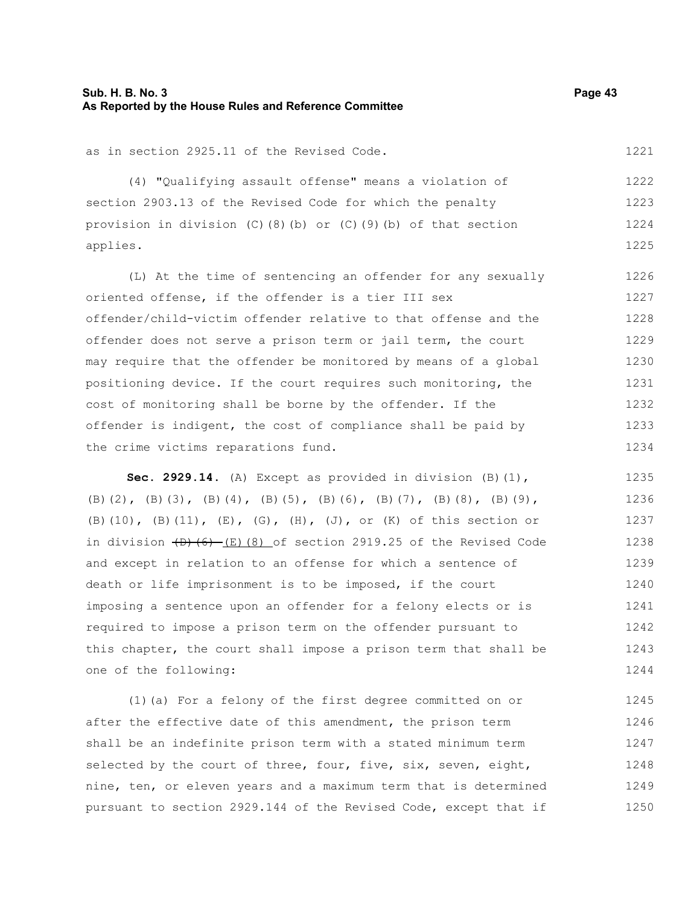## **Sub. H. B. No. 3 Page 43 As Reported by the House Rules and Reference Committee**

as in section 2925.11 of the Revised Code.

(4) "Qualifying assault offense" means a violation of section 2903.13 of the Revised Code for which the penalty provision in division (C)(8)(b) or (C)(9)(b) of that section applies. 1222 1223 1224 1225

(L) At the time of sentencing an offender for any sexually oriented offense, if the offender is a tier III sex offender/child-victim offender relative to that offense and the offender does not serve a prison term or jail term, the court may require that the offender be monitored by means of a global positioning device. If the court requires such monitoring, the cost of monitoring shall be borne by the offender. If the offender is indigent, the cost of compliance shall be paid by the crime victims reparations fund. 1226 1227 1228 1229 1230 1231 1232 1233 1234

**Sec. 2929.14.** (A) Except as provided in division (B)(1), (B)(2), (B)(3), (B)(4), (B)(5), (B)(6), (B)(7), (B)(8), (B)(9), (B)(10), (B)(11), (E), (G), (H), (J), or (K) of this section or in division  $(D)$   $(6)$   $(E)$   $(8)$  of section 2919.25 of the Revised Code and except in relation to an offense for which a sentence of death or life imprisonment is to be imposed, if the court imposing a sentence upon an offender for a felony elects or is required to impose a prison term on the offender pursuant to this chapter, the court shall impose a prison term that shall be one of the following: 1235 1236 1237 1238 1239 1240 1241 1242 1243 1244

(1)(a) For a felony of the first degree committed on or after the effective date of this amendment, the prison term shall be an indefinite prison term with a stated minimum term selected by the court of three, four, five, six, seven, eight, nine, ten, or eleven years and a maximum term that is determined pursuant to section 2929.144 of the Revised Code, except that if 1245 1246 1247 1248 1249 1250

1221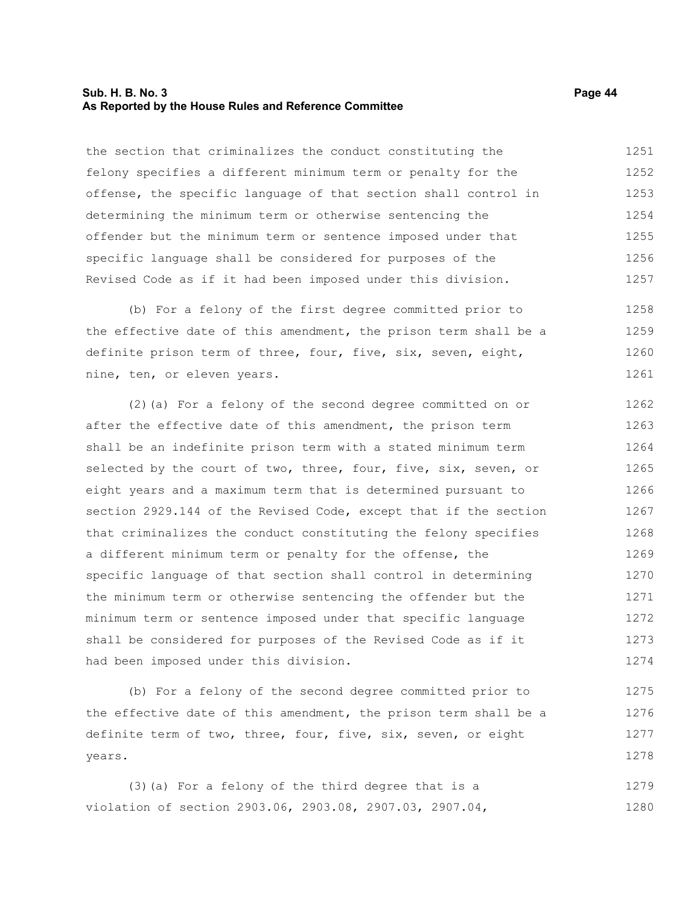## **Sub. H. B. No. 3 Page 44 As Reported by the House Rules and Reference Committee**

the section that criminalizes the conduct constituting the felony specifies a different minimum term or penalty for the offense, the specific language of that section shall control in determining the minimum term or otherwise sentencing the offender but the minimum term or sentence imposed under that specific language shall be considered for purposes of the Revised Code as if it had been imposed under this division. 1251 1252 1253 1254 1255 1256 1257

(b) For a felony of the first degree committed prior to the effective date of this amendment, the prison term shall be a definite prison term of three, four, five, six, seven, eight, nine, ten, or eleven years. 1258 1259 1260 1261

(2)(a) For a felony of the second degree committed on or after the effective date of this amendment, the prison term shall be an indefinite prison term with a stated minimum term selected by the court of two, three, four, five, six, seven, or eight years and a maximum term that is determined pursuant to section 2929.144 of the Revised Code, except that if the section that criminalizes the conduct constituting the felony specifies a different minimum term or penalty for the offense, the specific language of that section shall control in determining the minimum term or otherwise sentencing the offender but the minimum term or sentence imposed under that specific language shall be considered for purposes of the Revised Code as if it had been imposed under this division. 1262 1263 1264 1265 1266 1267 1268 1269 1270 1271 1272 1273 1274

(b) For a felony of the second degree committed prior to the effective date of this amendment, the prison term shall be a definite term of two, three, four, five, six, seven, or eight years. 1275 1276 1277 1278

(3)(a) For a felony of the third degree that is a violation of section 2903.06, 2903.08, 2907.03, 2907.04, 1279 1280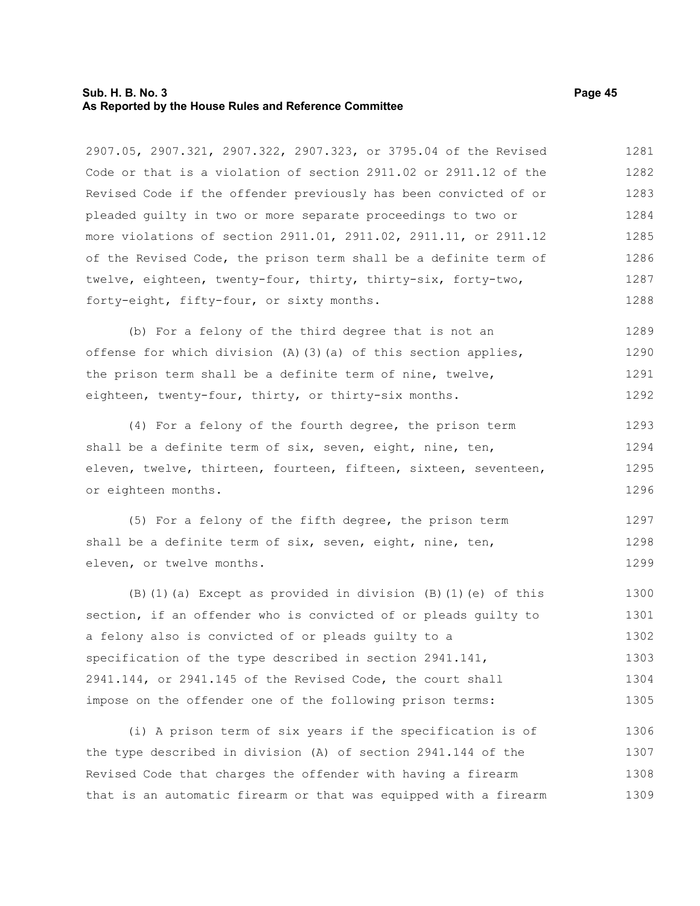## **Sub. H. B. No. 3 Page 45 As Reported by the House Rules and Reference Committee**

2907.05, 2907.321, 2907.322, 2907.323, or 3795.04 of the Revised Code or that is a violation of section 2911.02 or 2911.12 of the Revised Code if the offender previously has been convicted of or pleaded guilty in two or more separate proceedings to two or more violations of section 2911.01, 2911.02, 2911.11, or 2911.12 of the Revised Code, the prison term shall be a definite term of twelve, eighteen, twenty-four, thirty, thirty-six, forty-two, forty-eight, fifty-four, or sixty months. 1281 1282 1283 1284 1285 1286 1287 1288

(b) For a felony of the third degree that is not an offense for which division (A)(3)(a) of this section applies, the prison term shall be a definite term of nine, twelve, eighteen, twenty-four, thirty, or thirty-six months. 1289 1290 1291 1292

(4) For a felony of the fourth degree, the prison term shall be a definite term of six, seven, eight, nine, ten, eleven, twelve, thirteen, fourteen, fifteen, sixteen, seventeen, or eighteen months. 1293 1294 1295 1296

(5) For a felony of the fifth degree, the prison term shall be a definite term of six, seven, eight, nine, ten, eleven, or twelve months. 1297 1298 1299

(B)(1)(a) Except as provided in division (B)(1)(e) of this section, if an offender who is convicted of or pleads guilty to a felony also is convicted of or pleads guilty to a specification of the type described in section 2941.141, 2941.144, or 2941.145 of the Revised Code, the court shall impose on the offender one of the following prison terms: 1300 1301 1302 1303 1304 1305

(i) A prison term of six years if the specification is of the type described in division (A) of section 2941.144 of the Revised Code that charges the offender with having a firearm that is an automatic firearm or that was equipped with a firearm 1306 1307 1308 1309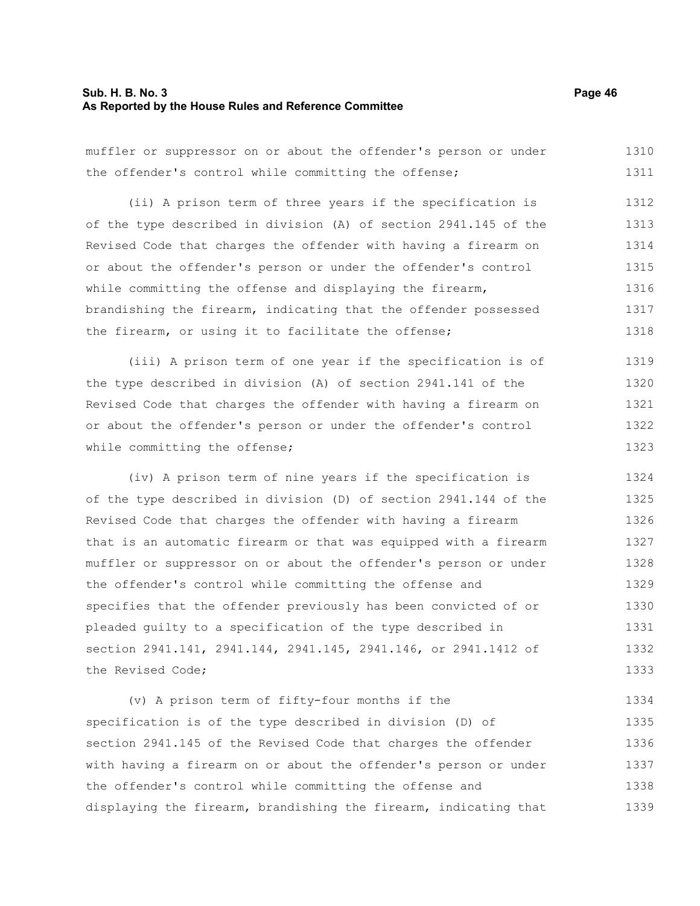## **Sub. H. B. No. 3 Page 46 As Reported by the House Rules and Reference Committee**

muffler or suppressor on or about the offender's person or under the offender's control while committing the offense; 1310 1311

(ii) A prison term of three years if the specification is of the type described in division (A) of section 2941.145 of the Revised Code that charges the offender with having a firearm on or about the offender's person or under the offender's control while committing the offense and displaying the firearm, brandishing the firearm, indicating that the offender possessed the firearm, or using it to facilitate the offense; 1312 1313 1314 1315 1316 1317 1318

(iii) A prison term of one year if the specification is of the type described in division (A) of section 2941.141 of the Revised Code that charges the offender with having a firearm on or about the offender's person or under the offender's control while committing the offense; 1319 1320 1321 1322 1323

(iv) A prison term of nine years if the specification is of the type described in division (D) of section 2941.144 of the Revised Code that charges the offender with having a firearm that is an automatic firearm or that was equipped with a firearm muffler or suppressor on or about the offender's person or under the offender's control while committing the offense and specifies that the offender previously has been convicted of or pleaded guilty to a specification of the type described in section 2941.141, 2941.144, 2941.145, 2941.146, or 2941.1412 of the Revised Code; 1324 1325 1326 1327 1328 1329 1330 1331 1332 1333

(v) A prison term of fifty-four months if the specification is of the type described in division (D) of section 2941.145 of the Revised Code that charges the offender with having a firearm on or about the offender's person or under the offender's control while committing the offense and displaying the firearm, brandishing the firearm, indicating that 1334 1335 1336 1337 1338 1339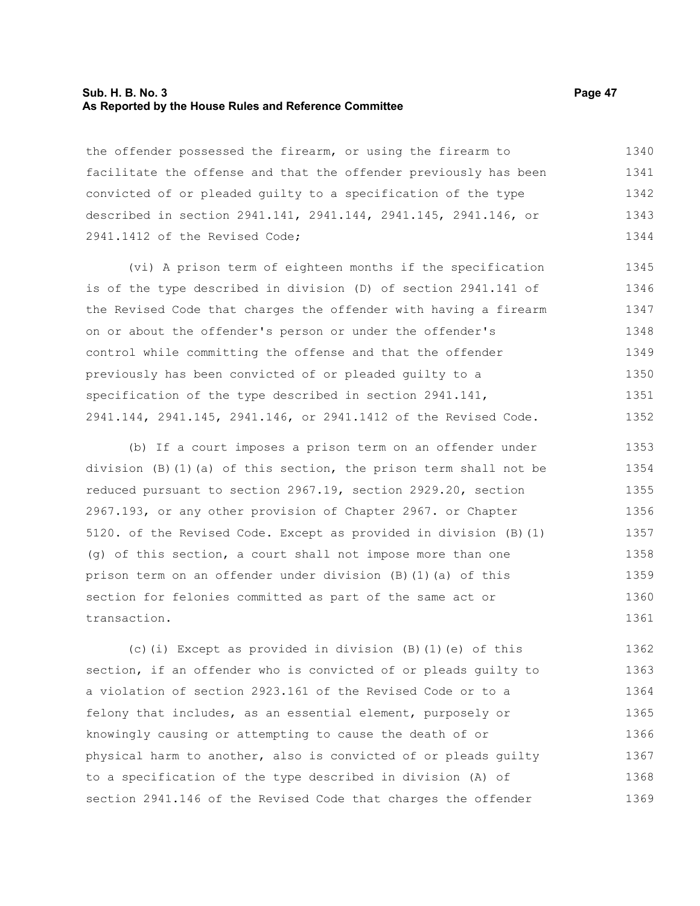#### **Sub. H. B. No. 3 Page 47 As Reported by the House Rules and Reference Committee**

the offender possessed the firearm, or using the firearm to facilitate the offense and that the offender previously has been convicted of or pleaded guilty to a specification of the type described in section 2941.141, 2941.144, 2941.145, 2941.146, or 2941.1412 of the Revised Code; 1340 1341 1342 1343 1344

(vi) A prison term of eighteen months if the specification is of the type described in division (D) of section 2941.141 of the Revised Code that charges the offender with having a firearm on or about the offender's person or under the offender's control while committing the offense and that the offender previously has been convicted of or pleaded guilty to a specification of the type described in section 2941.141, 2941.144, 2941.145, 2941.146, or 2941.1412 of the Revised Code. 1345 1346 1347 1348 1349 1350 1351 1352

(b) If a court imposes a prison term on an offender under division  $(B)$  (1)(a) of this section, the prison term shall not be reduced pursuant to section 2967.19, section 2929.20, section 2967.193, or any other provision of Chapter 2967. or Chapter 5120. of the Revised Code. Except as provided in division (B)(1) (g) of this section, a court shall not impose more than one prison term on an offender under division (B)(1)(a) of this section for felonies committed as part of the same act or transaction. 1353 1354 1355 1356 1357 1358 1359 1360 1361

(c)(i) Except as provided in division (B)(1)(e) of this section, if an offender who is convicted of or pleads guilty to a violation of section 2923.161 of the Revised Code or to a felony that includes, as an essential element, purposely or knowingly causing or attempting to cause the death of or physical harm to another, also is convicted of or pleads guilty to a specification of the type described in division (A) of section 2941.146 of the Revised Code that charges the offender 1362 1363 1364 1365 1366 1367 1368 1369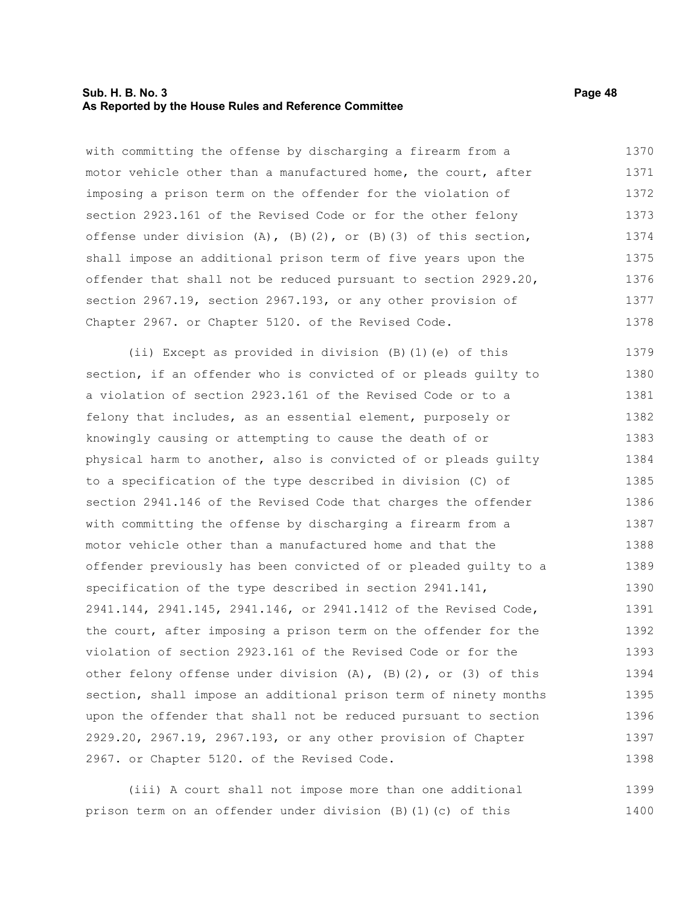## **Sub. H. B. No. 3 Page 48 As Reported by the House Rules and Reference Committee**

with committing the offense by discharging a firearm from a motor vehicle other than a manufactured home, the court, after imposing a prison term on the offender for the violation of section 2923.161 of the Revised Code or for the other felony offense under division  $(A)$ ,  $(B)$   $(2)$ , or  $(B)$   $(3)$  of this section, shall impose an additional prison term of five years upon the offender that shall not be reduced pursuant to section 2929.20, section 2967.19, section 2967.193, or any other provision of Chapter 2967. or Chapter 5120. of the Revised Code. 1370 1371 1372 1373 1374 1375 1376 1377 1378

(ii) Except as provided in division (B)(1)(e) of this section, if an offender who is convicted of or pleads guilty to a violation of section 2923.161 of the Revised Code or to a felony that includes, as an essential element, purposely or knowingly causing or attempting to cause the death of or physical harm to another, also is convicted of or pleads guilty to a specification of the type described in division (C) of section 2941.146 of the Revised Code that charges the offender with committing the offense by discharging a firearm from a motor vehicle other than a manufactured home and that the offender previously has been convicted of or pleaded guilty to a specification of the type described in section 2941.141, 2941.144, 2941.145, 2941.146, or 2941.1412 of the Revised Code, the court, after imposing a prison term on the offender for the violation of section 2923.161 of the Revised Code or for the other felony offense under division  $(A)$ ,  $(B)$   $(2)$ , or  $(3)$  of this section, shall impose an additional prison term of ninety months upon the offender that shall not be reduced pursuant to section 2929.20, 2967.19, 2967.193, or any other provision of Chapter 2967. or Chapter 5120. of the Revised Code. 1379 1380 1381 1382 1383 1384 1385 1386 1387 1388 1389 1390 1391 1392 1393 1394 1395 1396 1397 1398

(iii) A court shall not impose more than one additional prison term on an offender under division (B)(1)(c) of this 1399 1400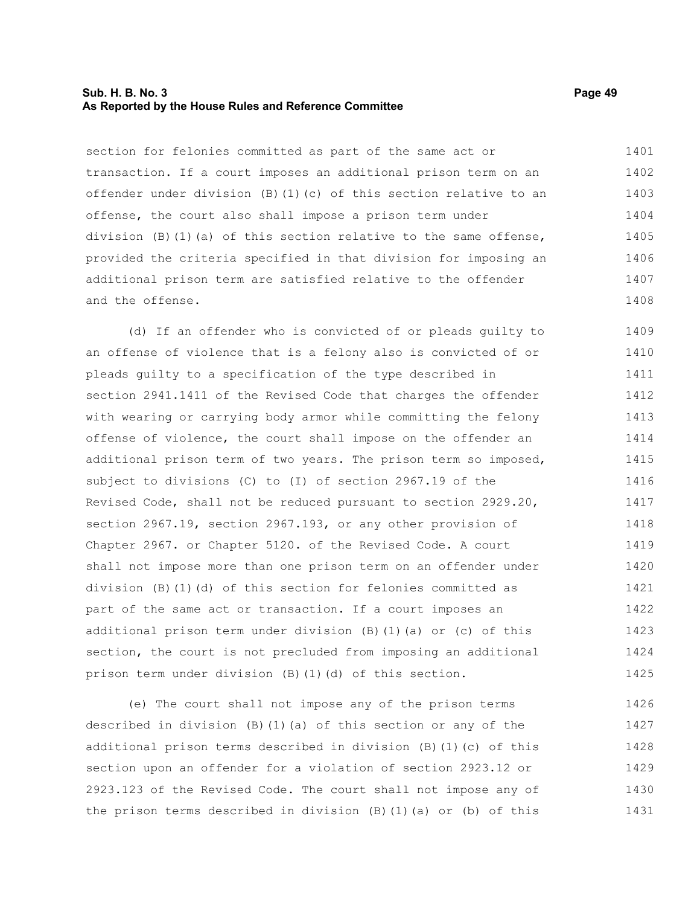## **Sub. H. B. No. 3 Page 49 As Reported by the House Rules and Reference Committee**

section for felonies committed as part of the same act or transaction. If a court imposes an additional prison term on an offender under division (B)(1)(c) of this section relative to an offense, the court also shall impose a prison term under division (B)(1)(a) of this section relative to the same offense, provided the criteria specified in that division for imposing an additional prison term are satisfied relative to the offender and the offense. 1401 1402 1403 1404 1405 1406 1407 1408

(d) If an offender who is convicted of or pleads guilty to an offense of violence that is a felony also is convicted of or pleads guilty to a specification of the type described in section 2941.1411 of the Revised Code that charges the offender with wearing or carrying body armor while committing the felony offense of violence, the court shall impose on the offender an additional prison term of two years. The prison term so imposed, subject to divisions (C) to (I) of section 2967.19 of the Revised Code, shall not be reduced pursuant to section 2929.20, section 2967.19, section 2967.193, or any other provision of Chapter 2967. or Chapter 5120. of the Revised Code. A court shall not impose more than one prison term on an offender under division (B)(1)(d) of this section for felonies committed as part of the same act or transaction. If a court imposes an additional prison term under division (B)(1)(a) or (c) of this section, the court is not precluded from imposing an additional prison term under division (B)(1)(d) of this section. 1409 1410 1411 1412 1413 1414 1415 1416 1417 1418 1419 1420 1421 1422 1423 1424 1425

(e) The court shall not impose any of the prison terms described in division (B)(1)(a) of this section or any of the additional prison terms described in division (B)(1)(c) of this section upon an offender for a violation of section 2923.12 or 2923.123 of the Revised Code. The court shall not impose any of the prison terms described in division (B)(1)(a) or (b) of this 1426 1427 1428 1429 1430 1431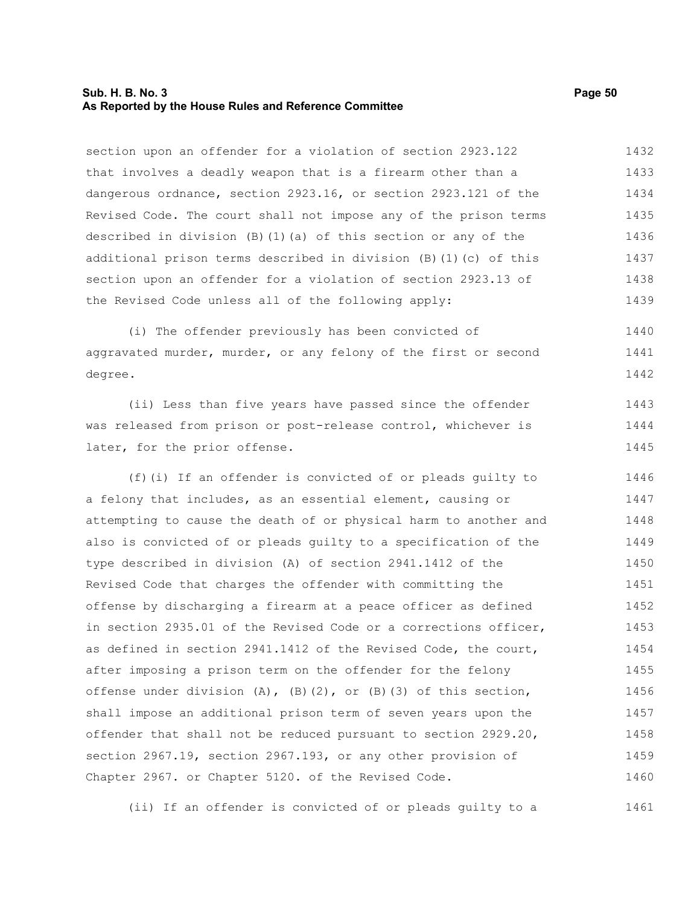## **Sub. H. B. No. 3 Page 50 As Reported by the House Rules and Reference Committee**

section upon an offender for a violation of section 2923.122 that involves a deadly weapon that is a firearm other than a dangerous ordnance, section 2923.16, or section 2923.121 of the Revised Code. The court shall not impose any of the prison terms described in division  $(B)$  (1)(a) of this section or any of the additional prison terms described in division (B)(1)(c) of this section upon an offender for a violation of section 2923.13 of the Revised Code unless all of the following apply: 1432 1433 1434 1435 1436 1437 1438 1439

(i) The offender previously has been convicted of aggravated murder, murder, or any felony of the first or second degree. 1440 1441 1442

(ii) Less than five years have passed since the offender was released from prison or post-release control, whichever is later, for the prior offense. 1443 1444 1445

(f)(i) If an offender is convicted of or pleads guilty to a felony that includes, as an essential element, causing or attempting to cause the death of or physical harm to another and also is convicted of or pleads guilty to a specification of the type described in division (A) of section 2941.1412 of the Revised Code that charges the offender with committing the offense by discharging a firearm at a peace officer as defined in section 2935.01 of the Revised Code or a corrections officer, as defined in section 2941.1412 of the Revised Code, the court, after imposing a prison term on the offender for the felony offense under division  $(A)$ ,  $(B)$ (2), or  $(B)$ (3) of this section, shall impose an additional prison term of seven years upon the offender that shall not be reduced pursuant to section 2929.20, section 2967.19, section 2967.193, or any other provision of Chapter 2967. or Chapter 5120. of the Revised Code. 1446 1447 1448 1449 1450 1451 1452 1453 1454 1455 1456 1457 1458 1459 1460

(ii) If an offender is convicted of or pleads guilty to a 1461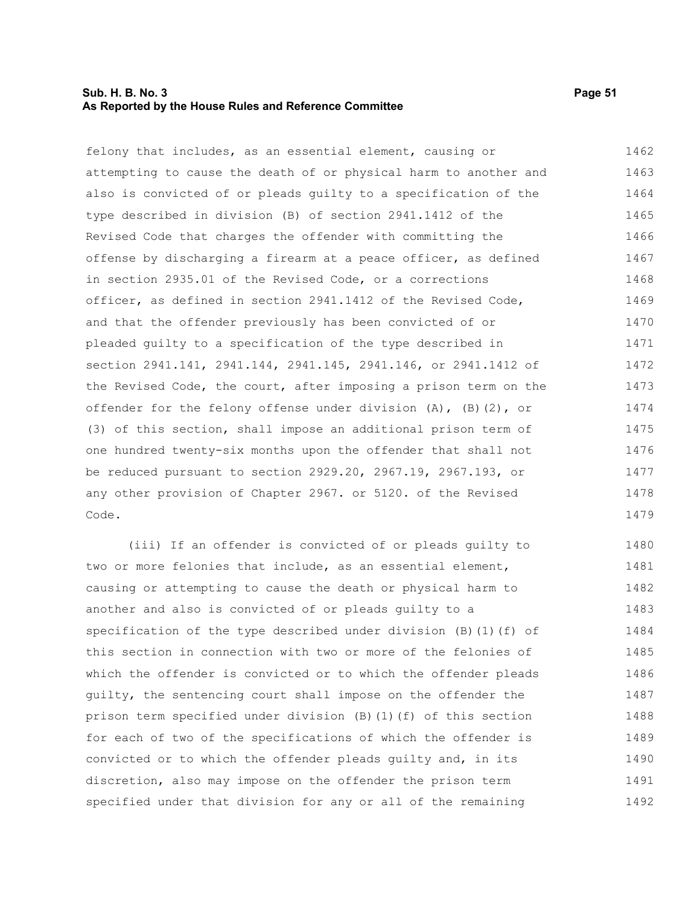## **Sub. H. B. No. 3 Page 51 As Reported by the House Rules and Reference Committee**

felony that includes, as an essential element, causing or attempting to cause the death of or physical harm to another and also is convicted of or pleads guilty to a specification of the type described in division (B) of section 2941.1412 of the

Revised Code that charges the offender with committing the offense by discharging a firearm at a peace officer, as defined in section 2935.01 of the Revised Code, or a corrections officer, as defined in section 2941.1412 of the Revised Code, and that the offender previously has been convicted of or pleaded guilty to a specification of the type described in section 2941.141, 2941.144, 2941.145, 2941.146, or 2941.1412 of the Revised Code, the court, after imposing a prison term on the offender for the felony offense under division  $(A)$ ,  $(B)$   $(2)$ , or (3) of this section, shall impose an additional prison term of one hundred twenty-six months upon the offender that shall not be reduced pursuant to section 2929.20, 2967.19, 2967.193, or any other provision of Chapter 2967. or 5120. of the Revised Code. 1466 1467 1468 1469 1470 1471 1472 1473 1474 1475 1476 1477 1478 1479

(iii) If an offender is convicted of or pleads guilty to two or more felonies that include, as an essential element, causing or attempting to cause the death or physical harm to another and also is convicted of or pleads guilty to a specification of the type described under division  $(B)$  (1)(f) of this section in connection with two or more of the felonies of which the offender is convicted or to which the offender pleads guilty, the sentencing court shall impose on the offender the prison term specified under division (B)(1)(f) of this section for each of two of the specifications of which the offender is convicted or to which the offender pleads guilty and, in its discretion, also may impose on the offender the prison term specified under that division for any or all of the remaining 1480 1481 1482 1483 1484 1485 1486 1487 1488 1489 1490 1491 1492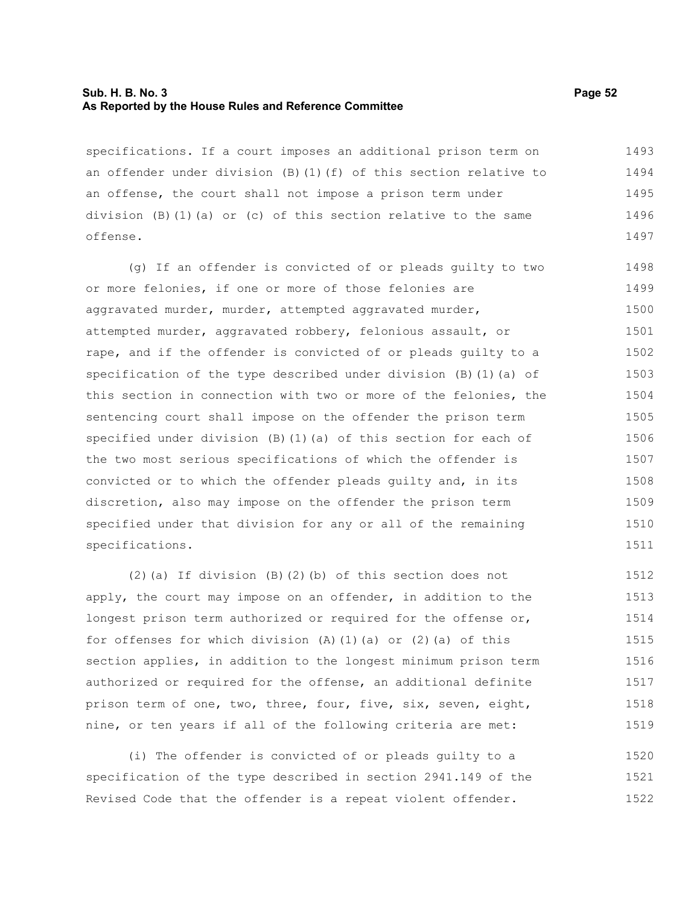## **Sub. H. B. No. 3 Page 52 As Reported by the House Rules and Reference Committee**

specifications. If a court imposes an additional prison term on an offender under division (B)(1)(f) of this section relative to an offense, the court shall not impose a prison term under division (B)(1)(a) or (c) of this section relative to the same offense. 1493 1494 1495 1496 1497

(g) If an offender is convicted of or pleads guilty to two or more felonies, if one or more of those felonies are aggravated murder, murder, attempted aggravated murder, attempted murder, aggravated robbery, felonious assault, or rape, and if the offender is convicted of or pleads guilty to a specification of the type described under division  $(B)$  (1)(a) of this section in connection with two or more of the felonies, the sentencing court shall impose on the offender the prison term specified under division (B)(1)(a) of this section for each of the two most serious specifications of which the offender is convicted or to which the offender pleads guilty and, in its discretion, also may impose on the offender the prison term specified under that division for any or all of the remaining specifications. 1498 1499 1500 1501 1502 1503 1504 1505 1506 1507 1508 1509 1510 1511

(2)(a) If division (B)(2)(b) of this section does not apply, the court may impose on an offender, in addition to the longest prison term authorized or required for the offense or, for offenses for which division  $(A)$   $(1)$   $(a)$  or  $(2)$   $(a)$  of this section applies, in addition to the longest minimum prison term authorized or required for the offense, an additional definite prison term of one, two, three, four, five, six, seven, eight, nine, or ten years if all of the following criteria are met: 1512 1513 1514 1515 1516 1517 1518 1519

(i) The offender is convicted of or pleads guilty to a specification of the type described in section 2941.149 of the Revised Code that the offender is a repeat violent offender. 1520 1521 1522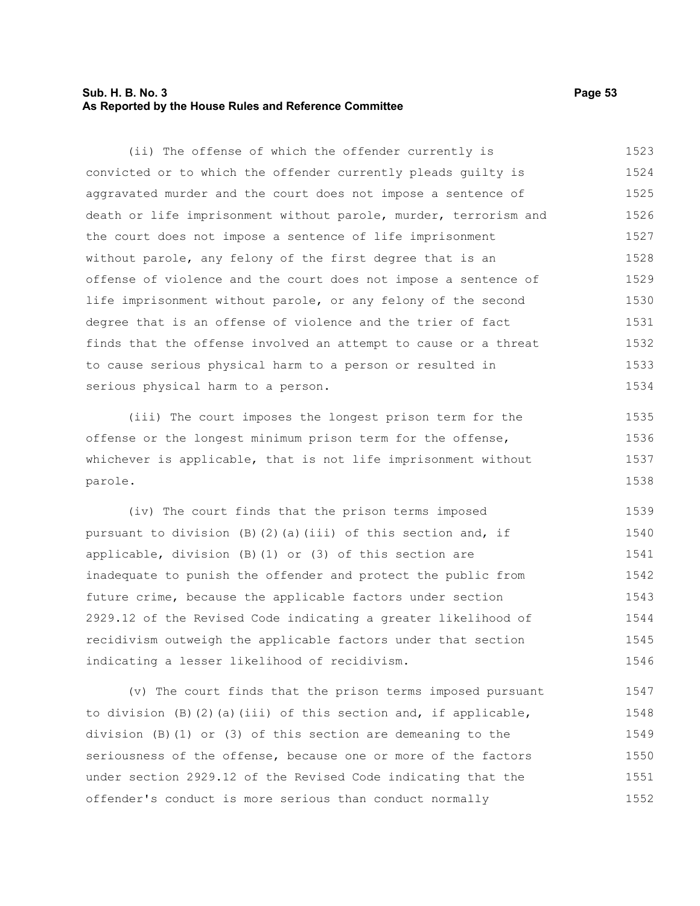## **Sub. H. B. No. 3 Page 53 As Reported by the House Rules and Reference Committee**

(ii) The offense of which the offender currently is convicted or to which the offender currently pleads guilty is aggravated murder and the court does not impose a sentence of death or life imprisonment without parole, murder, terrorism and the court does not impose a sentence of life imprisonment without parole, any felony of the first degree that is an offense of violence and the court does not impose a sentence of life imprisonment without parole, or any felony of the second degree that is an offense of violence and the trier of fact finds that the offense involved an attempt to cause or a threat to cause serious physical harm to a person or resulted in serious physical harm to a person. 1523 1524 1525 1526 1527 1528 1529 1530 1531 1532 1533 1534

(iii) The court imposes the longest prison term for the offense or the longest minimum prison term for the offense, whichever is applicable, that is not life imprisonment without parole. 1535 1536 1537 1538

(iv) The court finds that the prison terms imposed pursuant to division  $(B)$   $(2)$   $(a)$   $(iii)$  of this section and, if applicable, division (B)(1) or (3) of this section are inadequate to punish the offender and protect the public from future crime, because the applicable factors under section 2929.12 of the Revised Code indicating a greater likelihood of recidivism outweigh the applicable factors under that section indicating a lesser likelihood of recidivism. 1539 1540 1541 1542 1543 1544 1545 1546

(v) The court finds that the prison terms imposed pursuant to division (B)(2)(a)(iii) of this section and, if applicable, division (B)(1) or (3) of this section are demeaning to the seriousness of the offense, because one or more of the factors under section 2929.12 of the Revised Code indicating that the offender's conduct is more serious than conduct normally 1547 1548 1549 1550 1551 1552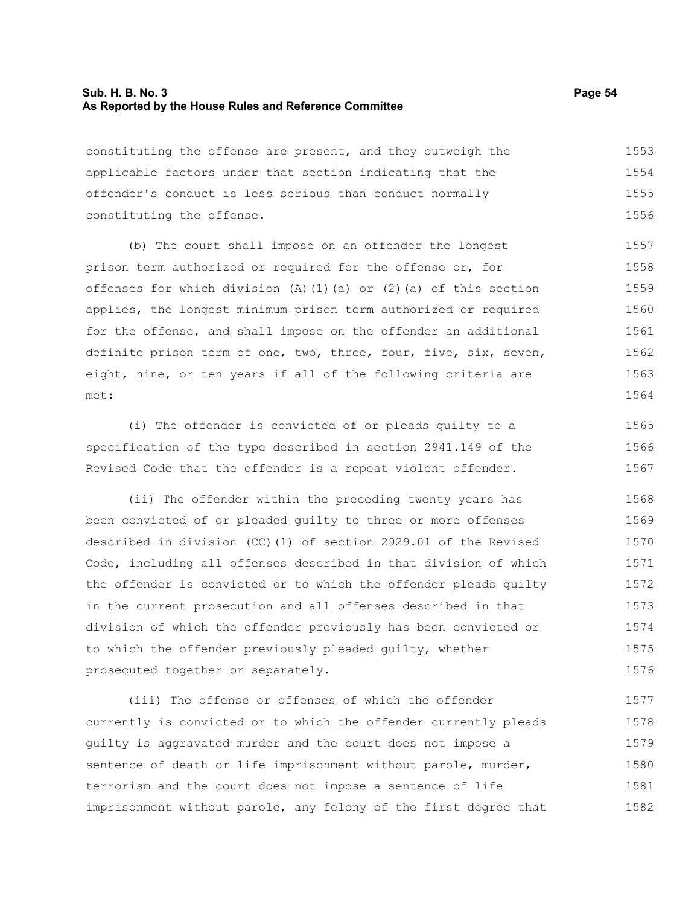## **Sub. H. B. No. 3 Page 54 As Reported by the House Rules and Reference Committee**

constituting the offense are present, and they outweigh the applicable factors under that section indicating that the offender's conduct is less serious than conduct normally constituting the offense. 1553 1554 1555 1556

(b) The court shall impose on an offender the longest prison term authorized or required for the offense or, for offenses for which division (A)(1)(a) or (2)(a) of this section applies, the longest minimum prison term authorized or required for the offense, and shall impose on the offender an additional definite prison term of one, two, three, four, five, six, seven, eight, nine, or ten years if all of the following criteria are met:

(i) The offender is convicted of or pleads guilty to a specification of the type described in section 2941.149 of the Revised Code that the offender is a repeat violent offender. 1565 1566 1567

(ii) The offender within the preceding twenty years has been convicted of or pleaded guilty to three or more offenses described in division (CC)(1) of section 2929.01 of the Revised Code, including all offenses described in that division of which the offender is convicted or to which the offender pleads guilty in the current prosecution and all offenses described in that division of which the offender previously has been convicted or to which the offender previously pleaded guilty, whether prosecuted together or separately. 1568 1569 1570 1571 1572 1573 1574 1575 1576

(iii) The offense or offenses of which the offender currently is convicted or to which the offender currently pleads guilty is aggravated murder and the court does not impose a sentence of death or life imprisonment without parole, murder, terrorism and the court does not impose a sentence of life imprisonment without parole, any felony of the first degree that 1577 1578 1579 1580 1581 1582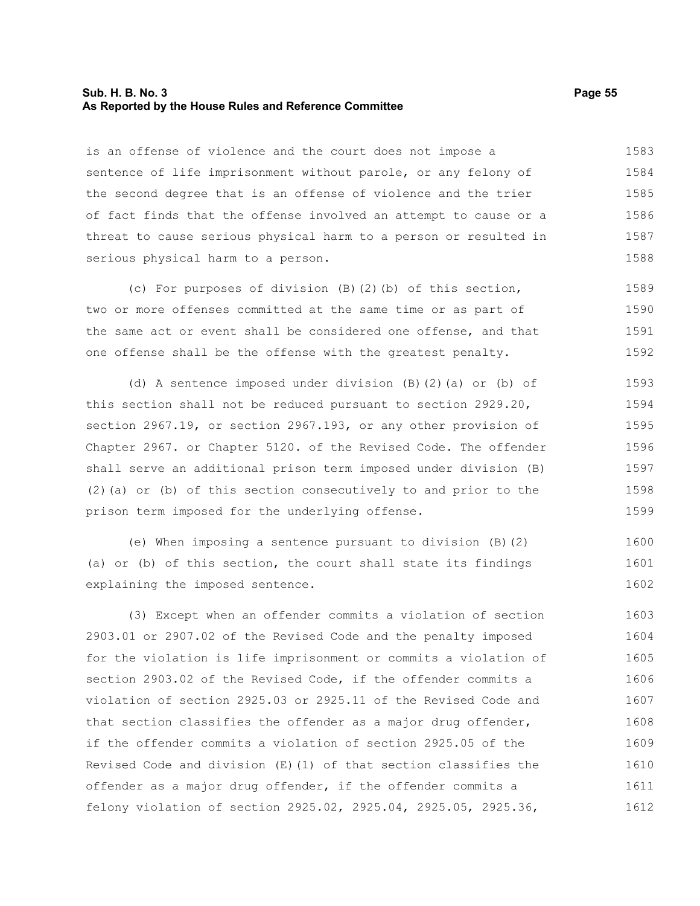### **Sub. H. B. No. 3 Page 55 As Reported by the House Rules and Reference Committee**

is an offense of violence and the court does not impose a sentence of life imprisonment without parole, or any felony of the second degree that is an offense of violence and the trier of fact finds that the offense involved an attempt to cause or a threat to cause serious physical harm to a person or resulted in serious physical harm to a person. 1583 1584 1585 1586 1587 1588

(c) For purposes of division (B)(2)(b) of this section, two or more offenses committed at the same time or as part of the same act or event shall be considered one offense, and that one offense shall be the offense with the greatest penalty. 1589 1590 1591 1592

(d) A sentence imposed under division (B)(2)(a) or (b) of this section shall not be reduced pursuant to section 2929.20, section 2967.19, or section 2967.193, or any other provision of Chapter 2967. or Chapter 5120. of the Revised Code. The offender shall serve an additional prison term imposed under division (B) (2)(a) or (b) of this section consecutively to and prior to the prison term imposed for the underlying offense. 1593 1594 1595 1596 1597 1598 1599

(e) When imposing a sentence pursuant to division (B)(2) (a) or (b) of this section, the court shall state its findings explaining the imposed sentence.

(3) Except when an offender commits a violation of section 2903.01 or 2907.02 of the Revised Code and the penalty imposed for the violation is life imprisonment or commits a violation of section 2903.02 of the Revised Code, if the offender commits a violation of section 2925.03 or 2925.11 of the Revised Code and that section classifies the offender as a major drug offender, if the offender commits a violation of section 2925.05 of the Revised Code and division  $(E)(1)$  of that section classifies the offender as a major drug offender, if the offender commits a felony violation of section 2925.02, 2925.04, 2925.05, 2925.36, 1603 1604 1605 1606 1607 1608 1609 1610 1611 1612

1600 1601 1602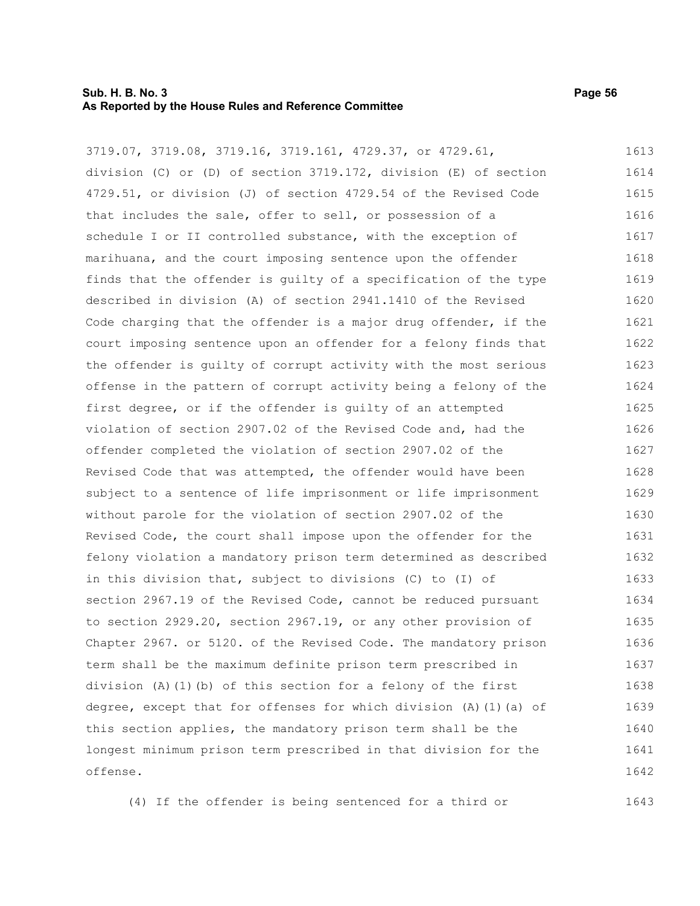## **Sub. H. B. No. 3 Page 56 As Reported by the House Rules and Reference Committee**

3719.07, 3719.08, 3719.16, 3719.161, 4729.37, or 4729.61, division (C) or (D) of section 3719.172, division (E) of section 4729.51, or division (J) of section 4729.54 of the Revised Code that includes the sale, offer to sell, or possession of a schedule I or II controlled substance, with the exception of marihuana, and the court imposing sentence upon the offender finds that the offender is guilty of a specification of the type described in division (A) of section 2941.1410 of the Revised Code charging that the offender is a major drug offender, if the court imposing sentence upon an offender for a felony finds that the offender is guilty of corrupt activity with the most serious offense in the pattern of corrupt activity being a felony of the first degree, or if the offender is guilty of an attempted violation of section 2907.02 of the Revised Code and, had the offender completed the violation of section 2907.02 of the Revised Code that was attempted, the offender would have been subject to a sentence of life imprisonment or life imprisonment without parole for the violation of section 2907.02 of the Revised Code, the court shall impose upon the offender for the felony violation a mandatory prison term determined as described in this division that, subject to divisions (C) to (I) of section 2967.19 of the Revised Code, cannot be reduced pursuant to section 2929.20, section 2967.19, or any other provision of Chapter 2967. or 5120. of the Revised Code. The mandatory prison term shall be the maximum definite prison term prescribed in division (A)(1)(b) of this section for a felony of the first degree, except that for offenses for which division  $(A)$   $(1)$   $(a)$  of this section applies, the mandatory prison term shall be the longest minimum prison term prescribed in that division for the offense. 1613 1614 1615 1616 1617 1618 1619 1620 1621 1622 1623 1624 1625 1626 1627 1628 1629 1630 1631 1632 1633 1634 1635 1636 1637 1638 1639 1640 1641 1642

(4) If the offender is being sentenced for a third or 1643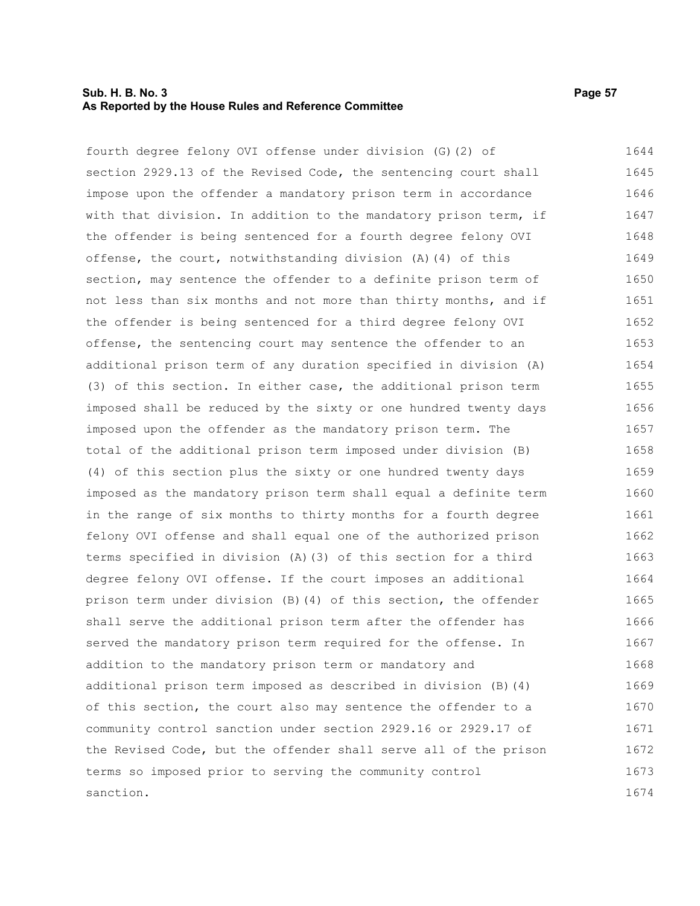## **Sub. H. B. No. 3 Page 57 As Reported by the House Rules and Reference Committee**

fourth degree felony OVI offense under division (G)(2) of section 2929.13 of the Revised Code, the sentencing court shall impose upon the offender a mandatory prison term in accordance with that division. In addition to the mandatory prison term, if the offender is being sentenced for a fourth degree felony OVI offense, the court, notwithstanding division (A)(4) of this section, may sentence the offender to a definite prison term of not less than six months and not more than thirty months, and if the offender is being sentenced for a third degree felony OVI offense, the sentencing court may sentence the offender to an additional prison term of any duration specified in division (A) (3) of this section. In either case, the additional prison term imposed shall be reduced by the sixty or one hundred twenty days imposed upon the offender as the mandatory prison term. The total of the additional prison term imposed under division (B) (4) of this section plus the sixty or one hundred twenty days imposed as the mandatory prison term shall equal a definite term in the range of six months to thirty months for a fourth degree felony OVI offense and shall equal one of the authorized prison terms specified in division (A)(3) of this section for a third degree felony OVI offense. If the court imposes an additional prison term under division (B)(4) of this section, the offender shall serve the additional prison term after the offender has served the mandatory prison term required for the offense. In addition to the mandatory prison term or mandatory and additional prison term imposed as described in division (B)(4) of this section, the court also may sentence the offender to a community control sanction under section 2929.16 or 2929.17 of the Revised Code, but the offender shall serve all of the prison terms so imposed prior to serving the community control sanction. 1644 1645 1646 1647 1648 1649 1650 1651 1652 1653 1654 1655 1656 1657 1658 1659 1660 1661 1662 1663 1664 1665 1666 1667 1668 1669 1670 1671 1672 1673 1674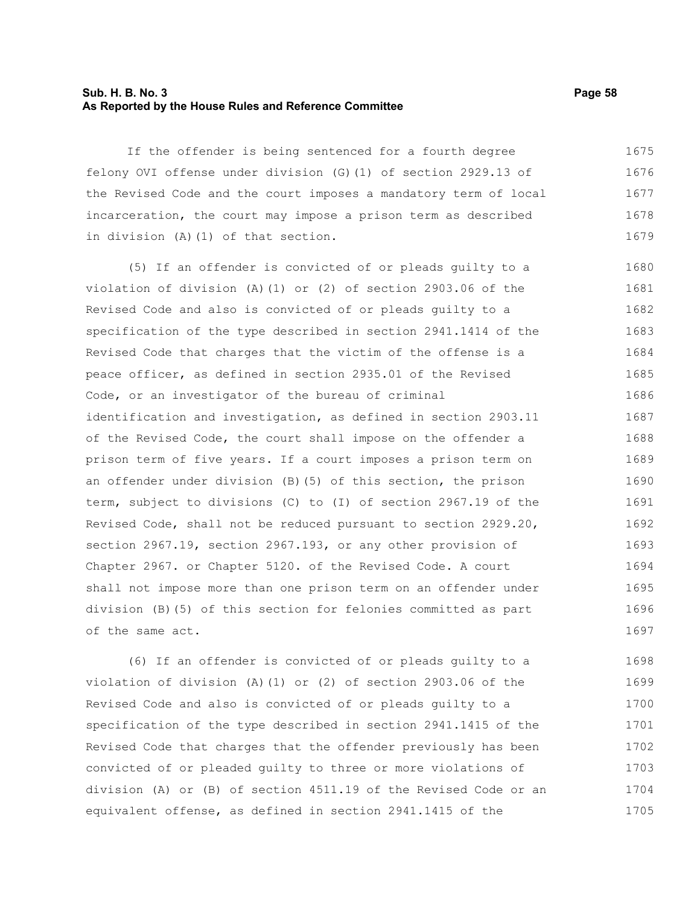## **Sub. H. B. No. 3 Page 58 As Reported by the House Rules and Reference Committee**

If the offender is being sentenced for a fourth degree felony OVI offense under division (G)(1) of section 2929.13 of the Revised Code and the court imposes a mandatory term of local incarceration, the court may impose a prison term as described in division (A)(1) of that section. 1675 1676 1677 1678 1679

(5) If an offender is convicted of or pleads guilty to a violation of division (A)(1) or (2) of section 2903.06 of the Revised Code and also is convicted of or pleads guilty to a specification of the type described in section 2941.1414 of the Revised Code that charges that the victim of the offense is a peace officer, as defined in section 2935.01 of the Revised Code, or an investigator of the bureau of criminal identification and investigation, as defined in section 2903.11 of the Revised Code, the court shall impose on the offender a prison term of five years. If a court imposes a prison term on an offender under division (B)(5) of this section, the prison term, subject to divisions (C) to (I) of section 2967.19 of the Revised Code, shall not be reduced pursuant to section 2929.20, section 2967.19, section 2967.193, or any other provision of Chapter 2967. or Chapter 5120. of the Revised Code. A court shall not impose more than one prison term on an offender under division (B)(5) of this section for felonies committed as part of the same act. 1680 1681 1682 1683 1684 1685 1686 1687 1688 1689 1690 1691 1692 1693 1694 1695 1696 1697

(6) If an offender is convicted of or pleads guilty to a violation of division (A)(1) or (2) of section 2903.06 of the Revised Code and also is convicted of or pleads guilty to a specification of the type described in section 2941.1415 of the Revised Code that charges that the offender previously has been convicted of or pleaded guilty to three or more violations of division (A) or (B) of section 4511.19 of the Revised Code or an equivalent offense, as defined in section 2941.1415 of the 1698 1699 1700 1701 1702 1703 1704 1705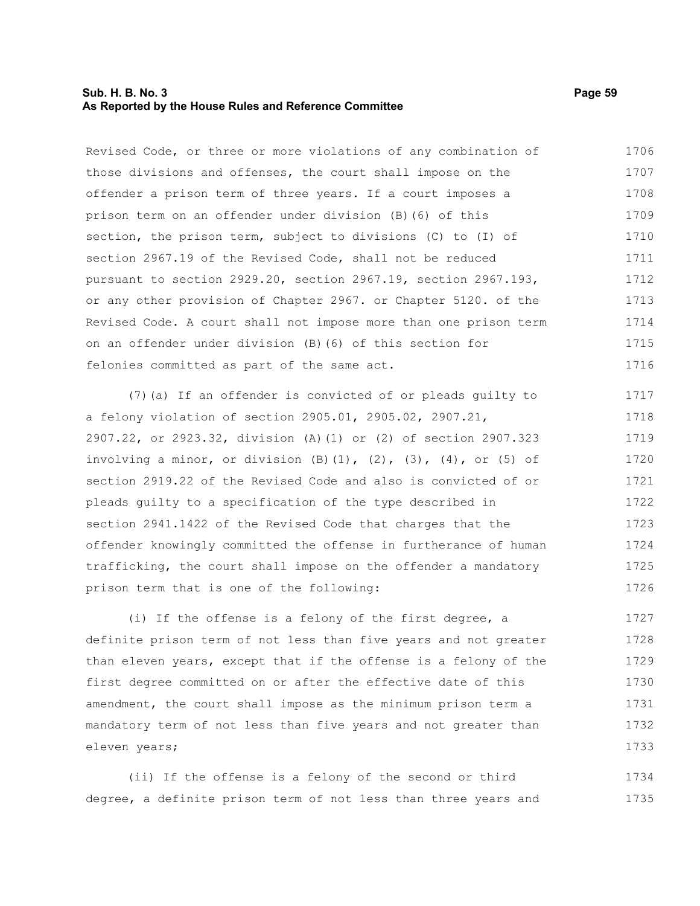## **Sub. H. B. No. 3 Page 59 As Reported by the House Rules and Reference Committee**

Revised Code, or three or more violations of any combination of those divisions and offenses, the court shall impose on the offender a prison term of three years. If a court imposes a prison term on an offender under division (B)(6) of this section, the prison term, subject to divisions (C) to (I) of section 2967.19 of the Revised Code, shall not be reduced pursuant to section 2929.20, section 2967.19, section 2967.193, or any other provision of Chapter 2967. or Chapter 5120. of the Revised Code. A court shall not impose more than one prison term on an offender under division (B)(6) of this section for felonies committed as part of the same act. 1706 1707 1708 1709 1710 1711 1712 1713 1714 1715 1716

(7)(a) If an offender is convicted of or pleads guilty to a felony violation of section 2905.01, 2905.02, 2907.21, 2907.22, or 2923.32, division (A)(1) or (2) of section 2907.323 involving a minor, or division  $(B)$   $(1)$ ,  $(2)$ ,  $(3)$ ,  $(4)$ , or  $(5)$  of section 2919.22 of the Revised Code and also is convicted of or pleads guilty to a specification of the type described in section 2941.1422 of the Revised Code that charges that the offender knowingly committed the offense in furtherance of human trafficking, the court shall impose on the offender a mandatory prison term that is one of the following: 1717 1718 1719 1720 1721 1722 1723 1724 1725 1726

(i) If the offense is a felony of the first degree, a definite prison term of not less than five years and not greater than eleven years, except that if the offense is a felony of the first degree committed on or after the effective date of this amendment, the court shall impose as the minimum prison term a mandatory term of not less than five years and not greater than eleven years; 1727 1728 1729 1730 1731 1732 1733

(ii) If the offense is a felony of the second or third degree, a definite prison term of not less than three years and 1734 1735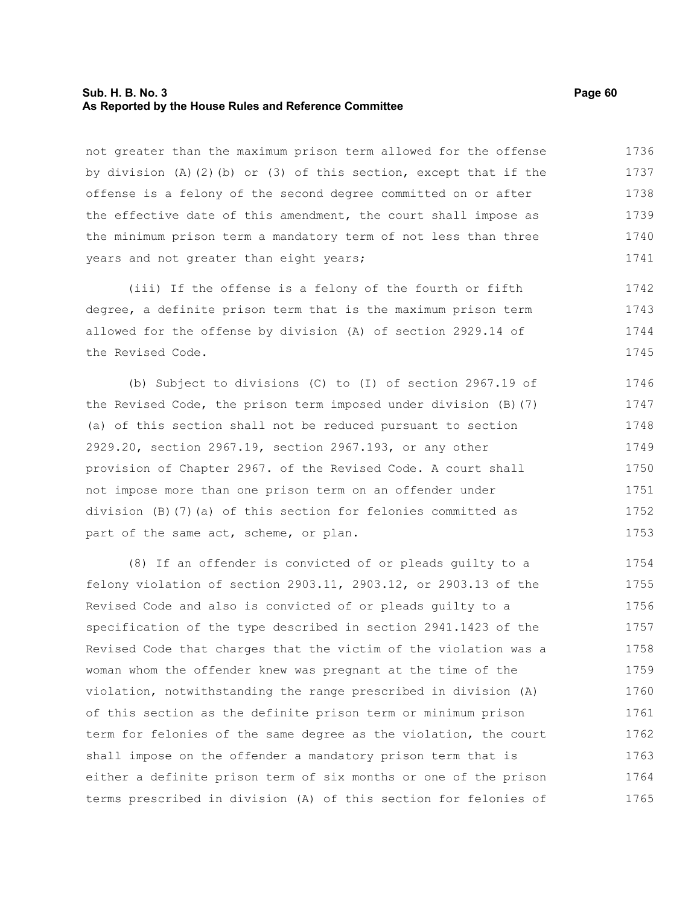## **Sub. H. B. No. 3 Page 60 As Reported by the House Rules and Reference Committee**

not greater than the maximum prison term allowed for the offense by division  $(A)$   $(2)$   $(b)$  or  $(3)$  of this section, except that if the offense is a felony of the second degree committed on or after the effective date of this amendment, the court shall impose as the minimum prison term a mandatory term of not less than three years and not greater than eight years; 1736 1737 1738 1739 1740 1741

(iii) If the offense is a felony of the fourth or fifth degree, a definite prison term that is the maximum prison term allowed for the offense by division (A) of section 2929.14 of the Revised Code. 1742 1743 1744 1745

(b) Subject to divisions (C) to (I) of section 2967.19 of the Revised Code, the prison term imposed under division (B)(7) (a) of this section shall not be reduced pursuant to section 2929.20, section 2967.19, section 2967.193, or any other provision of Chapter 2967. of the Revised Code. A court shall not impose more than one prison term on an offender under division (B)(7)(a) of this section for felonies committed as part of the same act, scheme, or plan. 1746 1747 1748 1749 1750 1751 1752 1753

(8) If an offender is convicted of or pleads guilty to a felony violation of section 2903.11, 2903.12, or 2903.13 of the Revised Code and also is convicted of or pleads guilty to a specification of the type described in section 2941.1423 of the Revised Code that charges that the victim of the violation was a woman whom the offender knew was pregnant at the time of the violation, notwithstanding the range prescribed in division (A) of this section as the definite prison term or minimum prison term for felonies of the same degree as the violation, the court shall impose on the offender a mandatory prison term that is either a definite prison term of six months or one of the prison terms prescribed in division (A) of this section for felonies of 1754 1755 1756 1757 1758 1759 1760 1761 1762 1763 1764 1765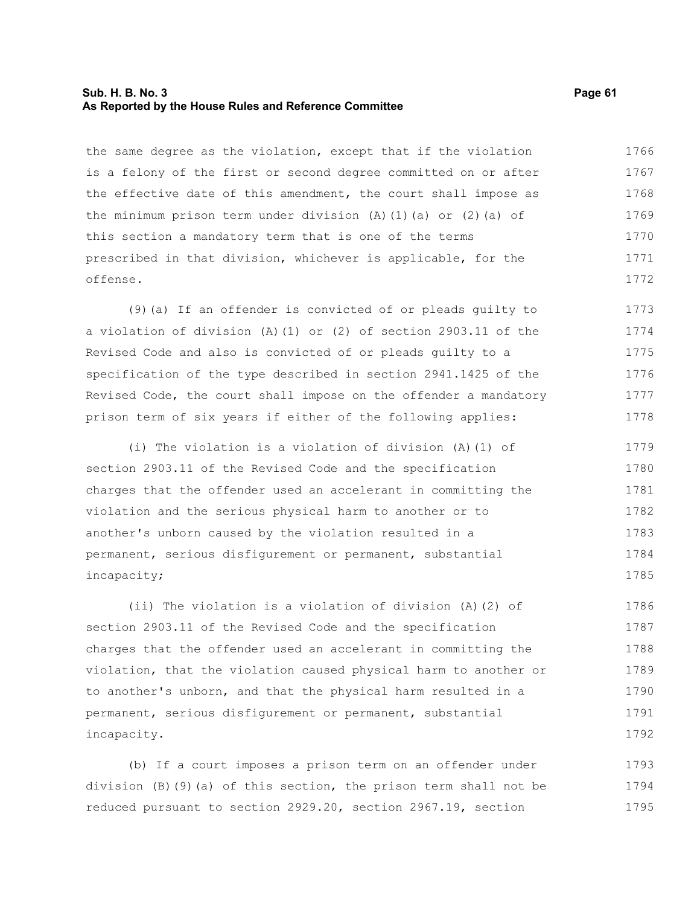## **Sub. H. B. No. 3 Page 61 As Reported by the House Rules and Reference Committee**

the same degree as the violation, except that if the violation is a felony of the first or second degree committed on or after the effective date of this amendment, the court shall impose as the minimum prison term under division  $(A)$   $(1)$   $(a)$  or  $(2)$   $(a)$  of this section a mandatory term that is one of the terms prescribed in that division, whichever is applicable, for the offense. 1766 1767 1768 1769 1770 1771 1772

(9)(a) If an offender is convicted of or pleads guilty to a violation of division (A)(1) or (2) of section 2903.11 of the Revised Code and also is convicted of or pleads guilty to a specification of the type described in section 2941.1425 of the Revised Code, the court shall impose on the offender a mandatory prison term of six years if either of the following applies: 1773 1774 1775 1776 1777 1778

(i) The violation is a violation of division (A)(1) of section 2903.11 of the Revised Code and the specification charges that the offender used an accelerant in committing the violation and the serious physical harm to another or to another's unborn caused by the violation resulted in a permanent, serious disfigurement or permanent, substantial incapacity; 1779 1780 1781 1782 1783 1784 1785

(ii) The violation is a violation of division (A)(2) of section 2903.11 of the Revised Code and the specification charges that the offender used an accelerant in committing the violation, that the violation caused physical harm to another or to another's unborn, and that the physical harm resulted in a permanent, serious disfigurement or permanent, substantial incapacity. 1786 1787 1788 1789 1790 1791 1792

(b) If a court imposes a prison term on an offender under division (B)(9)(a) of this section, the prison term shall not be reduced pursuant to section 2929.20, section 2967.19, section 1793 1794 1795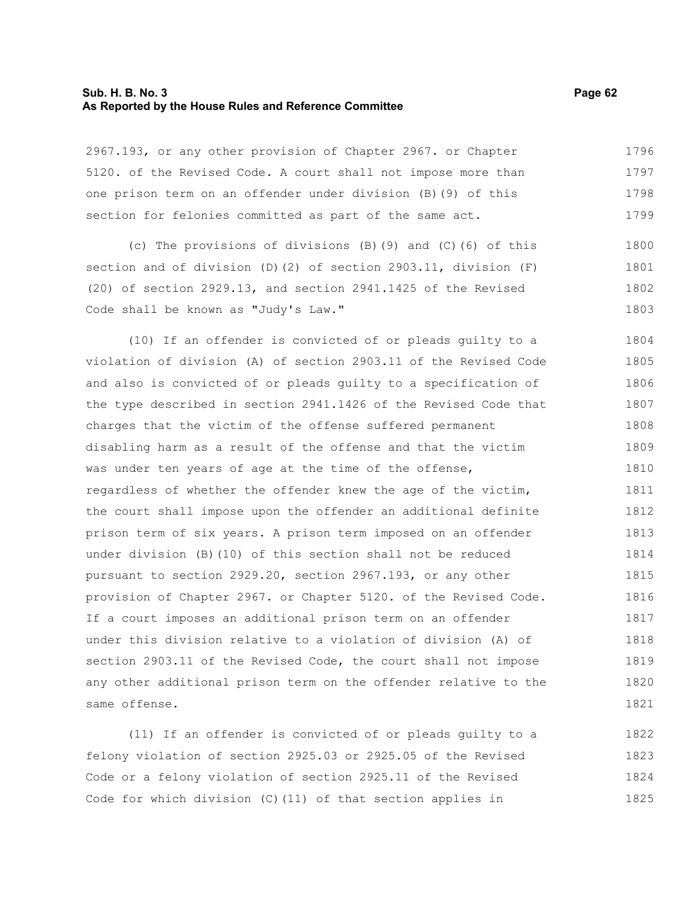## **Sub. H. B. No. 3 Page 62 As Reported by the House Rules and Reference Committee**

2967.193, or any other provision of Chapter 2967. or Chapter 5120. of the Revised Code. A court shall not impose more than one prison term on an offender under division (B)(9) of this section for felonies committed as part of the same act. 1796 1797 1798 1799

(c) The provisions of divisions (B)(9) and (C)(6) of this section and of division (D)(2) of section 2903.11, division (F) (20) of section 2929.13, and section 2941.1425 of the Revised Code shall be known as "Judy's Law." 1800 1801 1802 1803

(10) If an offender is convicted of or pleads guilty to a violation of division (A) of section 2903.11 of the Revised Code and also is convicted of or pleads guilty to a specification of the type described in section 2941.1426 of the Revised Code that charges that the victim of the offense suffered permanent disabling harm as a result of the offense and that the victim was under ten years of age at the time of the offense, regardless of whether the offender knew the age of the victim, the court shall impose upon the offender an additional definite prison term of six years. A prison term imposed on an offender under division (B)(10) of this section shall not be reduced pursuant to section 2929.20, section 2967.193, or any other provision of Chapter 2967. or Chapter 5120. of the Revised Code. If a court imposes an additional prison term on an offender under this division relative to a violation of division (A) of section 2903.11 of the Revised Code, the court shall not impose any other additional prison term on the offender relative to the same offense. 1804 1805 1806 1807 1808 1809 1810 1811 1812 1813 1814 1815 1816 1817 1818 1819 1820 1821

(11) If an offender is convicted of or pleads guilty to a felony violation of section 2925.03 or 2925.05 of the Revised Code or a felony violation of section 2925.11 of the Revised Code for which division (C)(11) of that section applies in 1822 1823 1824 1825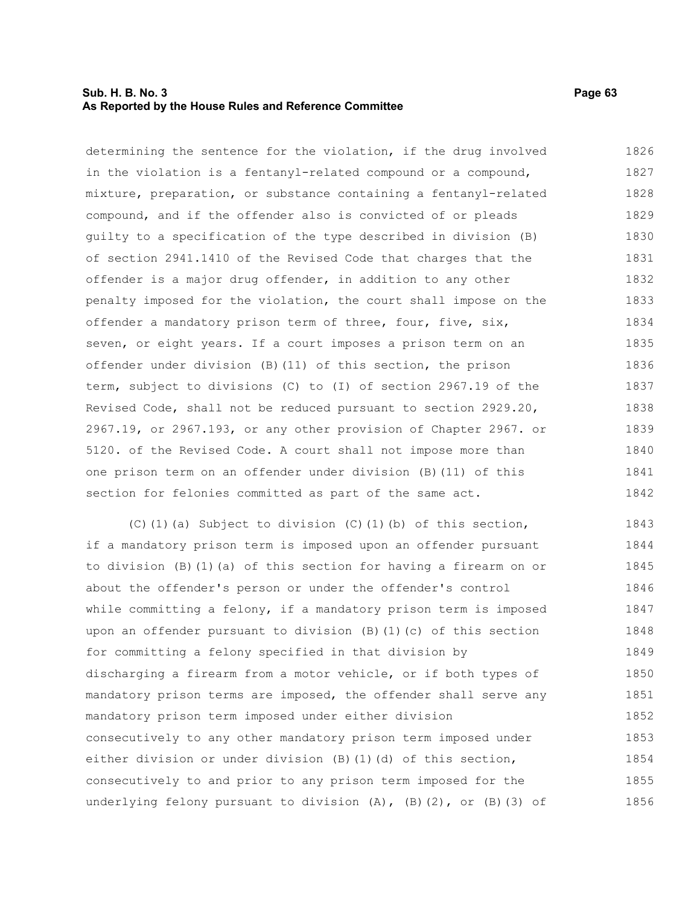## **Sub. H. B. No. 3 Page 63 As Reported by the House Rules and Reference Committee**

determining the sentence for the violation, if the drug involved in the violation is a fentanyl-related compound or a compound, mixture, preparation, or substance containing a fentanyl-related compound, and if the offender also is convicted of or pleads guilty to a specification of the type described in division (B) of section 2941.1410 of the Revised Code that charges that the offender is a major drug offender, in addition to any other penalty imposed for the violation, the court shall impose on the offender a mandatory prison term of three, four, five, six, seven, or eight years. If a court imposes a prison term on an offender under division (B)(11) of this section, the prison term, subject to divisions (C) to (I) of section 2967.19 of the Revised Code, shall not be reduced pursuant to section 2929.20, 2967.19, or 2967.193, or any other provision of Chapter 2967. or 5120. of the Revised Code. A court shall not impose more than one prison term on an offender under division (B)(11) of this section for felonies committed as part of the same act. 1826 1827 1828 1829 1830 1831 1832 1833 1834 1835 1836 1837 1838 1839 1840 1841 1842

(C)(1)(a) Subject to division (C)(1)(b) of this section, if a mandatory prison term is imposed upon an offender pursuant to division (B)(1)(a) of this section for having a firearm on or about the offender's person or under the offender's control while committing a felony, if a mandatory prison term is imposed upon an offender pursuant to division (B)(1)(c) of this section for committing a felony specified in that division by discharging a firearm from a motor vehicle, or if both types of mandatory prison terms are imposed, the offender shall serve any mandatory prison term imposed under either division consecutively to any other mandatory prison term imposed under either division or under division (B)(1)(d) of this section, consecutively to and prior to any prison term imposed for the underlying felony pursuant to division  $(A)$ ,  $(B)$   $(2)$ , or  $(B)$   $(3)$  of 1843 1844 1845 1846 1847 1848 1849 1850 1851 1852 1853 1854 1855 1856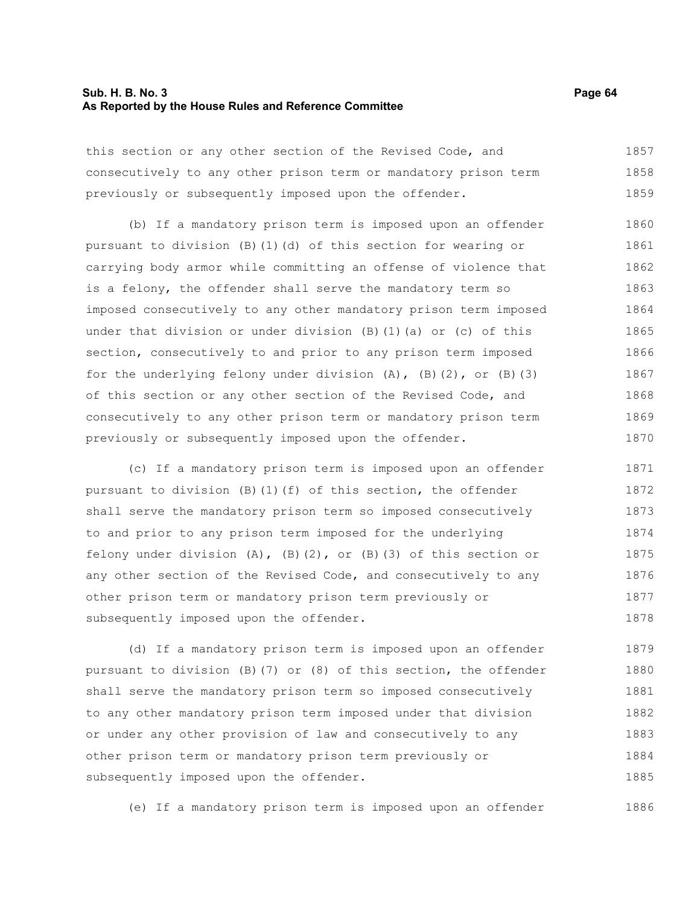## **Sub. H. B. No. 3 Page 64 As Reported by the House Rules and Reference Committee**

this section or any other section of the Revised Code, and consecutively to any other prison term or mandatory prison term previously or subsequently imposed upon the offender. 1857 1858 1859

(b) If a mandatory prison term is imposed upon an offender pursuant to division (B)(1)(d) of this section for wearing or carrying body armor while committing an offense of violence that is a felony, the offender shall serve the mandatory term so imposed consecutively to any other mandatory prison term imposed under that division or under division (B)(1)(a) or (c) of this section, consecutively to and prior to any prison term imposed for the underlying felony under division  $(A)$ ,  $(B)$   $(2)$ , or  $(B)$   $(3)$ of this section or any other section of the Revised Code, and consecutively to any other prison term or mandatory prison term previously or subsequently imposed upon the offender. 1860 1861 1862 1863 1864 1865 1866 1867 1868 1869 1870

(c) If a mandatory prison term is imposed upon an offender pursuant to division  $(B)(1)(f)$  of this section, the offender shall serve the mandatory prison term so imposed consecutively to and prior to any prison term imposed for the underlying felony under division  $(A)$ ,  $(B)$   $(2)$ , or  $(B)$   $(3)$  of this section or any other section of the Revised Code, and consecutively to any other prison term or mandatory prison term previously or subsequently imposed upon the offender. 1871 1872 1873 1874 1875 1876 1877 1878

(d) If a mandatory prison term is imposed upon an offender pursuant to division (B)(7) or (8) of this section, the offender shall serve the mandatory prison term so imposed consecutively to any other mandatory prison term imposed under that division or under any other provision of law and consecutively to any other prison term or mandatory prison term previously or subsequently imposed upon the offender. 1879 1880 1881 1882 1883 1884 1885

(e) If a mandatory prison term is imposed upon an offender 1886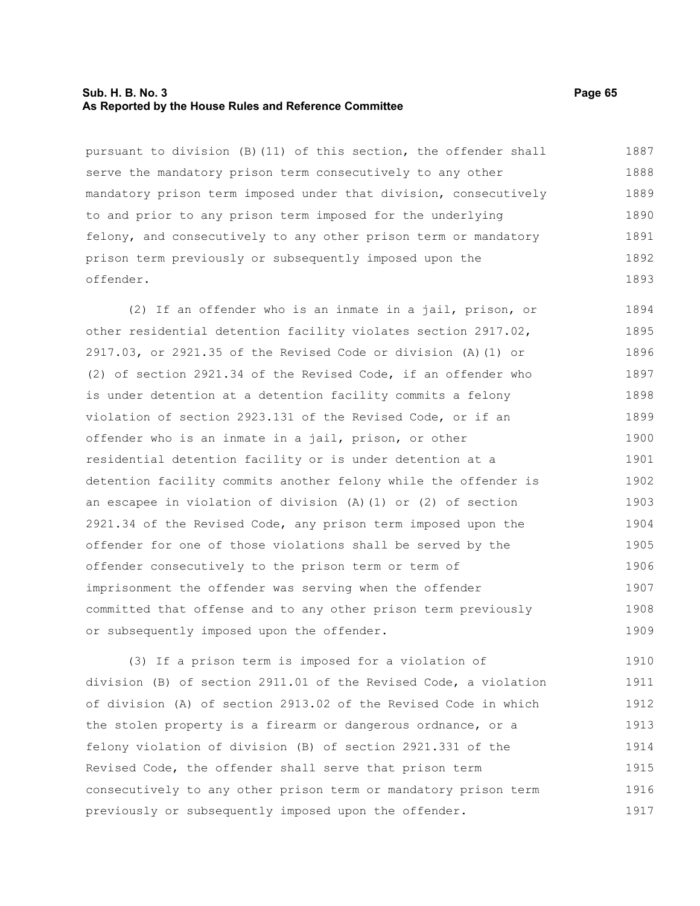## **Sub. H. B. No. 3 Page 65 As Reported by the House Rules and Reference Committee**

pursuant to division (B)(11) of this section, the offender shall serve the mandatory prison term consecutively to any other mandatory prison term imposed under that division, consecutively to and prior to any prison term imposed for the underlying felony, and consecutively to any other prison term or mandatory prison term previously or subsequently imposed upon the offender. 1887 1888 1889 1890 1891 1892 1893

(2) If an offender who is an inmate in a jail, prison, or other residential detention facility violates section 2917.02, 2917.03, or 2921.35 of the Revised Code or division (A)(1) or (2) of section 2921.34 of the Revised Code, if an offender who is under detention at a detention facility commits a felony violation of section 2923.131 of the Revised Code, or if an offender who is an inmate in a jail, prison, or other residential detention facility or is under detention at a detention facility commits another felony while the offender is an escapee in violation of division (A)(1) or (2) of section 2921.34 of the Revised Code, any prison term imposed upon the offender for one of those violations shall be served by the offender consecutively to the prison term or term of imprisonment the offender was serving when the offender committed that offense and to any other prison term previously or subsequently imposed upon the offender. 1894 1895 1896 1897 1898 1899 1900 1901 1902 1903 1904 1905 1906 1907 1908 1909

(3) If a prison term is imposed for a violation of division (B) of section 2911.01 of the Revised Code, a violation of division (A) of section 2913.02 of the Revised Code in which the stolen property is a firearm or dangerous ordnance, or a felony violation of division (B) of section 2921.331 of the Revised Code, the offender shall serve that prison term consecutively to any other prison term or mandatory prison term previously or subsequently imposed upon the offender. 1910 1911 1912 1913 1914 1915 1916 1917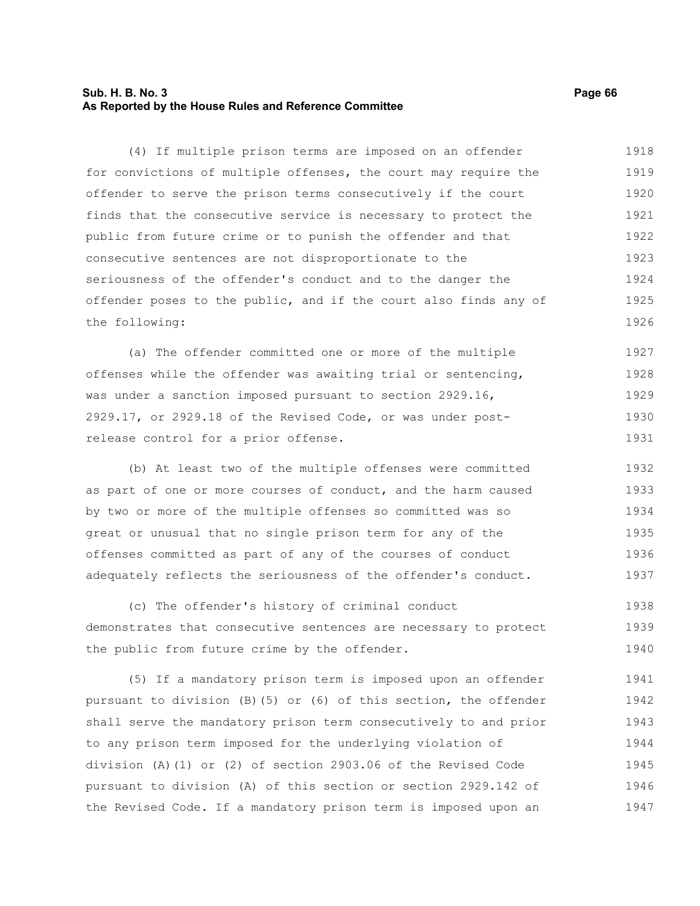## **Sub. H. B. No. 3 Page 66 As Reported by the House Rules and Reference Committee**

(4) If multiple prison terms are imposed on an offender for convictions of multiple offenses, the court may require the offender to serve the prison terms consecutively if the court finds that the consecutive service is necessary to protect the public from future crime or to punish the offender and that consecutive sentences are not disproportionate to the seriousness of the offender's conduct and to the danger the offender poses to the public, and if the court also finds any of the following: 1918 1919 1920 1921 1922 1923 1924 1925 1926

(a) The offender committed one or more of the multiple offenses while the offender was awaiting trial or sentencing, was under a sanction imposed pursuant to section 2929.16, 2929.17, or 2929.18 of the Revised Code, or was under postrelease control for a prior offense. 1927 1928 1929 1930 1931

(b) At least two of the multiple offenses were committed as part of one or more courses of conduct, and the harm caused by two or more of the multiple offenses so committed was so great or unusual that no single prison term for any of the offenses committed as part of any of the courses of conduct adequately reflects the seriousness of the offender's conduct. 1932 1933 1934 1935 1936 1937

(c) The offender's history of criminal conduct demonstrates that consecutive sentences are necessary to protect the public from future crime by the offender. 1938 1939 1940

(5) If a mandatory prison term is imposed upon an offender pursuant to division (B)(5) or (6) of this section, the offender shall serve the mandatory prison term consecutively to and prior to any prison term imposed for the underlying violation of division (A)(1) or (2) of section 2903.06 of the Revised Code pursuant to division (A) of this section or section 2929.142 of the Revised Code. If a mandatory prison term is imposed upon an 1941 1942 1943 1944 1945 1946 1947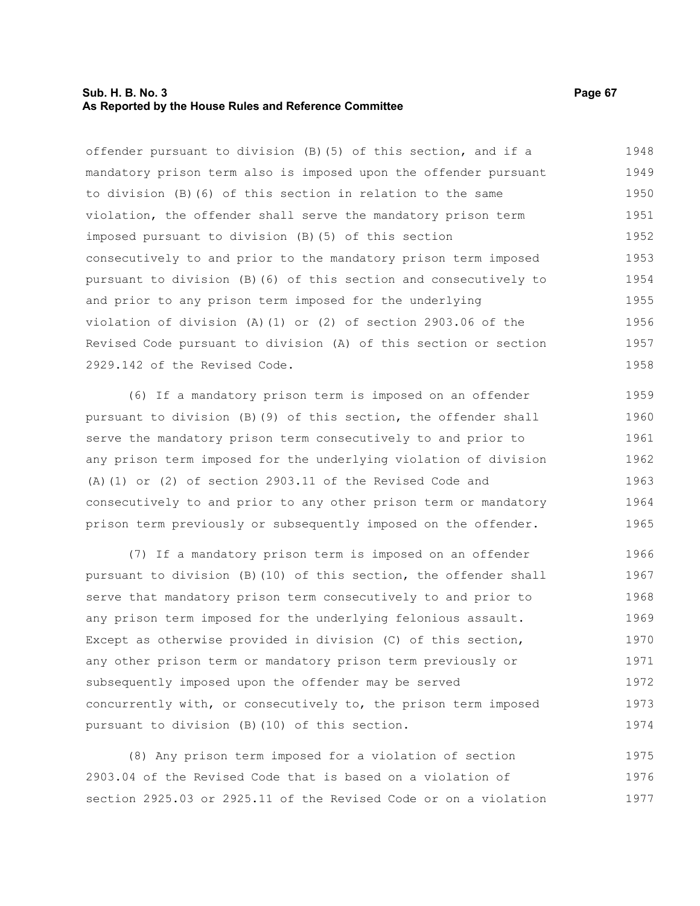## **Sub. H. B. No. 3 Page 67 As Reported by the House Rules and Reference Committee**

offender pursuant to division (B)(5) of this section, and if a mandatory prison term also is imposed upon the offender pursuant to division (B)(6) of this section in relation to the same violation, the offender shall serve the mandatory prison term imposed pursuant to division (B)(5) of this section consecutively to and prior to the mandatory prison term imposed pursuant to division (B)(6) of this section and consecutively to and prior to any prison term imposed for the underlying violation of division (A)(1) or (2) of section 2903.06 of the Revised Code pursuant to division (A) of this section or section 2929.142 of the Revised Code. 1948 1949 1950 1951 1952 1953 1954 1955 1956 1957 1958

(6) If a mandatory prison term is imposed on an offender pursuant to division (B)(9) of this section, the offender shall serve the mandatory prison term consecutively to and prior to any prison term imposed for the underlying violation of division (A)(1) or (2) of section 2903.11 of the Revised Code and consecutively to and prior to any other prison term or mandatory prison term previously or subsequently imposed on the offender. 1959 1960 1961 1962 1963 1964 1965

(7) If a mandatory prison term is imposed on an offender pursuant to division (B)(10) of this section, the offender shall serve that mandatory prison term consecutively to and prior to any prison term imposed for the underlying felonious assault. Except as otherwise provided in division (C) of this section, any other prison term or mandatory prison term previously or subsequently imposed upon the offender may be served concurrently with, or consecutively to, the prison term imposed pursuant to division (B)(10) of this section. 1966 1967 1968 1969 1970 1971 1972 1973 1974

(8) Any prison term imposed for a violation of section 2903.04 of the Revised Code that is based on a violation of section 2925.03 or 2925.11 of the Revised Code or on a violation 1975 1976 1977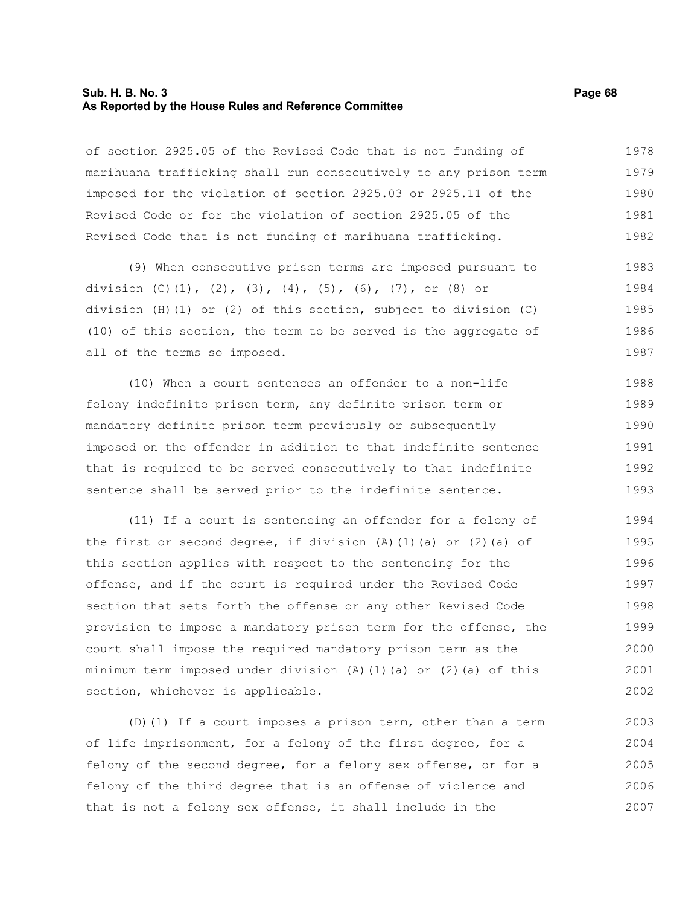#### **Sub. H. B. No. 3 Page 68 As Reported by the House Rules and Reference Committee**

of section 2925.05 of the Revised Code that is not funding of marihuana trafficking shall run consecutively to any prison term imposed for the violation of section 2925.03 or 2925.11 of the Revised Code or for the violation of section 2925.05 of the Revised Code that is not funding of marihuana trafficking. 1978 1979 1980 1981 1982

(9) When consecutive prison terms are imposed pursuant to division (C)(1), (2), (3), (4), (5), (6), (7), or (8) or division (H)(1) or (2) of this section, subject to division (C) (10) of this section, the term to be served is the aggregate of all of the terms so imposed. 1983 1984 1985 1986 1987

(10) When a court sentences an offender to a non-life felony indefinite prison term, any definite prison term or mandatory definite prison term previously or subsequently imposed on the offender in addition to that indefinite sentence that is required to be served consecutively to that indefinite sentence shall be served prior to the indefinite sentence. 1988 1989 1990 1991 1992 1993

(11) If a court is sentencing an offender for a felony of the first or second degree, if division  $(A)$   $(1)$   $(a)$  or  $(2)$   $(a)$  of this section applies with respect to the sentencing for the offense, and if the court is required under the Revised Code section that sets forth the offense or any other Revised Code provision to impose a mandatory prison term for the offense, the court shall impose the required mandatory prison term as the minimum term imposed under division  $(A)$   $(1)$   $(a)$  or  $(2)$   $(a)$  of this section, whichever is applicable. 1994 1995 1996 1997 1998 1999 2000 2001 2002

(D)(1) If a court imposes a prison term, other than a term of life imprisonment, for a felony of the first degree, for a felony of the second degree, for a felony sex offense, or for a felony of the third degree that is an offense of violence and that is not a felony sex offense, it shall include in the 2003 2004 2005 2006 2007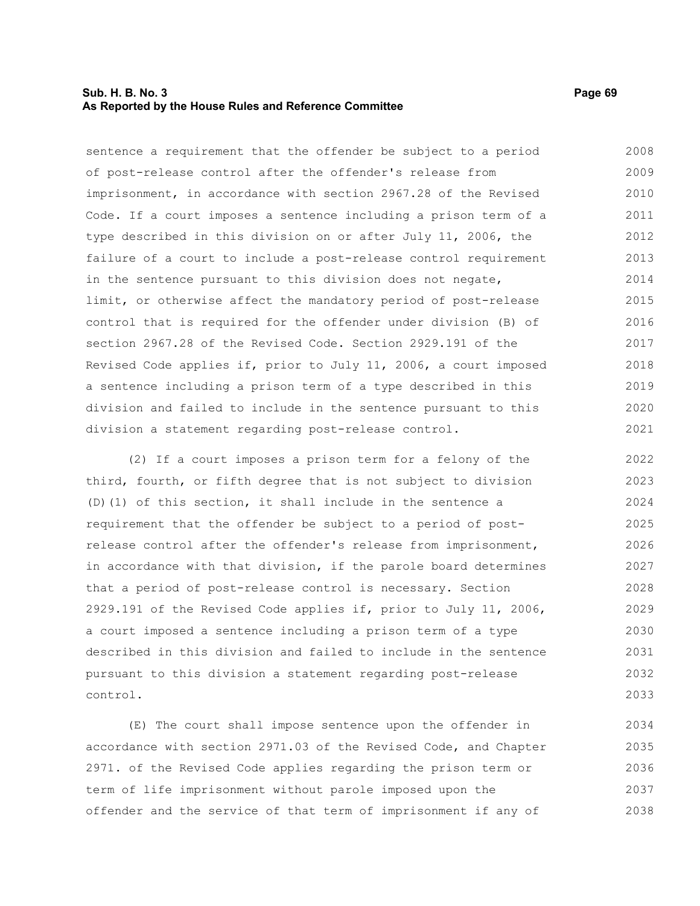## **Sub. H. B. No. 3 Page 69 As Reported by the House Rules and Reference Committee**

sentence a requirement that the offender be subject to a period of post-release control after the offender's release from imprisonment, in accordance with section 2967.28 of the Revised Code. If a court imposes a sentence including a prison term of a type described in this division on or after July 11, 2006, the failure of a court to include a post-release control requirement in the sentence pursuant to this division does not negate, limit, or otherwise affect the mandatory period of post-release control that is required for the offender under division (B) of section 2967.28 of the Revised Code. Section 2929.191 of the Revised Code applies if, prior to July 11, 2006, a court imposed a sentence including a prison term of a type described in this division and failed to include in the sentence pursuant to this division a statement regarding post-release control. 2008 2009 2010 2011 2012 2013 2014 2015 2016 2017 2018 2019 2020 2021

(2) If a court imposes a prison term for a felony of the third, fourth, or fifth degree that is not subject to division (D)(1) of this section, it shall include in the sentence a requirement that the offender be subject to a period of postrelease control after the offender's release from imprisonment, in accordance with that division, if the parole board determines that a period of post-release control is necessary. Section 2929.191 of the Revised Code applies if, prior to July 11, 2006, a court imposed a sentence including a prison term of a type described in this division and failed to include in the sentence pursuant to this division a statement regarding post-release control. 2022 2023 2024 2025 2026 2027 2028 2029 2030 2031 2032 2033

(E) The court shall impose sentence upon the offender in accordance with section 2971.03 of the Revised Code, and Chapter 2971. of the Revised Code applies regarding the prison term or term of life imprisonment without parole imposed upon the offender and the service of that term of imprisonment if any of 2034 2035 2036 2037 2038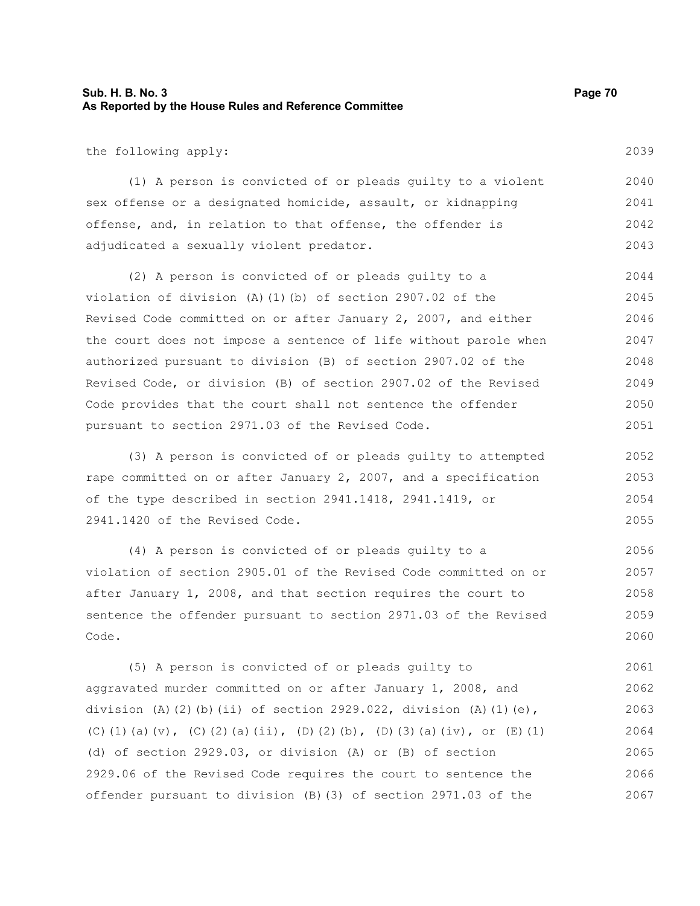# **Sub. H. B. No. 3 Page 70 As Reported by the House Rules and Reference Committee**

the following apply:

(1) A person is convicted of or pleads guilty to a violent sex offense or a designated homicide, assault, or kidnapping offense, and, in relation to that offense, the offender is adjudicated a sexually violent predator. 2040 2041 2042 2043

(2) A person is convicted of or pleads guilty to a violation of division (A)(1)(b) of section 2907.02 of the Revised Code committed on or after January 2, 2007, and either the court does not impose a sentence of life without parole when authorized pursuant to division (B) of section 2907.02 of the Revised Code, or division (B) of section 2907.02 of the Revised Code provides that the court shall not sentence the offender pursuant to section 2971.03 of the Revised Code. 2044 2045 2046 2047 2048 2049 2050 2051

(3) A person is convicted of or pleads guilty to attempted rape committed on or after January 2, 2007, and a specification of the type described in section 2941.1418, 2941.1419, or 2941.1420 of the Revised Code. 2052 2053 2054 2055

(4) A person is convicted of or pleads guilty to a violation of section 2905.01 of the Revised Code committed on or after January 1, 2008, and that section requires the court to sentence the offender pursuant to section 2971.03 of the Revised Code. 2056 2057 2058 2059 2060

(5) A person is convicted of or pleads guilty to aggravated murder committed on or after January 1, 2008, and division (A)(2)(b)(ii) of section 2929.022, division (A)(1)(e), (C)(1)(a)(v), (C)(2)(a)(ii), (D)(2)(b), (D)(3)(a)(iv), or (E)(1) (d) of section 2929.03, or division (A) or (B) of section 2929.06 of the Revised Code requires the court to sentence the offender pursuant to division (B)(3) of section 2971.03 of the 2061 2062 2063 2064 2065 2066 2067

2039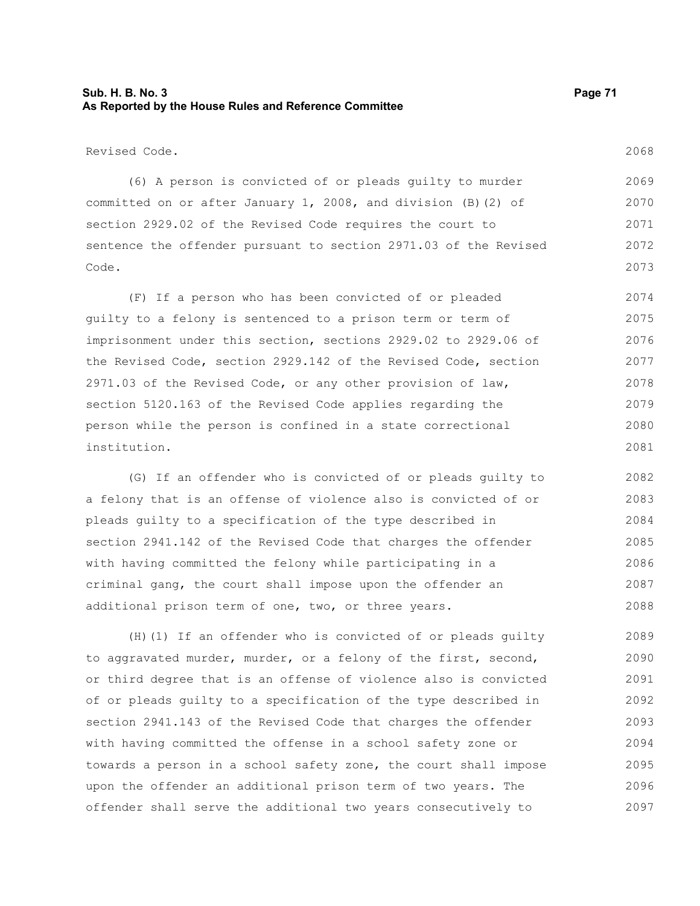# **Sub. H. B. No. 3 Page 71 As Reported by the House Rules and Reference Committee**

2068

Revised Code.

(6) A person is convicted of or pleads guilty to murder committed on or after January 1, 2008, and division (B)(2) of section 2929.02 of the Revised Code requires the court to sentence the offender pursuant to section 2971.03 of the Revised Code. 2069 2070 2071 2072 2073

(F) If a person who has been convicted of or pleaded guilty to a felony is sentenced to a prison term or term of imprisonment under this section, sections 2929.02 to 2929.06 of the Revised Code, section 2929.142 of the Revised Code, section 2971.03 of the Revised Code, or any other provision of law, section 5120.163 of the Revised Code applies regarding the person while the person is confined in a state correctional institution. 2074 2075 2076 2077 2078 2079 2080 2081

(G) If an offender who is convicted of or pleads guilty to a felony that is an offense of violence also is convicted of or pleads guilty to a specification of the type described in section 2941.142 of the Revised Code that charges the offender with having committed the felony while participating in a criminal gang, the court shall impose upon the offender an additional prison term of one, two, or three years. 2082 2083 2084 2085 2086 2087 2088

(H)(1) If an offender who is convicted of or pleads guilty to aggravated murder, murder, or a felony of the first, second, or third degree that is an offense of violence also is convicted of or pleads guilty to a specification of the type described in section 2941.143 of the Revised Code that charges the offender with having committed the offense in a school safety zone or towards a person in a school safety zone, the court shall impose upon the offender an additional prison term of two years. The offender shall serve the additional two years consecutively to 2089 2090 2091 2092 2093 2094 2095 2096 2097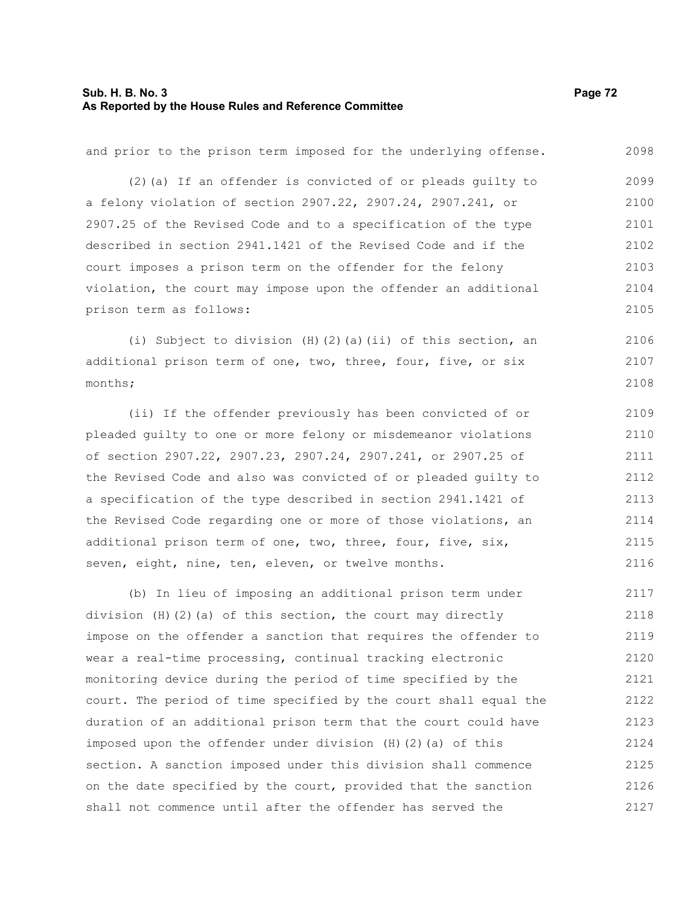## **Sub. H. B. No. 3 Page 72 As Reported by the House Rules and Reference Committee**

| and prior to the prison term imposed for the underlying offense. | 2098 |
|------------------------------------------------------------------|------|
| (2) (a) If an offender is convicted of or pleads quilty to       | 2099 |
| a felony violation of section 2907.22, 2907.24, 2907.241, or     | 2100 |
| 2907.25 of the Revised Code and to a specification of the type   | 2101 |
| described in section 2941.1421 of the Revised Code and if the    | 2102 |
| court imposes a prison term on the offender for the felony       | 2103 |
| violation, the court may impose upon the offender an additional  | 2104 |
| prison term as follows:                                          | 2105 |
|                                                                  |      |

(i) Subject to division (H)(2)(a)(ii) of this section, an additional prison term of one, two, three, four, five, or six months; 2106 2107 2108

(ii) If the offender previously has been convicted of or pleaded guilty to one or more felony or misdemeanor violations of section 2907.22, 2907.23, 2907.24, 2907.241, or 2907.25 of the Revised Code and also was convicted of or pleaded guilty to a specification of the type described in section 2941.1421 of the Revised Code regarding one or more of those violations, an additional prison term of one, two, three, four, five, six, seven, eight, nine, ten, eleven, or twelve months.

(b) In lieu of imposing an additional prison term under division (H)(2)(a) of this section, the court may directly impose on the offender a sanction that requires the offender to wear a real-time processing, continual tracking electronic monitoring device during the period of time specified by the court. The period of time specified by the court shall equal the duration of an additional prison term that the court could have imposed upon the offender under division (H)(2)(a) of this section. A sanction imposed under this division shall commence on the date specified by the court, provided that the sanction shall not commence until after the offender has served the 2117 2118 2119 2120 2121 2122 2123 2124 2125 2126 2127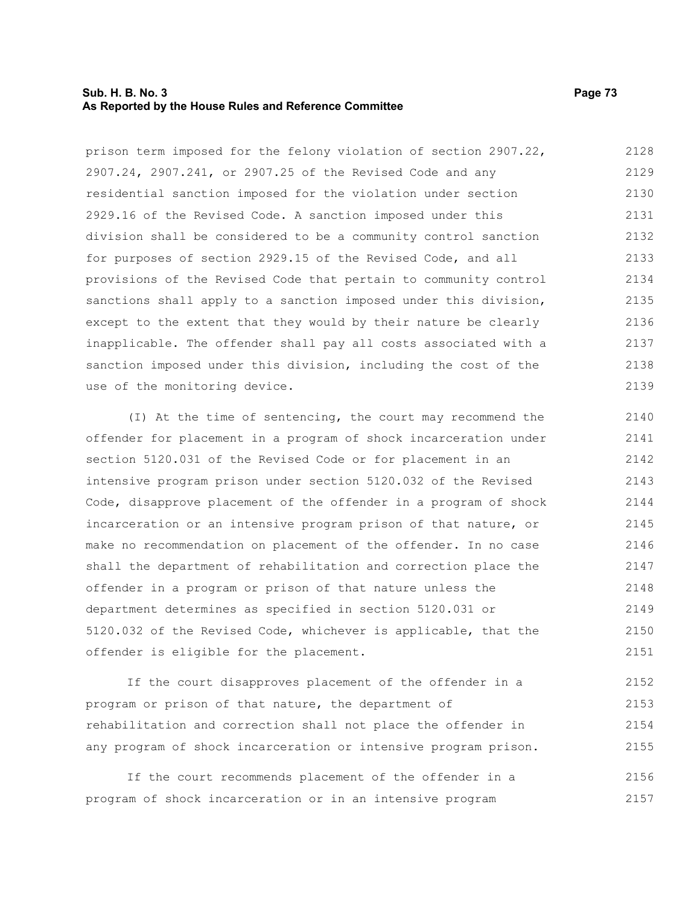#### **Sub. H. B. No. 3 Page 73 As Reported by the House Rules and Reference Committee**

prison term imposed for the felony violation of section 2907.22, 2907.24, 2907.241, or 2907.25 of the Revised Code and any residential sanction imposed for the violation under section 2929.16 of the Revised Code. A sanction imposed under this division shall be considered to be a community control sanction for purposes of section 2929.15 of the Revised Code, and all provisions of the Revised Code that pertain to community control sanctions shall apply to a sanction imposed under this division, except to the extent that they would by their nature be clearly inapplicable. The offender shall pay all costs associated with a sanction imposed under this division, including the cost of the use of the monitoring device. 2128 2129 2130 2131 2132 2133 2134 2135 2136 2137 2138 2139

(I) At the time of sentencing, the court may recommend the offender for placement in a program of shock incarceration under section 5120.031 of the Revised Code or for placement in an intensive program prison under section 5120.032 of the Revised Code, disapprove placement of the offender in a program of shock incarceration or an intensive program prison of that nature, or make no recommendation on placement of the offender. In no case shall the department of rehabilitation and correction place the offender in a program or prison of that nature unless the department determines as specified in section 5120.031 or 5120.032 of the Revised Code, whichever is applicable, that the offender is eligible for the placement. 2140 2141 2142 2143 2144 2145 2146 2147 2148 2149 2150 2151

If the court disapproves placement of the offender in a program or prison of that nature, the department of rehabilitation and correction shall not place the offender in any program of shock incarceration or intensive program prison. 2152 2153 2154 2155

If the court recommends placement of the offender in a program of shock incarceration or in an intensive program 2156 2157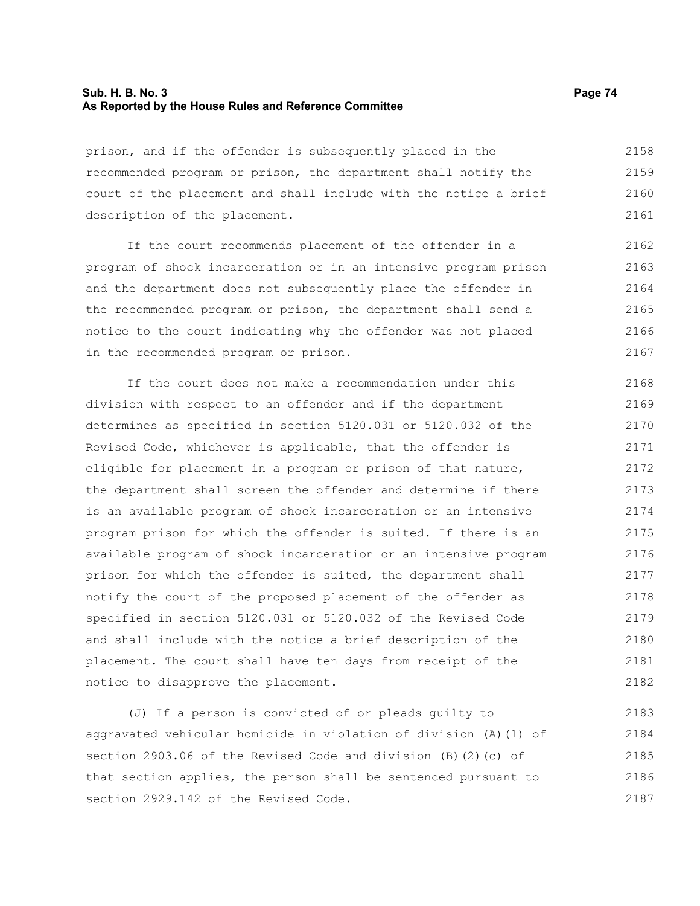#### **Sub. H. B. No. 3 Page 74 As Reported by the House Rules and Reference Committee**

prison, and if the offender is subsequently placed in the recommended program or prison, the department shall notify the court of the placement and shall include with the notice a brief description of the placement. 2158 2159 2160 2161

If the court recommends placement of the offender in a program of shock incarceration or in an intensive program prison and the department does not subsequently place the offender in the recommended program or prison, the department shall send a notice to the court indicating why the offender was not placed in the recommended program or prison.

If the court does not make a recommendation under this division with respect to an offender and if the department determines as specified in section 5120.031 or 5120.032 of the Revised Code, whichever is applicable, that the offender is eligible for placement in a program or prison of that nature, the department shall screen the offender and determine if there is an available program of shock incarceration or an intensive program prison for which the offender is suited. If there is an available program of shock incarceration or an intensive program prison for which the offender is suited, the department shall notify the court of the proposed placement of the offender as specified in section 5120.031 or 5120.032 of the Revised Code and shall include with the notice a brief description of the placement. The court shall have ten days from receipt of the notice to disapprove the placement. 2168 2169 2170 2171 2172 2173 2174 2175 2176 2177 2178 2179 2180 2181 2182

(J) If a person is convicted of or pleads guilty to aggravated vehicular homicide in violation of division (A)(1) of section 2903.06 of the Revised Code and division (B)(2)(c) of that section applies, the person shall be sentenced pursuant to section 2929.142 of the Revised Code. 2183 2184 2185 2186 2187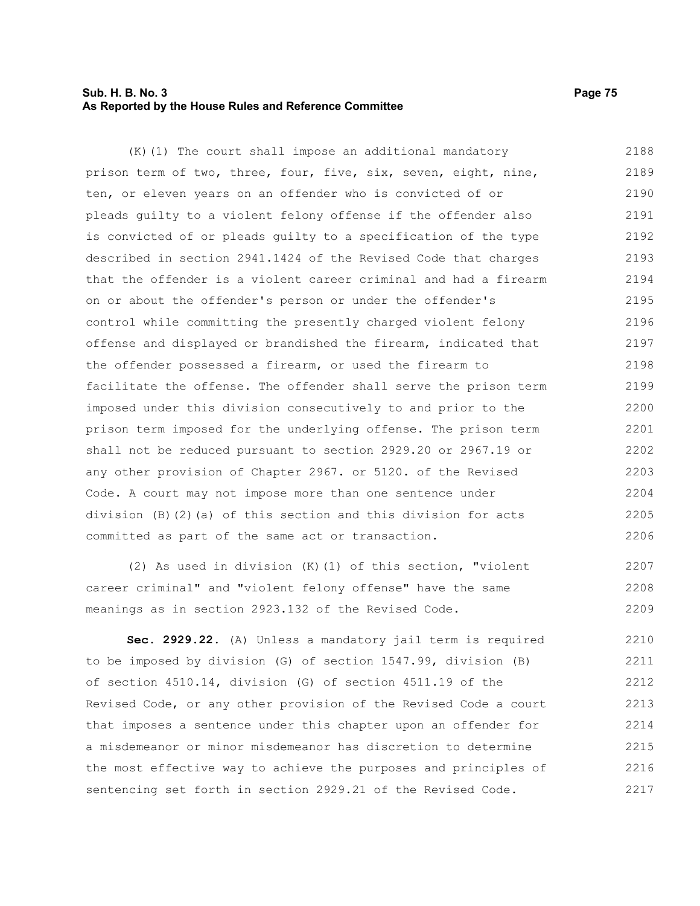# **Sub. H. B. No. 3 Page 75 As Reported by the House Rules and Reference Committee**

committed as part of the same act or transaction.

(K)(1) The court shall impose an additional mandatory prison term of two, three, four, five, six, seven, eight, nine, ten, or eleven years on an offender who is convicted of or pleads guilty to a violent felony offense if the offender also is convicted of or pleads guilty to a specification of the type described in section 2941.1424 of the Revised Code that charges that the offender is a violent career criminal and had a firearm on or about the offender's person or under the offender's control while committing the presently charged violent felony offense and displayed or brandished the firearm, indicated that the offender possessed a firearm, or used the firearm to facilitate the offense. The offender shall serve the prison term imposed under this division consecutively to and prior to the prison term imposed for the underlying offense. The prison term shall not be reduced pursuant to section 2929.20 or 2967.19 or any other provision of Chapter 2967. or 5120. of the Revised Code. A court may not impose more than one sentence under division (B)(2)(a) of this section and this division for acts 2188 2189 2190 2191 2192 2193 2194 2195 2196 2197 2198 2199 2200 2201 2202 2203 2204 2205

(2) As used in division (K)(1) of this section, "violent career criminal" and "violent felony offense" have the same meanings as in section 2923.132 of the Revised Code. 2207 2208 2209

**Sec. 2929.22.** (A) Unless a mandatory jail term is required to be imposed by division (G) of section 1547.99, division (B) of section 4510.14, division (G) of section 4511.19 of the Revised Code, or any other provision of the Revised Code a court that imposes a sentence under this chapter upon an offender for a misdemeanor or minor misdemeanor has discretion to determine the most effective way to achieve the purposes and principles of sentencing set forth in section 2929.21 of the Revised Code. 2210 2211 2212 2213 2214 2215 2216 2217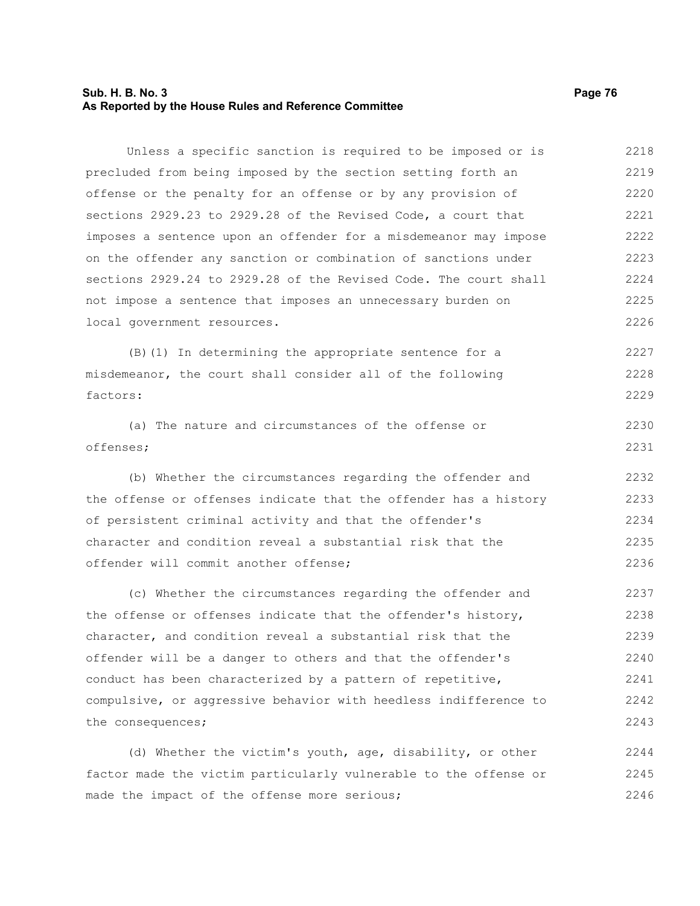### **Sub. H. B. No. 3 Page 76 As Reported by the House Rules and Reference Committee**

Unless a specific sanction is required to be imposed or is precluded from being imposed by the section setting forth an offense or the penalty for an offense or by any provision of sections 2929.23 to 2929.28 of the Revised Code, a court that imposes a sentence upon an offender for a misdemeanor may impose on the offender any sanction or combination of sanctions under sections 2929.24 to 2929.28 of the Revised Code. The court shall not impose a sentence that imposes an unnecessary burden on local government resources. 2218 2219 2220 2221 2222 2223 2224 2225 2226

(B)(1) In determining the appropriate sentence for a misdemeanor, the court shall consider all of the following factors: 2227 2228 2229

(a) The nature and circumstances of the offense or offenses; 2230 2231

(b) Whether the circumstances regarding the offender and the offense or offenses indicate that the offender has a history of persistent criminal activity and that the offender's character and condition reveal a substantial risk that the offender will commit another offense; 2232 2233 2234 2235 2236

(c) Whether the circumstances regarding the offender and the offense or offenses indicate that the offender's history, character, and condition reveal a substantial risk that the offender will be a danger to others and that the offender's conduct has been characterized by a pattern of repetitive, compulsive, or aggressive behavior with heedless indifference to the consequences; 2237 2238 2239 2240 2241 2242 2243

(d) Whether the victim's youth, age, disability, or other factor made the victim particularly vulnerable to the offense or made the impact of the offense more serious; 2244 2245 2246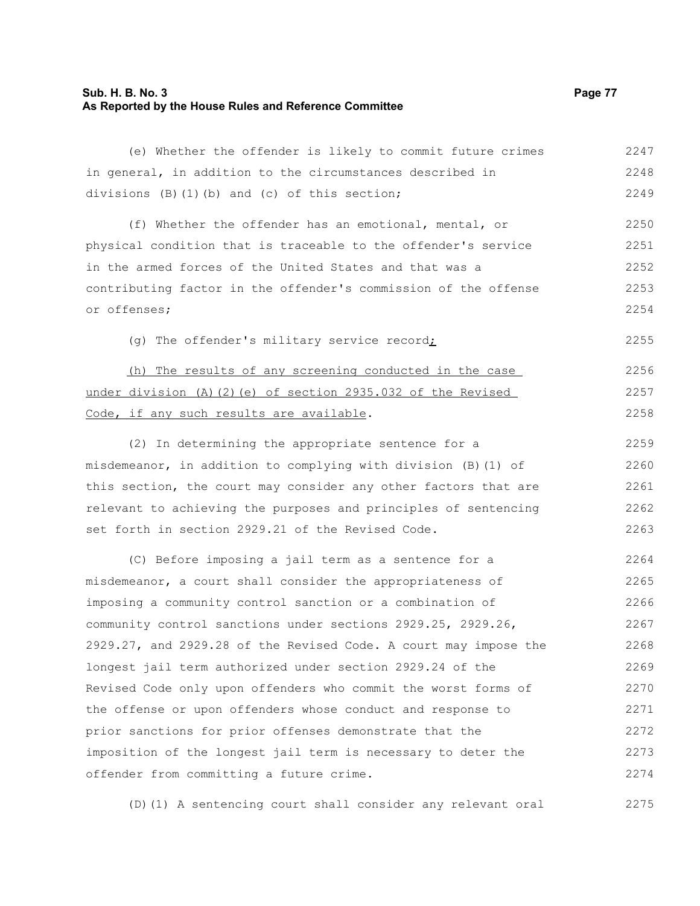### **Sub. H. B. No. 3 Page 77 As Reported by the House Rules and Reference Committee**

(e) Whether the offender is likely to commit future crimes in general, in addition to the circumstances described in divisions (B)(1)(b) and (c) of this section; 2247 2248 2249

(f) Whether the offender has an emotional, mental, or physical condition that is traceable to the offender's service in the armed forces of the United States and that was a contributing factor in the offender's commission of the offense or offenses; 2250 2251 2252 2253 2254

(g) The offender's military service record;

(h) The results of any screening conducted in the case under division (A)(2)(e) of section 2935.032 of the Revised Code, if any such results are available. 2256 2257 2258

(2) In determining the appropriate sentence for a misdemeanor, in addition to complying with division (B)(1) of this section, the court may consider any other factors that are relevant to achieving the purposes and principles of sentencing set forth in section 2929.21 of the Revised Code. 2259 2260 2261 2262 2263

(C) Before imposing a jail term as a sentence for a misdemeanor, a court shall consider the appropriateness of imposing a community control sanction or a combination of community control sanctions under sections 2929.25, 2929.26, 2929.27, and 2929.28 of the Revised Code. A court may impose the longest jail term authorized under section 2929.24 of the Revised Code only upon offenders who commit the worst forms of the offense or upon offenders whose conduct and response to prior sanctions for prior offenses demonstrate that the imposition of the longest jail term is necessary to deter the offender from committing a future crime. 2264 2265 2266 2267 2268 2269 2270 2271 2272 2273 2274

(D)(1) A sentencing court shall consider any relevant oral 2275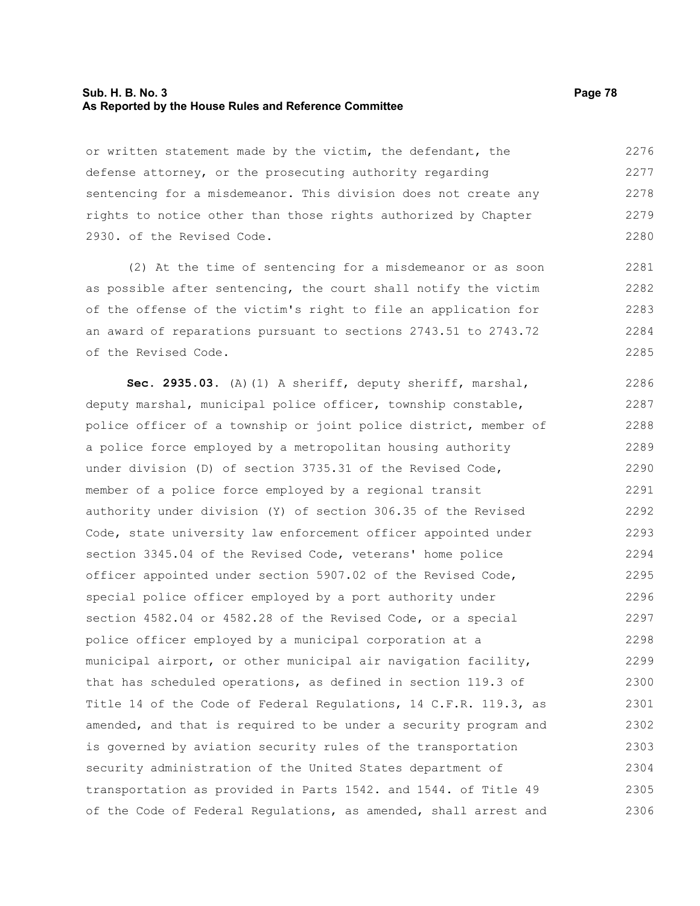#### **Sub. H. B. No. 3 Page 78 As Reported by the House Rules and Reference Committee**

or written statement made by the victim, the defendant, the defense attorney, or the prosecuting authority regarding sentencing for a misdemeanor. This division does not create any rights to notice other than those rights authorized by Chapter 2930. of the Revised Code. 2276 2277 2278 2279 2280

(2) At the time of sentencing for a misdemeanor or as soon as possible after sentencing, the court shall notify the victim of the offense of the victim's right to file an application for an award of reparations pursuant to sections 2743.51 to 2743.72 of the Revised Code.

**Sec. 2935.03.** (A)(1) A sheriff, deputy sheriff, marshal, deputy marshal, municipal police officer, township constable, police officer of a township or joint police district, member of a police force employed by a metropolitan housing authority under division (D) of section 3735.31 of the Revised Code, member of a police force employed by a regional transit authority under division (Y) of section 306.35 of the Revised Code, state university law enforcement officer appointed under section 3345.04 of the Revised Code, veterans' home police officer appointed under section 5907.02 of the Revised Code, special police officer employed by a port authority under section 4582.04 or 4582.28 of the Revised Code, or a special police officer employed by a municipal corporation at a municipal airport, or other municipal air navigation facility, that has scheduled operations, as defined in section 119.3 of Title 14 of the Code of Federal Regulations, 14 C.F.R. 119.3, as amended, and that is required to be under a security program and is governed by aviation security rules of the transportation security administration of the United States department of transportation as provided in Parts 1542. and 1544. of Title 49 of the Code of Federal Regulations, as amended, shall arrest and 2286 2287 2288 2289 2290 2291 2292 2293 2294 2295 2296 2297 2298 2299 2300 2301 2302 2303 2304 2305 2306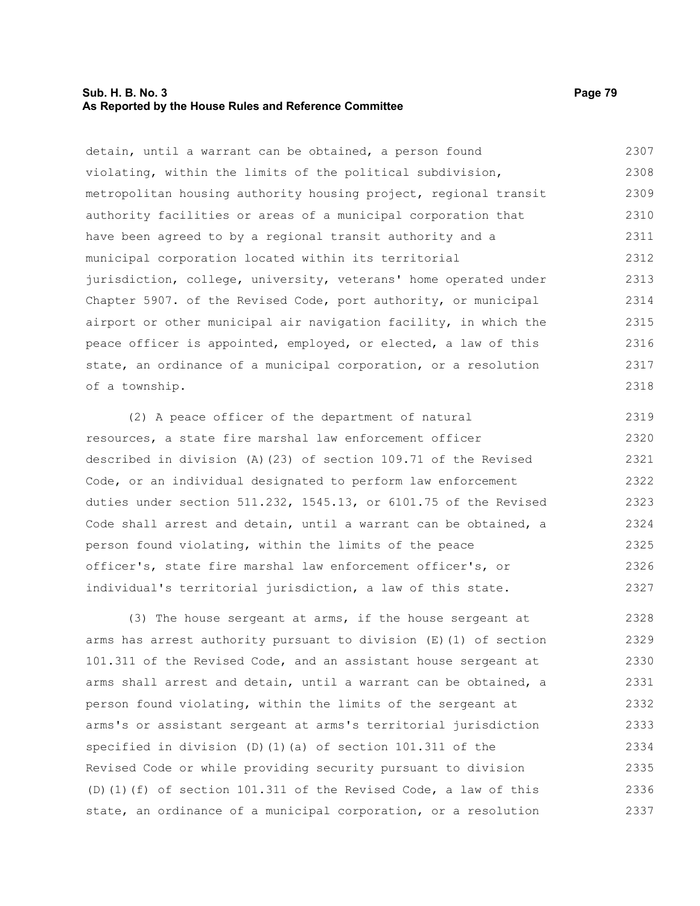#### **Sub. H. B. No. 3 Page 79 As Reported by the House Rules and Reference Committee**

detain, until a warrant can be obtained, a person found violating, within the limits of the political subdivision, metropolitan housing authority housing project, regional transit authority facilities or areas of a municipal corporation that have been agreed to by a regional transit authority and a municipal corporation located within its territorial jurisdiction, college, university, veterans' home operated under Chapter 5907. of the Revised Code, port authority, or municipal airport or other municipal air navigation facility, in which the peace officer is appointed, employed, or elected, a law of this state, an ordinance of a municipal corporation, or a resolution of a township. 2307 2308 2309 2310 2311 2312 2313 2314 2315 2316 2317 2318

(2) A peace officer of the department of natural resources, a state fire marshal law enforcement officer described in division (A)(23) of section 109.71 of the Revised Code, or an individual designated to perform law enforcement duties under section 511.232, 1545.13, or 6101.75 of the Revised Code shall arrest and detain, until a warrant can be obtained, a person found violating, within the limits of the peace officer's, state fire marshal law enforcement officer's, or individual's territorial jurisdiction, a law of this state. 2319 2320 2321 2322 2323 2324 2325 2326 2327

(3) The house sergeant at arms, if the house sergeant at arms has arrest authority pursuant to division (E)(1) of section 101.311 of the Revised Code, and an assistant house sergeant at arms shall arrest and detain, until a warrant can be obtained, a person found violating, within the limits of the sergeant at arms's or assistant sergeant at arms's territorial jurisdiction specified in division (D)(1)(a) of section 101.311 of the Revised Code or while providing security pursuant to division (D)(1)(f) of section 101.311 of the Revised Code, a law of this state, an ordinance of a municipal corporation, or a resolution 2328 2329 2330 2331 2332 2333 2334 2335 2336 2337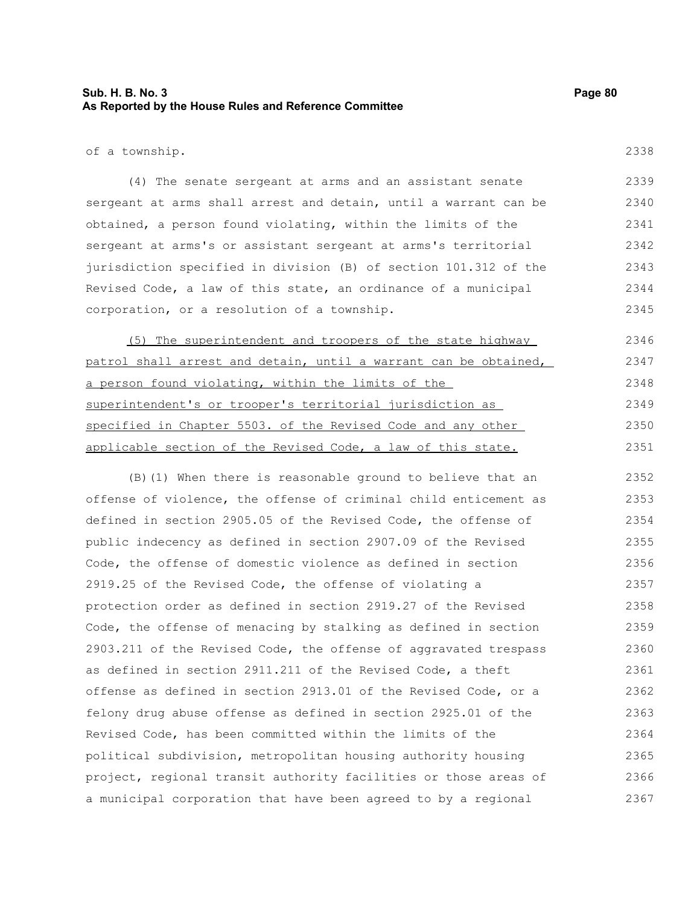# **Sub. H. B. No. 3 Page 80 As Reported by the House Rules and Reference Committee**

of a township.

2338

(4) The senate sergeant at arms and an assistant senate sergeant at arms shall arrest and detain, until a warrant can be obtained, a person found violating, within the limits of the sergeant at arms's or assistant sergeant at arms's territorial jurisdiction specified in division (B) of section 101.312 of the Revised Code, a law of this state, an ordinance of a municipal corporation, or a resolution of a township. 2339 2340 2341 2342 2343 2344 2345

(5) The superintendent and troopers of the state highway patrol shall arrest and detain, until a warrant can be obtained, a person found violating, within the limits of the superintendent's or trooper's territorial jurisdiction as specified in Chapter 5503. of the Revised Code and any other applicable section of the Revised Code, a law of this state. 2346 2347 2348 2349 2350 2351

(B)(1) When there is reasonable ground to believe that an offense of violence, the offense of criminal child enticement as defined in section 2905.05 of the Revised Code, the offense of public indecency as defined in section 2907.09 of the Revised Code, the offense of domestic violence as defined in section 2919.25 of the Revised Code, the offense of violating a protection order as defined in section 2919.27 of the Revised Code, the offense of menacing by stalking as defined in section 2903.211 of the Revised Code, the offense of aggravated trespass as defined in section 2911.211 of the Revised Code, a theft offense as defined in section 2913.01 of the Revised Code, or a felony drug abuse offense as defined in section 2925.01 of the Revised Code, has been committed within the limits of the political subdivision, metropolitan housing authority housing project, regional transit authority facilities or those areas of a municipal corporation that have been agreed to by a regional 2352 2353 2354 2355 2356 2357 2358 2359 2360 2361 2362 2363 2364 2365 2366 2367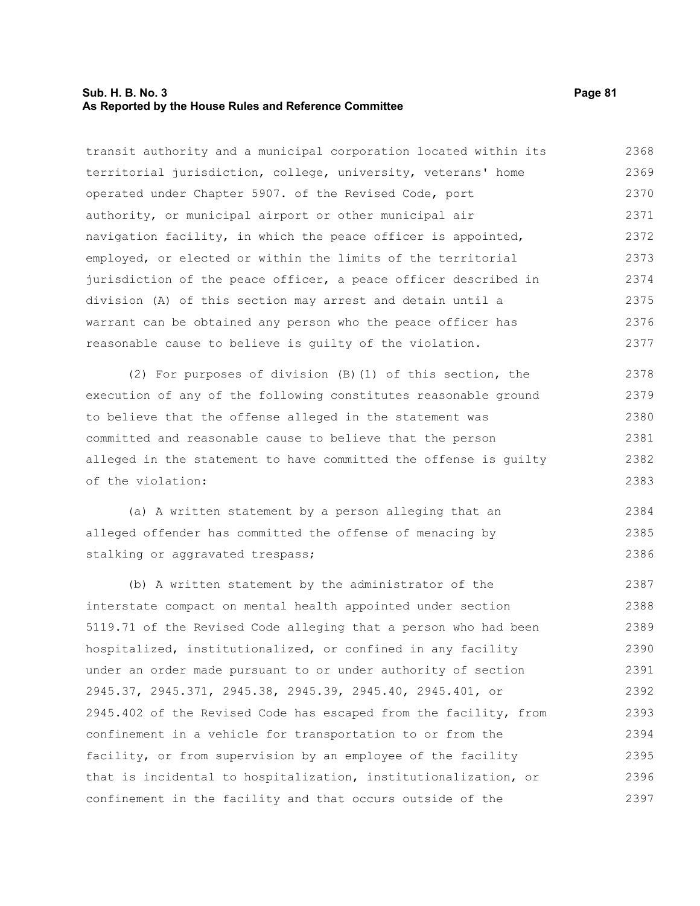#### **Sub. H. B. No. 3 Page 81 As Reported by the House Rules and Reference Committee**

transit authority and a municipal corporation located within its territorial jurisdiction, college, university, veterans' home operated under Chapter 5907. of the Revised Code, port authority, or municipal airport or other municipal air navigation facility, in which the peace officer is appointed, employed, or elected or within the limits of the territorial jurisdiction of the peace officer, a peace officer described in division (A) of this section may arrest and detain until a warrant can be obtained any person who the peace officer has reasonable cause to believe is guilty of the violation. 2368 2369 2370 2371 2372 2373 2374 2375 2376 2377

(2) For purposes of division (B)(1) of this section, the execution of any of the following constitutes reasonable ground to believe that the offense alleged in the statement was committed and reasonable cause to believe that the person alleged in the statement to have committed the offense is guilty of the violation: 2378 2379 2380 2381 2382 2383

(a) A written statement by a person alleging that an alleged offender has committed the offense of menacing by stalking or aggravated trespass; 2384 2385 2386

(b) A written statement by the administrator of the interstate compact on mental health appointed under section 5119.71 of the Revised Code alleging that a person who had been hospitalized, institutionalized, or confined in any facility under an order made pursuant to or under authority of section 2945.37, 2945.371, 2945.38, 2945.39, 2945.40, 2945.401, or 2945.402 of the Revised Code has escaped from the facility, from confinement in a vehicle for transportation to or from the facility, or from supervision by an employee of the facility that is incidental to hospitalization, institutionalization, or confinement in the facility and that occurs outside of the 2387 2388 2389 2390 2391 2392 2393 2394 2395 2396 2397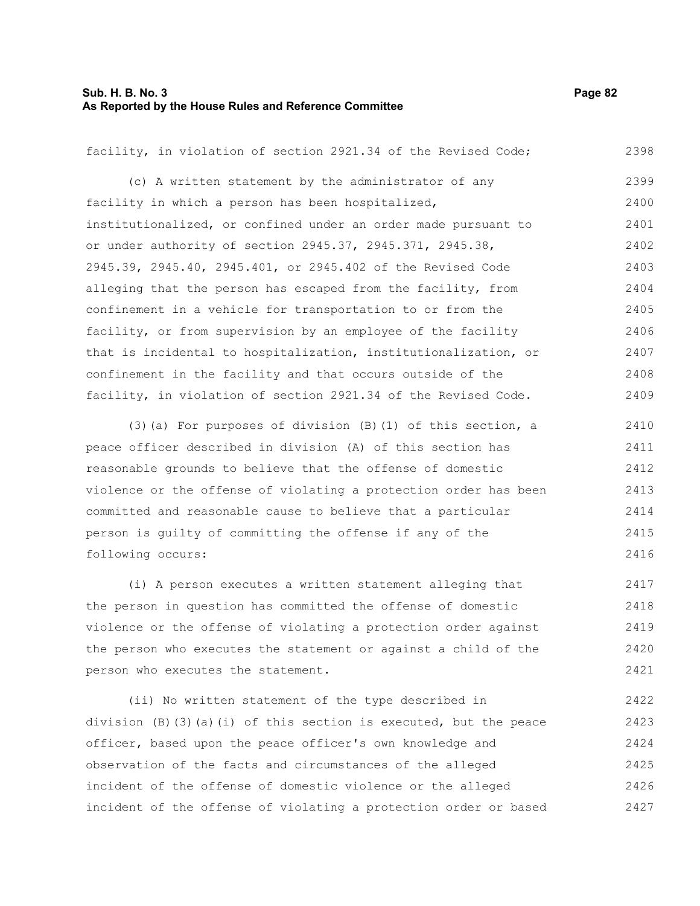| facility, in violation of section 2921.34 of the Revised Code;   | 2398   |
|------------------------------------------------------------------|--------|
| (c) A written statement by the administrator of any              | 2399   |
| facility in which a person has been hospitalized,                | 2400   |
| institutionalized, or confined under an order made pursuant to   | 2401   |
| or under authority of section 2945.37, 2945.371, 2945.38,        | 2402   |
| 2945.39, 2945.40, 2945.401, or 2945.402 of the Revised Code      | 2403   |
| alleging that the person has escaped from the facility, from     | 2404   |
| confinement in a vehicle for transportation to or from the       | 2405   |
| facility, or from supervision by an employee of the facility     | 2406   |
| that is incidental to hospitalization, institutionalization, or  | 2407   |
| confinement in the facility and that occurs outside of the       | 2408   |
| facility, in violation of section 2921.34 of the Revised Code.   | 2409   |
| (3) (a) For purposes of division (B) (1) of this section, a      | 2410   |
| peace officer described in division (A) of this section has      | 2411   |
| reasonable grounds to believe that the offense of domestic       | 2412   |
| violence or the offense of violating a protection order has been | 2413   |
| committed and reasonable cause to believe that a particular      | 2414   |
| person is guilty of committing the offense if any of the         | 2415   |
| following occurs:                                                | 2416   |
| $(1)$ a monographical construction of $(1)$                      | $2117$ |

(i) A person executes a written statement alleging that the person in question has committed the offense of domestic violence or the offense of violating a protection order against the person who executes the statement or against a child of the person who executes the statement. 2417 2418 2419 2420 2421

(ii) No written statement of the type described in division (B)(3)(a)(i) of this section is executed, but the peace officer, based upon the peace officer's own knowledge and observation of the facts and circumstances of the alleged incident of the offense of domestic violence or the alleged incident of the offense of violating a protection order or based 2422 2423 2424 2425 2426 2427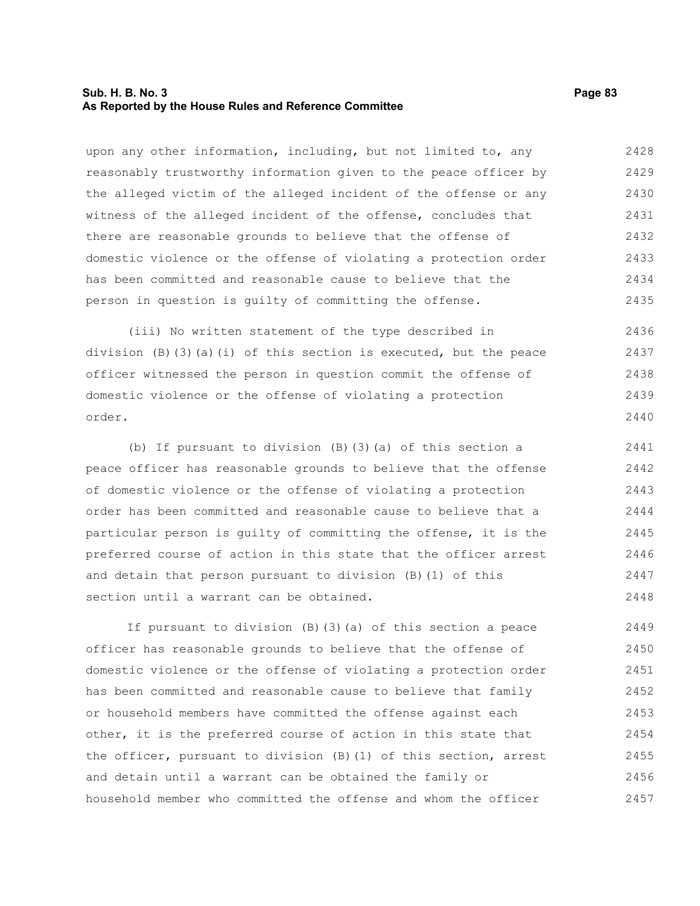#### **Sub. H. B. No. 3 Page 83 As Reported by the House Rules and Reference Committee**

upon any other information, including, but not limited to, any reasonably trustworthy information given to the peace officer by the alleged victim of the alleged incident of the offense or any witness of the alleged incident of the offense, concludes that there are reasonable grounds to believe that the offense of domestic violence or the offense of violating a protection order has been committed and reasonable cause to believe that the person in question is guilty of committing the offense. 2428 2429 2430 2431 2432 2433 2434 2435

(iii) No written statement of the type described in division (B)(3)(a)(i) of this section is executed, but the peace officer witnessed the person in question commit the offense of domestic violence or the offense of violating a protection order. 2436 2437 2438 2439 2440

(b) If pursuant to division (B)(3)(a) of this section a peace officer has reasonable grounds to believe that the offense of domestic violence or the offense of violating a protection order has been committed and reasonable cause to believe that a particular person is guilty of committing the offense, it is the preferred course of action in this state that the officer arrest and detain that person pursuant to division (B)(1) of this section until a warrant can be obtained. 2441 2442 2443 2444 2445 2446 2447 2448

If pursuant to division (B)(3)(a) of this section a peace officer has reasonable grounds to believe that the offense of domestic violence or the offense of violating a protection order has been committed and reasonable cause to believe that family or household members have committed the offense against each other, it is the preferred course of action in this state that the officer, pursuant to division (B)(1) of this section, arrest and detain until a warrant can be obtained the family or household member who committed the offense and whom the officer 2449 2450 2451 2452 2453 2454 2455 2456 2457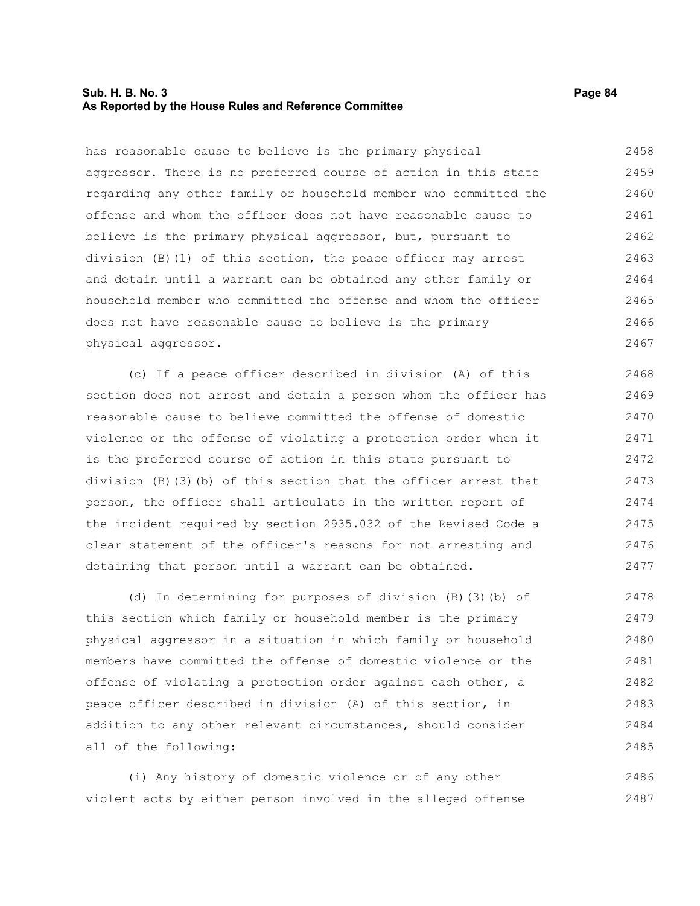#### **Sub. H. B. No. 3 Page 84 As Reported by the House Rules and Reference Committee**

physical aggressor.

does not have reasonable cause to believe is the primary

has reasonable cause to believe is the primary physical aggressor. There is no preferred course of action in this state regarding any other family or household member who committed the offense and whom the officer does not have reasonable cause to believe is the primary physical aggressor, but, pursuant to division (B)(1) of this section, the peace officer may arrest and detain until a warrant can be obtained any other family or household member who committed the offense and whom the officer 2458 2459 2460 2461 2462 2463 2464 2465

(c) If a peace officer described in division (A) of this section does not arrest and detain a person whom the officer has reasonable cause to believe committed the offense of domestic violence or the offense of violating a protection order when it is the preferred course of action in this state pursuant to division (B)(3)(b) of this section that the officer arrest that person, the officer shall articulate in the written report of the incident required by section 2935.032 of the Revised Code a clear statement of the officer's reasons for not arresting and detaining that person until a warrant can be obtained. 2468 2469 2470 2471 2472 2473 2474 2475 2476 2477

(d) In determining for purposes of division (B)(3)(b) of this section which family or household member is the primary physical aggressor in a situation in which family or household members have committed the offense of domestic violence or the offense of violating a protection order against each other, a peace officer described in division (A) of this section, in addition to any other relevant circumstances, should consider all of the following: 2478 2479 2480 2481 2482 2483 2484 2485

(i) Any history of domestic violence or of any other violent acts by either person involved in the alleged offense 2486 2487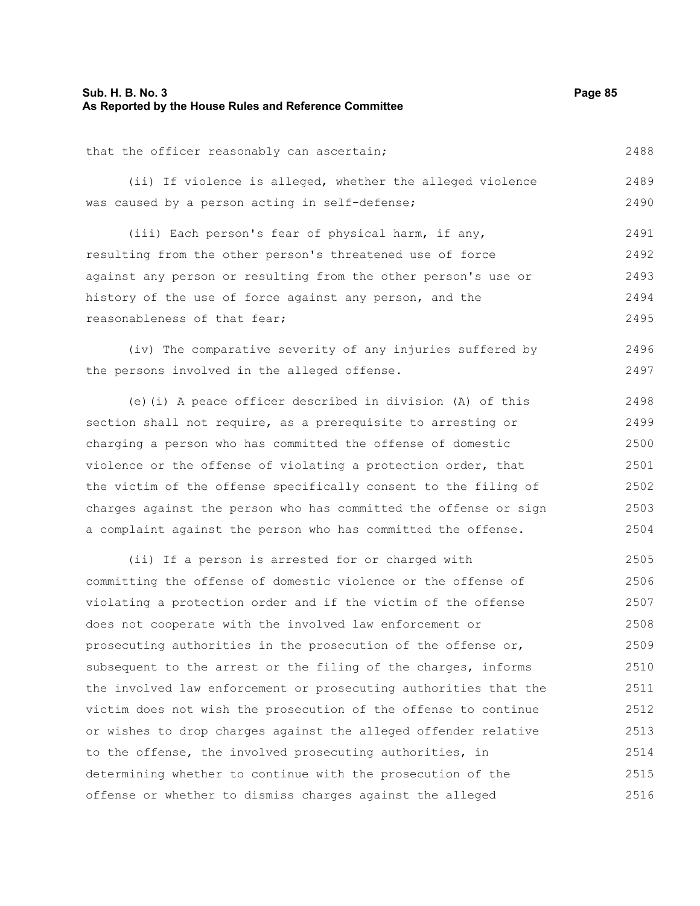# **Sub. H. B. No. 3 Page 85 As Reported by the House Rules and Reference Committee**

| that the officer reasonably can ascertain;                       | 2488 |
|------------------------------------------------------------------|------|
| (ii) If violence is alleged, whether the alleged violence        | 2489 |
| was caused by a person acting in self-defense;                   | 2490 |
| (iii) Each person's fear of physical harm, if any,               | 2491 |
| resulting from the other person's threatened use of force        | 2492 |
| against any person or resulting from the other person's use or   | 2493 |
| history of the use of force against any person, and the          | 2494 |
| reasonableness of that fear;                                     | 2495 |
| (iv) The comparative severity of any injuries suffered by        | 2496 |
| the persons involved in the alleged offense.                     | 2497 |
| (e)(i) A peace officer described in division (A) of this         | 2498 |
| section shall not require, as a prerequisite to arresting or     | 2499 |
| charging a person who has committed the offense of domestic      | 2500 |
| violence or the offense of violating a protection order, that    | 2501 |
| the victim of the offense specifically consent to the filing of  | 2502 |
| charges against the person who has committed the offense or sign | 2503 |
| a complaint against the person who has committed the offense.    | 2504 |
| (ii) If a person is arrested for or charged with                 | 2505 |
| committing the offense of domestic violence or the offense of    | 2506 |
| violating a protection order and if the victim of the offense    | 2507 |
| does not cooperate with the involved law enforcement or          | 2508 |
| prosecuting authorities in the prosecution of the offense or,    | 2509 |
| subsequent to the arrest or the filing of the charges, informs   | 2510 |
| the involved law enforcement or prosecuting authorities that the | 2511 |
| victim does not wish the prosecution of the offense to continue  | 2512 |
| or wishes to drop charges against the alleged offender relative  | 2513 |
| to the offense, the involved prosecuting authorities, in         | 2514 |
| determining whether to continue with the prosecution of the      | 2515 |
| offense or whether to dismiss charges against the alleged        | 2516 |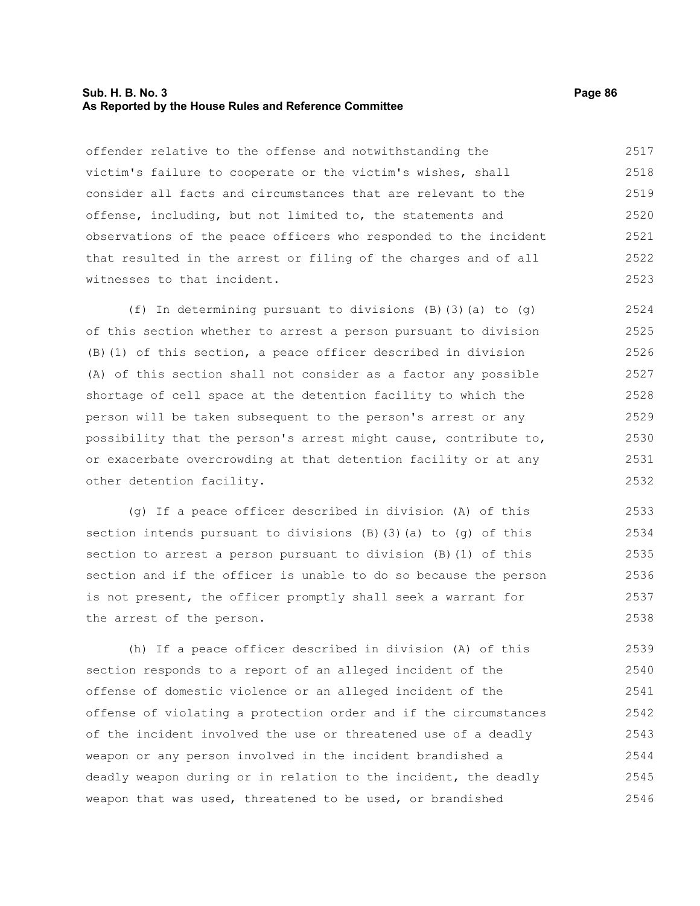#### **Sub. H. B. No. 3 Page 86 As Reported by the House Rules and Reference Committee**

offender relative to the offense and notwithstanding the victim's failure to cooperate or the victim's wishes, shall consider all facts and circumstances that are relevant to the offense, including, but not limited to, the statements and observations of the peace officers who responded to the incident that resulted in the arrest or filing of the charges and of all witnesses to that incident. 2517 2518 2519 2520 2521 2522 2523

(f) In determining pursuant to divisions (B)(3)(a) to (g) of this section whether to arrest a person pursuant to division (B)(1) of this section, a peace officer described in division (A) of this section shall not consider as a factor any possible shortage of cell space at the detention facility to which the person will be taken subsequent to the person's arrest or any possibility that the person's arrest might cause, contribute to, or exacerbate overcrowding at that detention facility or at any other detention facility. 2524 2525 2526 2527 2528 2529 2530 2531 2532

(g) If a peace officer described in division (A) of this section intends pursuant to divisions (B)(3)(a) to (g) of this section to arrest a person pursuant to division (B)(1) of this section and if the officer is unable to do so because the person is not present, the officer promptly shall seek a warrant for the arrest of the person. 2533 2534 2535 2536 2537 2538

(h) If a peace officer described in division (A) of this section responds to a report of an alleged incident of the offense of domestic violence or an alleged incident of the offense of violating a protection order and if the circumstances of the incident involved the use or threatened use of a deadly weapon or any person involved in the incident brandished a deadly weapon during or in relation to the incident, the deadly weapon that was used, threatened to be used, or brandished 2539 2540 2541 2542 2543 2544 2545 2546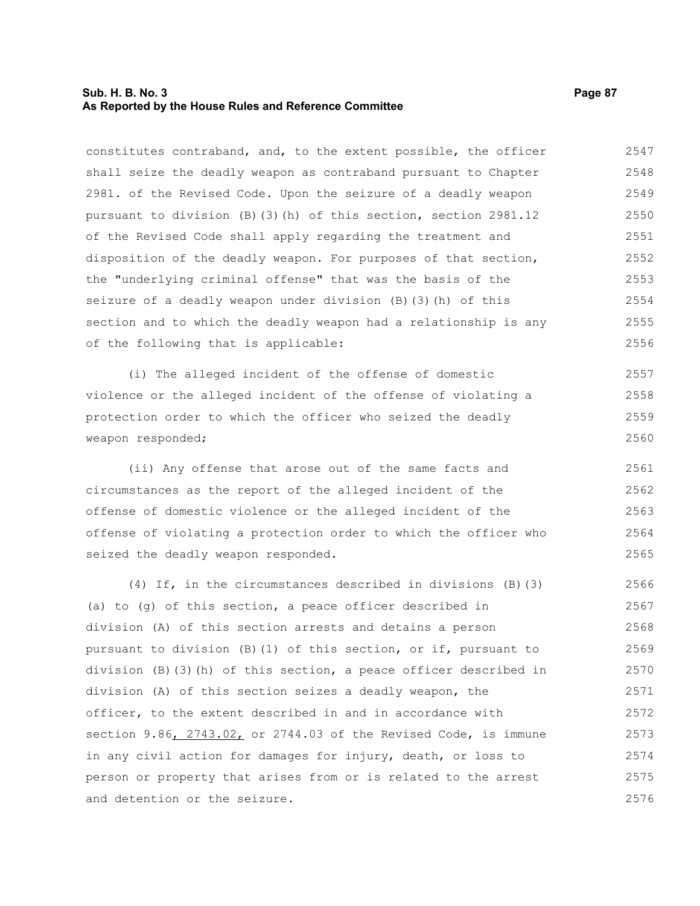#### **Sub. H. B. No. 3 Page 87 As Reported by the House Rules and Reference Committee**

constitutes contraband, and, to the extent possible, the officer shall seize the deadly weapon as contraband pursuant to Chapter 2981. of the Revised Code. Upon the seizure of a deadly weapon pursuant to division (B)(3)(h) of this section, section 2981.12 of the Revised Code shall apply regarding the treatment and disposition of the deadly weapon. For purposes of that section, the "underlying criminal offense" that was the basis of the seizure of a deadly weapon under division (B)(3)(h) of this section and to which the deadly weapon had a relationship is any of the following that is applicable: 2547 2548 2549 2550 2551 2552 2553 2554 2555 2556

(i) The alleged incident of the offense of domestic violence or the alleged incident of the offense of violating a protection order to which the officer who seized the deadly weapon responded; 2557 2558 2559 2560

(ii) Any offense that arose out of the same facts and circumstances as the report of the alleged incident of the offense of domestic violence or the alleged incident of the offense of violating a protection order to which the officer who seized the deadly weapon responded. 2561 2562 2563 2564 2565

(4) If, in the circumstances described in divisions (B)(3) (a) to (g) of this section, a peace officer described in division (A) of this section arrests and detains a person pursuant to division (B)(1) of this section, or if, pursuant to division (B)(3)(h) of this section, a peace officer described in division (A) of this section seizes a deadly weapon, the officer, to the extent described in and in accordance with section  $9.86$ ,  $2743.02$ , or  $2744.03$  of the Revised Code, is immune in any civil action for damages for injury, death, or loss to person or property that arises from or is related to the arrest and detention or the seizure. 2566 2567 2568 2569 2570 2571 2572 2573 2574 2575 2576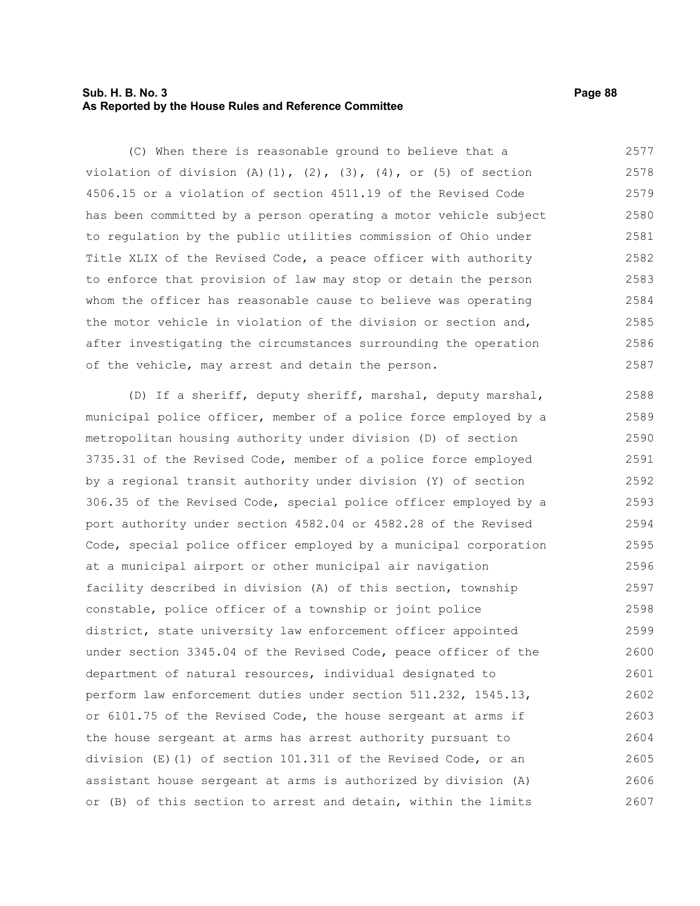# **Sub. H. B. No. 3 Page 88 As Reported by the House Rules and Reference Committee**

(C) When there is reasonable ground to believe that a violation of division  $(A)$   $(1)$ ,  $(2)$ ,  $(3)$ ,  $(4)$ , or  $(5)$  of section 4506.15 or a violation of section 4511.19 of the Revised Code has been committed by a person operating a motor vehicle subject to regulation by the public utilities commission of Ohio under Title XLIX of the Revised Code, a peace officer with authority to enforce that provision of law may stop or detain the person whom the officer has reasonable cause to believe was operating the motor vehicle in violation of the division or section and, after investigating the circumstances surrounding the operation of the vehicle, may arrest and detain the person. 2577 2578 2579 2580 2581 2582 2583 2584 2585 2586 2587

(D) If a sheriff, deputy sheriff, marshal, deputy marshal, municipal police officer, member of a police force employed by a metropolitan housing authority under division (D) of section 3735.31 of the Revised Code, member of a police force employed by a regional transit authority under division (Y) of section 306.35 of the Revised Code, special police officer employed by a port authority under section 4582.04 or 4582.28 of the Revised Code, special police officer employed by a municipal corporation at a municipal airport or other municipal air navigation facility described in division (A) of this section, township constable, police officer of a township or joint police district, state university law enforcement officer appointed under section 3345.04 of the Revised Code, peace officer of the department of natural resources, individual designated to perform law enforcement duties under section 511.232, 1545.13, or 6101.75 of the Revised Code, the house sergeant at arms if the house sergeant at arms has arrest authority pursuant to division (E)(1) of section 101.311 of the Revised Code, or an assistant house sergeant at arms is authorized by division (A) or (B) of this section to arrest and detain, within the limits 2588 2589 2590 2591 2592 2593 2594 2595 2596 2597 2598 2599 2600 2601 2602 2603 2604 2605 2606 2607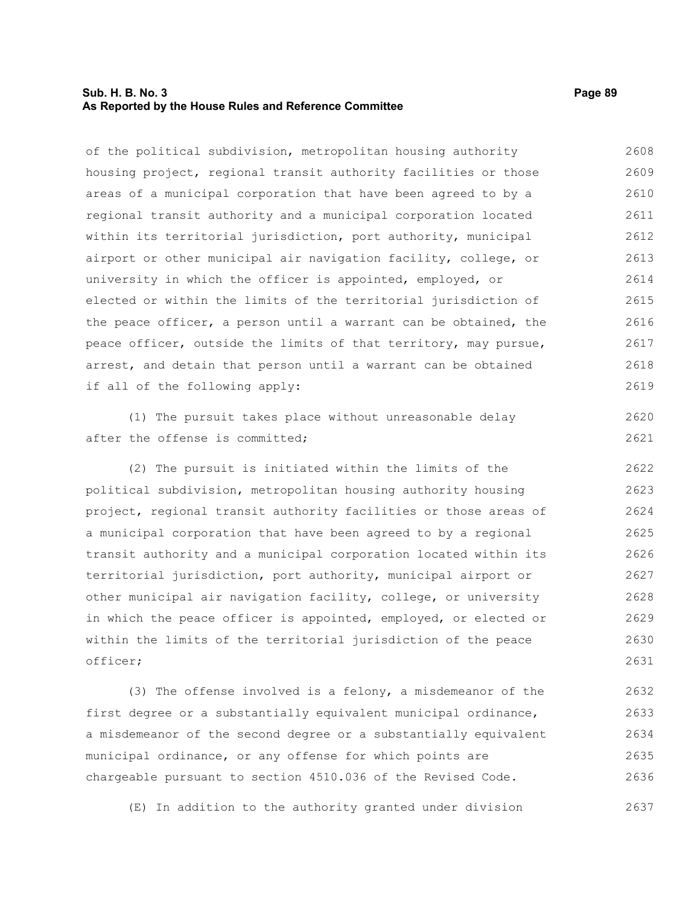#### **Sub. H. B. No. 3 Page 89 As Reported by the House Rules and Reference Committee**

of the political subdivision, metropolitan housing authority housing project, regional transit authority facilities or those areas of a municipal corporation that have been agreed to by a regional transit authority and a municipal corporation located within its territorial jurisdiction, port authority, municipal airport or other municipal air navigation facility, college, or university in which the officer is appointed, employed, or elected or within the limits of the territorial jurisdiction of the peace officer, a person until a warrant can be obtained, the peace officer, outside the limits of that territory, may pursue, arrest, and detain that person until a warrant can be obtained if all of the following apply: 2608 2609 2610 2611 2612 2613 2614 2615 2616 2617 2618 2619

(1) The pursuit takes place without unreasonable delay after the offense is committed;

(2) The pursuit is initiated within the limits of the political subdivision, metropolitan housing authority housing project, regional transit authority facilities or those areas of a municipal corporation that have been agreed to by a regional transit authority and a municipal corporation located within its territorial jurisdiction, port authority, municipal airport or other municipal air navigation facility, college, or university in which the peace officer is appointed, employed, or elected or within the limits of the territorial jurisdiction of the peace officer; 2622 2623 2624 2625 2626 2627 2628 2629 2630 2631

(3) The offense involved is a felony, a misdemeanor of the first degree or a substantially equivalent municipal ordinance, a misdemeanor of the second degree or a substantially equivalent municipal ordinance, or any offense for which points are chargeable pursuant to section 4510.036 of the Revised Code. 2632 2633 2634 2635 2636

(E) In addition to the authority granted under division 2637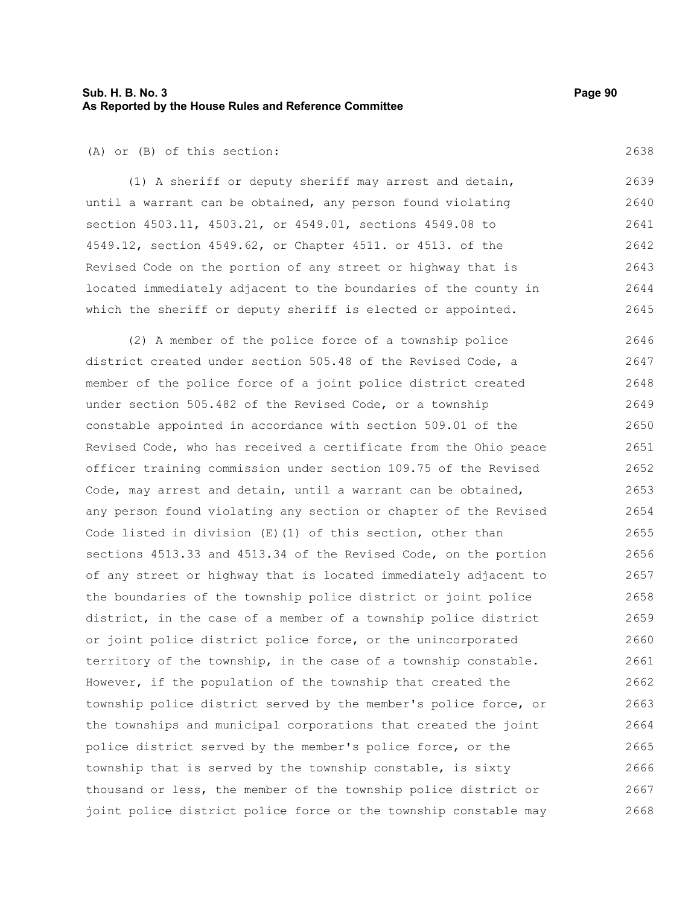(A) or (B) of this section:

(1) A sheriff or deputy sheriff may arrest and detain, until a warrant can be obtained, any person found violating section 4503.11, 4503.21, or 4549.01, sections 4549.08 to 4549.12, section 4549.62, or Chapter 4511. or 4513. of the Revised Code on the portion of any street or highway that is located immediately adjacent to the boundaries of the county in which the sheriff or deputy sheriff is elected or appointed. 2639 2640 2641 2642 2643 2644 2645

(2) A member of the police force of a township police district created under section 505.48 of the Revised Code, a member of the police force of a joint police district created under section 505.482 of the Revised Code, or a township constable appointed in accordance with section 509.01 of the Revised Code, who has received a certificate from the Ohio peace officer training commission under section 109.75 of the Revised Code, may arrest and detain, until a warrant can be obtained, any person found violating any section or chapter of the Revised Code listed in division (E)(1) of this section, other than sections 4513.33 and 4513.34 of the Revised Code, on the portion of any street or highway that is located immediately adjacent to the boundaries of the township police district or joint police district, in the case of a member of a township police district or joint police district police force, or the unincorporated territory of the township, in the case of a township constable. However, if the population of the township that created the township police district served by the member's police force, or the townships and municipal corporations that created the joint police district served by the member's police force, or the township that is served by the township constable, is sixty thousand or less, the member of the township police district or joint police district police force or the township constable may 2646 2647 2648 2649 2650 2651 2652 2653 2654 2655 2656 2657 2658 2659 2660 2661 2662 2663 2664 2665 2666 2667 2668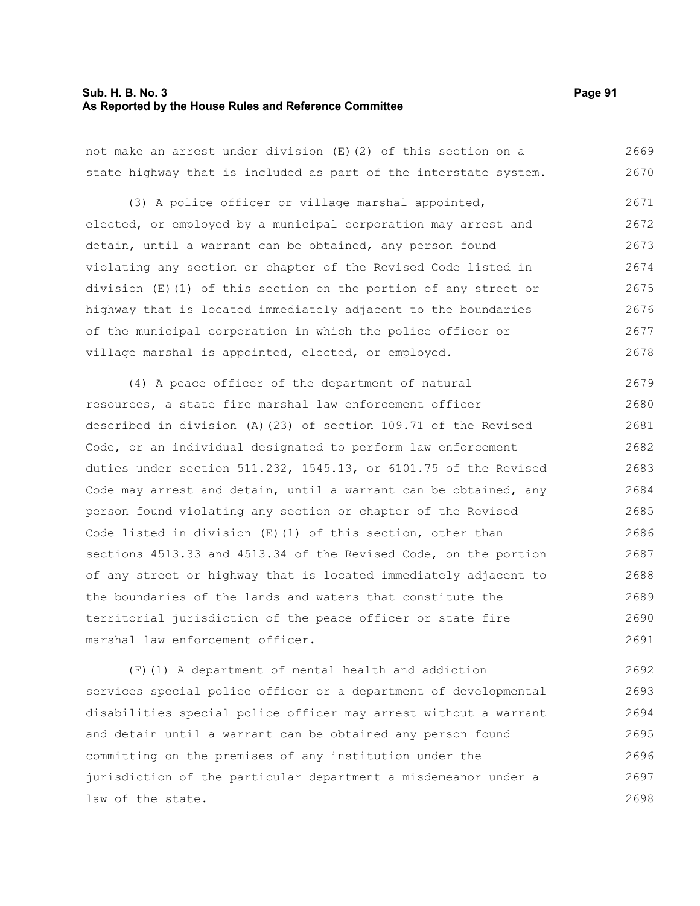#### **Sub. H. B. No. 3 Page 91 As Reported by the House Rules and Reference Committee**

not make an arrest under division (E)(2) of this section on a state highway that is included as part of the interstate system. 2669 2670

(3) A police officer or village marshal appointed, elected, or employed by a municipal corporation may arrest and detain, until a warrant can be obtained, any person found violating any section or chapter of the Revised Code listed in division (E)(1) of this section on the portion of any street or highway that is located immediately adjacent to the boundaries of the municipal corporation in which the police officer or village marshal is appointed, elected, or employed. 2671 2672 2673 2674 2675 2676 2677 2678

(4) A peace officer of the department of natural resources, a state fire marshal law enforcement officer described in division (A)(23) of section 109.71 of the Revised Code, or an individual designated to perform law enforcement duties under section 511.232, 1545.13, or 6101.75 of the Revised Code may arrest and detain, until a warrant can be obtained, any person found violating any section or chapter of the Revised Code listed in division (E)(1) of this section, other than sections 4513.33 and 4513.34 of the Revised Code, on the portion of any street or highway that is located immediately adjacent to the boundaries of the lands and waters that constitute the territorial jurisdiction of the peace officer or state fire marshal law enforcement officer. 2679 2680 2681 2682 2683 2684 2685 2686 2687 2688 2689 2690 2691

(F)(1) A department of mental health and addiction services special police officer or a department of developmental disabilities special police officer may arrest without a warrant and detain until a warrant can be obtained any person found committing on the premises of any institution under the jurisdiction of the particular department a misdemeanor under a law of the state. 2692 2693 2694 2695 2696 2697 2698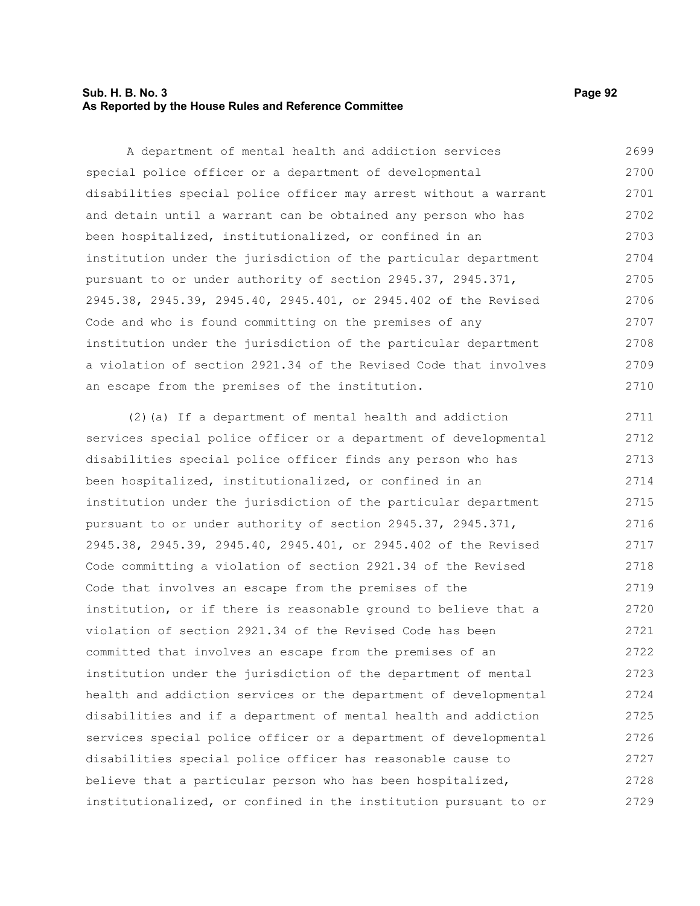# **Sub. H. B. No. 3 Page 92 As Reported by the House Rules and Reference Committee**

A department of mental health and addiction services special police officer or a department of developmental disabilities special police officer may arrest without a warrant and detain until a warrant can be obtained any person who has been hospitalized, institutionalized, or confined in an institution under the jurisdiction of the particular department pursuant to or under authority of section 2945.37, 2945.371, 2945.38, 2945.39, 2945.40, 2945.401, or 2945.402 of the Revised Code and who is found committing on the premises of any institution under the jurisdiction of the particular department a violation of section 2921.34 of the Revised Code that involves an escape from the premises of the institution. 2699 2700 2701 2702 2703 2704 2705 2706 2707 2708 2709 2710

(2)(a) If a department of mental health and addiction services special police officer or a department of developmental disabilities special police officer finds any person who has been hospitalized, institutionalized, or confined in an institution under the jurisdiction of the particular department pursuant to or under authority of section 2945.37, 2945.371, 2945.38, 2945.39, 2945.40, 2945.401, or 2945.402 of the Revised Code committing a violation of section 2921.34 of the Revised Code that involves an escape from the premises of the institution, or if there is reasonable ground to believe that a violation of section 2921.34 of the Revised Code has been committed that involves an escape from the premises of an institution under the jurisdiction of the department of mental health and addiction services or the department of developmental disabilities and if a department of mental health and addiction services special police officer or a department of developmental disabilities special police officer has reasonable cause to believe that a particular person who has been hospitalized, institutionalized, or confined in the institution pursuant to or 2711 2712 2713 2714 2715 2716 2717 2718 2719 2720 2721 2722 2723 2724 2725 2726 2727 2728 2729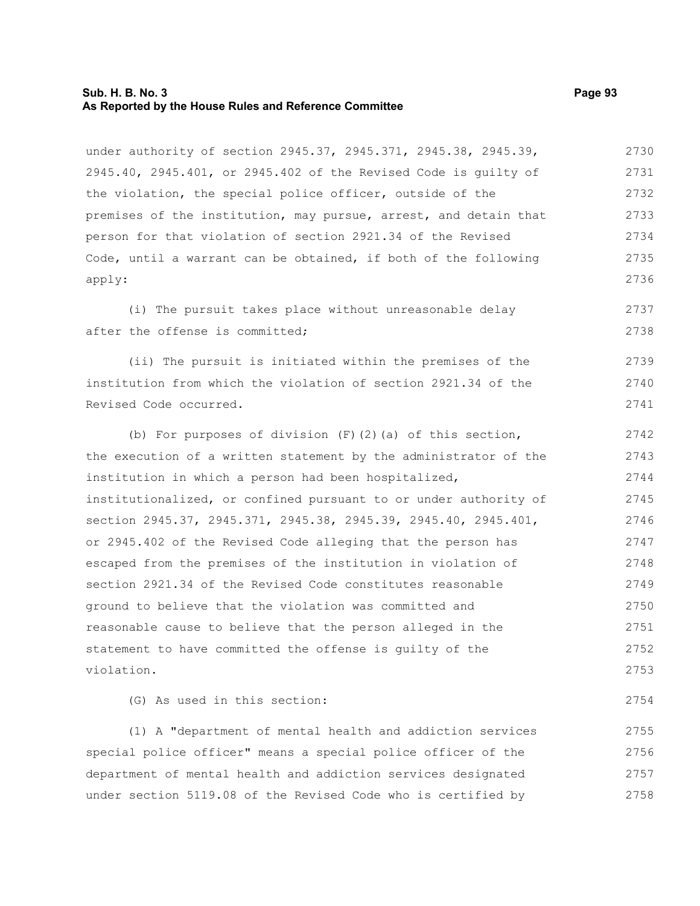#### **Sub. H. B. No. 3 Page 93 As Reported by the House Rules and Reference Committee**

under authority of section 2945.37, 2945.371, 2945.38, 2945.39, 2945.40, 2945.401, or 2945.402 of the Revised Code is guilty of the violation, the special police officer, outside of the premises of the institution, may pursue, arrest, and detain that person for that violation of section 2921.34 of the Revised Code, until a warrant can be obtained, if both of the following apply: 2730 2731 2732 2733 2734 2735 2736

(i) The pursuit takes place without unreasonable delay after the offense is committed; 2737 2738

(ii) The pursuit is initiated within the premises of the institution from which the violation of section 2921.34 of the Revised Code occurred. 2739 2740 2741

(b) For purposes of division (F)(2)(a) of this section, the execution of a written statement by the administrator of the institution in which a person had been hospitalized, institutionalized, or confined pursuant to or under authority of section 2945.37, 2945.371, 2945.38, 2945.39, 2945.40, 2945.401, or 2945.402 of the Revised Code alleging that the person has escaped from the premises of the institution in violation of section 2921.34 of the Revised Code constitutes reasonable ground to believe that the violation was committed and reasonable cause to believe that the person alleged in the statement to have committed the offense is guilty of the violation. 2742 2743 2744 2745 2746 2747 2748 2749 2750 2751 2752 2753

(G) As used in this section:

(1) A "department of mental health and addiction services special police officer" means a special police officer of the department of mental health and addiction services designated under section 5119.08 of the Revised Code who is certified by 2755 2756 2757 2758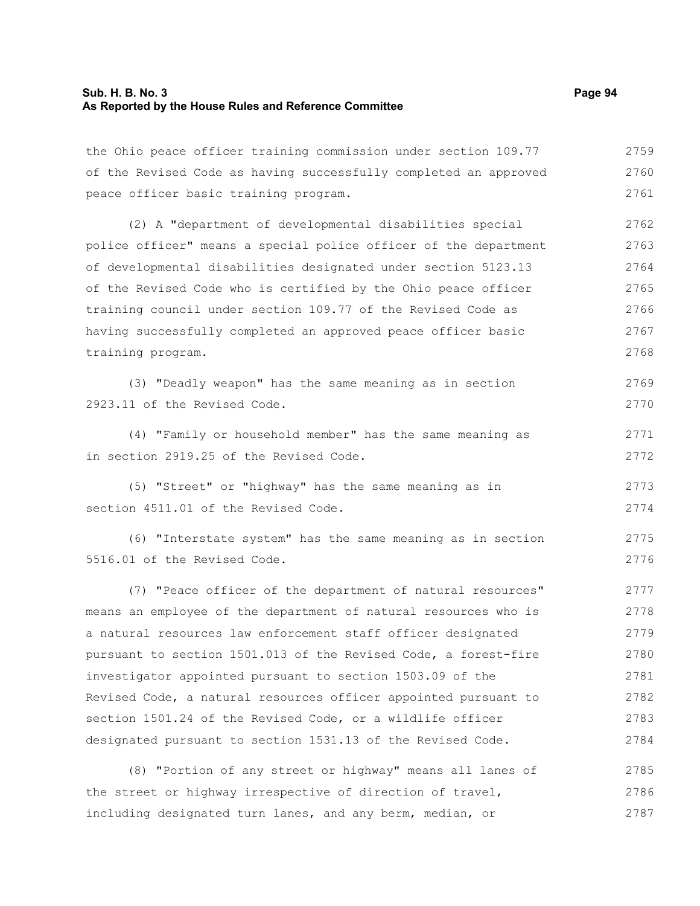#### **Sub. H. B. No. 3 Page 94 As Reported by the House Rules and Reference Committee**

the Ohio peace officer training commission under section 109.77 of the Revised Code as having successfully completed an approved peace officer basic training program. 2759 2760 2761

(2) A "department of developmental disabilities special police officer" means a special police officer of the department of developmental disabilities designated under section 5123.13 of the Revised Code who is certified by the Ohio peace officer training council under section 109.77 of the Revised Code as having successfully completed an approved peace officer basic training program. 2762 2763 2764 2765 2766 2767 2768

|                              |  |  |  |  |  | (3) "Deadly weapon" has the same meaning as in section | 2769 |
|------------------------------|--|--|--|--|--|--------------------------------------------------------|------|
| 2923.11 of the Revised Code. |  |  |  |  |  |                                                        | 2770 |

(4) "Family or household member" has the same meaning as in section 2919.25 of the Revised Code. 2771 2772

(5) "Street" or "highway" has the same meaning as in section 4511.01 of the Revised Code. 2773 2774

(6) "Interstate system" has the same meaning as in section 5516.01 of the Revised Code. 2775 2776

(7) "Peace officer of the department of natural resources" means an employee of the department of natural resources who is a natural resources law enforcement staff officer designated pursuant to section 1501.013 of the Revised Code, a forest-fire investigator appointed pursuant to section 1503.09 of the Revised Code, a natural resources officer appointed pursuant to section 1501.24 of the Revised Code, or a wildlife officer designated pursuant to section 1531.13 of the Revised Code. 2777 2778 2779 2780 2781 2782 2783 2784

(8) "Portion of any street or highway" means all lanes of the street or highway irrespective of direction of travel, including designated turn lanes, and any berm, median, or 2785 2786 2787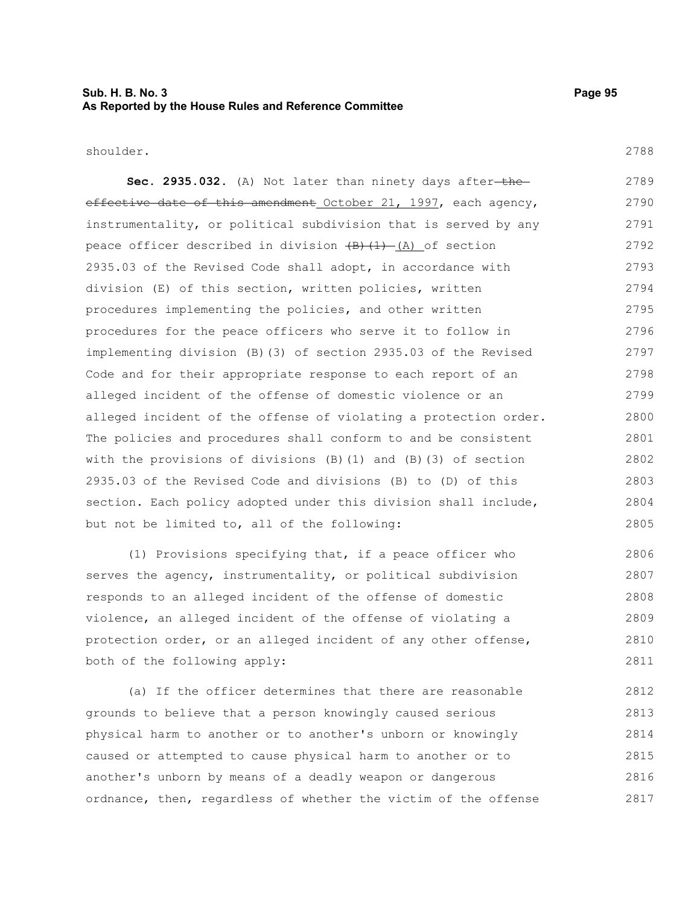# **Sub. H. B. No. 3 Page 95 As Reported by the House Rules and Reference Committee**

shoulder.

2788

Sec. 2935.032. (A) Not later than ninety days after-theeffective date of this amendment October 21, 1997, each agency, instrumentality, or political subdivision that is served by any peace officer described in division  $\left(\frac{B}{1}\right)$  (A) of section 2935.03 of the Revised Code shall adopt, in accordance with division (E) of this section, written policies, written procedures implementing the policies, and other written procedures for the peace officers who serve it to follow in implementing division (B)(3) of section 2935.03 of the Revised Code and for their appropriate response to each report of an alleged incident of the offense of domestic violence or an alleged incident of the offense of violating a protection order. The policies and procedures shall conform to and be consistent with the provisions of divisions (B)(1) and (B)(3) of section 2935.03 of the Revised Code and divisions (B) to (D) of this section. Each policy adopted under this division shall include, but not be limited to, all of the following: 2789 2790 2791 2792 2793 2794 2795 2796 2797 2798 2799 2800 2801 2802 2803 2804 2805

(1) Provisions specifying that, if a peace officer who serves the agency, instrumentality, or political subdivision responds to an alleged incident of the offense of domestic violence, an alleged incident of the offense of violating a protection order, or an alleged incident of any other offense, both of the following apply: 2806 2807 2808 2809 2810 2811

(a) If the officer determines that there are reasonable grounds to believe that a person knowingly caused serious physical harm to another or to another's unborn or knowingly caused or attempted to cause physical harm to another or to another's unborn by means of a deadly weapon or dangerous ordnance, then, regardless of whether the victim of the offense 2812 2813 2814 2815 2816 2817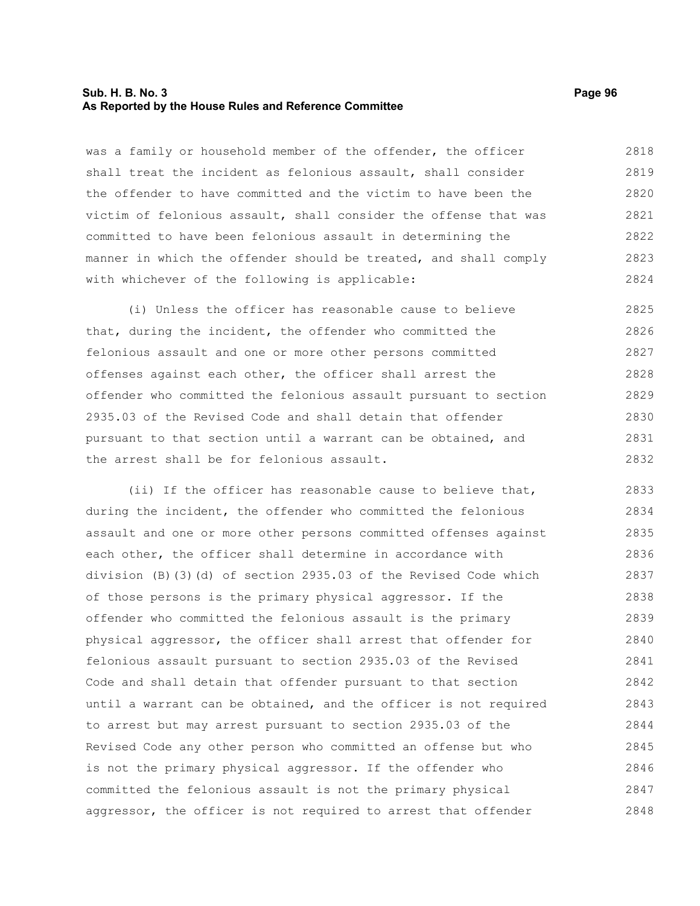#### **Sub. H. B. No. 3 Page 96 As Reported by the House Rules and Reference Committee**

was a family or household member of the offender, the officer shall treat the incident as felonious assault, shall consider the offender to have committed and the victim to have been the victim of felonious assault, shall consider the offense that was committed to have been felonious assault in determining the manner in which the offender should be treated, and shall comply with whichever of the following is applicable: 2818 2819 2820 2821 2822 2823 2824

(i) Unless the officer has reasonable cause to believe that, during the incident, the offender who committed the felonious assault and one or more other persons committed offenses against each other, the officer shall arrest the offender who committed the felonious assault pursuant to section 2935.03 of the Revised Code and shall detain that offender pursuant to that section until a warrant can be obtained, and the arrest shall be for felonious assault. 2825 2826 2827 2828 2829 2830 2831 2832

(ii) If the officer has reasonable cause to believe that, during the incident, the offender who committed the felonious assault and one or more other persons committed offenses against each other, the officer shall determine in accordance with division (B)(3)(d) of section 2935.03 of the Revised Code which of those persons is the primary physical aggressor. If the offender who committed the felonious assault is the primary physical aggressor, the officer shall arrest that offender for felonious assault pursuant to section 2935.03 of the Revised Code and shall detain that offender pursuant to that section until a warrant can be obtained, and the officer is not required to arrest but may arrest pursuant to section 2935.03 of the Revised Code any other person who committed an offense but who is not the primary physical aggressor. If the offender who committed the felonious assault is not the primary physical aggressor, the officer is not required to arrest that offender 2833 2834 2835 2836 2837 2838 2839 2840 2841 2842 2843 2844 2845 2846 2847 2848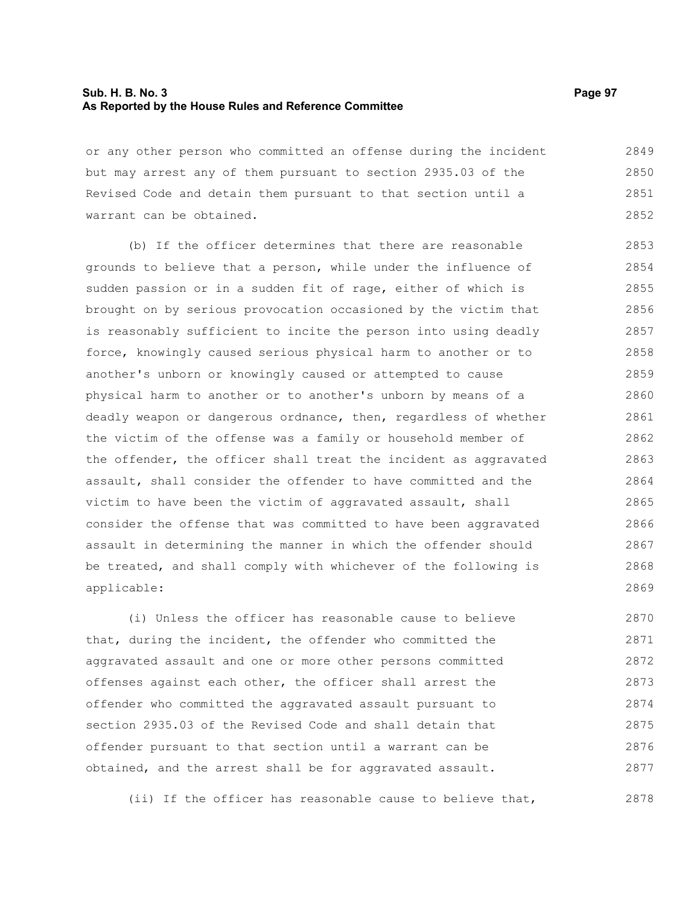#### **Sub. H. B. No. 3 Page 97 As Reported by the House Rules and Reference Committee**

or any other person who committed an offense during the incident but may arrest any of them pursuant to section 2935.03 of the Revised Code and detain them pursuant to that section until a warrant can be obtained. 2849 2850 2851 2852

(b) If the officer determines that there are reasonable grounds to believe that a person, while under the influence of sudden passion or in a sudden fit of rage, either of which is brought on by serious provocation occasioned by the victim that is reasonably sufficient to incite the person into using deadly force, knowingly caused serious physical harm to another or to another's unborn or knowingly caused or attempted to cause physical harm to another or to another's unborn by means of a deadly weapon or dangerous ordnance, then, regardless of whether the victim of the offense was a family or household member of the offender, the officer shall treat the incident as aggravated assault, shall consider the offender to have committed and the victim to have been the victim of aggravated assault, shall consider the offense that was committed to have been aggravated assault in determining the manner in which the offender should be treated, and shall comply with whichever of the following is applicable: 2853 2854 2855 2856 2857 2858 2859 2860 2861 2862 2863 2864 2865 2866 2867 2868 2869

(i) Unless the officer has reasonable cause to believe that, during the incident, the offender who committed the aggravated assault and one or more other persons committed offenses against each other, the officer shall arrest the offender who committed the aggravated assault pursuant to section 2935.03 of the Revised Code and shall detain that offender pursuant to that section until a warrant can be obtained, and the arrest shall be for aggravated assault. 2870 2871 2872 2873 2874 2875 2876 2877

(ii) If the officer has reasonable cause to believe that, 2878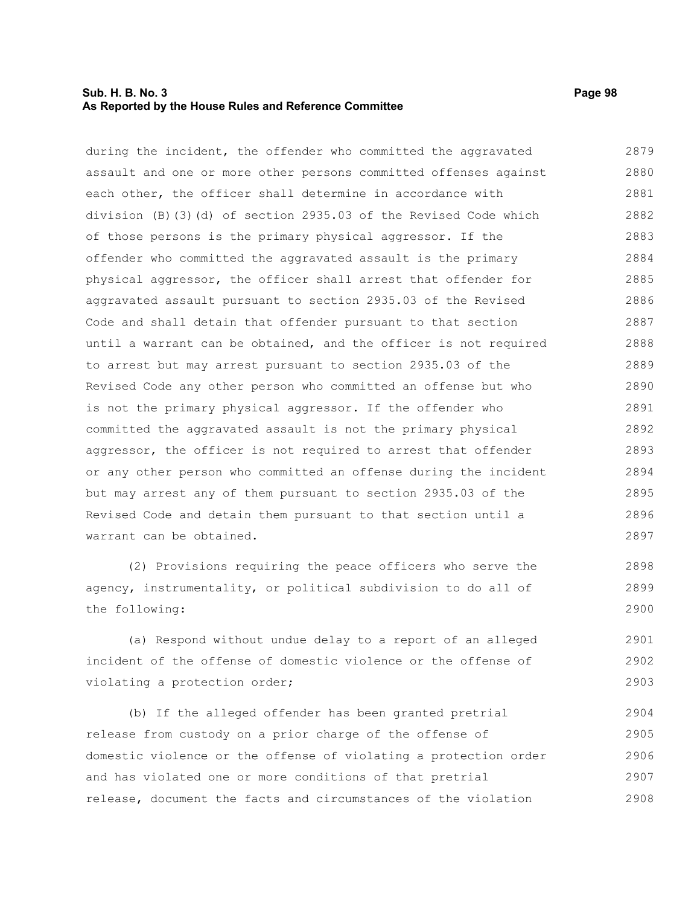### **Sub. H. B. No. 3 Page 98 As Reported by the House Rules and Reference Committee**

during the incident, the offender who committed the aggravated assault and one or more other persons committed offenses against each other, the officer shall determine in accordance with division (B)(3)(d) of section 2935.03 of the Revised Code which of those persons is the primary physical aggressor. If the offender who committed the aggravated assault is the primary physical aggressor, the officer shall arrest that offender for aggravated assault pursuant to section 2935.03 of the Revised Code and shall detain that offender pursuant to that section until a warrant can be obtained, and the officer is not required to arrest but may arrest pursuant to section 2935.03 of the Revised Code any other person who committed an offense but who is not the primary physical aggressor. If the offender who committed the aggravated assault is not the primary physical aggressor, the officer is not required to arrest that offender or any other person who committed an offense during the incident but may arrest any of them pursuant to section 2935.03 of the Revised Code and detain them pursuant to that section until a 2879 2880 2881 2882 2883 2884 2885 2886 2887 2888 2889 2890 2891 2892 2893 2894 2895 2896

warrant can be obtained.

(2) Provisions requiring the peace officers who serve the agency, instrumentality, or political subdivision to do all of the following: 2898 2899 2900

(a) Respond without undue delay to a report of an alleged incident of the offense of domestic violence or the offense of violating a protection order; 2901 2902 2903

(b) If the alleged offender has been granted pretrial release from custody on a prior charge of the offense of domestic violence or the offense of violating a protection order and has violated one or more conditions of that pretrial release, document the facts and circumstances of the violation 2904 2905 2906 2907 2908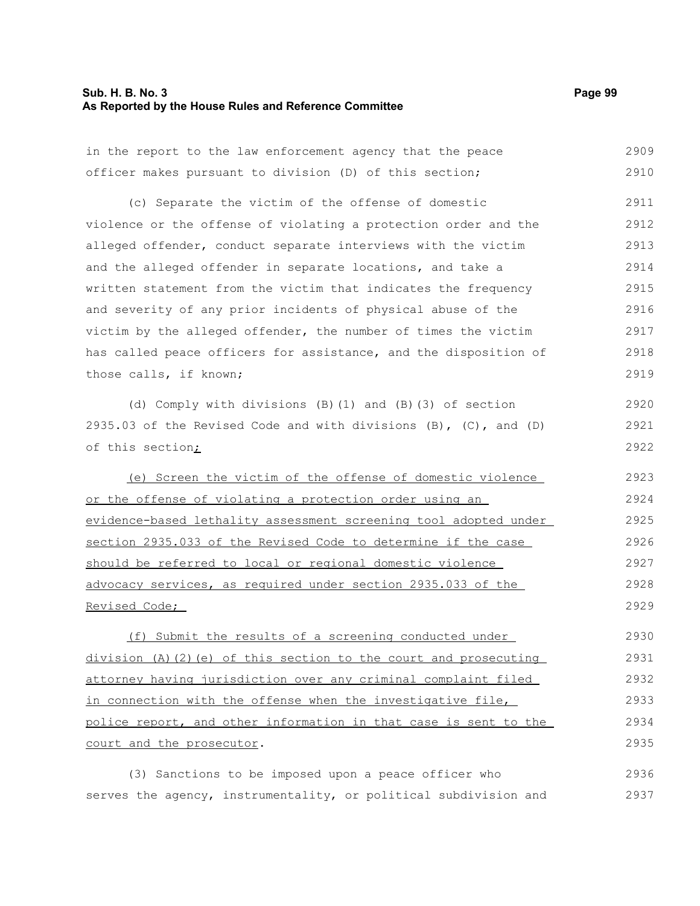# **Sub. H. B. No. 3 Page 99 As Reported by the House Rules and Reference Committee**

| in the report to the law enforcement agency that the peace               | 2909 |
|--------------------------------------------------------------------------|------|
| officer makes pursuant to division (D) of this section;                  | 2910 |
| (c) Separate the victim of the offense of domestic                       | 2911 |
| violence or the offense of violating a protection order and the          | 2912 |
| alleged offender, conduct separate interviews with the victim            | 2913 |
| and the alleged offender in separate locations, and take a               | 2914 |
| written statement from the victim that indicates the frequency           | 2915 |
| and severity of any prior incidents of physical abuse of the             | 2916 |
| victim by the alleged offender, the number of times the victim           | 2917 |
| has called peace officers for assistance, and the disposition of         | 2918 |
| those calls, if known;                                                   | 2919 |
|                                                                          |      |
| (d) Comply with divisions (B) (1) and (B) (3) of section                 | 2920 |
| 2935.03 of the Revised Code and with divisions $(B)$ , $(C)$ , and $(D)$ | 2921 |
| of this section;                                                         | 2922 |
| (e) Screen the victim of the offense of domestic violence                | 2923 |
| or the offense of violating a protection order using an                  | 2924 |
| evidence-based lethality assessment screening tool adopted under         | 2925 |
| section 2935.033 of the Revised Code to determine if the case            | 2926 |
| should be referred to local or regional domestic violence                | 2927 |
| advocacy services, as required under section 2935.033 of the             | 2928 |
| Revised Code;                                                            | 2929 |
| (f) Submit the results of a screening conducted under                    | 2930 |
| division (A) (2) (e) of this section to the court and prosecuting        | 2931 |
| attorney having jurisdiction over any criminal complaint filed           | 2932 |
| in connection with the offense when the investigative file,              | 2933 |
| police report, and other information in that case is sent to the         | 2934 |
|                                                                          | 2935 |
| court and the prosecutor.                                                |      |
| (3) Sanctions to be imposed upon a peace officer who                     | 2936 |

serves the agency, instrumentality, or political subdivision and 2937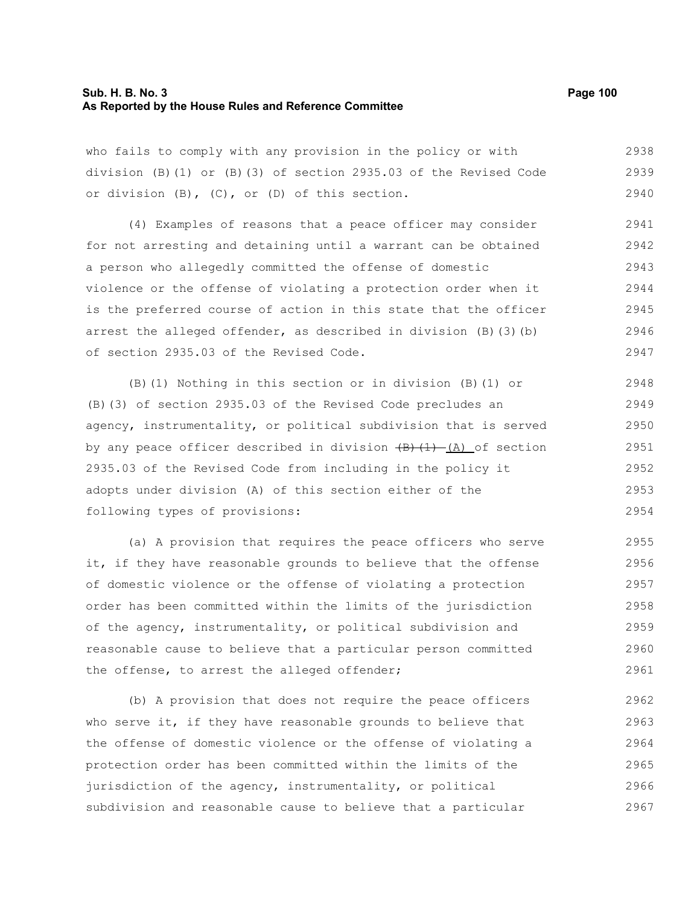#### **Sub. H. B. No. 3 Page 100 As Reported by the House Rules and Reference Committee**

who fails to comply with any provision in the policy or with division (B)(1) or (B)(3) of section 2935.03 of the Revised Code or division (B), (C), or (D) of this section. 2938 2939 2940

(4) Examples of reasons that a peace officer may consider for not arresting and detaining until a warrant can be obtained a person who allegedly committed the offense of domestic violence or the offense of violating a protection order when it is the preferred course of action in this state that the officer arrest the alleged offender, as described in division (B)(3)(b) of section 2935.03 of the Revised Code. 2941 2942 2943 2944 2945 2946 2947

(B)(1) Nothing in this section or in division (B)(1) or (B)(3) of section 2935.03 of the Revised Code precludes an agency, instrumentality, or political subdivision that is served by any peace officer described in division  $\overline{(B)(1)}$   $\overline{(A)}$  of section 2935.03 of the Revised Code from including in the policy it adopts under division (A) of this section either of the following types of provisions: 2948 2949 2950 2951 2952 2953 2954

(a) A provision that requires the peace officers who serve it, if they have reasonable grounds to believe that the offense of domestic violence or the offense of violating a protection order has been committed within the limits of the jurisdiction of the agency, instrumentality, or political subdivision and reasonable cause to believe that a particular person committed the offense, to arrest the alleged offender; 2955 2956 2957 2958 2959 2960 2961

(b) A provision that does not require the peace officers who serve it, if they have reasonable grounds to believe that the offense of domestic violence or the offense of violating a protection order has been committed within the limits of the jurisdiction of the agency, instrumentality, or political subdivision and reasonable cause to believe that a particular 2962 2963 2964 2965 2966 2967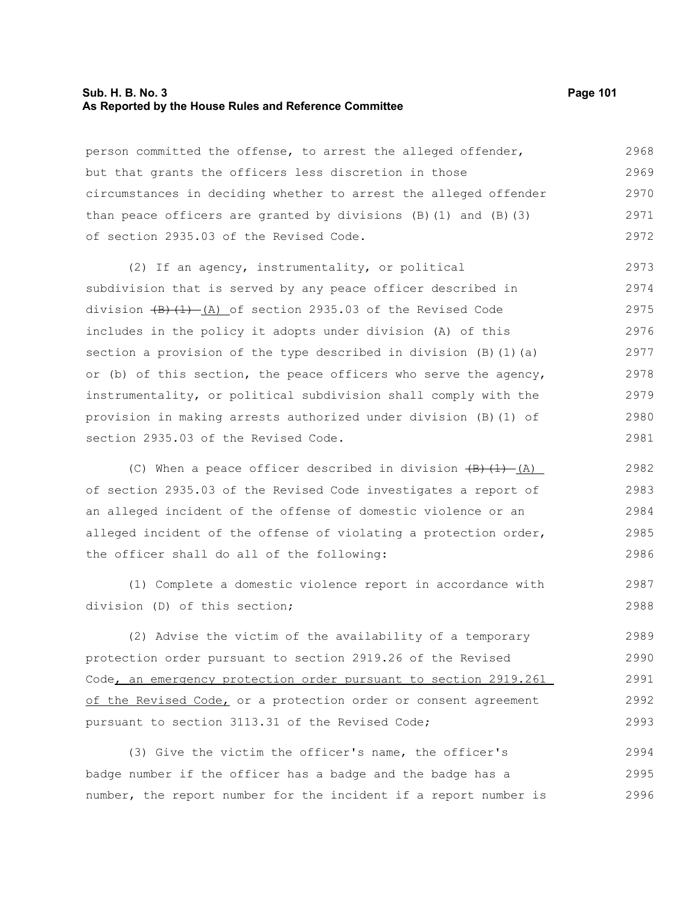#### **Sub. H. B. No. 3 Page 101 As Reported by the House Rules and Reference Committee**

person committed the offense, to arrest the alleged offender, but that grants the officers less discretion in those circumstances in deciding whether to arrest the alleged offender than peace officers are granted by divisions  $(B)$  (1) and  $(B)$  (3) of section 2935.03 of the Revised Code. 2968 2969 2970 2971 2972

(2) If an agency, instrumentality, or political subdivision that is served by any peace officer described in division  $\left(\frac{B}{1}\right)$  (A) of section 2935.03 of the Revised Code includes in the policy it adopts under division (A) of this section a provision of the type described in division (B)(1)(a) or (b) of this section, the peace officers who serve the agency, instrumentality, or political subdivision shall comply with the provision in making arrests authorized under division (B)(1) of section 2935.03 of the Revised Code. 2973 2974 2975 2976 2977 2978 2979 2980 2981

(C) When a peace officer described in division  $\{B\}(1)$  (A) of section 2935.03 of the Revised Code investigates a report of an alleged incident of the offense of domestic violence or an alleged incident of the offense of violating a protection order, the officer shall do all of the following: 2982 2983 2984 2985 2986

(1) Complete a domestic violence report in accordance with division (D) of this section; 2987 2988

(2) Advise the victim of the availability of a temporary protection order pursuant to section 2919.26 of the Revised Code, an emergency protection order pursuant to section 2919.261 of the Revised Code, or a protection order or consent agreement pursuant to section 3113.31 of the Revised Code; 2989 2990 2991 2992 2993

(3) Give the victim the officer's name, the officer's badge number if the officer has a badge and the badge has a number, the report number for the incident if a report number is 2994 2995 2996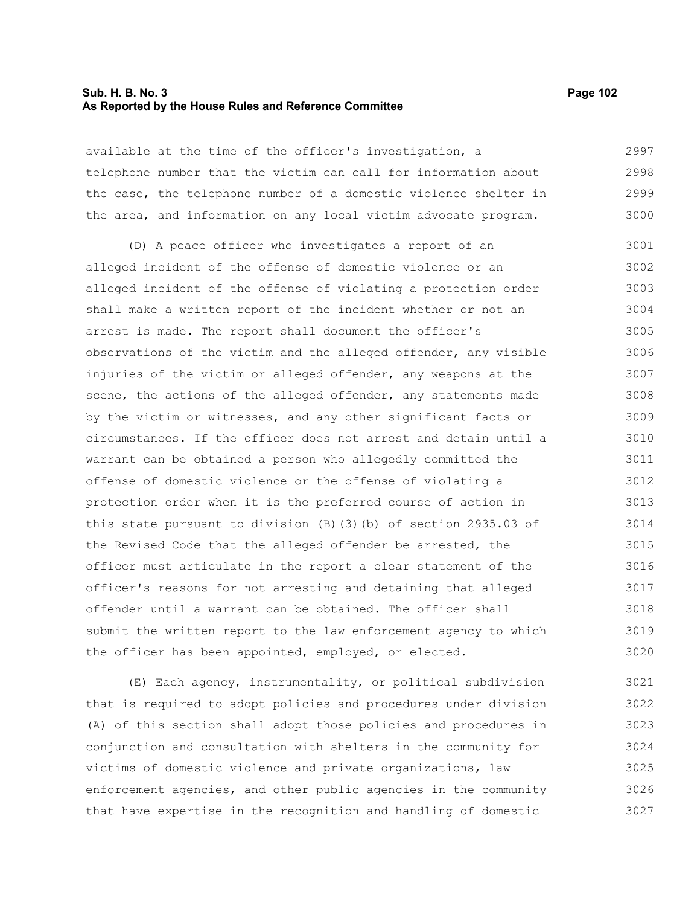#### **Sub. H. B. No. 3 Page 102 As Reported by the House Rules and Reference Committee**

available at the time of the officer's investigation, a telephone number that the victim can call for information about the case, the telephone number of a domestic violence shelter in the area, and information on any local victim advocate program. 2997 2998 2999 3000

(D) A peace officer who investigates a report of an alleged incident of the offense of domestic violence or an alleged incident of the offense of violating a protection order shall make a written report of the incident whether or not an arrest is made. The report shall document the officer's observations of the victim and the alleged offender, any visible injuries of the victim or alleged offender, any weapons at the scene, the actions of the alleged offender, any statements made by the victim or witnesses, and any other significant facts or circumstances. If the officer does not arrest and detain until a warrant can be obtained a person who allegedly committed the offense of domestic violence or the offense of violating a protection order when it is the preferred course of action in this state pursuant to division (B)(3)(b) of section 2935.03 of the Revised Code that the alleged offender be arrested, the officer must articulate in the report a clear statement of the officer's reasons for not arresting and detaining that alleged offender until a warrant can be obtained. The officer shall submit the written report to the law enforcement agency to which the officer has been appointed, employed, or elected. 3001 3002 3003 3004 3005 3006 3007 3008 3009 3010 3011 3012 3013 3014 3015 3016 3017 3018 3019 3020

(E) Each agency, instrumentality, or political subdivision that is required to adopt policies and procedures under division (A) of this section shall adopt those policies and procedures in conjunction and consultation with shelters in the community for victims of domestic violence and private organizations, law enforcement agencies, and other public agencies in the community that have expertise in the recognition and handling of domestic 3021 3022 3023 3024 3025 3026 3027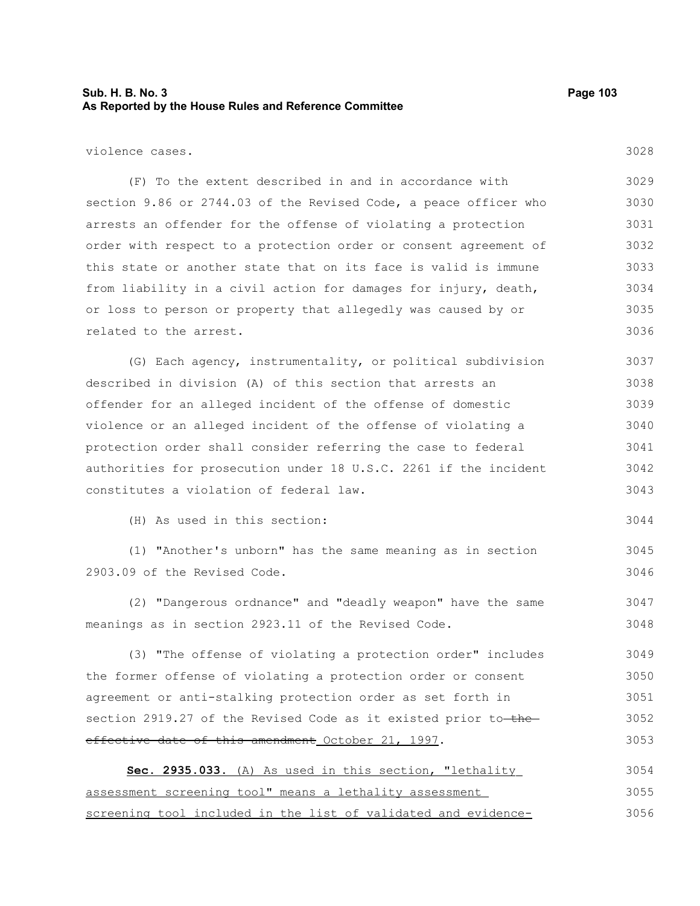# **Sub. H. B. No. 3 Page 103 As Reported by the House Rules and Reference Committee**

violence cases.

3028

3044

(F) To the extent described in and in accordance with section 9.86 or 2744.03 of the Revised Code, a peace officer who arrests an offender for the offense of violating a protection order with respect to a protection order or consent agreement of this state or another state that on its face is valid is immune from liability in a civil action for damages for injury, death, or loss to person or property that allegedly was caused by or related to the arrest. 3029 3030 3031 3032 3033 3034 3035 3036

(G) Each agency, instrumentality, or political subdivision described in division (A) of this section that arrests an offender for an alleged incident of the offense of domestic violence or an alleged incident of the offense of violating a protection order shall consider referring the case to federal authorities for prosecution under 18 U.S.C. 2261 if the incident constitutes a violation of federal law. 3037 3038 3039 3040 3041 3042 3043

(H) As used in this section:

(1) "Another's unborn" has the same meaning as in section 2903.09 of the Revised Code. 3045 3046

(2) "Dangerous ordnance" and "deadly weapon" have the same meanings as in section 2923.11 of the Revised Code. 3047 3048

(3) "The offense of violating a protection order" includes the former offense of violating a protection order or consent agreement or anti-stalking protection order as set forth in section 2919.27 of the Revised Code as it existed prior to-theeffective date of this amendment October 21, 1997. 3049 3050 3051 3052 3053

 **Sec. 2935.033.** (A) As used in this section, "lethality assessment screening tool" means a lethality assessment screening tool included in the list of validated and evidence-3054 3055 3056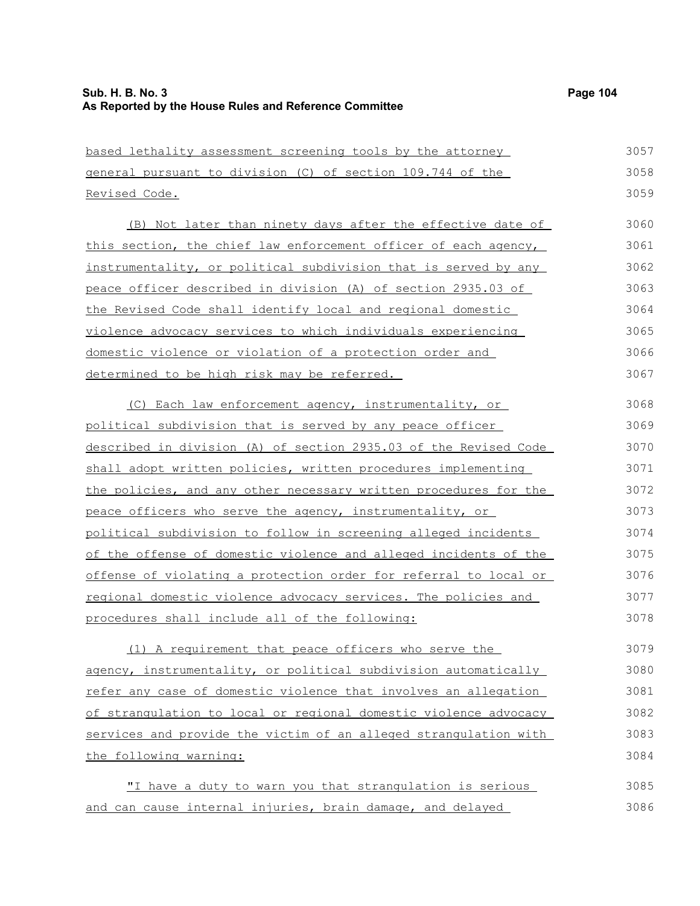| based lethality assessment screening tools by the attorney       | 3057 |
|------------------------------------------------------------------|------|
| general pursuant to division (C) of section 109.744 of the       | 3058 |
| Revised Code.                                                    | 3059 |
| (B) Not later than ninety days after the effective date of       | 3060 |
| this section, the chief law enforcement officer of each agency,  | 3061 |
| instrumentality, or political subdivision that is served by any  | 3062 |
| peace officer described in division (A) of section 2935.03 of    | 3063 |
| the Revised Code shall identify local and regional domestic      | 3064 |
| violence advocacy services to which individuals experiencing     | 3065 |
| domestic violence or violation of a protection order and         | 3066 |
| determined to be high risk may be referred.                      | 3067 |
| (C) Each law enforcement agency, instrumentality, or             | 3068 |
| political subdivision that is served by any peace officer        | 3069 |
| described in division (A) of section 2935.03 of the Revised Code | 3070 |
| shall adopt written policies, written procedures implementing    | 3071 |
| the policies, and any other necessary written procedures for the | 3072 |
| peace officers who serve the agency, instrumentality, or         | 3073 |
| political subdivision to follow in screening alleged incidents   | 3074 |
| of the offense of domestic violence and alleged incidents of the | 3075 |
| offense of violating a protection order for referral to local or | 3076 |
| regional domestic violence advocacy services. The policies and   | 3077 |
| procedures shall include all of the following:                   | 3078 |
| (1) A requirement that peace officers who serve the              | 3079 |
| agency, instrumentality, or political subdivision automatically  | 3080 |
| refer any case of domestic violence that involves an allegation  | 3081 |
| of strangulation to local or regional domestic violence advocacy | 3082 |
| services and provide the victim of an alleged strangulation with | 3083 |
| the following warning:                                           | 3084 |
| "I have a duty to warn you that strangulation is serious         | 3085 |
| and can cause internal injuries, brain damage, and delayed       | 3086 |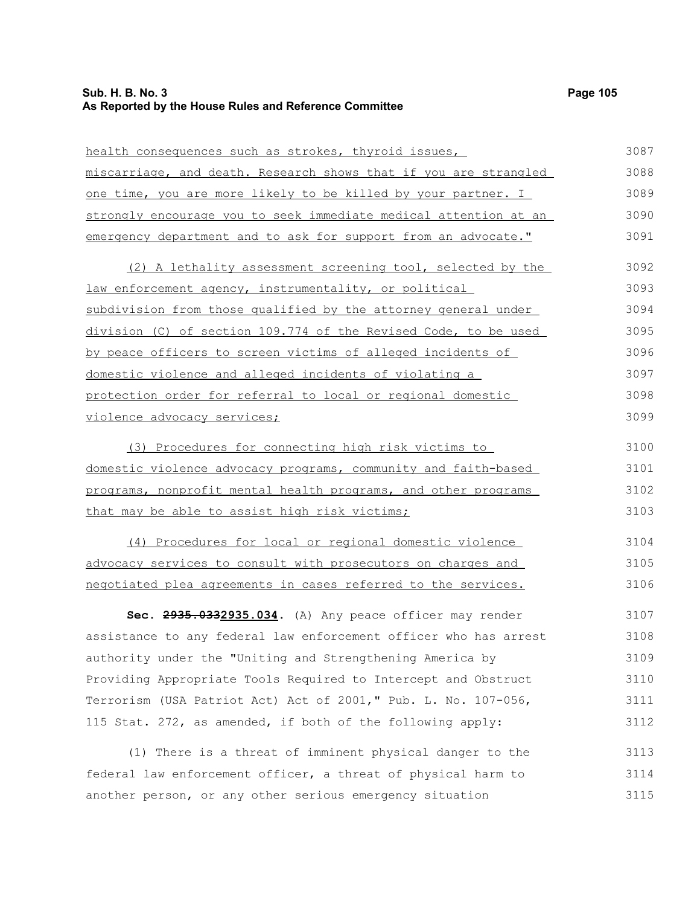# **Sub. H. B. No. 3 Page 105 As Reported by the House Rules and Reference Committee**

| health consequences such as strokes, thyroid issues,             | 3087 |
|------------------------------------------------------------------|------|
| miscarriage, and death. Research shows that if you are strangled | 3088 |
| one time, you are more likely to be killed by your partner. I    | 3089 |
| strongly encourage you to seek immediate medical attention at an | 3090 |
| emergency department and to ask for support from an advocate."   | 3091 |
| (2) A lethality assessment screening tool, selected by the       | 3092 |
| law enforcement agency, instrumentality, or political            | 3093 |
| subdivision from those qualified by the attorney general under   | 3094 |
| division (C) of section 109.774 of the Revised Code, to be used  | 3095 |
| by peace officers to screen victims of alleged incidents of      | 3096 |
| domestic violence and alleged incidents of violating a           | 3097 |
| protection order for referral to local or regional domestic      | 3098 |
| violence advocacy services;                                      | 3099 |
| (3) Procedures for connecting high risk victims to               | 3100 |
| domestic violence advocacy programs, community and faith-based   | 3101 |
| programs, nonprofit mental health programs, and other programs   | 3102 |
| that may be able to assist high risk victims;                    | 3103 |
| (4) Procedures for local or regional domestic violence           | 3104 |
| advocacy services to consult with prosecutors on charges and     | 3105 |
| negotiated plea agreements in cases referred to the services.    | 3106 |
| Sec. 2935.0332935.034. (A) Any peace officer may render          | 3107 |
| assistance to any federal law enforcement officer who has arrest | 3108 |
| authority under the "Uniting and Strengthening America by        | 3109 |
| Providing Appropriate Tools Required to Intercept and Obstruct   | 3110 |
| Terrorism (USA Patriot Act) Act of 2001," Pub. L. No. 107-056,   | 3111 |
| 115 Stat. 272, as amended, if both of the following apply:       | 3112 |
| (1) There is a threat of imminent physical danger to the         | 3113 |
| federal law enforcement officer a threat of physical harm to     | 3114 |

federal law enforcement officer, a threat of physical harm to another person, or any other serious emergency situation 3114 3115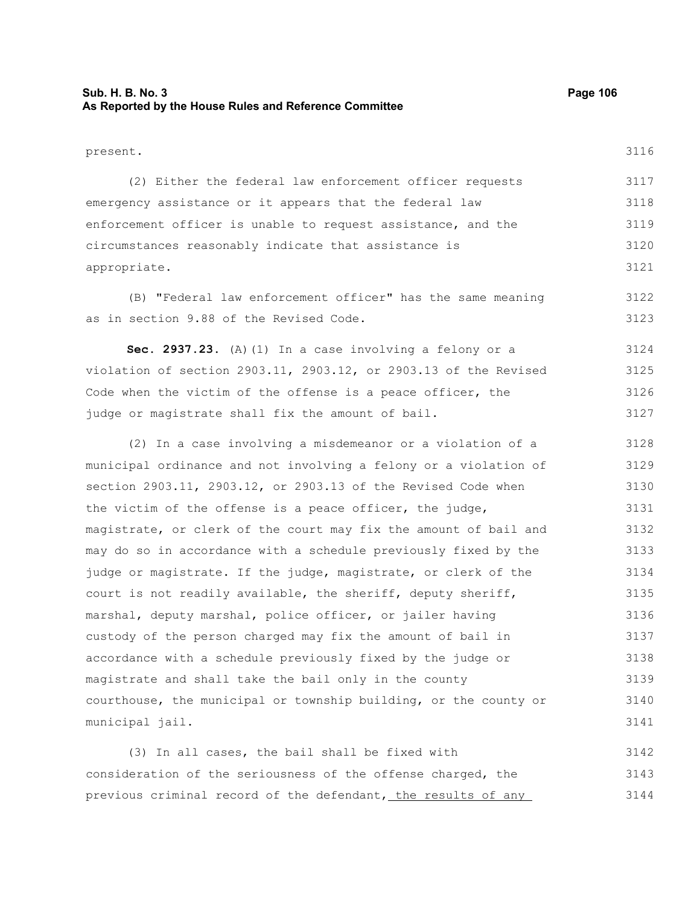# **Sub. H. B. No. 3 Page 106 As Reported by the House Rules and Reference Committee**

3116

3122

| present.                                                     |
|--------------------------------------------------------------|
| (2) Either the federal law enforcement officer requests      |
| emergency assistance or it appears that the federal law      |
| enforcement officer is unable to request assistance, and the |
| circumstances reasonably indicate that assistance is         |
| appropriate.                                                 |
| (B) "Federal law enforcement officer" has the same meaning   |

as in section 9.88 of the Revised Code. 3123

**Sec. 2937.23.** (A)(1) In a case involving a felony or a violation of section 2903.11, 2903.12, or 2903.13 of the Revised Code when the victim of the offense is a peace officer, the judge or magistrate shall fix the amount of bail. 3124 3125 3126 3127

(2) In a case involving a misdemeanor or a violation of a municipal ordinance and not involving a felony or a violation of section 2903.11, 2903.12, or 2903.13 of the Revised Code when the victim of the offense is a peace officer, the judge, magistrate, or clerk of the court may fix the amount of bail and may do so in accordance with a schedule previously fixed by the judge or magistrate. If the judge, magistrate, or clerk of the court is not readily available, the sheriff, deputy sheriff, marshal, deputy marshal, police officer, or jailer having custody of the person charged may fix the amount of bail in accordance with a schedule previously fixed by the judge or magistrate and shall take the bail only in the county courthouse, the municipal or township building, or the county or municipal jail. 3128 3129 3130 3131 3132 3133 3134 3135 3136 3137 3138 3139 3140 3141

(3) In all cases, the bail shall be fixed with consideration of the seriousness of the offense charged, the previous criminal record of the defendant, the results of any 3142 3143 3144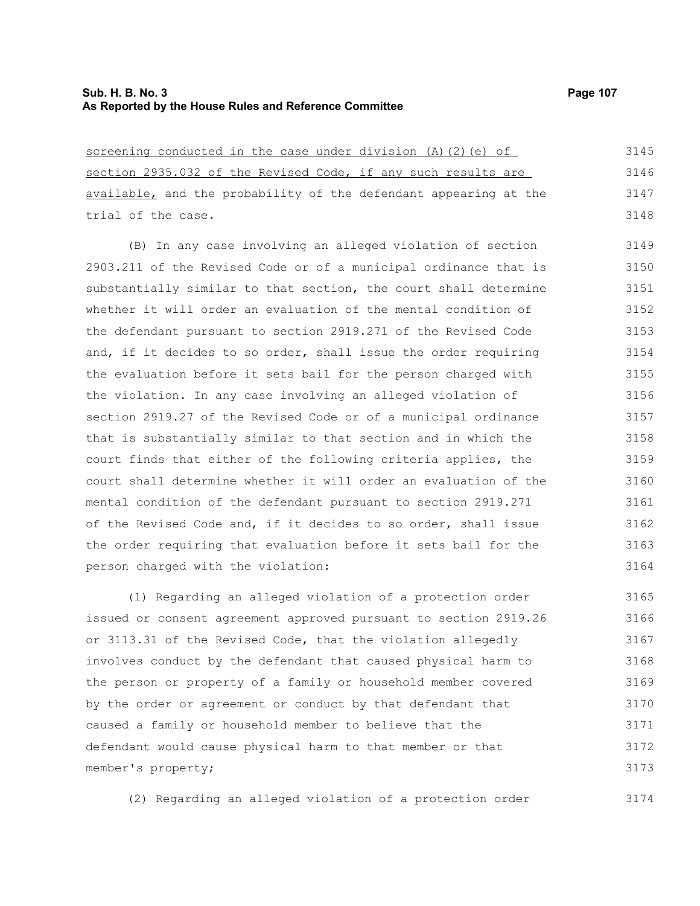### **Sub. H. B. No. 3 Page 107 As Reported by the House Rules and Reference Committee**

3174

| screening conducted in the case under division (A)(2)(e) of      | 3145 |
|------------------------------------------------------------------|------|
| section 2935.032 of the Revised Code, if any such results are    | 3146 |
| available, and the probability of the defendant appearing at the | 3147 |
| trial of the case.                                               | 3148 |

(B) In any case involving an alleged violation of section 2903.211 of the Revised Code or of a municipal ordinance that is substantially similar to that section, the court shall determine whether it will order an evaluation of the mental condition of the defendant pursuant to section 2919.271 of the Revised Code and, if it decides to so order, shall issue the order requiring the evaluation before it sets bail for the person charged with the violation. In any case involving an alleged violation of section 2919.27 of the Revised Code or of a municipal ordinance that is substantially similar to that section and in which the court finds that either of the following criteria applies, the court shall determine whether it will order an evaluation of the mental condition of the defendant pursuant to section 2919.271 of the Revised Code and, if it decides to so order, shall issue the order requiring that evaluation before it sets bail for the person charged with the violation: 3149 3150 3151 3152 3153 3154 3155 3156 3157 3158 3159 3160 3161 3162 3163 3164

(1) Regarding an alleged violation of a protection order issued or consent agreement approved pursuant to section 2919.26 or 3113.31 of the Revised Code, that the violation allegedly involves conduct by the defendant that caused physical harm to the person or property of a family or household member covered by the order or agreement or conduct by that defendant that caused a family or household member to believe that the defendant would cause physical harm to that member or that member's property; 3165 3166 3167 3168 3169 3170 3171 3172 3173

(2) Regarding an alleged violation of a protection order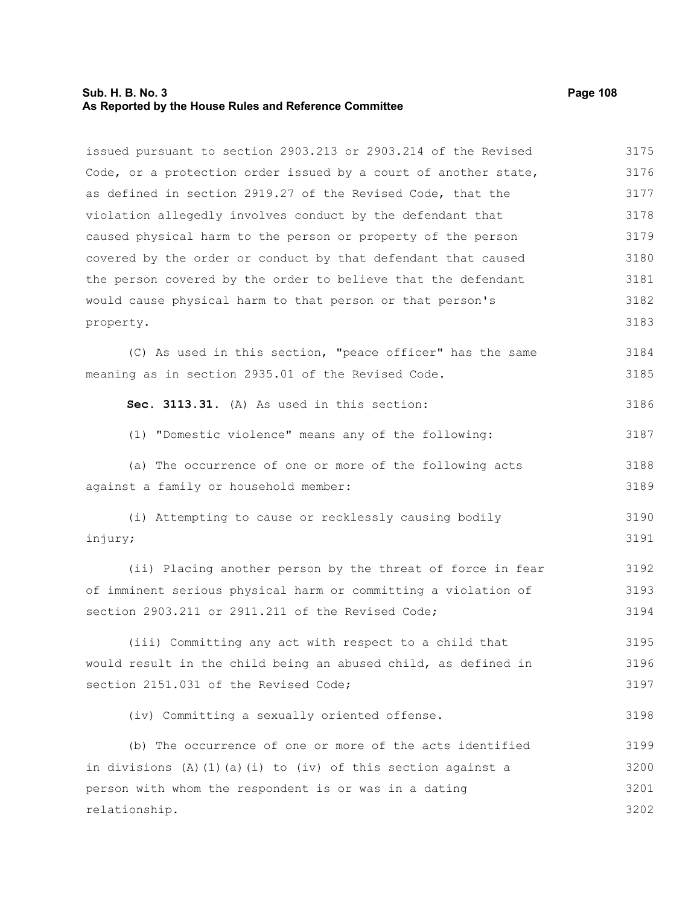# **Sub. H. B. No. 3 Page 108 As Reported by the House Rules and Reference Committee**

| issued pursuant to section 2903.213 or 2903.214 of the Revised           | 3175 |
|--------------------------------------------------------------------------|------|
| Code, or a protection order issued by a court of another state,          | 3176 |
| as defined in section 2919.27 of the Revised Code, that the              | 3177 |
| violation allegedly involves conduct by the defendant that               | 3178 |
| caused physical harm to the person or property of the person             | 3179 |
| covered by the order or conduct by that defendant that caused            | 3180 |
| the person covered by the order to believe that the defendant            | 3181 |
| would cause physical harm to that person or that person's                | 3182 |
| property.                                                                | 3183 |
| (C) As used in this section, "peace officer" has the same                | 3184 |
| meaning as in section 2935.01 of the Revised Code.                       | 3185 |
| Sec. 3113.31. (A) As used in this section:                               | 3186 |
| (1) "Domestic violence" means any of the following:                      | 3187 |
| (a) The occurrence of one or more of the following acts                  | 3188 |
| against a family or household member:                                    | 3189 |
| (i) Attempting to cause or recklessly causing bodily                     | 3190 |
| injury;                                                                  | 3191 |
| (ii) Placing another person by the threat of force in fear               | 3192 |
| of imminent serious physical harm or committing a violation of           | 3193 |
| section 2903.211 or 2911.211 of the Revised Code;                        | 3194 |
| (iii) Committing any act with respect to a child that                    | 3195 |
| would result in the child being an abused child, as defined in           | 3196 |
| section 2151.031 of the Revised Code;                                    | 3197 |
| (iv) Committing a sexually oriented offense.                             | 3198 |
| (b) The occurrence of one or more of the acts identified                 | 3199 |
| in divisions $(A)$ $(1)$ $(a)$ $(i)$ to $(iv)$ of this section against a | 3200 |
| person with whom the respondent is or was in a dating                    | 3201 |
| relationship.                                                            | 3202 |
|                                                                          |      |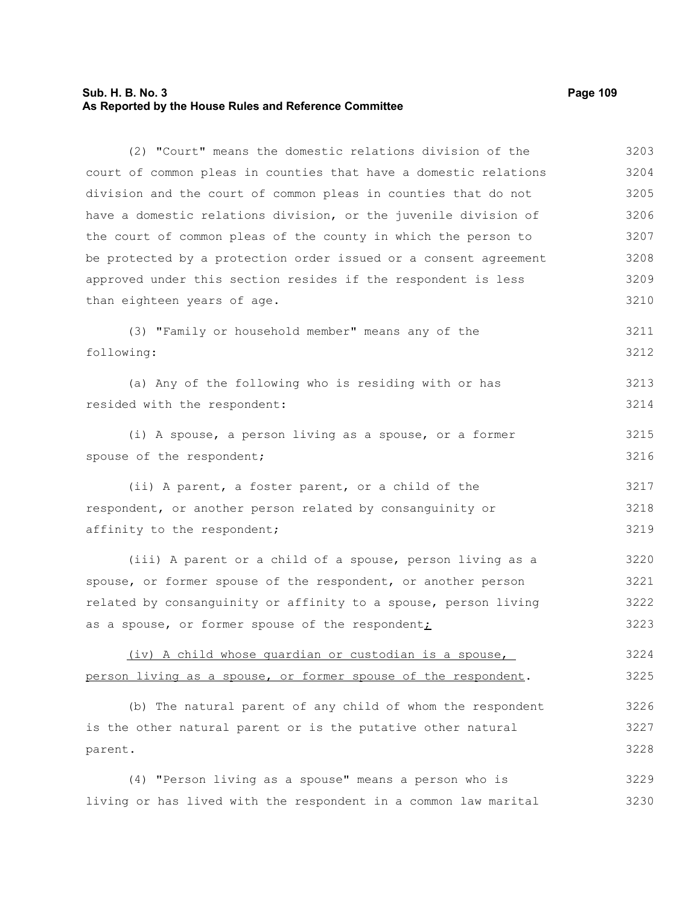## **Sub. H. B. No. 3 Page 109 As Reported by the House Rules and Reference Committee**

(2) "Court" means the domestic relations division of the court of common pleas in counties that have a domestic relations division and the court of common pleas in counties that do not have a domestic relations division, or the juvenile division of the court of common pleas of the county in which the person to be protected by a protection order issued or a consent agreement approved under this section resides if the respondent is less than eighteen years of age. 3203 3204 3205 3206 3207 3208 3209 3210

- (3) "Family or household member" means any of the following: 3211 3212
- (a) Any of the following who is residing with or has resided with the respondent: 3213 3214

(i) A spouse, a person living as a spouse, or a former spouse of the respondent;

(ii) A parent, a foster parent, or a child of the respondent, or another person related by consanguinity or affinity to the respondent; 3217 3218 3219

(iii) A parent or a child of a spouse, person living as a spouse, or former spouse of the respondent, or another person related by consanguinity or affinity to a spouse, person living as a spouse, or former spouse of the respondent; 3220 3221 3222 3223

```
(iv) A child whose guardian or custodian is a spouse,
person living as a spouse, or former spouse of the respondent.
                                                                           3224
                                                                           3225
```
(b) The natural parent of any child of whom the respondent is the other natural parent or is the putative other natural parent. 3226 3227 3228

(4) "Person living as a spouse" means a person who is living or has lived with the respondent in a common law marital 3229 3230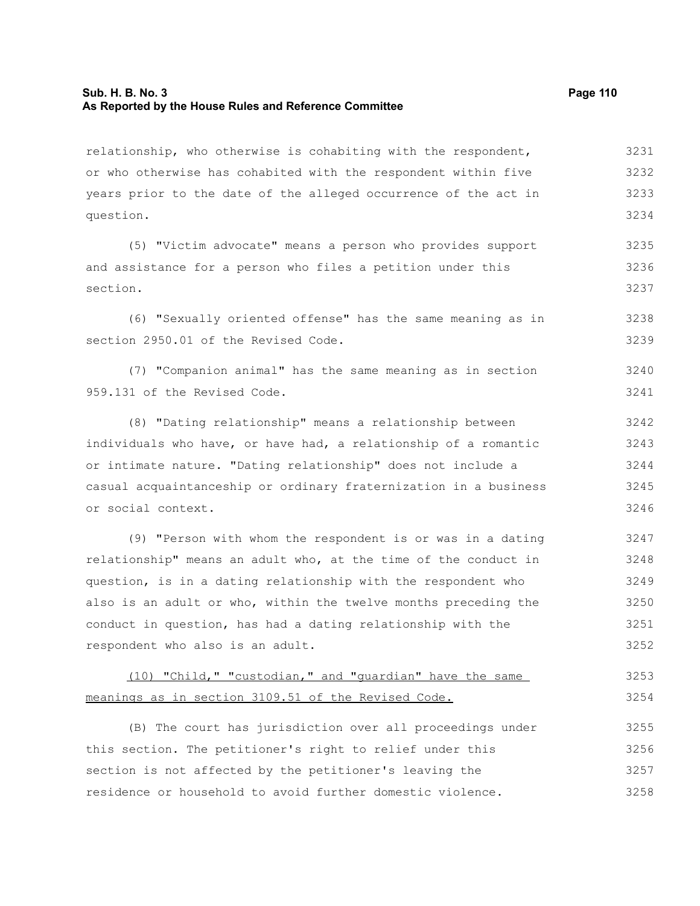relationship, who otherwise is cohabiting with the respondent, or who otherwise has cohabited with the respondent within five years prior to the date of the alleged occurrence of the act in question. 3231 3232 3233 3234

(5) "Victim advocate" means a person who provides support and assistance for a person who files a petition under this section. 3235 3236 3237

(6) "Sexually oriented offense" has the same meaning as in section 2950.01 of the Revised Code. 3238 3239

(7) "Companion animal" has the same meaning as in section 959.131 of the Revised Code. 3240 3241

(8) "Dating relationship" means a relationship between individuals who have, or have had, a relationship of a romantic or intimate nature. "Dating relationship" does not include a casual acquaintanceship or ordinary fraternization in a business or social context. 3242 3243 3244 3245 3246

(9) "Person with whom the respondent is or was in a dating relationship" means an adult who, at the time of the conduct in question, is in a dating relationship with the respondent who also is an adult or who, within the twelve months preceding the conduct in question, has had a dating relationship with the respondent who also is an adult. 3247 3248 3249 3250 3251 3252

(10) "Child," "custodian," and "guardian" have the same meanings as in section 3109.51 of the Revised Code. 3253 3254

(B) The court has jurisdiction over all proceedings under this section. The petitioner's right to relief under this section is not affected by the petitioner's leaving the residence or household to avoid further domestic violence. 3255 3256 3257 3258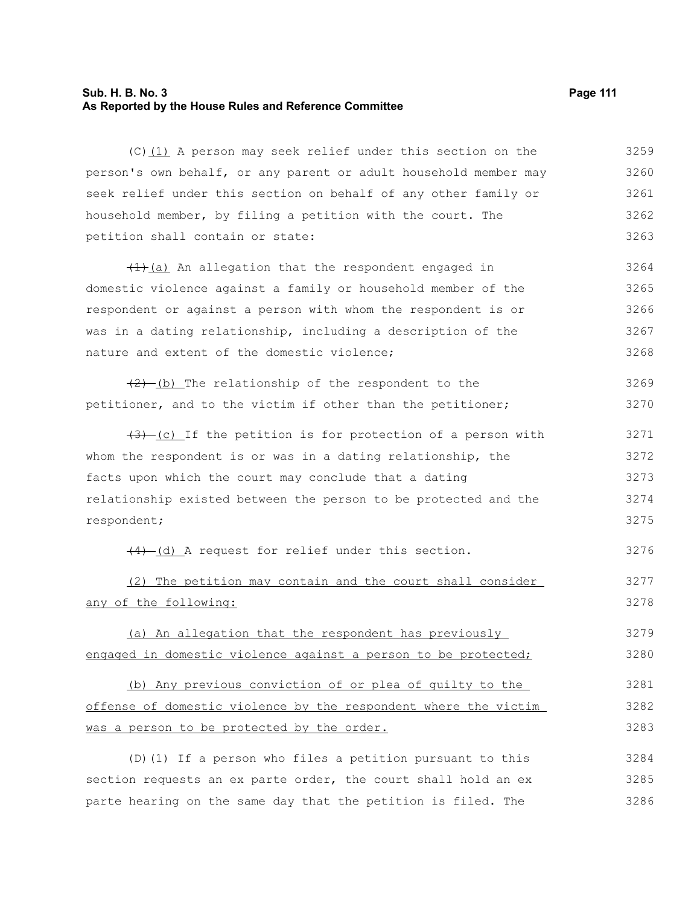## **Sub. H. B. No. 3 Page 111 As Reported by the House Rules and Reference Committee**

(C)(1) A person may seek relief under this section on the person's own behalf, or any parent or adult household member may seek relief under this section on behalf of any other family or household member, by filing a petition with the court. The petition shall contain or state: 3259 3260 3261 3262 3263

 $(1)$  (a) An allegation that the respondent engaged in domestic violence against a family or household member of the respondent or against a person with whom the respondent is or was in a dating relationship, including a description of the nature and extent of the domestic violence; 3264 3265 3266 3267 3268

 $(2)$  (b) The relationship of the respondent to the petitioner, and to the victim if other than the petitioner; 3269 3270

 $(3)$  (c) If the petition is for protection of a person with whom the respondent is or was in a dating relationship, the facts upon which the court may conclude that a dating relationship existed between the person to be protected and the respondent; 3271 3272 3273 3274 3275

 $(4)$  (d) A request for relief under this section.

(2) The petition may contain and the court shall consider any of the following: 3277 3278

(a) An allegation that the respondent has previously engaged in domestic violence against a person to be protected; 3279 3280

(b) Any previous conviction of or plea of guilty to the offense of domestic violence by the respondent where the victim was a person to be protected by the order. 3281 3282 3283

(D)(1) If a person who files a petition pursuant to this section requests an ex parte order, the court shall hold an ex parte hearing on the same day that the petition is filed. The 3284 3285 3286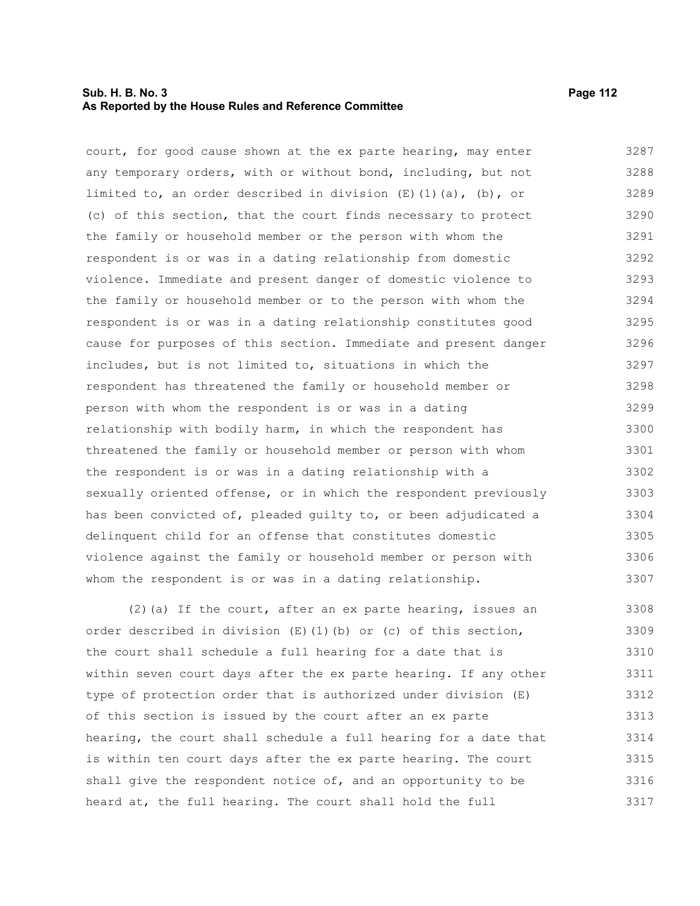## **Sub. H. B. No. 3 Page 112 As Reported by the House Rules and Reference Committee**

court, for good cause shown at the ex parte hearing, may enter any temporary orders, with or without bond, including, but not limited to, an order described in division  $(E)$  (1)(a),  $(b)$ , or (c) of this section, that the court finds necessary to protect the family or household member or the person with whom the respondent is or was in a dating relationship from domestic violence. Immediate and present danger of domestic violence to the family or household member or to the person with whom the respondent is or was in a dating relationship constitutes good cause for purposes of this section. Immediate and present danger includes, but is not limited to, situations in which the respondent has threatened the family or household member or person with whom the respondent is or was in a dating relationship with bodily harm, in which the respondent has threatened the family or household member or person with whom the respondent is or was in a dating relationship with a sexually oriented offense, or in which the respondent previously has been convicted of, pleaded guilty to, or been adjudicated a delinquent child for an offense that constitutes domestic violence against the family or household member or person with whom the respondent is or was in a dating relationship. 3287 3288 3289 3290 3291 3292 3293 3294 3295 3296 3297 3298 3299 3300 3301 3302 3303 3304 3305 3306 3307

(2)(a) If the court, after an ex parte hearing, issues an order described in division (E)(1)(b) or (c) of this section, the court shall schedule a full hearing for a date that is within seven court days after the ex parte hearing. If any other type of protection order that is authorized under division (E) of this section is issued by the court after an ex parte hearing, the court shall schedule a full hearing for a date that is within ten court days after the ex parte hearing. The court shall give the respondent notice of, and an opportunity to be heard at, the full hearing. The court shall hold the full 3308 3309 3310 3311 3312 3313 3314 3315 3316 3317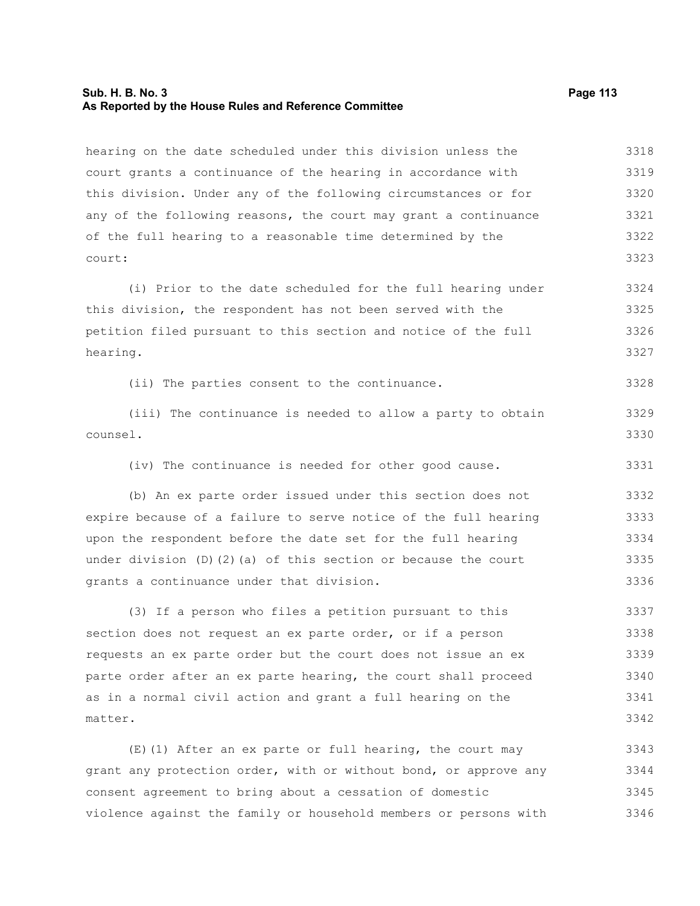## **Sub. H. B. No. 3 Page 113 As Reported by the House Rules and Reference Committee**

hearing on the date scheduled under this division unless the court grants a continuance of the hearing in accordance with this division. Under any of the following circumstances or for any of the following reasons, the court may grant a continuance of the full hearing to a reasonable time determined by the court: 3318 3319 3320 3321 3322 3323

(i) Prior to the date scheduled for the full hearing under this division, the respondent has not been served with the petition filed pursuant to this section and notice of the full hearing. 3324 3325 3326 3327

(ii) The parties consent to the continuance. 3328

(iii) The continuance is needed to allow a party to obtain counsel. 3329 3330

(iv) The continuance is needed for other good cause.

(b) An ex parte order issued under this section does not expire because of a failure to serve notice of the full hearing upon the respondent before the date set for the full hearing under division  $(D)(2)(a)$  of this section or because the court grants a continuance under that division.

(3) If a person who files a petition pursuant to this section does not request an ex parte order, or if a person requests an ex parte order but the court does not issue an ex parte order after an ex parte hearing, the court shall proceed as in a normal civil action and grant a full hearing on the matter. 3337 3338 3339 3340 3341 3342

(E)(1) After an ex parte or full hearing, the court may grant any protection order, with or without bond, or approve any consent agreement to bring about a cessation of domestic violence against the family or household members or persons with 3343 3344 3345 3346

3331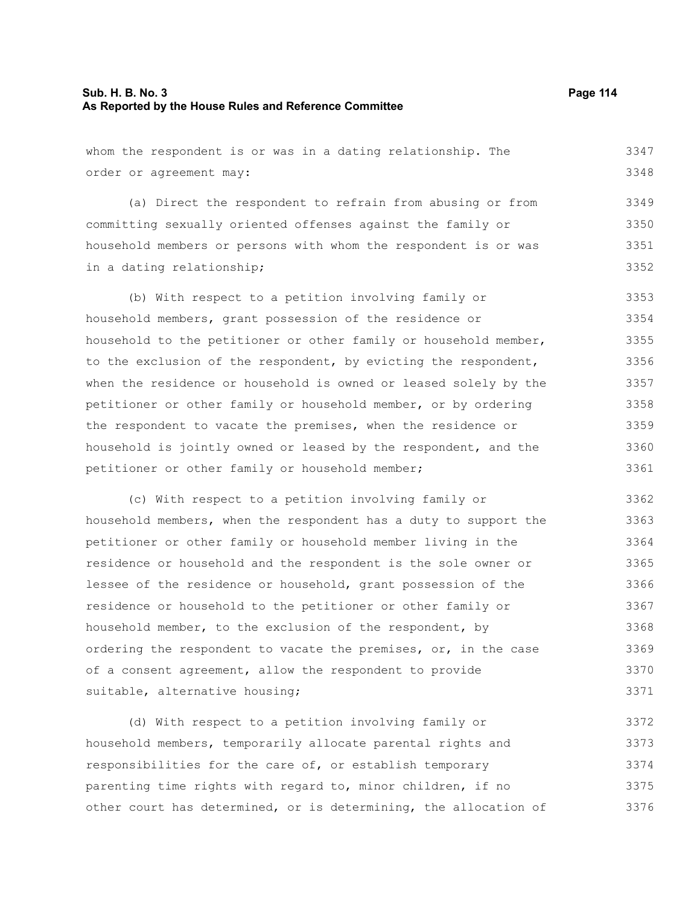## **Sub. H. B. No. 3** Page 114 **As Reported by the House Rules and Reference Committee**

3371

| whom the respondent is or was in a dating relationship. The      | 3347 |
|------------------------------------------------------------------|------|
| order or agreement may:                                          | 3348 |
| (a) Direct the respondent to refrain from abusing or from        | 3349 |
| committing sexually oriented offenses against the family or      | 3350 |
| household members or persons with whom the respondent is or was  | 3351 |
| in a dating relationship;                                        | 3352 |
| (b) With respect to a petition involving family or               | 3353 |
| household members, grant possession of the residence or          | 3354 |
| household to the petitioner or other family or household member, | 3355 |
| to the exclusion of the respondent, by evicting the respondent,  | 3356 |
| when the residence or household is owned or leased solely by the | 3357 |
| petitioner or other family or household member, or by ordering   | 3358 |
| the respondent to vacate the premises, when the residence or     | 3359 |
| household is jointly owned or leased by the respondent, and the  | 3360 |
| petitioner or other family or household member;                  | 3361 |
| (c) With respect to a petition involving family or               | 3362 |
| household members, when the respondent has a duty to support the | 3363 |
| petitioner or other family or household member living in the     | 3364 |
| residence or household and the respondent is the sole owner or   | 3365 |
| lessee of the residence or household, grant possession of the    | 3366 |
| residence or household to the petitioner or other family or      | 3367 |
| household member, to the exclusion of the respondent, by         | 3368 |
| ordering the respondent to vacate the premises, or, in the case  | 3369 |
| of a consent agreement, allow the respondent to provide          | 3370 |

suitable, alternative housing;

(d) With respect to a petition involving family or household members, temporarily allocate parental rights and responsibilities for the care of, or establish temporary parenting time rights with regard to, minor children, if no other court has determined, or is determining, the allocation of 3372 3373 3374 3375 3376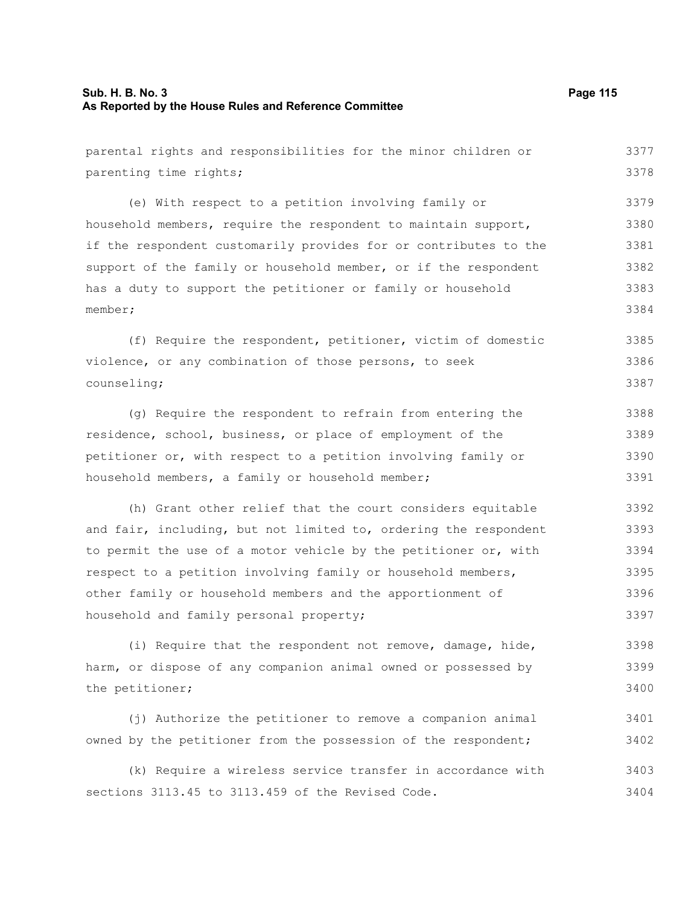## **Sub. H. B. No. 3 Page 115 As Reported by the House Rules and Reference Committee**

parental rights and responsibilities for the minor children or parenting time rights; (e) With respect to a petition involving family or household members, require the respondent to maintain support, if the respondent customarily provides for or contributes to the support of the family or household member, or if the respondent has a duty to support the petitioner or family or household member; (f) Require the respondent, petitioner, victim of domestic violence, or any combination of those persons, to seek counseling; (g) Require the respondent to refrain from entering the residence, school, business, or place of employment of the petitioner or, with respect to a petition involving family or household members, a family or household member; (h) Grant other relief that the court considers equitable and fair, including, but not limited to, ordering the respondent to permit the use of a motor vehicle by the petitioner or, with respect to a petition involving family or household members, other family or household members and the apportionment of household and family personal property; (i) Require that the respondent not remove, damage, hide, harm, or dispose of any companion animal owned or possessed by the petitioner; (j) Authorize the petitioner to remove a companion animal owned by the petitioner from the possession of the respondent; (k) Require a wireless service transfer in accordance with sections 3113.45 to 3113.459 of the Revised Code. 3377 3378 3379 3380 3381 3382 3383 3384 3385 3386 3387 3388 3389 3390 3391 3392 3393 3394 3395 3396 3397 3398 3399 3400 3401 3402 3403 3404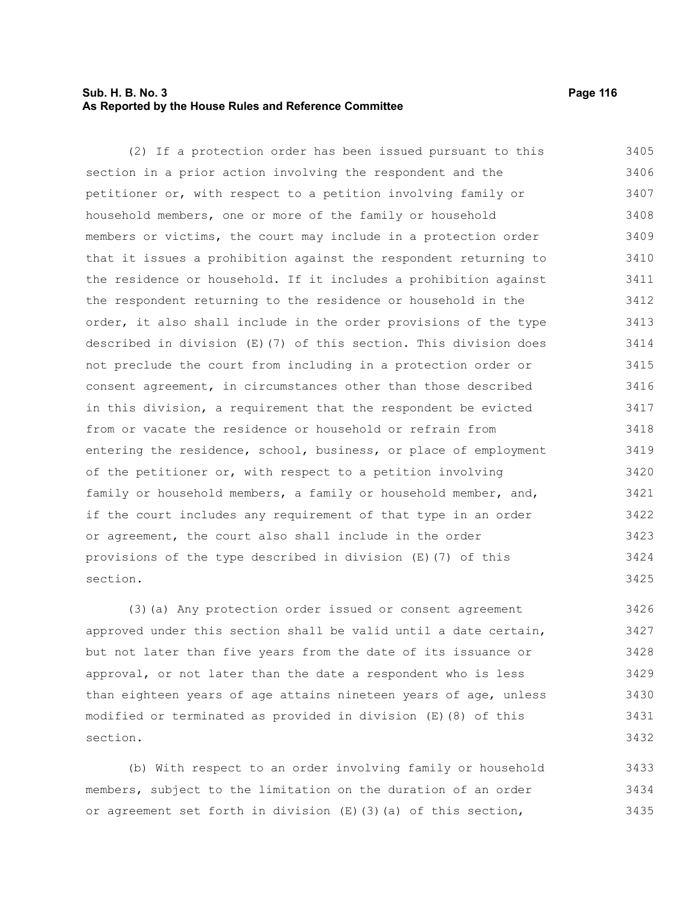## **Sub. H. B. No. 3 Page 116 As Reported by the House Rules and Reference Committee**

(2) If a protection order has been issued pursuant to this section in a prior action involving the respondent and the petitioner or, with respect to a petition involving family or household members, one or more of the family or household members or victims, the court may include in a protection order that it issues a prohibition against the respondent returning to the residence or household. If it includes a prohibition against the respondent returning to the residence or household in the order, it also shall include in the order provisions of the type described in division (E)(7) of this section. This division does not preclude the court from including in a protection order or consent agreement, in circumstances other than those described in this division, a requirement that the respondent be evicted from or vacate the residence or household or refrain from entering the residence, school, business, or place of employment of the petitioner or, with respect to a petition involving family or household members, a family or household member, and, if the court includes any requirement of that type in an order or agreement, the court also shall include in the order provisions of the type described in division (E)(7) of this section. 3405 3406 3407 3408 3409 3410 3411 3412 3413 3414 3415 3416 3417 3418 3419 3420 3421 3422 3423 3424 3425

(3)(a) Any protection order issued or consent agreement approved under this section shall be valid until a date certain, but not later than five years from the date of its issuance or approval, or not later than the date a respondent who is less than eighteen years of age attains nineteen years of age, unless modified or terminated as provided in division (E)(8) of this section. 3426 3427 3428 3429 3430 3431 3432

(b) With respect to an order involving family or household members, subject to the limitation on the duration of an order or agreement set forth in division  $(E)$  (3)(a) of this section, 3433 3434 3435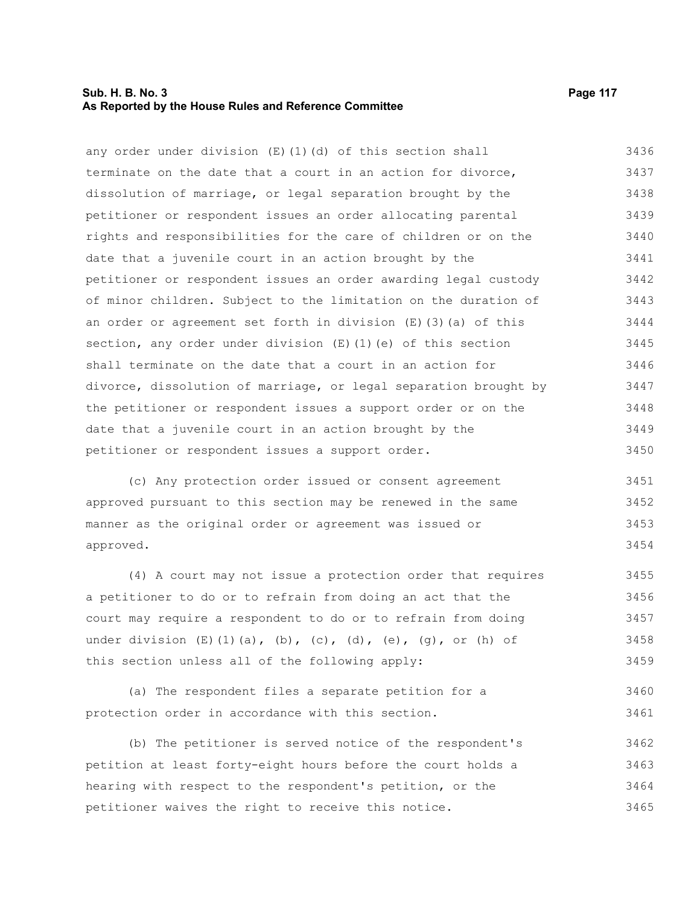## **Sub. H. B. No. 3 Page 117 As Reported by the House Rules and Reference Committee**

any order under division (E)(1)(d) of this section shall terminate on the date that a court in an action for divorce, dissolution of marriage, or legal separation brought by the petitioner or respondent issues an order allocating parental rights and responsibilities for the care of children or on the date that a juvenile court in an action brought by the petitioner or respondent issues an order awarding legal custody of minor children. Subject to the limitation on the duration of an order or agreement set forth in division  $(E)$  (3)(a) of this section, any order under division (E)(1)(e) of this section shall terminate on the date that a court in an action for divorce, dissolution of marriage, or legal separation brought by the petitioner or respondent issues a support order or on the date that a juvenile court in an action brought by the petitioner or respondent issues a support order. 3436 3437 3438 3439 3440 3441 3442 3443 3444 3445 3446 3447 3448 3449 3450

(c) Any protection order issued or consent agreement approved pursuant to this section may be renewed in the same manner as the original order or agreement was issued or approved. 3451 3452 3453 3454

(4) A court may not issue a protection order that requires a petitioner to do or to refrain from doing an act that the court may require a respondent to do or to refrain from doing under division  $(E)$  (1)(a), (b), (c), (d), (e), (g), or (h) of this section unless all of the following apply: 3455 3456 3457 3458 3459

(a) The respondent files a separate petition for a protection order in accordance with this section. 3460 3461

(b) The petitioner is served notice of the respondent's petition at least forty-eight hours before the court holds a hearing with respect to the respondent's petition, or the petitioner waives the right to receive this notice. 3462 3463 3464 3465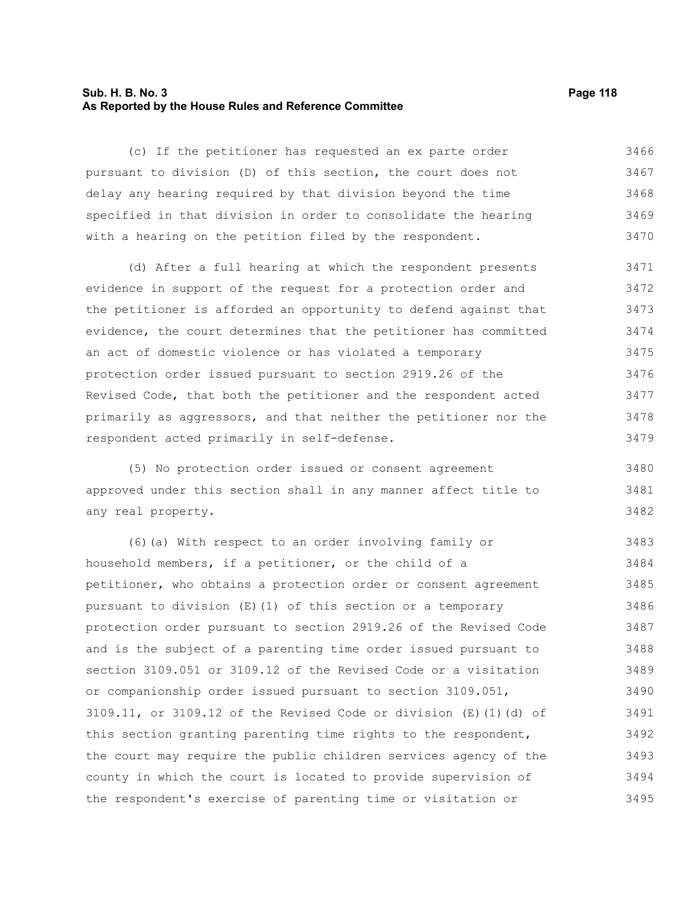## **Sub. H. B. No. 3 Page 118 As Reported by the House Rules and Reference Committee**

(c) If the petitioner has requested an ex parte order pursuant to division (D) of this section, the court does not delay any hearing required by that division beyond the time specified in that division in order to consolidate the hearing with a hearing on the petition filed by the respondent. 3466 3467 3468 3469 3470

(d) After a full hearing at which the respondent presents evidence in support of the request for a protection order and the petitioner is afforded an opportunity to defend against that evidence, the court determines that the petitioner has committed an act of domestic violence or has violated a temporary protection order issued pursuant to section 2919.26 of the Revised Code, that both the petitioner and the respondent acted primarily as aggressors, and that neither the petitioner nor the respondent acted primarily in self-defense. 3471 3472 3473 3474 3475 3476 3477 3478 3479

(5) No protection order issued or consent agreement approved under this section shall in any manner affect title to any real property. 3480 3481 3482

(6)(a) With respect to an order involving family or household members, if a petitioner, or the child of a petitioner, who obtains a protection order or consent agreement pursuant to division (E)(1) of this section or a temporary protection order pursuant to section 2919.26 of the Revised Code and is the subject of a parenting time order issued pursuant to section 3109.051 or 3109.12 of the Revised Code or a visitation or companionship order issued pursuant to section 3109.051,  $3109.11$ , or  $3109.12$  of the Revised Code or division (E)(1)(d) of this section granting parenting time rights to the respondent, the court may require the public children services agency of the county in which the court is located to provide supervision of the respondent's exercise of parenting time or visitation or 3483 3484 3485 3486 3487 3488 3489 3490 3491 3492 3493 3494 3495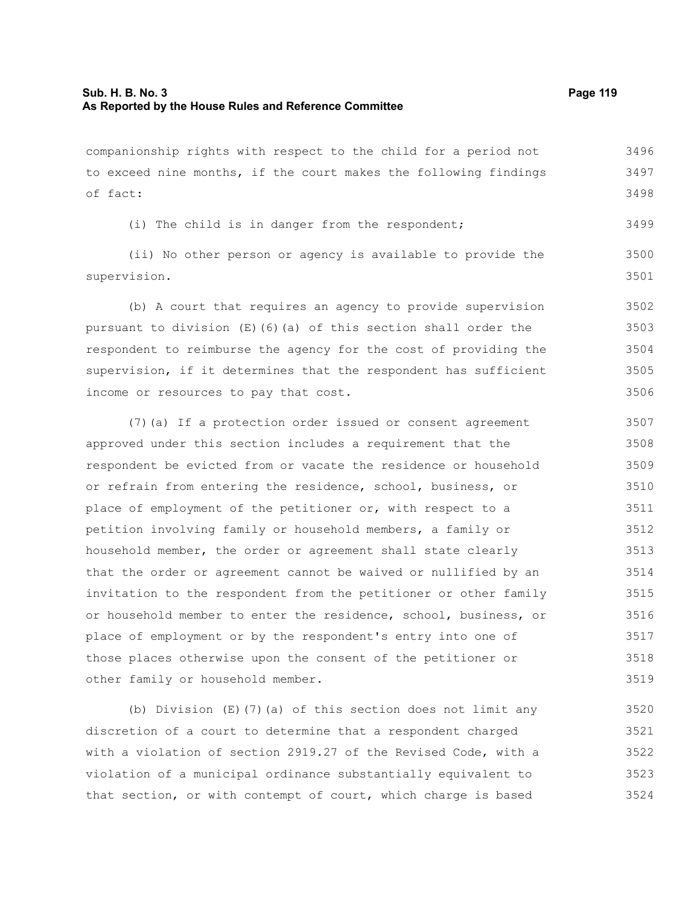3499

companionship rights with respect to the child for a period not to exceed nine months, if the court makes the following findings of fact: 3496 3497 3498

(i) The child is in danger from the respondent;

(ii) No other person or agency is available to provide the supervision. 3500 3501

(b) A court that requires an agency to provide supervision pursuant to division  $(E)$  (6)(a) of this section shall order the respondent to reimburse the agency for the cost of providing the supervision, if it determines that the respondent has sufficient income or resources to pay that cost. 3502 3503 3504 3505 3506

(7)(a) If a protection order issued or consent agreement approved under this section includes a requirement that the respondent be evicted from or vacate the residence or household or refrain from entering the residence, school, business, or place of employment of the petitioner or, with respect to a petition involving family or household members, a family or household member, the order or agreement shall state clearly that the order or agreement cannot be waived or nullified by an invitation to the respondent from the petitioner or other family or household member to enter the residence, school, business, or place of employment or by the respondent's entry into one of those places otherwise upon the consent of the petitioner or other family or household member. 3507 3508 3509 3510 3511 3512 3513 3514 3515 3516 3517 3518 3519

(b) Division (E)(7)(a) of this section does not limit any discretion of a court to determine that a respondent charged with a violation of section 2919.27 of the Revised Code, with a violation of a municipal ordinance substantially equivalent to that section, or with contempt of court, which charge is based 3520 3521 3522 3523 3524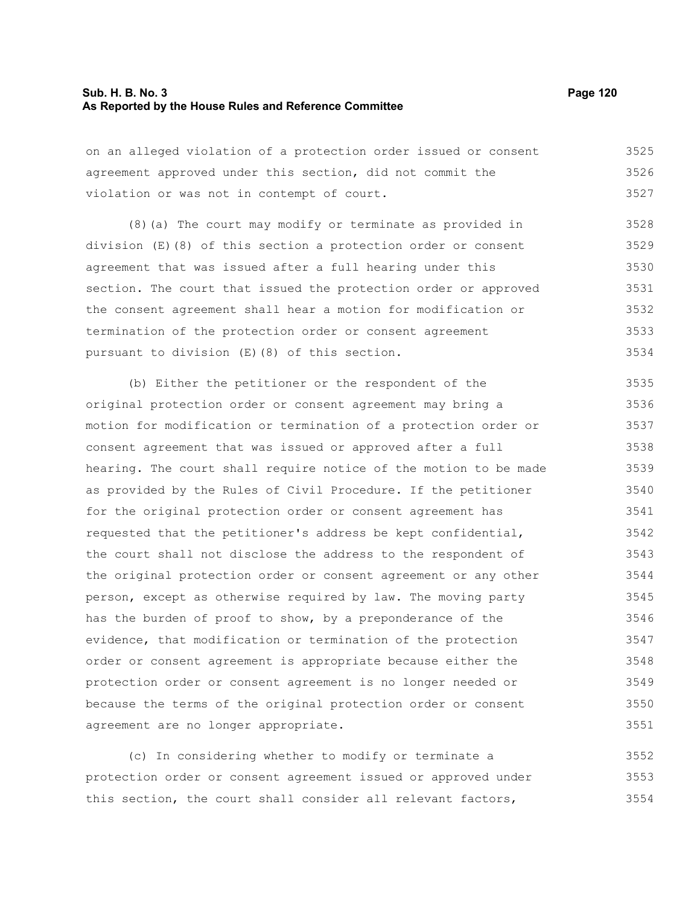## **Sub. H. B. No. 3 Page 120 As Reported by the House Rules and Reference Committee**

on an alleged violation of a protection order issued or consent agreement approved under this section, did not commit the violation or was not in contempt of court. 3525 3526 3527

(8)(a) The court may modify or terminate as provided in division (E)(8) of this section a protection order or consent agreement that was issued after a full hearing under this section. The court that issued the protection order or approved the consent agreement shall hear a motion for modification or termination of the protection order or consent agreement pursuant to division (E)(8) of this section. 3528 3529 3530 3531 3532 3533 3534

(b) Either the petitioner or the respondent of the original protection order or consent agreement may bring a motion for modification or termination of a protection order or consent agreement that was issued or approved after a full hearing. The court shall require notice of the motion to be made as provided by the Rules of Civil Procedure. If the petitioner for the original protection order or consent agreement has requested that the petitioner's address be kept confidential, the court shall not disclose the address to the respondent of the original protection order or consent agreement or any other person, except as otherwise required by law. The moving party has the burden of proof to show, by a preponderance of the evidence, that modification or termination of the protection order or consent agreement is appropriate because either the protection order or consent agreement is no longer needed or because the terms of the original protection order or consent agreement are no longer appropriate. 3535 3536 3537 3538 3539 3540 3541 3542 3543 3544 3545 3546 3547 3548 3549 3550 3551

(c) In considering whether to modify or terminate a protection order or consent agreement issued or approved under this section, the court shall consider all relevant factors, 3552 3553 3554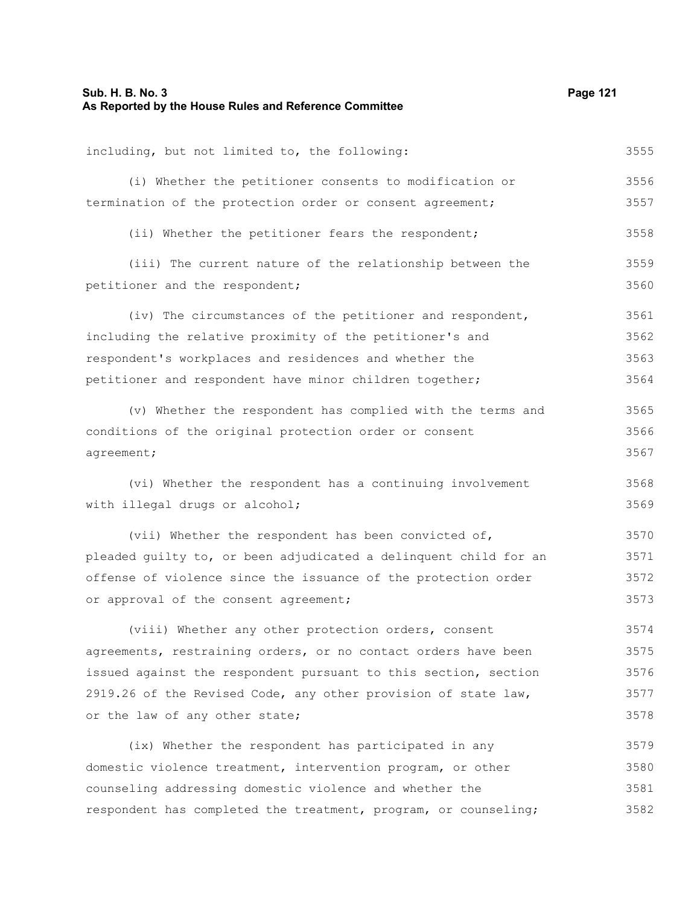3582

| including, but not limited to, the following:                    | 3555 |
|------------------------------------------------------------------|------|
| (i) Whether the petitioner consents to modification or           | 3556 |
| termination of the protection order or consent agreement;        | 3557 |
| (ii) Whether the petitioner fears the respondent;                | 3558 |
| (iii) The current nature of the relationship between the         | 3559 |
| petitioner and the respondent;                                   | 3560 |
| (iv) The circumstances of the petitioner and respondent,         | 3561 |
| including the relative proximity of the petitioner's and         | 3562 |
| respondent's workplaces and residences and whether the           | 3563 |
| petitioner and respondent have minor children together;          | 3564 |
| (v) Whether the respondent has complied with the terms and       | 3565 |
| conditions of the original protection order or consent           | 3566 |
| agreement;                                                       | 3567 |
| (vi) Whether the respondent has a continuing involvement         | 3568 |
| with illegal drugs or alcohol;                                   | 3569 |
| (vii) Whether the respondent has been convicted of,              | 3570 |
| pleaded quilty to, or been adjudicated a delinquent child for an | 3571 |
| offense of violence since the issuance of the protection order   | 3572 |
| or approval of the consent agreement;                            | 3573 |
| (viii) Whether any other protection orders, consent              | 3574 |
| agreements, restraining orders, or no contact orders have been   | 3575 |
| issued against the respondent pursuant to this section, section  | 3576 |
| 2919.26 of the Revised Code, any other provision of state law,   | 3577 |
| or the law of any other state;                                   | 3578 |
| (ix) Whether the respondent has participated in any              | 3579 |
| domestic violence treatment, intervention program, or other      | 3580 |
| counseling addressing domestic violence and whether the          | 3581 |
|                                                                  |      |

respondent has completed the treatment, program, or counseling;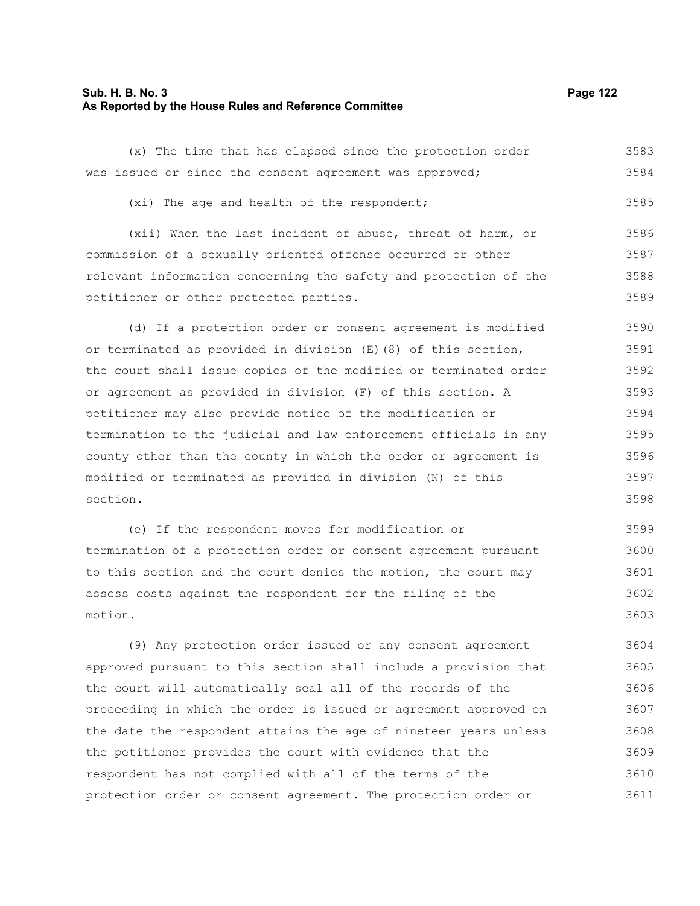## **Sub. H. B. No. 3 Page 122 As Reported by the House Rules and Reference Committee**

(x) The time that has elapsed since the protection order was issued or since the consent agreement was approved; (xi) The age and health of the respondent; (xii) When the last incident of abuse, threat of harm, or commission of a sexually oriented offense occurred or other relevant information concerning the safety and protection of the petitioner or other protected parties. (d) If a protection order or consent agreement is modified or terminated as provided in division (E)(8) of this section, the court shall issue copies of the modified or terminated order or agreement as provided in division (F) of this section. A petitioner may also provide notice of the modification or termination to the judicial and law enforcement officials in any county other than the county in which the order or agreement is modified or terminated as provided in division (N) of this section. 3583 3584 3585 3586 3587 3588 3589 3590 3591 3592 3593 3594 3595 3596 3597 3598

(e) If the respondent moves for modification or termination of a protection order or consent agreement pursuant to this section and the court denies the motion, the court may assess costs against the respondent for the filing of the motion. 3599 3600 3601 3602 3603

(9) Any protection order issued or any consent agreement approved pursuant to this section shall include a provision that the court will automatically seal all of the records of the proceeding in which the order is issued or agreement approved on the date the respondent attains the age of nineteen years unless the petitioner provides the court with evidence that the respondent has not complied with all of the terms of the protection order or consent agreement. The protection order or 3604 3605 3606 3607 3608 3609 3610 3611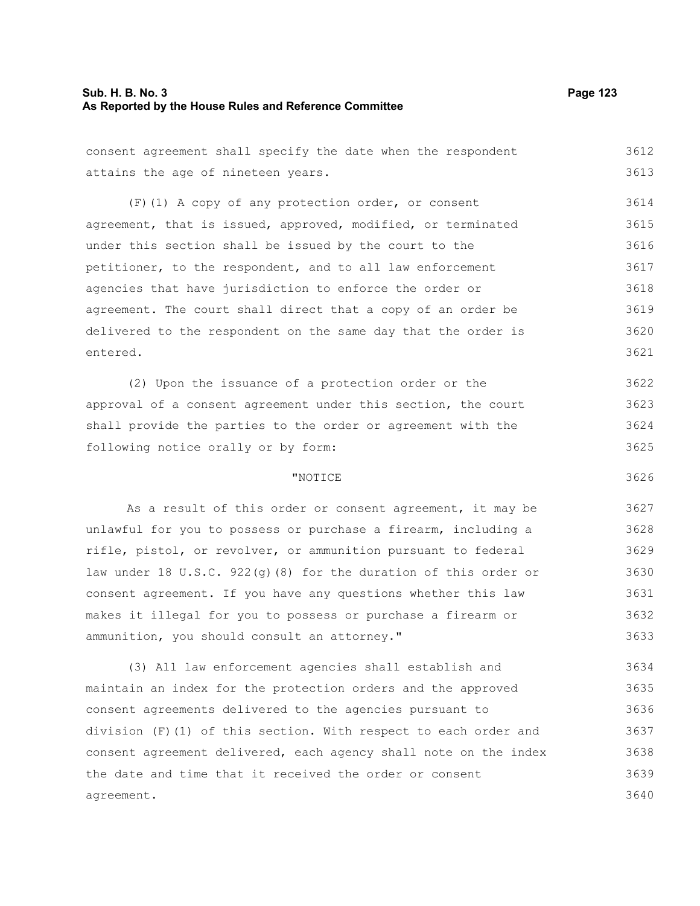## **Sub. H. B. No. 3 Page 123 As Reported by the House Rules and Reference Committee**

|                                    |  |  |  | consent agreement shall specify the date when the respondent | 3612 |
|------------------------------------|--|--|--|--------------------------------------------------------------|------|
| attains the age of nineteen years. |  |  |  |                                                              | 3613 |

(F)(1) A copy of any protection order, or consent agreement, that is issued, approved, modified, or terminated under this section shall be issued by the court to the petitioner, to the respondent, and to all law enforcement agencies that have jurisdiction to enforce the order or agreement. The court shall direct that a copy of an order be delivered to the respondent on the same day that the order is entered. 3614 3615 3616 3617 3618 3619 3620 3621

(2) Upon the issuance of a protection order or the approval of a consent agreement under this section, the court shall provide the parties to the order or agreement with the following notice orally or by form: 3622 3623 3624 3625

### "NOTICE

3626

As a result of this order or consent agreement, it may be unlawful for you to possess or purchase a firearm, including a rifle, pistol, or revolver, or ammunition pursuant to federal law under 18 U.S.C. 922(g)(8) for the duration of this order or consent agreement. If you have any questions whether this law makes it illegal for you to possess or purchase a firearm or ammunition, you should consult an attorney." 3627 3628 3629 3630 3631 3632 3633

(3) All law enforcement agencies shall establish and maintain an index for the protection orders and the approved consent agreements delivered to the agencies pursuant to division (F)(1) of this section. With respect to each order and consent agreement delivered, each agency shall note on the index the date and time that it received the order or consent agreement. 3634 3635 3636 3637 3638 3639 3640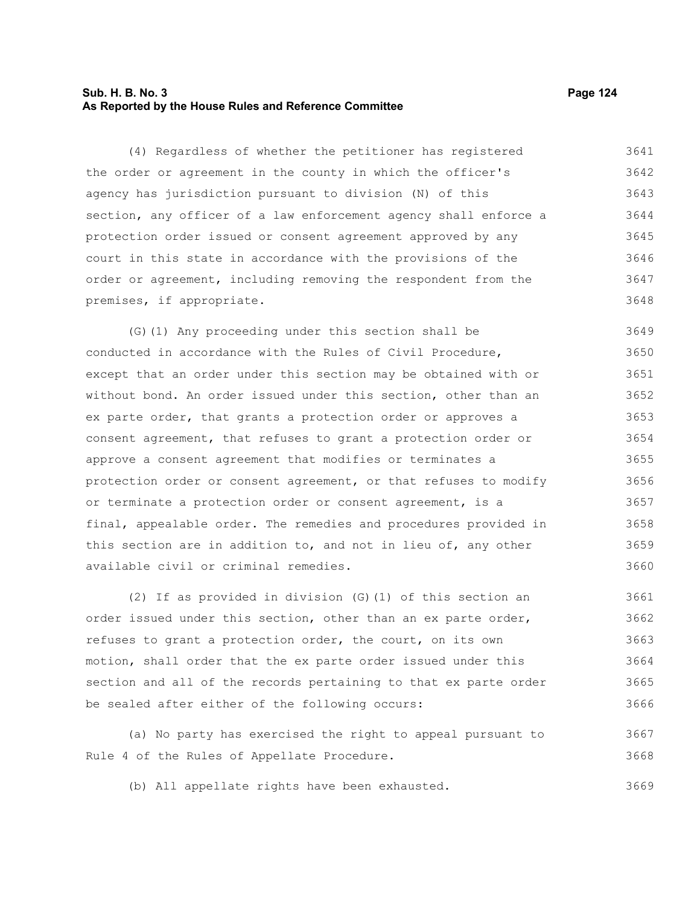## **Sub. H. B. No. 3 Page 124 As Reported by the House Rules and Reference Committee**

(4) Regardless of whether the petitioner has registered the order or agreement in the county in which the officer's agency has jurisdiction pursuant to division (N) of this section, any officer of a law enforcement agency shall enforce a protection order issued or consent agreement approved by any court in this state in accordance with the provisions of the order or agreement, including removing the respondent from the premises, if appropriate. 3641 3642 3643 3644 3645 3646 3647 3648

(G)(1) Any proceeding under this section shall be conducted in accordance with the Rules of Civil Procedure, except that an order under this section may be obtained with or without bond. An order issued under this section, other than an ex parte order, that grants a protection order or approves a consent agreement, that refuses to grant a protection order or approve a consent agreement that modifies or terminates a protection order or consent agreement, or that refuses to modify or terminate a protection order or consent agreement, is a final, appealable order. The remedies and procedures provided in this section are in addition to, and not in lieu of, any other available civil or criminal remedies. 3649 3650 3651 3652 3653 3654 3655 3656 3657 3658 3659 3660

(2) If as provided in division (G)(1) of this section an order issued under this section, other than an ex parte order, refuses to grant a protection order, the court, on its own motion, shall order that the ex parte order issued under this section and all of the records pertaining to that ex parte order be sealed after either of the following occurs: 3661 3662 3663 3664 3665 3666

(a) No party has exercised the right to appeal pursuant to Rule 4 of the Rules of Appellate Procedure. 3667 3668

(b) All appellate rights have been exhausted. 3669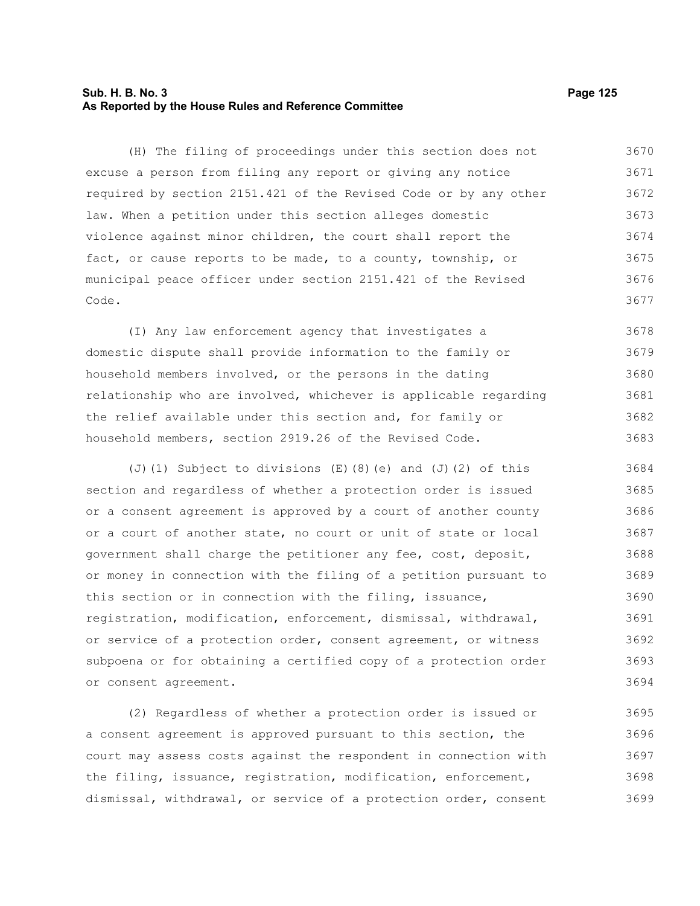## **Sub. H. B. No. 3 Page 125 As Reported by the House Rules and Reference Committee**

(H) The filing of proceedings under this section does not excuse a person from filing any report or giving any notice required by section 2151.421 of the Revised Code or by any other law. When a petition under this section alleges domestic violence against minor children, the court shall report the fact, or cause reports to be made, to a county, township, or municipal peace officer under section 2151.421 of the Revised Code. 3670 3671 3672 3673 3674 3675 3676 3677

(I) Any law enforcement agency that investigates a domestic dispute shall provide information to the family or household members involved, or the persons in the dating relationship who are involved, whichever is applicable regarding the relief available under this section and, for family or household members, section 2919.26 of the Revised Code. 3678 3679 3680 3681 3682 3683

(J)(1) Subject to divisions  $(E)$ (8)(e) and (J)(2) of this section and regardless of whether a protection order is issued or a consent agreement is approved by a court of another county or a court of another state, no court or unit of state or local government shall charge the petitioner any fee, cost, deposit, or money in connection with the filing of a petition pursuant to this section or in connection with the filing, issuance, registration, modification, enforcement, dismissal, withdrawal, or service of a protection order, consent agreement, or witness subpoena or for obtaining a certified copy of a protection order or consent agreement. 3684 3685 3686 3687 3688 3689 3690 3691 3692 3693 3694

(2) Regardless of whether a protection order is issued or a consent agreement is approved pursuant to this section, the court may assess costs against the respondent in connection with the filing, issuance, registration, modification, enforcement, dismissal, withdrawal, or service of a protection order, consent 3695 3696 3697 3698 3699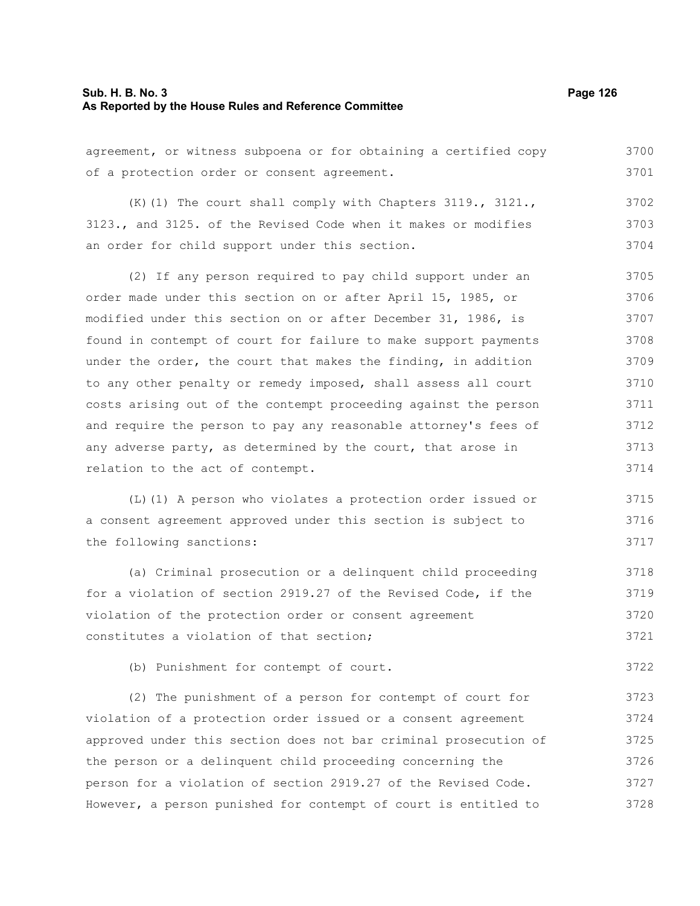## **Sub. H. B. No. 3 Page 126 As Reported by the House Rules and Reference Committee**

agreement, or witness subpoena or for obtaining a certified copy of a protection order or consent agreement. 3700 3701

(K)(1) The court shall comply with Chapters 3119., 3121., 3123., and 3125. of the Revised Code when it makes or modifies an order for child support under this section. 3702 3703 3704

(2) If any person required to pay child support under an order made under this section on or after April 15, 1985, or modified under this section on or after December 31, 1986, is found in contempt of court for failure to make support payments under the order, the court that makes the finding, in addition to any other penalty or remedy imposed, shall assess all court costs arising out of the contempt proceeding against the person and require the person to pay any reasonable attorney's fees of any adverse party, as determined by the court, that arose in relation to the act of contempt. 3705 3706 3707 3708 3709 3710 3711 3712 3713 3714

(L)(1) A person who violates a protection order issued or a consent agreement approved under this section is subject to the following sanctions: 3715 3716 3717

(a) Criminal prosecution or a delinquent child proceeding for a violation of section 2919.27 of the Revised Code, if the violation of the protection order or consent agreement constitutes a violation of that section; 3718 3719 3720 3721

(b) Punishment for contempt of court.

(2) The punishment of a person for contempt of court for violation of a protection order issued or a consent agreement approved under this section does not bar criminal prosecution of the person or a delinquent child proceeding concerning the person for a violation of section 2919.27 of the Revised Code. However, a person punished for contempt of court is entitled to 3723 3724 3725 3726 3727 3728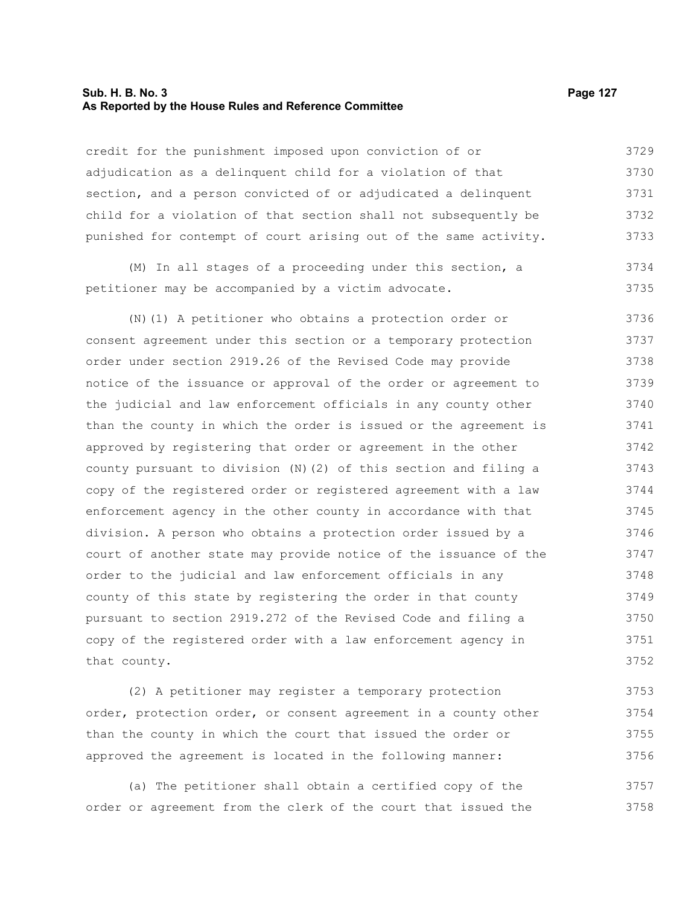## **Sub. H. B. No. 3 Page 127 As Reported by the House Rules and Reference Committee**

credit for the punishment imposed upon conviction of or adjudication as a delinquent child for a violation of that section, and a person convicted of or adjudicated a delinquent child for a violation of that section shall not subsequently be punished for contempt of court arising out of the same activity. 3729 3730 3731 3732 3733

(M) In all stages of a proceeding under this section, a petitioner may be accompanied by a victim advocate. 3734 3735

(N)(1) A petitioner who obtains a protection order or consent agreement under this section or a temporary protection order under section 2919.26 of the Revised Code may provide notice of the issuance or approval of the order or agreement to the judicial and law enforcement officials in any county other than the county in which the order is issued or the agreement is approved by registering that order or agreement in the other county pursuant to division  $(N)(2)$  of this section and filing a copy of the registered order or registered agreement with a law enforcement agency in the other county in accordance with that division. A person who obtains a protection order issued by a court of another state may provide notice of the issuance of the order to the judicial and law enforcement officials in any county of this state by registering the order in that county pursuant to section 2919.272 of the Revised Code and filing a copy of the registered order with a law enforcement agency in that county. 3736 3737 3738 3739 3740 3741 3742 3743 3744 3745 3746 3747 3748 3749 3750 3751 3752

(2) A petitioner may register a temporary protection order, protection order, or consent agreement in a county other than the county in which the court that issued the order or approved the agreement is located in the following manner: 3753 3754 3755 3756

(a) The petitioner shall obtain a certified copy of the order or agreement from the clerk of the court that issued the 3757 3758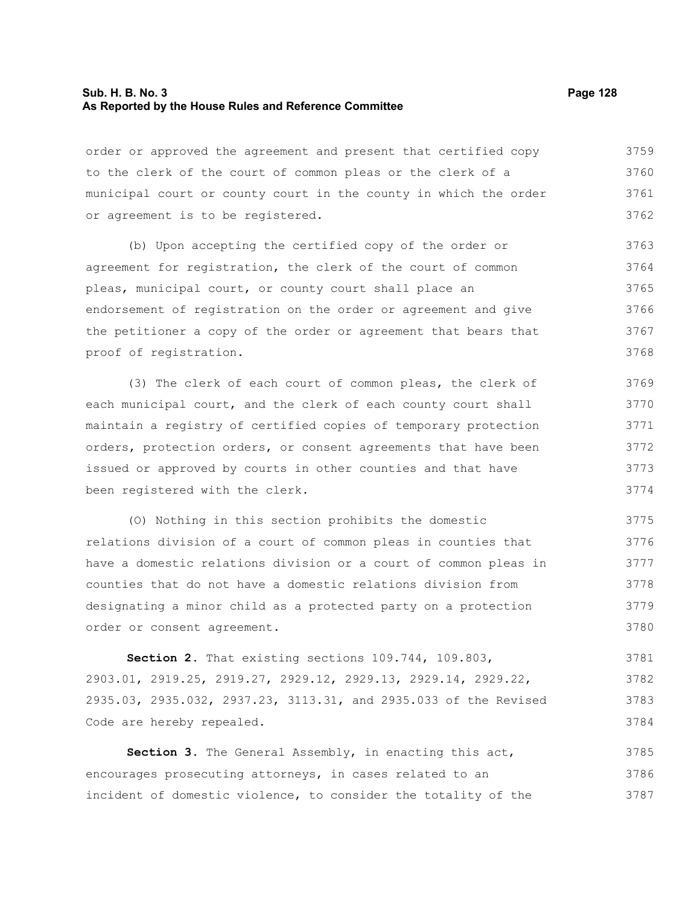## **Sub. H. B. No. 3 Page 128 As Reported by the House Rules and Reference Committee**

order or approved the agreement and present that certified copy to the clerk of the court of common pleas or the clerk of a municipal court or county court in the county in which the order or agreement is to be registered. 3759 3760 3761 3762

(b) Upon accepting the certified copy of the order or agreement for registration, the clerk of the court of common pleas, municipal court, or county court shall place an endorsement of registration on the order or agreement and give the petitioner a copy of the order or agreement that bears that proof of registration. 3763 3764 3765 3766 3767 3768

(3) The clerk of each court of common pleas, the clerk of each municipal court, and the clerk of each county court shall maintain a registry of certified copies of temporary protection orders, protection orders, or consent agreements that have been issued or approved by courts in other counties and that have been registered with the clerk. 3769 3770 3771 3772 3773 3774

(O) Nothing in this section prohibits the domestic relations division of a court of common pleas in counties that have a domestic relations division or a court of common pleas in counties that do not have a domestic relations division from designating a minor child as a protected party on a protection order or consent agreement. 3775 3776 3777 3778 3779 3780

**Section 2.** That existing sections 109.744, 109.803, 2903.01, 2919.25, 2919.27, 2929.12, 2929.13, 2929.14, 2929.22, 2935.03, 2935.032, 2937.23, 3113.31, and 2935.033 of the Revised Code are hereby repealed. 3781 3782 3783 3784

**Section 3.** The General Assembly, in enacting this act, encourages prosecuting attorneys, in cases related to an incident of domestic violence, to consider the totality of the 3785 3786 3787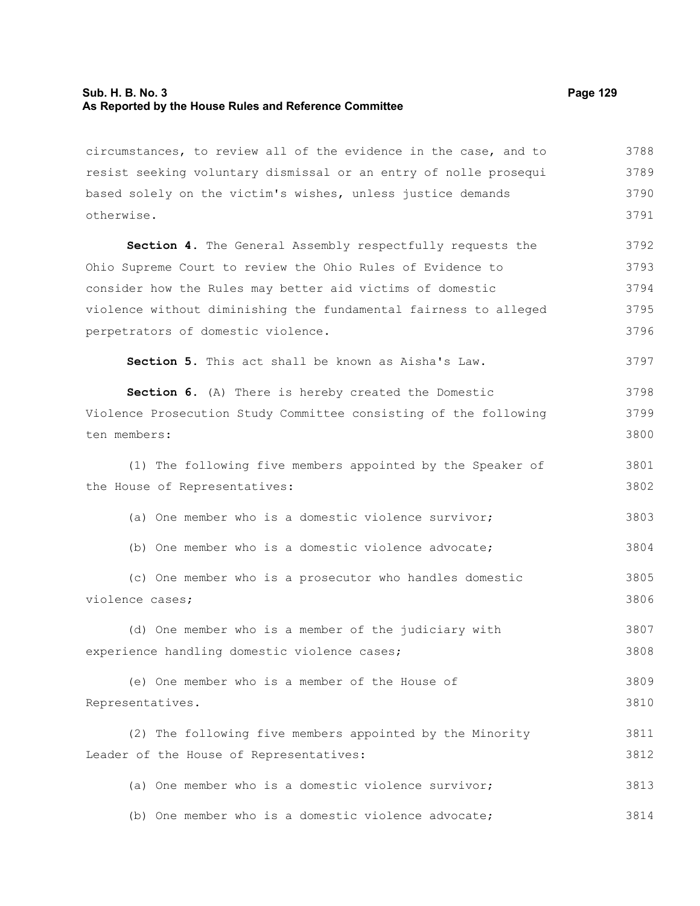## **Sub. H. B. No. 3 Page 129 As Reported by the House Rules and Reference Committee**

circumstances, to review all of the evidence in the case, and to resist seeking voluntary dismissal or an entry of nolle prosequi based solely on the victim's wishes, unless justice demands otherwise. 3788 3789 3790 3791

**Section 4.** The General Assembly respectfully requests the Ohio Supreme Court to review the Ohio Rules of Evidence to consider how the Rules may better aid victims of domestic violence without diminishing the fundamental fairness to alleged perpetrators of domestic violence. 3792 3793 3794 3795 3796

**Section 5.** This act shall be known as Aisha's Law.

**Section 6.** (A) There is hereby created the Domestic Violence Prosecution Study Committee consisting of the following ten members: 3798 3799 3800

(1) The following five members appointed by the Speaker of the House of Representatives: 3801 3802

- (a) One member who is a domestic violence survivor; 3803
- (b) One member who is a domestic violence advocate; 3804

```
(c) One member who is a prosecutor who handles domestic
violence cases;
                                                                            3805
                                                                            3806
```

```
(d) One member who is a member of the judiciary with
experience handling domestic violence cases;
                                                                            3807
                                                                            3808
```

```
(e) One member who is a member of the House of
Representatives.
                                                                             3809
                                                                             3810
```
(2) The following five members appointed by the Minority Leader of the House of Representatives: 3811 3812

(a) One member who is a domestic violence survivor; (b) One member who is a domestic violence advocate; 3813 3814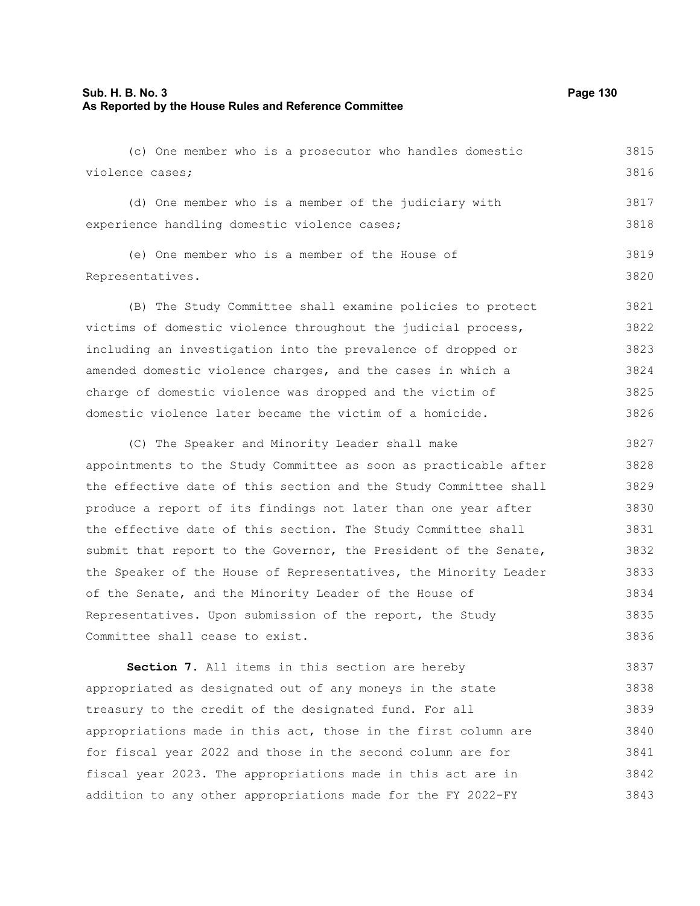# **Sub. H. B. No. 3 Page 130 As Reported by the House Rules and Reference Committee**

| (c) One member who is a prosecutor who handles domestic          | 3815 |
|------------------------------------------------------------------|------|
| violence cases;                                                  | 3816 |
| (d) One member who is a member of the judiciary with             | 3817 |
| experience handling domestic violence cases;                     | 3818 |
| (e) One member who is a member of the House of                   | 3819 |
| Representatives.                                                 | 3820 |
| (B) The Study Committee shall examine policies to protect        | 3821 |
| victims of domestic violence throughout the judicial process,    | 3822 |
| including an investigation into the prevalence of dropped or     | 3823 |
| amended domestic violence charges, and the cases in which a      | 3824 |
| charge of domestic violence was dropped and the victim of        | 3825 |
| domestic violence later became the victim of a homicide.         | 3826 |
| (C) The Speaker and Minority Leader shall make                   | 3827 |
| appointments to the Study Committee as soon as practicable after | 3828 |
| the effective date of this section and the Study Committee shall | 3829 |
| produce a report of its findings not later than one year after   | 3830 |
| the effective date of this section. The Study Committee shall    | 3831 |
| submit that report to the Governor, the President of the Senate, | 3832 |
| the Speaker of the House of Representatives, the Minority Leader | 3833 |
| of the Senate, and the Minority Leader of the House of           | 3834 |
| Representatives. Upon submission of the report, the Study        | 3835 |
| Committee shall cease to exist.                                  | 3836 |
| Section 7. All items in this section are hereby                  | 3837 |
| appropriated as designated out of any moneys in the state        | 3838 |
| treasury to the credit of the designated fund. For all           | 3839 |
| appropriations made in this act, those in the first column are   | 3840 |
| for fiscal year 2022 and those in the second column are for      | 3841 |

for fiscal year 2022 and those in the second column are for fiscal year 2023. The appropriations made in this act are in addition to any other appropriations made for the FY 2022-FY 3841 3842 3843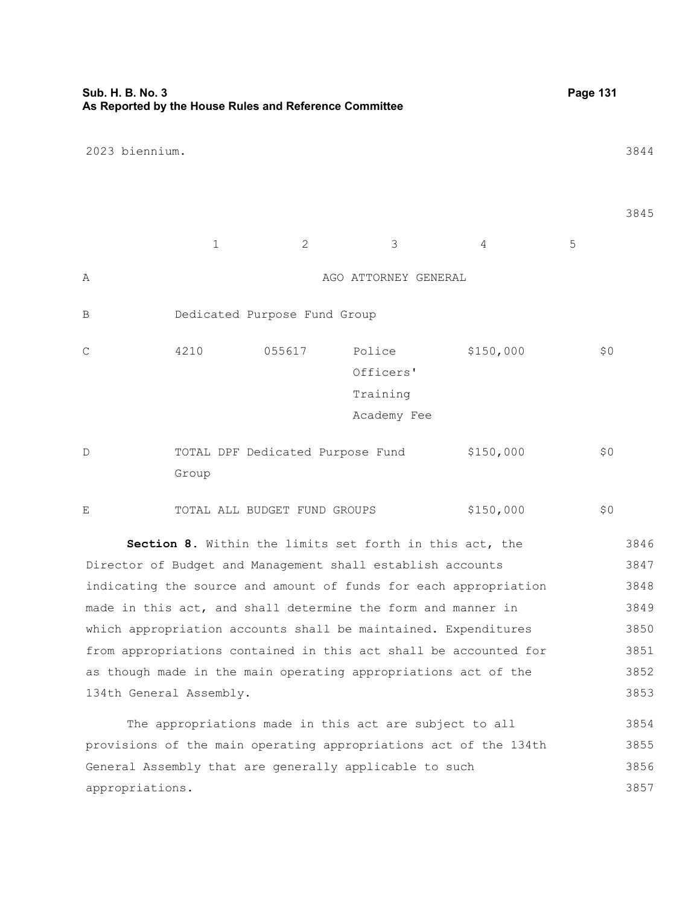| Sub. H. B. No. 3<br>As Reported by the House Rules and Reference Committee | Page 131     |                              |                                                              |                                                                  |     |      |  |
|----------------------------------------------------------------------------|--------------|------------------------------|--------------------------------------------------------------|------------------------------------------------------------------|-----|------|--|
| 2023 biennium.                                                             |              |                              |                                                              |                                                                  |     | 3844 |  |
|                                                                            |              |                              |                                                              |                                                                  |     |      |  |
|                                                                            |              |                              |                                                              |                                                                  |     |      |  |
|                                                                            |              |                              |                                                              |                                                                  |     | 3845 |  |
|                                                                            | $\mathbf{1}$ | 2                            | 3                                                            | 4                                                                | 5   |      |  |
| Α                                                                          |              |                              | AGO ATTORNEY GENERAL                                         |                                                                  |     |      |  |
| В                                                                          |              | Dedicated Purpose Fund Group |                                                              |                                                                  |     |      |  |
| C                                                                          | 4210         | 055617                       | Police                                                       | \$150,000                                                        | \$0 |      |  |
|                                                                            |              |                              | Officers'                                                    |                                                                  |     |      |  |
|                                                                            |              |                              | Training                                                     |                                                                  |     |      |  |
|                                                                            |              |                              | Academy Fee                                                  |                                                                  |     |      |  |
| D                                                                          |              |                              | TOTAL DPF Dedicated Purpose Fund                             | \$150,000                                                        | \$0 |      |  |
|                                                                            | Group        |                              |                                                              |                                                                  |     |      |  |
| E                                                                          |              | TOTAL ALL BUDGET FUND GROUPS |                                                              | \$150,000                                                        | \$0 |      |  |
|                                                                            |              |                              | Section 8. Within the limits set forth in this act, the      |                                                                  |     | 3846 |  |
|                                                                            |              |                              | Director of Budget and Management shall establish accounts   |                                                                  |     | 3847 |  |
|                                                                            |              |                              |                                                              | indicating the source and amount of funds for each appropriation |     | 3848 |  |
|                                                                            |              |                              | made in this act, and shall determine the form and manner in |                                                                  |     | 3849 |  |

which appropriation accounts shall be maintained. Expenditures from appropriations contained in this act shall be accounted for as though made in the main operating appropriations act of the 134th General Assembly. 3850 3851 3852 3853

The appropriations made in this act are subject to all provisions of the main operating appropriations act of the 134th General Assembly that are generally applicable to such appropriations. 3854 3855 3856 3857